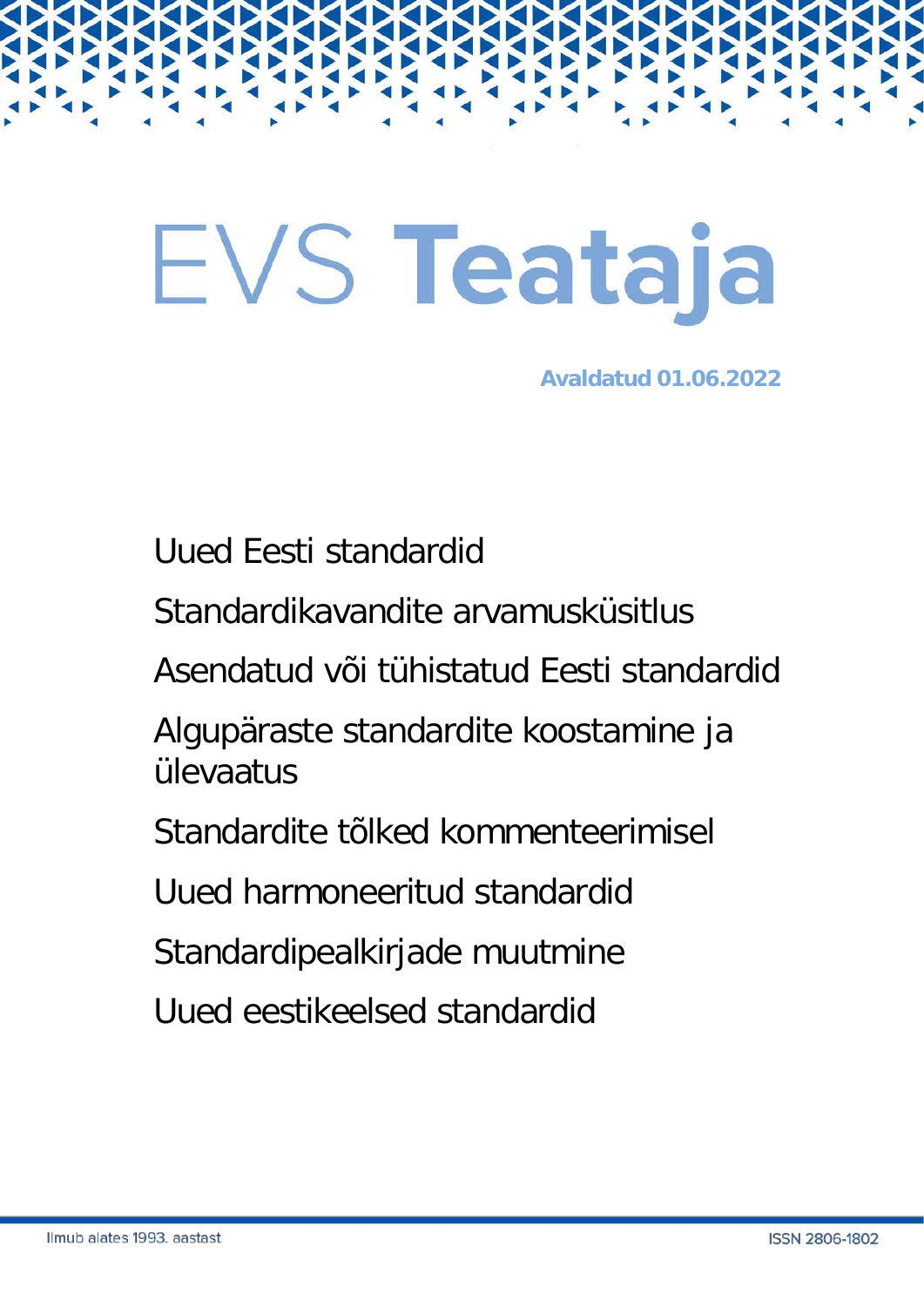# EVS Teataja

**Avaldatud 01.06.2022**

Uued Eesti standardid

Standardikavandite arvamusküsitlus

Asendatud või tühistatud Eesti standardid

Algupäraste standardite koostamine ja ülevaatus

Standardite tõlked kommenteerimisel

Uued harmoneeritud standardid

Standardipealkirjade muutmine

Uued eestikeelsed standardid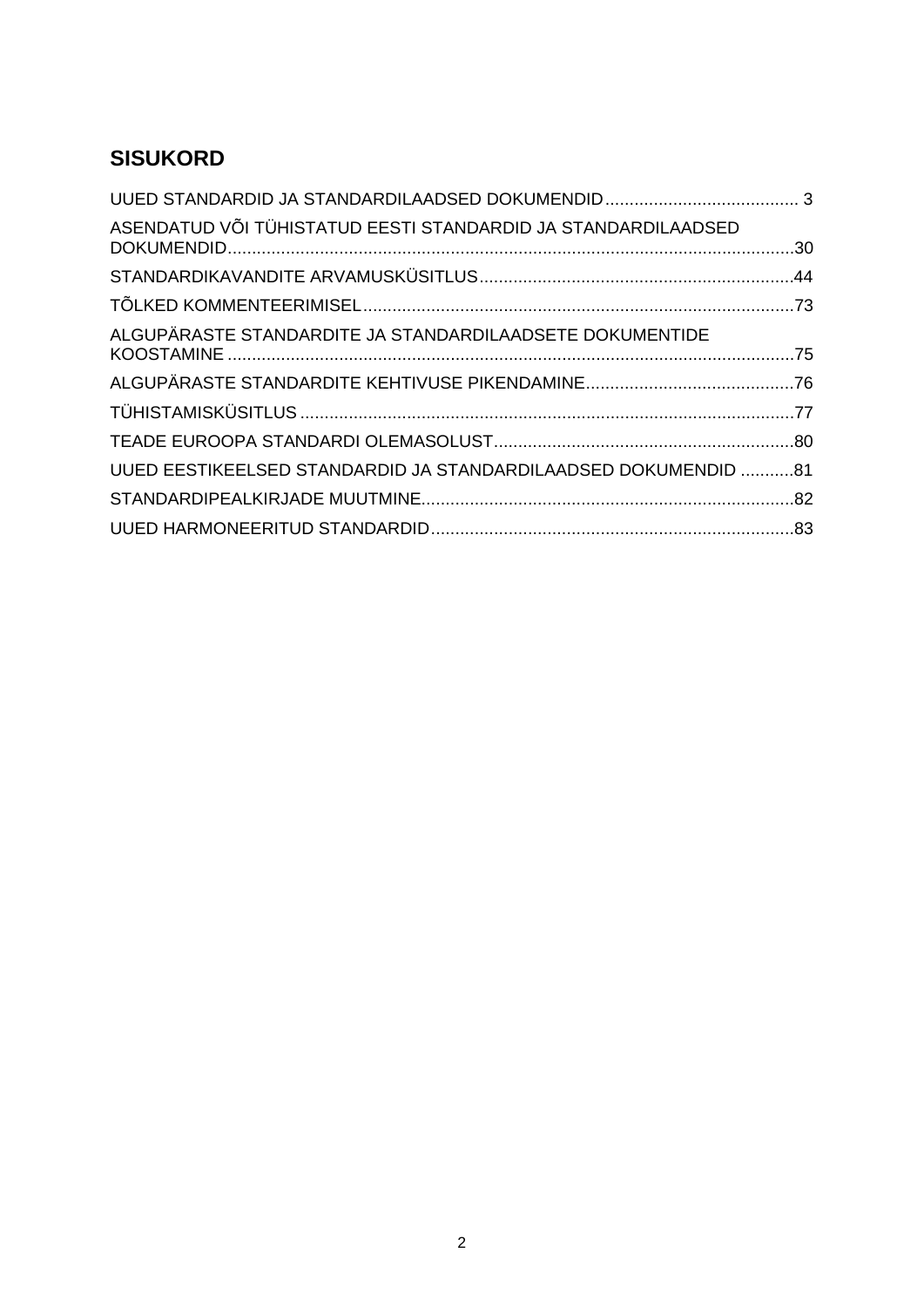# **SISUKORD**

| ASENDATUD VÕI TÜHISTATUD EESTI STANDARDID JA STANDARDILAADSED  |  |
|----------------------------------------------------------------|--|
|                                                                |  |
|                                                                |  |
| ALGUPÄRASTE STANDARDITE JA STANDARDILAADSETE DOKUMENTIDE       |  |
|                                                                |  |
|                                                                |  |
|                                                                |  |
| UUED EESTIKEELSED STANDARDID JA STANDARDILAADSED DOKUMENDID 81 |  |
|                                                                |  |
|                                                                |  |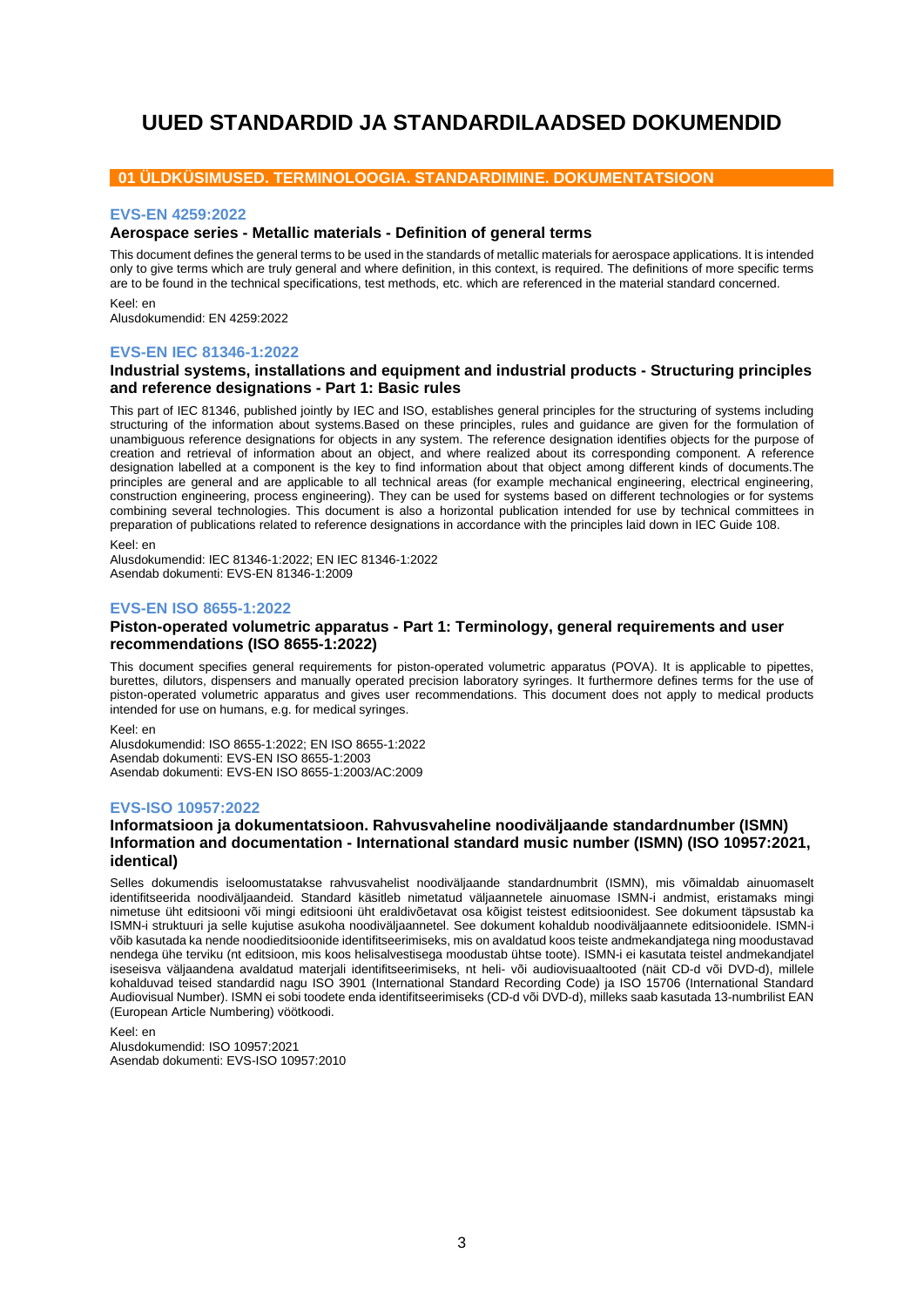# <span id="page-2-0"></span>**UUED STANDARDID JA STANDARDILAADSED DOKUMENDID**

## **01 ÜLDKÜSIMUSED. TERMINOLOOGIA. STANDARDIMINE. DOKUMENTATSIOON**

#### **EVS-EN 4259:2022**

## **Aerospace series - Metallic materials - Definition of general terms**

This document defines the general terms to be used in the standards of metallic materials for aerospace applications. It is intended only to give terms which are truly general and where definition, in this context, is required. The definitions of more specific terms are to be found in the technical specifications, test methods, etc. which are referenced in the material standard concerned.

Keel: en Alusdokumendid: EN 4259:2022

#### **EVS-EN IEC 81346-1:2022**

## **Industrial systems, installations and equipment and industrial products - Structuring principles and reference designations - Part 1: Basic rules**

This part of IEC 81346, published jointly by IEC and ISO, establishes general principles for the structuring of systems including structuring of the information about systems.Based on these principles, rules and guidance are given for the formulation of unambiguous reference designations for objects in any system. The reference designation identifies objects for the purpose of creation and retrieval of information about an object, and where realized about its corresponding component. A reference designation labelled at a component is the key to find information about that object among different kinds of documents.The principles are general and are applicable to all technical areas (for example mechanical engineering, electrical engineering, construction engineering, process engineering). They can be used for systems based on different technologies or for systems combining several technologies. This document is also a horizontal publication intended for use by technical committees in preparation of publications related to reference designations in accordance with the principles laid down in IEC Guide 108.

Keel: en

Alusdokumendid: IEC 81346-1:2022; EN IEC 81346-1:2022 Asendab dokumenti: EVS-EN 81346-1:2009

## **EVS-EN ISO 8655-1:2022**

#### **Piston-operated volumetric apparatus - Part 1: Terminology, general requirements and user recommendations (ISO 8655-1:2022)**

This document specifies general requirements for piston-operated volumetric apparatus (POVA). It is applicable to pipettes, burettes, dilutors, dispensers and manually operated precision laboratory syringes. It furthermore defines terms for the use of piston-operated volumetric apparatus and gives user recommendations. This document does not apply to medical products intended for use on humans, e.g. for medical syringes.

Keel: en Alusdokumendid: ISO 8655-1:2022; EN ISO 8655-1:2022 Asendab dokumenti: EVS-EN ISO 8655-1:2003 Asendab dokumenti: EVS-EN ISO 8655-1:2003/AC:2009

## **EVS-ISO 10957:2022**

## **Informatsioon ja dokumentatsioon. Rahvusvaheline noodiväljaande standardnumber (ISMN) Information and documentation - International standard music number (ISMN) (ISO 10957:2021, identical)**

Selles dokumendis iseloomustatakse rahvusvahelist noodiväljaande standardnumbrit (ISMN), mis võimaldab ainuomaselt identifitseerida noodiväljaandeid. Standard käsitleb nimetatud väljaannetele ainuomase ISMN-i andmist, eristamaks mingi nimetuse üht editsiooni või mingi editsiooni üht eraldivõetavat osa kõigist teistest editsioonidest. See dokument täpsustab ka ISMN-i struktuuri ja selle kujutise asukoha noodiväljaannetel. See dokument kohaldub noodiväljaannete editsioonidele. ISMN-i võib kasutada ka nende noodieditsioonide identifitseerimiseks, mis on avaldatud koos teiste andmekandjatega ning moodustavad nendega ühe terviku (nt editsioon, mis koos helisalvestisega moodustab ühtse toote). ISMN-i ei kasutata teistel andmekandjatel iseseisva väljaandena avaldatud materjali identifitseerimiseks, nt heli- või audiovisuaaltooted (näit CD-d või DVD-d), millele kohalduvad teised standardid nagu ISO 3901 (International Standard Recording Code) ja ISO 15706 (International Standard Audiovisual Number). ISMN ei sobi toodete enda identifitseerimiseks (CD-d või DVD-d), milleks saab kasutada 13-numbrilist EAN (European Article Numbering) vöötkoodi.

Keel: en

Alusdokumendid: ISO 10957:2021 Asendab dokumenti: EVS-ISO 10957:2010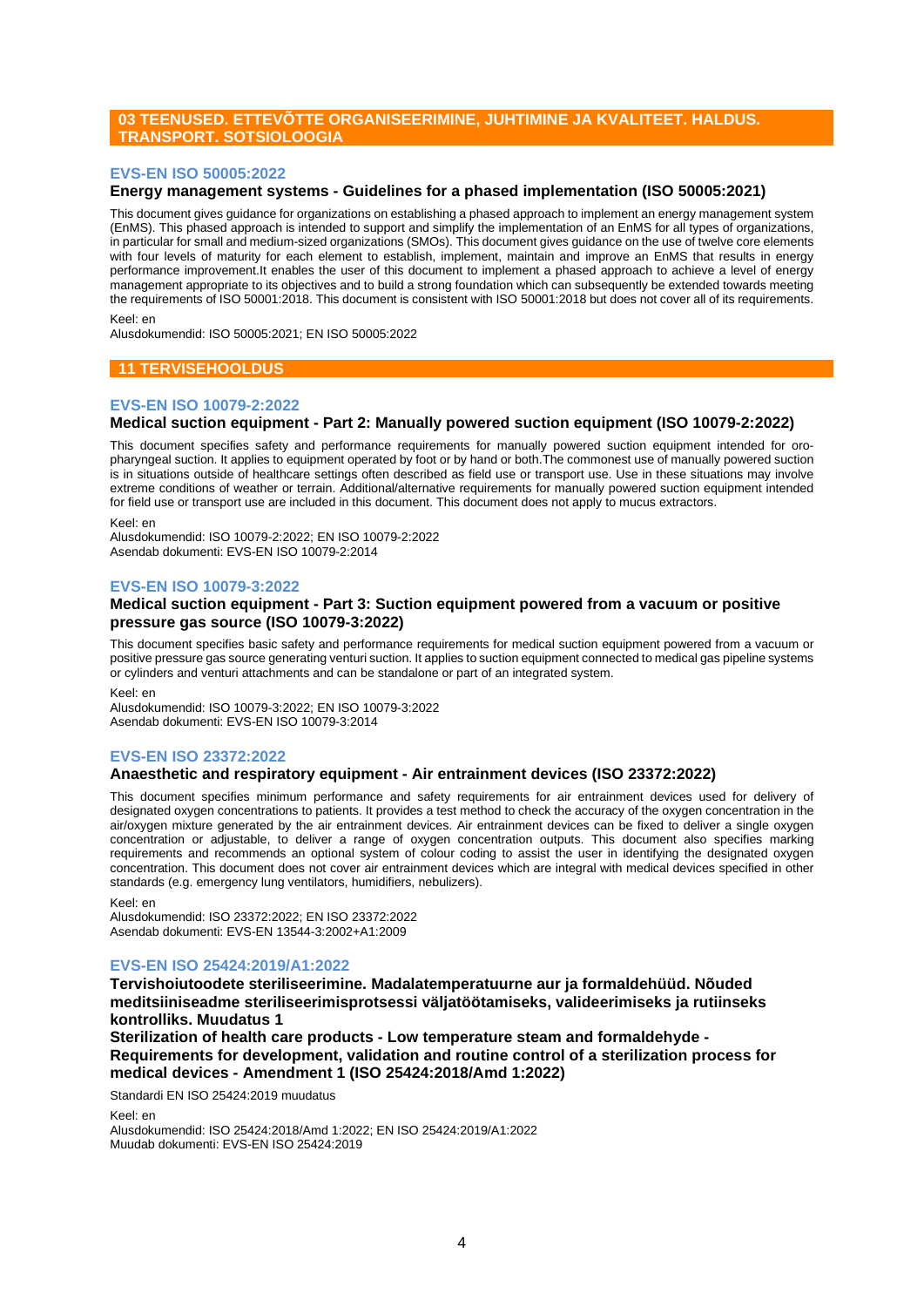## **03 TEENUSED. ETTEVÕTTE ORGANISEERIMINE, JUHTIMINE JA KVALITEET. HALDUS. TRANSPORT. SOTSIOLOOGIA**

## **EVS-EN ISO 50005:2022**

## **Energy management systems - Guidelines for a phased implementation (ISO 50005:2021)**

This document gives guidance for organizations on establishing a phased approach to implement an energy management system (EnMS). This phased approach is intended to support and simplify the implementation of an EnMS for all types of organizations, in particular for small and medium-sized organizations (SMOs). This document gives guidance on the use of twelve core elements with four levels of maturity for each element to establish, implement, maintain and improve an EnMS that results in energy performance improvement.It enables the user of this document to implement a phased approach to achieve a level of energy management appropriate to its objectives and to build a strong foundation which can subsequently be extended towards meeting the requirements of ISO 50001:2018. This document is consistent with ISO 50001:2018 but does not cover all of its requirements.

Keel: en

Alusdokumendid: ISO 50005:2021; EN ISO 50005:2022

## **11 TERVISEHOOLDUS**

#### **EVS-EN ISO 10079-2:2022**

## **Medical suction equipment - Part 2: Manually powered suction equipment (ISO 10079-2:2022)**

This document specifies safety and performance requirements for manually powered suction equipment intended for oropharyngeal suction. It applies to equipment operated by foot or by hand or both.The commonest use of manually powered suction is in situations outside of healthcare settings often described as field use or transport use. Use in these situations may involve extreme conditions of weather or terrain. Additional/alternative requirements for manually powered suction equipment intended for field use or transport use are included in this document. This document does not apply to mucus extractors.

Keel: en Alusdokumendid: ISO 10079-2:2022; EN ISO 10079-2:2022 Asendab dokumenti: EVS-EN ISO 10079-2:2014

#### **EVS-EN ISO 10079-3:2022**

## **Medical suction equipment - Part 3: Suction equipment powered from a vacuum or positive pressure gas source (ISO 10079-3:2022)**

This document specifies basic safety and performance requirements for medical suction equipment powered from a vacuum or positive pressure gas source generating venturi suction. It applies to suction equipment connected to medical gas pipeline systems or cylinders and venturi attachments and can be standalone or part of an integrated system.

Keel: en

Alusdokumendid: ISO 10079-3:2022; EN ISO 10079-3:2022 Asendab dokumenti: EVS-EN ISO 10079-3:2014

## **EVS-EN ISO 23372:2022**

## **Anaesthetic and respiratory equipment - Air entrainment devices (ISO 23372:2022)**

This document specifies minimum performance and safety requirements for air entrainment devices used for delivery of designated oxygen concentrations to patients. It provides a test method to check the accuracy of the oxygen concentration in the air/oxygen mixture generated by the air entrainment devices. Air entrainment devices can be fixed to deliver a single oxygen concentration or adjustable, to deliver a range of oxygen concentration outputs. This document also specifies marking requirements and recommends an optional system of colour coding to assist the user in identifying the designated oxygen concentration. This document does not cover air entrainment devices which are integral with medical devices specified in other standards (e.g. emergency lung ventilators, humidifiers, nebulizers).

Keel: en

Alusdokumendid: ISO 23372:2022; EN ISO 23372:2022 Asendab dokumenti: EVS-EN 13544-3:2002+A1:2009

## **EVS-EN ISO 25424:2019/A1:2022**

**Tervishoiutoodete steriliseerimine. Madalatemperatuurne aur ja formaldehüüd. Nõuded meditsiiniseadme steriliseerimisprotsessi väljatöötamiseks, valideerimiseks ja rutiinseks kontrolliks. Muudatus 1**

**Sterilization of health care products - Low temperature steam and formaldehyde - Requirements for development, validation and routine control of a sterilization process for medical devices - Amendment 1 (ISO 25424:2018/Amd 1:2022)**

Standardi EN ISO 25424:2019 muudatus

Keel: en

Alusdokumendid: ISO 25424:2018/Amd 1:2022; EN ISO 25424:2019/A1:2022 Muudab dokumenti: EVS-EN ISO 25424:2019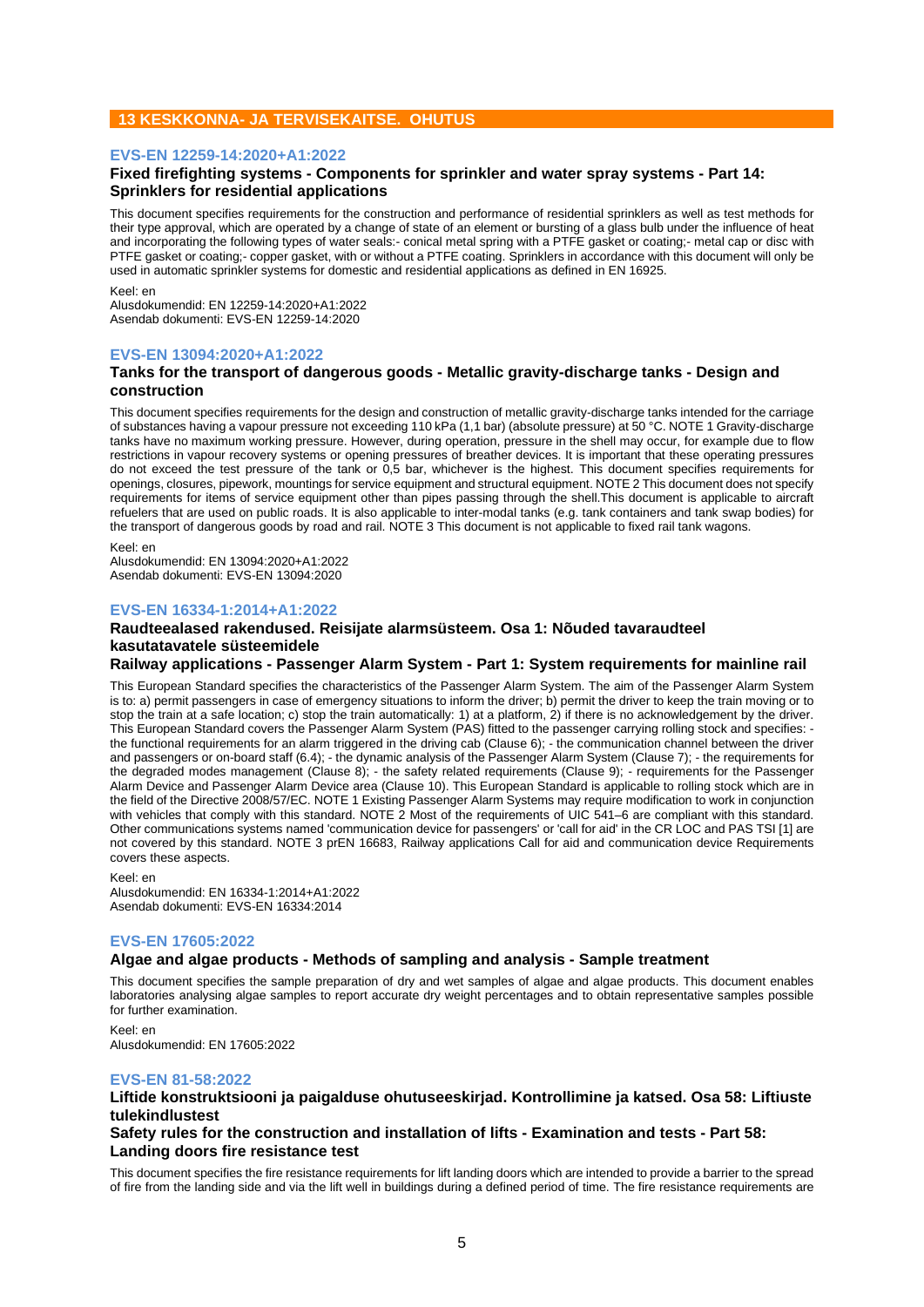## **13 KESKKONNA- JA TERVISEKAITSE. OHUTUS**

#### **EVS-EN 12259-14:2020+A1:2022**

## **Fixed firefighting systems - Components for sprinkler and water spray systems - Part 14: Sprinklers for residential applications**

This document specifies requirements for the construction and performance of residential sprinklers as well as test methods for their type approval, which are operated by a change of state of an element or bursting of a glass bulb under the influence of heat and incorporating the following types of water seals:- conical metal spring with a PTFE gasket or coating;- metal cap or disc with PTFE gasket or coating;- copper gasket, with or without a PTFE coating. Sprinklers in accordance with this document will only be used in automatic sprinkler systems for domestic and residential applications as defined in EN 16925.

Keel: en

Alusdokumendid: EN 12259-14:2020+A1:2022 Asendab dokumenti: EVS-EN 12259-14:2020

#### **EVS-EN 13094:2020+A1:2022**

#### **Tanks for the transport of dangerous goods - Metallic gravity-discharge tanks - Design and construction**

This document specifies requirements for the design and construction of metallic gravity-discharge tanks intended for the carriage of substances having a vapour pressure not exceeding 110 kPa (1,1 bar) (absolute pressure) at 50 °C. NOTE 1 Gravity-discharge tanks have no maximum working pressure. However, during operation, pressure in the shell may occur, for example due to flow restrictions in vapour recovery systems or opening pressures of breather devices. It is important that these operating pressures do not exceed the test pressure of the tank or 0,5 bar, whichever is the highest. This document specifies requirements for openings, closures, pipework, mountings for service equipment and structural equipment. NOTE 2 This document does not specify requirements for items of service equipment other than pipes passing through the shell.This document is applicable to aircraft refuelers that are used on public roads. It is also applicable to inter-modal tanks (e.g. tank containers and tank swap bodies) for the transport of dangerous goods by road and rail. NOTE 3 This document is not applicable to fixed rail tank wagons.

Keel: en

Alusdokumendid: EN 13094:2020+A1:2022 Asendab dokumenti: EVS-EN 13094:2020

## **EVS-EN 16334-1:2014+A1:2022**

## **Raudteealased rakendused. Reisijate alarmsüsteem. Osa 1: Nõuded tavaraudteel kasutatavatele süsteemidele**

## **Railway applications - Passenger Alarm System - Part 1: System requirements for mainline rail**

This European Standard specifies the characteristics of the Passenger Alarm System. The aim of the Passenger Alarm System is to: a) permit passengers in case of emergency situations to inform the driver; b) permit the driver to keep the train moving or to stop the train at a safe location; c) stop the train automatically: 1) at a platform, 2) if there is no acknowledgement by the driver. This European Standard covers the Passenger Alarm System (PAS) fitted to the passenger carrying rolling stock and specifies: the functional requirements for an alarm triggered in the driving cab (Clause 6); - the communication channel between the driver and passengers or on-board staff (6.4); - the dynamic analysis of the Passenger Alarm System (Clause 7); - the requirements for the degraded modes management (Clause 8); - the safety related requirements (Clause 9); - requirements for the Passenger Alarm Device and Passenger Alarm Device area (Clause 10). This European Standard is applicable to rolling stock which are in the field of the Directive 2008/57/EC. NOTE 1 Existing Passenger Alarm Systems may require modification to work in conjunction with vehicles that comply with this standard. NOTE 2 Most of the requirements of UIC 541–6 are compliant with this standard. Other communications systems named 'communication device for passengers' or 'call for aid' in the CR LOC and PAS TSI [1] are not covered by this standard. NOTE 3 prEN 16683, Railway applications Call for aid and communication device Requirements covers these aspects.

Keel: en

Alusdokumendid: EN 16334-1:2014+A1:2022 Asendab dokumenti: EVS-EN 16334:2014

## **EVS-EN 17605:2022**

## **Algae and algae products - Methods of sampling and analysis - Sample treatment**

This document specifies the sample preparation of dry and wet samples of algae and algae products. This document enables laboratories analysing algae samples to report accurate dry weight percentages and to obtain representative samples possible for further examination.

Keel: en Alusdokumendid: EN 17605:2022

## **EVS-EN 81-58:2022**

## **Liftide konstruktsiooni ja paigalduse ohutuseeskirjad. Kontrollimine ja katsed. Osa 58: Liftiuste tulekindlustest**

**Safety rules for the construction and installation of lifts - Examination and tests - Part 58: Landing doors fire resistance test**

This document specifies the fire resistance requirements for lift landing doors which are intended to provide a barrier to the spread of fire from the landing side and via the lift well in buildings during a defined period of time. The fire resistance requirements are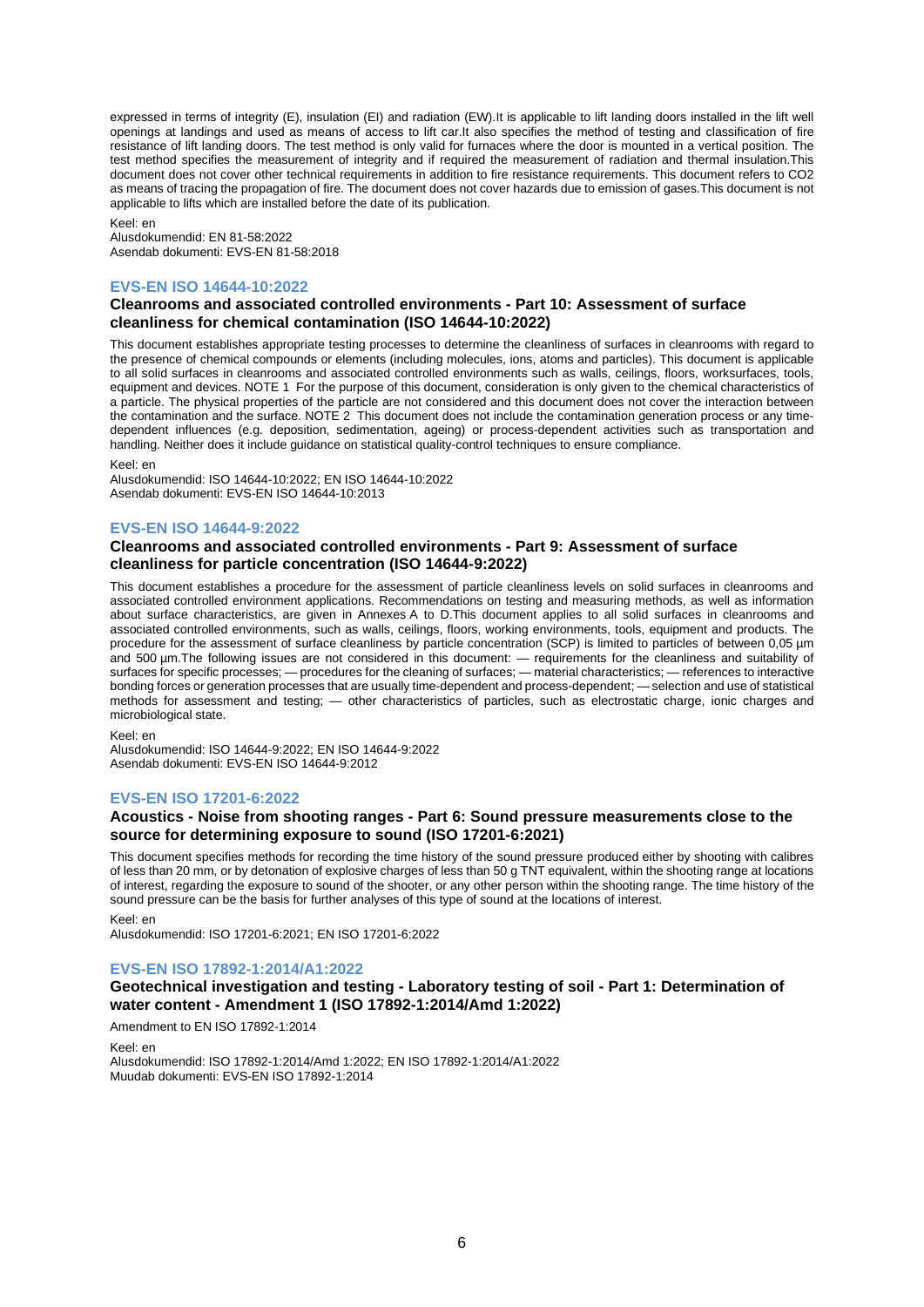expressed in terms of integrity (E), insulation (EI) and radiation (EW).It is applicable to lift landing doors installed in the lift well openings at landings and used as means of access to lift car.It also specifies the method of testing and classification of fire resistance of lift landing doors. The test method is only valid for furnaces where the door is mounted in a vertical position. The test method specifies the measurement of integrity and if required the measurement of radiation and thermal insulation.This document does not cover other technical requirements in addition to fire resistance requirements. This document refers to CO2 as means of tracing the propagation of fire. The document does not cover hazards due to emission of gases.This document is not applicable to lifts which are installed before the date of its publication.

Keel: en Alusdokumendid: EN 81-58:2022 Asendab dokumenti: EVS-EN 81-58:2018

## **EVS-EN ISO 14644-10:2022**

## **Cleanrooms and associated controlled environments - Part 10: Assessment of surface cleanliness for chemical contamination (ISO 14644-10:2022)**

This document establishes appropriate testing processes to determine the cleanliness of surfaces in cleanrooms with regard to the presence of chemical compounds or elements (including molecules, ions, atoms and particles). This document is applicable to all solid surfaces in cleanrooms and associated controlled environments such as walls, ceilings, floors, worksurfaces, tools, equipment and devices. NOTE 1 For the purpose of this document, consideration is only given to the chemical characteristics of a particle. The physical properties of the particle are not considered and this document does not cover the interaction between the contamination and the surface. NOTE 2 This document does not include the contamination generation process or any timedependent influences (e.g. deposition, sedimentation, ageing) or process-dependent activities such as transportation and handling. Neither does it include guidance on statistical quality-control techniques to ensure compliance.

Keel: en

Alusdokumendid: ISO 14644-10:2022; EN ISO 14644-10:2022 Asendab dokumenti: EVS-EN ISO 14644-10:2013

## **EVS-EN ISO 14644-9:2022**

## **Cleanrooms and associated controlled environments - Part 9: Assessment of surface cleanliness for particle concentration (ISO 14644-9:2022)**

This document establishes a procedure for the assessment of particle cleanliness levels on solid surfaces in cleanrooms and associated controlled environment applications. Recommendations on testing and measuring methods, as well as information about surface characteristics, are given in Annexes A to D.This document applies to all solid surfaces in cleanrooms and associated controlled environments, such as walls, ceilings, floors, working environments, tools, equipment and products. The procedure for the assessment of surface cleanliness by particle concentration (SCP) is limited to particles of between 0,05 µm and 500 µm.The following issues are not considered in this document: — requirements for the cleanliness and suitability of surfaces for specific processes; — procedures for the cleaning of surfaces; — material characteristics; — references to interactive bonding forces or generation processes that are usually time-dependent and process-dependent; — selection and use of statistical methods for assessment and testing; — other characteristics of particles, such as electrostatic charge, ionic charges and microbiological state.

Keel: en

Alusdokumendid: ISO 14644-9:2022; EN ISO 14644-9:2022 Asendab dokumenti: EVS-EN ISO 14644-9:2012

## **EVS-EN ISO 17201-6:2022**

## **Acoustics - Noise from shooting ranges - Part 6: Sound pressure measurements close to the source for determining exposure to sound (ISO 17201-6:2021)**

This document specifies methods for recording the time history of the sound pressure produced either by shooting with calibres of less than 20 mm, or by detonation of explosive charges of less than 50 g TNT equivalent, within the shooting range at locations of interest, regarding the exposure to sound of the shooter, or any other person within the shooting range. The time history of the sound pressure can be the basis for further analyses of this type of sound at the locations of interest.

Keel: en

Alusdokumendid: ISO 17201-6:2021; EN ISO 17201-6:2022

## **EVS-EN ISO 17892-1:2014/A1:2022**

## **Geotechnical investigation and testing - Laboratory testing of soil - Part 1: Determination of water content - Amendment 1 (ISO 17892-1:2014/Amd 1:2022)**

Amendment to EN ISO 17892-1:2014

Keel: en Alusdokumendid: ISO 17892-1:2014/Amd 1:2022; EN ISO 17892-1:2014/A1:2022 Muudab dokumenti: EVS-EN ISO 17892-1:2014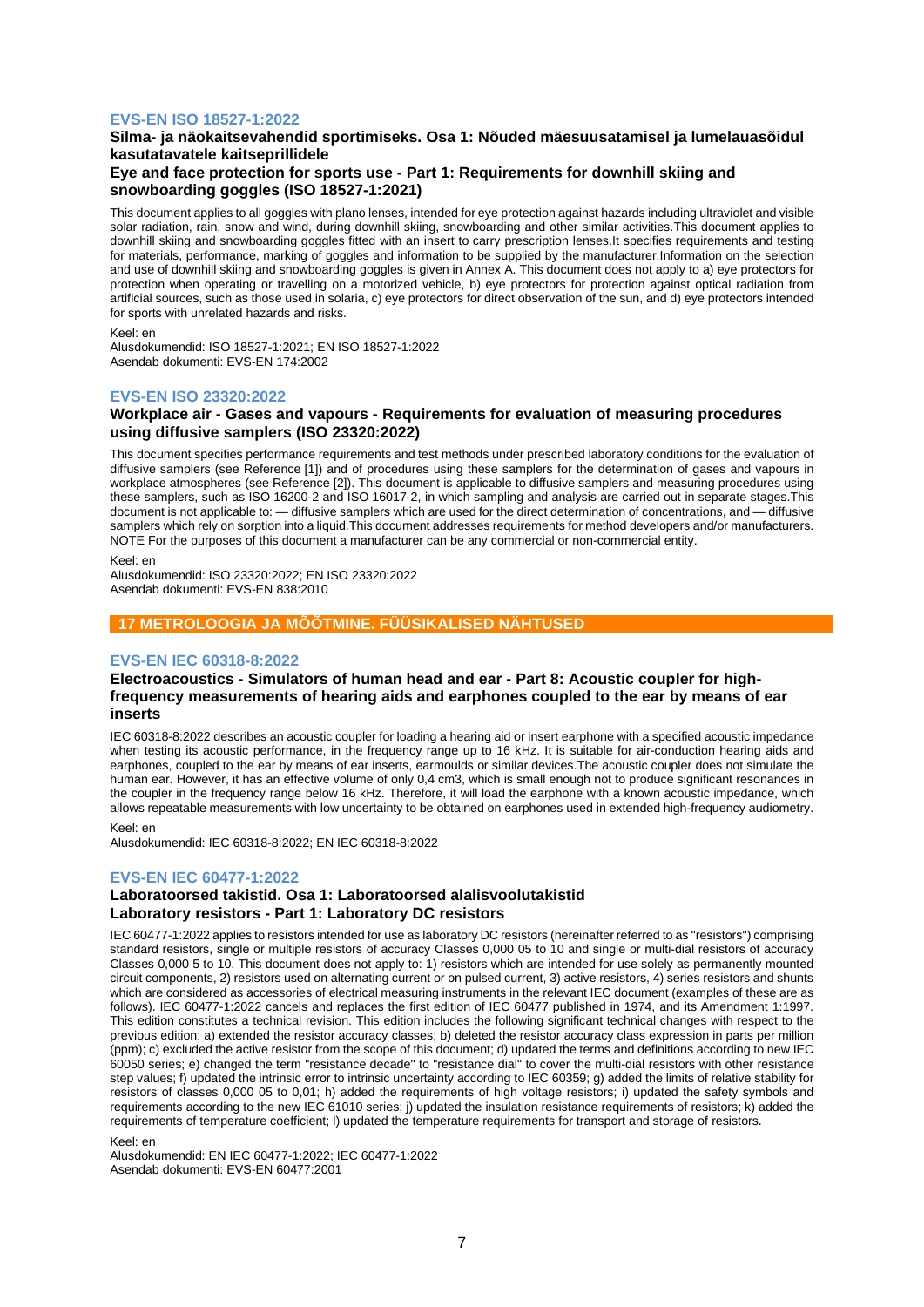## **EVS-EN ISO 18527-1:2022**

## **Silma- ja näokaitsevahendid sportimiseks. Osa 1: Nõuded mäesuusatamisel ja lumelauasõidul kasutatavatele kaitseprillidele**

## **Eye and face protection for sports use - Part 1: Requirements for downhill skiing and snowboarding goggles (ISO 18527-1:2021)**

This document applies to all goggles with plano lenses, intended for eye protection against hazards including ultraviolet and visible solar radiation, rain, snow and wind, during downhill skiing, snowboarding and other similar activities.This document applies to downhill skiing and snowboarding goggles fitted with an insert to carry prescription lenses.It specifies requirements and testing for materials, performance, marking of goggles and information to be supplied by the manufacturer.Information on the selection and use of downhill skiing and snowboarding goggles is given in Annex A. This document does not apply to a) eye protectors for protection when operating or travelling on a motorized vehicle, b) eye protectors for protection against optical radiation from artificial sources, such as those used in solaria, c) eye protectors for direct observation of the sun, and d) eye protectors intended for sports with unrelated hazards and risks.

#### Keel: en

Alusdokumendid: ISO 18527-1:2021; EN ISO 18527-1:2022 Asendab dokumenti: EVS-EN 174:2002

## **EVS-EN ISO 23320:2022**

## **Workplace air - Gases and vapours - Requirements for evaluation of measuring procedures using diffusive samplers (ISO 23320:2022)**

This document specifies performance requirements and test methods under prescribed laboratory conditions for the evaluation of diffusive samplers (see Reference [1]) and of procedures using these samplers for the determination of gases and vapours in workplace atmospheres (see Reference [2]). This document is applicable to diffusive samplers and measuring procedures using these samplers, such as ISO 16200‑2 and ISO 16017‑2, in which sampling and analysis are carried out in separate stages.This document is not applicable to: — diffusive samplers which are used for the direct determination of concentrations, and — diffusive samplers which rely on sorption into a liquid. This document addresses requirements for method developers and/or manufacturers. NOTE For the purposes of this document a manufacturer can be any commercial or non-commercial entity.

#### Keel: en

Alusdokumendid: ISO 23320:2022; EN ISO 23320:2022 Asendab dokumenti: EVS-EN 838:2010

## **17 METROLOOGIA JA MÕÕTMINE. FÜÜSIKALISED NÄHTUSED**

## **EVS-EN IEC 60318-8:2022**

## **Electroacoustics - Simulators of human head and ear - Part 8: Acoustic coupler for highfrequency measurements of hearing aids and earphones coupled to the ear by means of ear inserts**

IEC 60318-8:2022 describes an acoustic coupler for loading a hearing aid or insert earphone with a specified acoustic impedance when testing its acoustic performance, in the frequency range up to 16 kHz. It is suitable for air-conduction hearing aids and earphones, coupled to the ear by means of ear inserts, earmoulds or similar devices.The acoustic coupler does not simulate the human ear. However, it has an effective volume of only 0,4 cm3, which is small enough not to produce significant resonances in the coupler in the frequency range below 16 kHz. Therefore, it will load the earphone with a known acoustic impedance, which allows repeatable measurements with low uncertainty to be obtained on earphones used in extended high-frequency audiometry.

#### Keel: en

Alusdokumendid: IEC 60318-8:2022; EN IEC 60318-8:2022

## **EVS-EN IEC 60477-1:2022**

## **Laboratoorsed takistid. Osa 1: Laboratoorsed alalisvoolutakistid Laboratory resistors - Part 1: Laboratory DC resistors**

IEC 60477-1:2022 applies to resistors intended for use as laboratory DC resistors (hereinafter referred to as "resistors") comprising standard resistors, single or multiple resistors of accuracy Classes 0,000 05 to 10 and single or multi-dial resistors of accuracy Classes 0,000 5 to 10. This document does not apply to: 1) resistors which are intended for use solely as permanently mounted circuit components, 2) resistors used on alternating current or on pulsed current, 3) active resistors, 4) series resistors and shunts which are considered as accessories of electrical measuring instruments in the relevant IEC document (examples of these are as follows). IEC 60477-1:2022 cancels and replaces the first edition of IEC 60477 published in 1974, and its Amendment 1:1997. This edition constitutes a technical revision. This edition includes the following significant technical changes with respect to the previous edition: a) extended the resistor accuracy classes; b) deleted the resistor accuracy class expression in parts per million (ppm); c) excluded the active resistor from the scope of this document; d) updated the terms and definitions according to new IEC 60050 series; e) changed the term "resistance decade" to "resistance dial" to cover the multi-dial resistors with other resistance step values; f) updated the intrinsic error to intrinsic uncertainty according to IEC 60359; g) added the limits of relative stability for resistors of classes 0,000 05 to 0,01; h) added the requirements of high voltage resistors; i) updated the safety symbols and requirements according to the new IEC 61010 series; j) updated the insulation resistance requirements of resistors; k) added the requirements of temperature coefficient; l) updated the temperature requirements for transport and storage of resistors.

Keel: en

Alusdokumendid: EN IEC 60477-1:2022; IEC 60477-1:2022 Asendab dokumenti: EVS-EN 60477:2001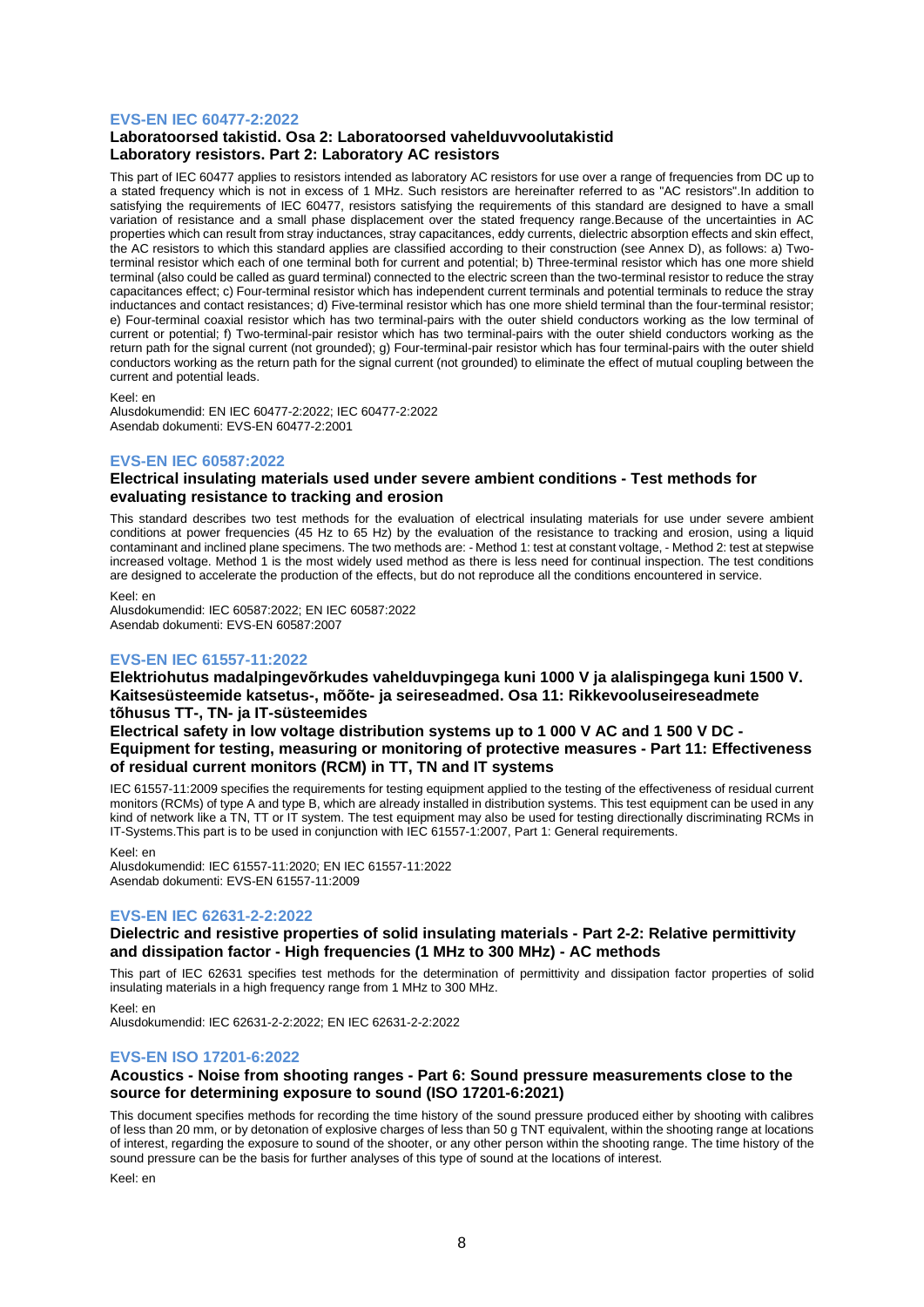## **EVS-EN IEC 60477-2:2022**

## **Laboratoorsed takistid. Osa 2: Laboratoorsed vahelduvvoolutakistid Laboratory resistors. Part 2: Laboratory AC resistors**

This part of IEC 60477 applies to resistors intended as laboratory AC resistors for use over a range of frequencies from DC up to a stated frequency which is not in excess of 1 MHz. Such resistors are hereinafter referred to as "AC resistors".In addition to satisfying the requirements of IEC 60477, resistors satisfying the requirements of this standard are designed to have a small variation of resistance and a small phase displacement over the stated frequency range.Because of the uncertainties in AC properties which can result from stray inductances, stray capacitances, eddy currents, dielectric absorption effects and skin effect, the AC resistors to which this standard applies are classified according to their construction (see Annex D), as follows: a) Twoterminal resistor which each of one terminal both for current and potential; b) Three-terminal resistor which has one more shield terminal (also could be called as guard terminal) connected to the electric screen than the two-terminal resistor to reduce the stray capacitances effect; c) Four-terminal resistor which has independent current terminals and potential terminals to reduce the stray inductances and contact resistances; d) Five-terminal resistor which has one more shield terminal than the four-terminal resistor; e) Four-terminal coaxial resistor which has two terminal-pairs with the outer shield conductors working as the low terminal of current or potential; f) Two-terminal-pair resistor which has two terminal-pairs with the outer shield conductors working as the return path for the signal current (not grounded); g) Four-terminal-pair resistor which has four terminal-pairs with the outer shield conductors working as the return path for the signal current (not grounded) to eliminate the effect of mutual coupling between the current and potential leads.

Keel: en

Alusdokumendid: EN IEC 60477-2:2022; IEC 60477-2:2022 Asendab dokumenti: EVS-EN 60477-2:2001

## **EVS-EN IEC 60587:2022**

## **Electrical insulating materials used under severe ambient conditions - Test methods for evaluating resistance to tracking and erosion**

This standard describes two test methods for the evaluation of electrical insulating materials for use under severe ambient conditions at power frequencies (45 Hz to 65 Hz) by the evaluation of the resistance to tracking and erosion, using a liquid contaminant and inclined plane specimens. The two methods are: - Method 1: test at constant voltage, - Method 2: test at stepwise increased voltage. Method 1 is the most widely used method as there is less need for continual inspection. The test conditions are designed to accelerate the production of the effects, but do not reproduce all the conditions encountered in service.

Keel: en

Alusdokumendid: IEC 60587:2022; EN IEC 60587:2022 Asendab dokumenti: EVS-EN 60587:2007

## **EVS-EN IEC 61557-11:2022**

**Elektriohutus madalpingevõrkudes vahelduvpingega kuni 1000 V ja alalispingega kuni 1500 V. Kaitsesüsteemide katsetus-, mõõte- ja seireseadmed. Osa 11: Rikkevooluseireseadmete tõhusus TT-, TN- ja IT-süsteemides**

**Electrical safety in low voltage distribution systems up to 1 000 V AC and 1 500 V DC - Equipment for testing, measuring or monitoring of protective measures - Part 11: Effectiveness of residual current monitors (RCM) in TT, TN and IT systems**

IEC 61557-11:2009 specifies the requirements for testing equipment applied to the testing of the effectiveness of residual current monitors (RCMs) of type A and type B, which are already installed in distribution systems. This test equipment can be used in any kind of network like a TN, TT or IT system. The test equipment may also be used for testing directionally discriminating RCMs in IT-Systems.This part is to be used in conjunction with IEC 61557-1:2007, Part 1: General requirements.

Keel: en

Alusdokumendid: IEC 61557-11:2020; EN IEC 61557-11:2022 Asendab dokumenti: EVS-EN 61557-11:2009

## **EVS-EN IEC 62631-2-2:2022**

## **Dielectric and resistive properties of solid insulating materials - Part 2-2: Relative permittivity and dissipation factor - High frequencies (1 MHz to 300 MHz) - AC methods**

This part of IEC 62631 specifies test methods for the determination of permittivity and dissipation factor properties of solid insulating materials in a high frequency range from 1 MHz to 300 MHz.

Keel: en Alusdokumendid: IEC 62631-2-2:2022; EN IEC 62631-2-2:2022

## **EVS-EN ISO 17201-6:2022**

## **Acoustics - Noise from shooting ranges - Part 6: Sound pressure measurements close to the source for determining exposure to sound (ISO 17201-6:2021)**

This document specifies methods for recording the time history of the sound pressure produced either by shooting with calibres of less than 20 mm, or by detonation of explosive charges of less than 50 g TNT equivalent, within the shooting range at locations of interest, regarding the exposure to sound of the shooter, or any other person within the shooting range. The time history of the sound pressure can be the basis for further analyses of this type of sound at the locations of interest.

Keel: en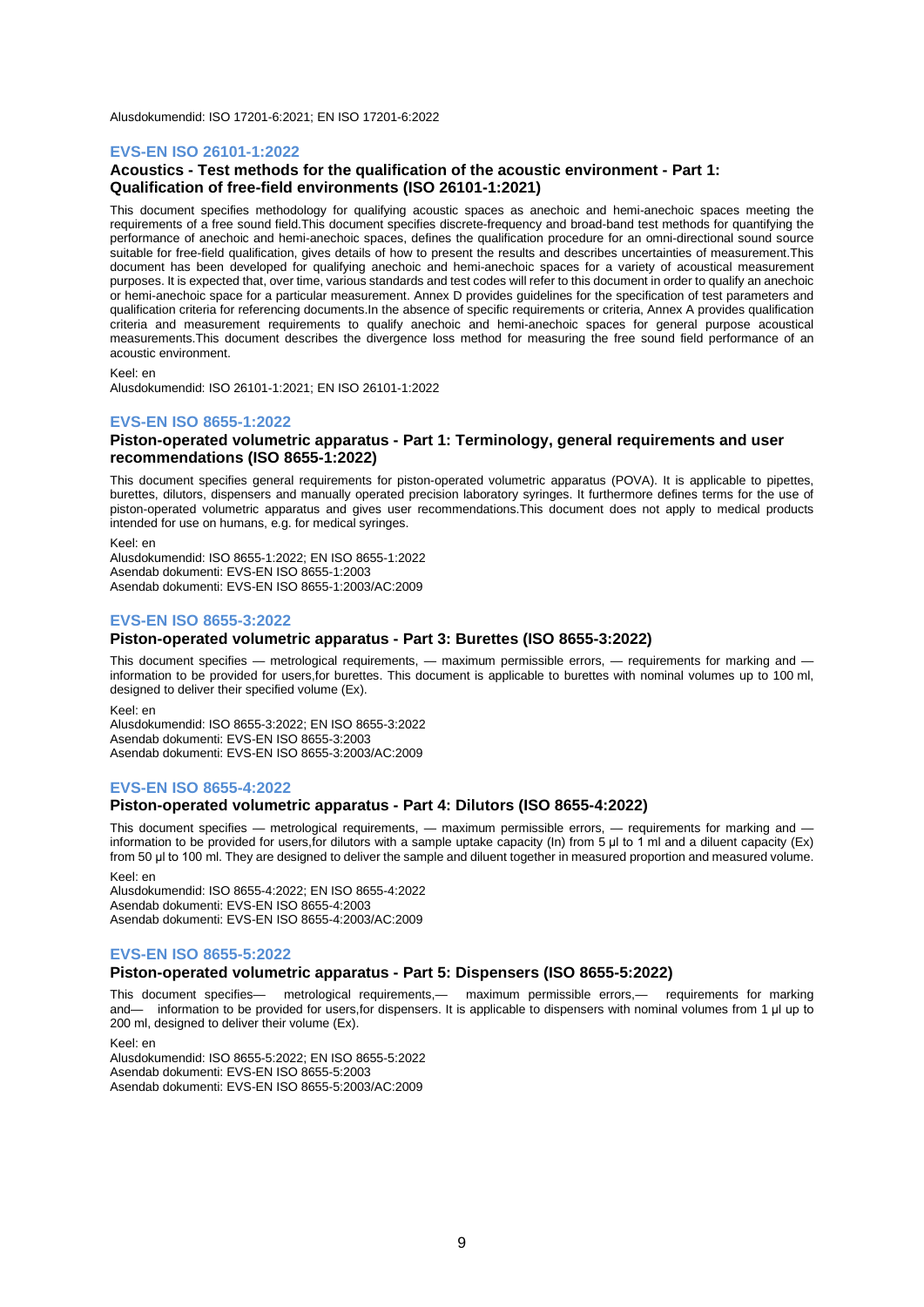Alusdokumendid: ISO 17201-6:2021; EN ISO 17201-6:2022

#### **EVS-EN ISO 26101-1:2022**

## **Acoustics - Test methods for the qualification of the acoustic environment - Part 1: Qualification of free-field environments (ISO 26101-1:2021)**

This document specifies methodology for qualifying acoustic spaces as anechoic and hemi-anechoic spaces meeting the requirements of a free sound field.This document specifies discrete-frequency and broad-band test methods for quantifying the performance of anechoic and hemi-anechoic spaces, defines the qualification procedure for an omni-directional sound source suitable for free-field qualification, gives details of how to present the results and describes uncertainties of measurement.This document has been developed for qualifying anechoic and hemi-anechoic spaces for a variety of acoustical measurement purposes. It is expected that, over time, various standards and test codes will refer to this document in order to qualify an anechoic or hemi-anechoic space for a particular measurement. Annex D provides guidelines for the specification of test parameters and qualification criteria for referencing documents.In the absence of specific requirements or criteria, Annex A provides qualification criteria and measurement requirements to qualify anechoic and hemi-anechoic spaces for general purpose acoustical measurements.This document describes the divergence loss method for measuring the free sound field performance of an acoustic environment.

Keel: en

Alusdokumendid: ISO 26101-1:2021; EN ISO 26101-1:2022

#### **EVS-EN ISO 8655-1:2022**

#### **Piston-operated volumetric apparatus - Part 1: Terminology, general requirements and user recommendations (ISO 8655-1:2022)**

This document specifies general requirements for piston-operated volumetric apparatus (POVA). It is applicable to pipettes, burettes, dilutors, dispensers and manually operated precision laboratory syringes. It furthermore defines terms for the use of piston-operated volumetric apparatus and gives user recommendations.This document does not apply to medical products intended for use on humans, e.g. for medical syringes.

Keel: en

Alusdokumendid: ISO 8655-1:2022; EN ISO 8655-1:2022 Asendab dokumenti: EVS-EN ISO 8655-1:2003 Asendab dokumenti: EVS-EN ISO 8655-1:2003/AC:2009

## **EVS-EN ISO 8655-3:2022**

#### **Piston-operated volumetric apparatus - Part 3: Burettes (ISO 8655-3:2022)**

This document specifies — metrological requirements, — maximum permissible errors, — requirements for marking and information to be provided for users,for burettes. This document is applicable to burettes with nominal volumes up to 100 ml, designed to deliver their specified volume (Ex).

Keel: en

Alusdokumendid: ISO 8655-3:2022; EN ISO 8655-3:2022 Asendab dokumenti: EVS-EN ISO 8655-3:2003 Asendab dokumenti: EVS-EN ISO 8655-3:2003/AC:2009

## **EVS-EN ISO 8655-4:2022**

## **Piston-operated volumetric apparatus - Part 4: Dilutors (ISO 8655-4:2022)**

This document specifies — metrological requirements, — maximum permissible errors, — requirements for marking and information to be provided for users, for dilutors with a sample uptake capacity (In) from 5 μl to 1 ml and a diluent capacity (Ex) from 50 μl to 100 ml. They are designed to deliver the sample and diluent together in measured proportion and measured volume.

Keel: en

Alusdokumendid: ISO 8655-4:2022; EN ISO 8655-4:2022 Asendab dokumenti: EVS-EN ISO 8655-4:2003 Asendab dokumenti: EVS-EN ISO 8655-4:2003/AC:2009

## **EVS-EN ISO 8655-5:2022**

#### **Piston-operated volumetric apparatus - Part 5: Dispensers (ISO 8655-5:2022)**

This document specifies— metrological requirements,— maximum permissible errors,— requirements for marking and— information to be provided for users,for dispensers. It is applicable to dispensers with nominal volumes from 1 μl up to 200 ml, designed to deliver their volume (Ex).

Keel: en Alusdokumendid: ISO 8655-5:2022; EN ISO 8655-5:2022 Asendab dokumenti: EVS-EN ISO 8655-5:2003 Asendab dokumenti: EVS-EN ISO 8655-5:2003/AC:2009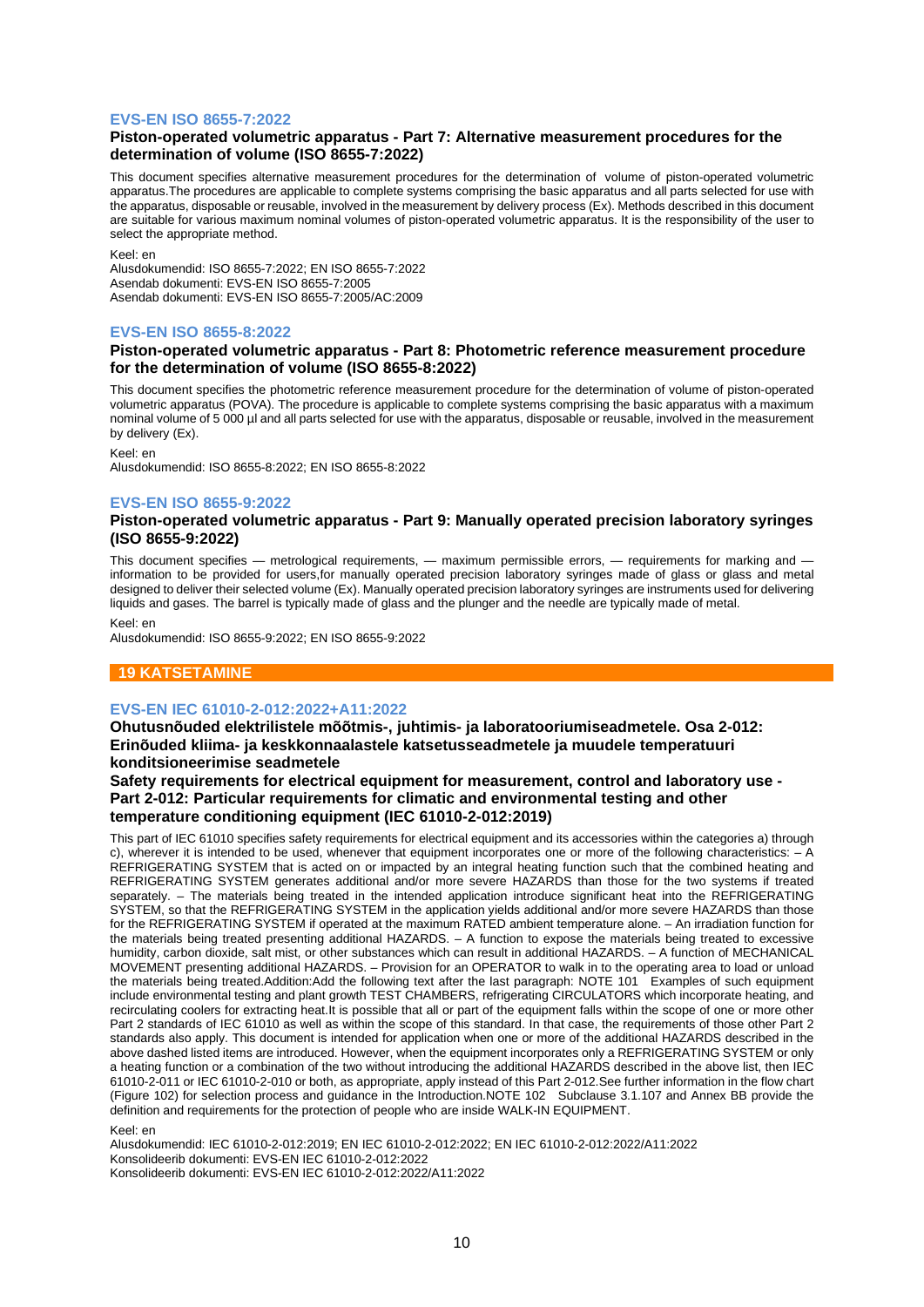## **EVS-EN ISO 8655-7:2022**

## **Piston-operated volumetric apparatus - Part 7: Alternative measurement procedures for the determination of volume (ISO 8655-7:2022)**

This document specifies alternative measurement procedures for the determination of volume of piston-operated volumetric apparatus.The procedures are applicable to complete systems comprising the basic apparatus and all parts selected for use with the apparatus, disposable or reusable, involved in the measurement by delivery process (Ex). Methods described in this document are suitable for various maximum nominal volumes of piston-operated volumetric apparatus. It is the responsibility of the user to select the appropriate method.

Keel: en

Alusdokumendid: ISO 8655-7:2022; EN ISO 8655-7:2022 Asendab dokumenti: EVS-EN ISO 8655-7:2005 Asendab dokumenti: EVS-EN ISO 8655-7:2005/AC:2009

## **EVS-EN ISO 8655-8:2022**

## **Piston-operated volumetric apparatus - Part 8: Photometric reference measurement procedure for the determination of volume (ISO 8655-8:2022)**

This document specifies the photometric reference measurement procedure for the determination of volume of piston-operated volumetric apparatus (POVA). The procedure is applicable to complete systems comprising the basic apparatus with a maximum nominal volume of 5 000 µl and all parts selected for use with the apparatus, disposable or reusable, involved in the measurement by delivery (Ex).

Keel: en

Alusdokumendid: ISO 8655-8:2022; EN ISO 8655-8:2022

## **EVS-EN ISO 8655-9:2022**

## **Piston-operated volumetric apparatus - Part 9: Manually operated precision laboratory syringes (ISO 8655-9:2022)**

This document specifies — metrological requirements, — maximum permissible errors, — requirements for marking and information to be provided for users,for manually operated precision laboratory syringes made of glass or glass and metal designed to deliver their selected volume (Ex). Manually operated precision laboratory syringes are instruments used for delivering liquids and gases. The barrel is typically made of glass and the plunger and the needle are typically made of metal.

#### Keel: en

Alusdokumendid: ISO 8655-9:2022; EN ISO 8655-9:2022

## **19 KATSETAMINE**

## **EVS-EN IEC 61010-2-012:2022+A11:2022**

**Ohutusnõuded elektrilistele mõõtmis-, juhtimis- ja laboratooriumiseadmetele. Osa 2-012: Erinõuded kliima- ja keskkonnaalastele katsetusseadmetele ja muudele temperatuuri konditsioneerimise seadmetele**

**Safety requirements for electrical equipment for measurement, control and laboratory use - Part 2-012: Particular requirements for climatic and environmental testing and other temperature conditioning equipment (IEC 61010-2-012:2019)**

This part of IEC 61010 specifies safety requirements for electrical equipment and its accessories within the categories a) through c), wherever it is intended to be used, whenever that equipment incorporates one or more of the following characteristics: – A REFRIGERATING SYSTEM that is acted on or impacted by an integral heating function such that the combined heating and REFRIGERATING SYSTEM generates additional and/or more severe HAZARDS than those for the two systems if treated separately. – The materials being treated in the intended application introduce significant heat into the REFRIGERATING SYSTEM, so that the REFRIGERATING SYSTEM in the application yields additional and/or more severe HAZARDS than those for the REFRIGERATING SYSTEM if operated at the maximum RATED ambient temperature alone. – An irradiation function for the materials being treated presenting additional HAZARDS. – A function to expose the materials being treated to excessive humidity, carbon dioxide, salt mist, or other substances which can result in additional HAZARDS. – A function of MECHANICAL MOVEMENT presenting additional HAZARDS. – Provision for an OPERATOR to walk in to the operating area to load or unload the materials being treated.Addition:Add the following text after the last paragraph: NOTE 101 Examples of such equipment include environmental testing and plant growth TEST CHAMBERS, refrigerating CIRCULATORS which incorporate heating, and recirculating coolers for extracting heat.It is possible that all or part of the equipment falls within the scope of one or more other Part 2 standards of IEC 61010 as well as within the scope of this standard. In that case, the requirements of those other Part 2 standards also apply. This document is intended for application when one or more of the additional HAZARDS described in the above dashed listed items are introduced. However, when the equipment incorporates only a REFRIGERATING SYSTEM or only a heating function or a combination of the two without introducing the additional HAZARDS described in the above list, then IEC 61010-2-011 or IEC 61010-2-010 or both, as appropriate, apply instead of this Part 2-012.See further information in the flow chart (Figure 102) for selection process and guidance in the Introduction.NOTE 102 Subclause 3.1.107 and Annex BB provide the definition and requirements for the protection of people who are inside WALK-IN EQUIPMENT.

#### Keel: en

Alusdokumendid: IEC 61010-2-012:2019; EN IEC 61010-2-012:2022; EN IEC 61010-2-012:2022/A11:2022 Konsolideerib dokumenti: EVS-EN IEC 61010-2-012:2022 Konsolideerib dokumenti: EVS-EN IEC 61010-2-012:2022/A11:2022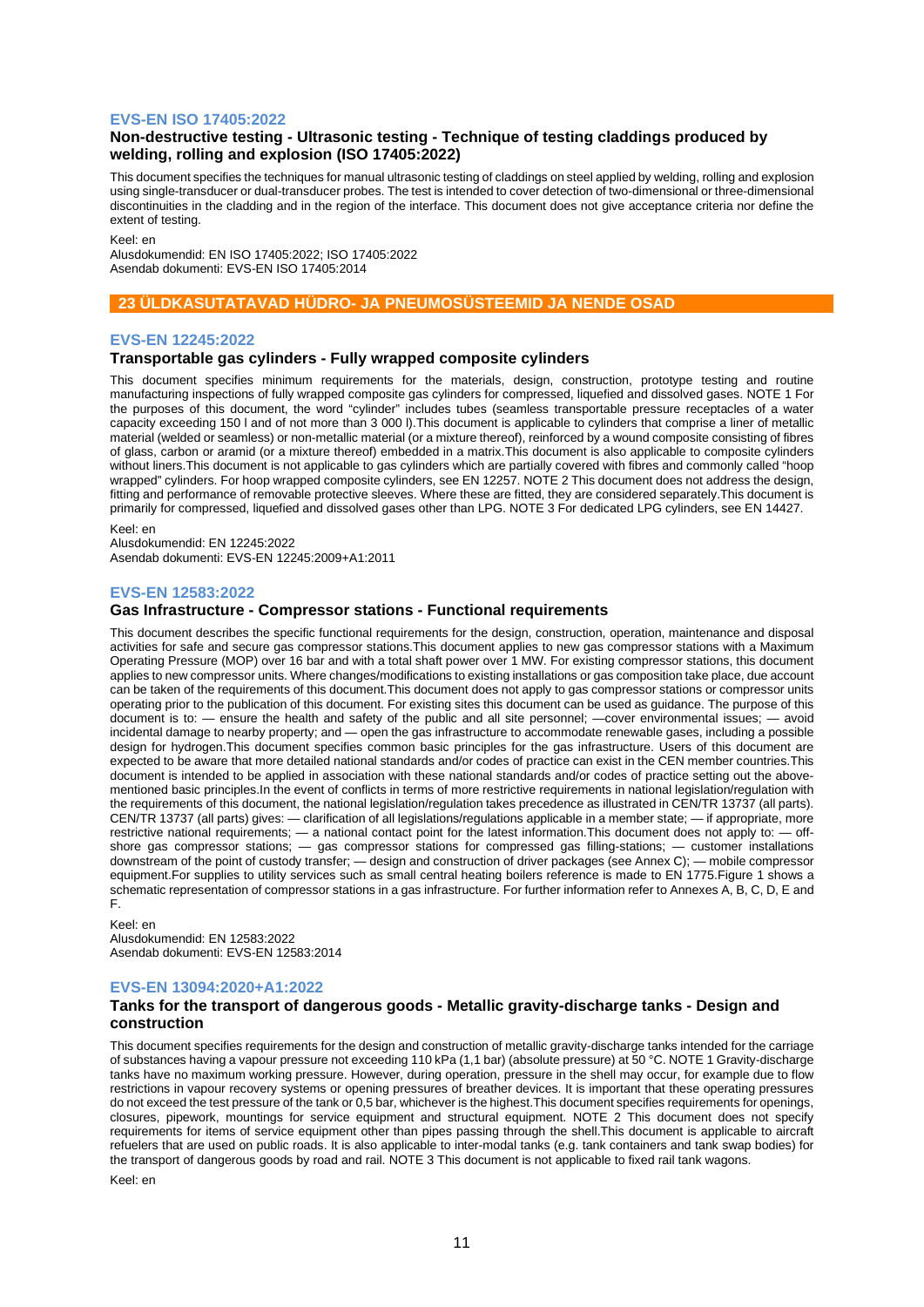#### **EVS-EN ISO 17405:2022**

## **Non-destructive testing - Ultrasonic testing - Technique of testing claddings produced by welding, rolling and explosion (ISO 17405:2022)**

This document specifies the techniques for manual ultrasonic testing of claddings on steel applied by welding, rolling and explosion using single-transducer or dual-transducer probes. The test is intended to cover detection of two-dimensional or three-dimensional discontinuities in the cladding and in the region of the interface. This document does not give acceptance criteria nor define the extent of testing.

Keel: en

Alusdokumendid: EN ISO 17405:2022; ISO 17405:2022 Asendab dokumenti: EVS-EN ISO 17405:2014

## **23 ÜLDKASUTATAVAD HÜDRO- JA PNEUMOSÜSTEEMID JA NENDE OSAD**

#### **EVS-EN 12245:2022**

#### **Transportable gas cylinders - Fully wrapped composite cylinders**

This document specifies minimum requirements for the materials, design, construction, prototype testing and routine manufacturing inspections of fully wrapped composite gas cylinders for compressed, liquefied and dissolved gases. NOTE 1 For the purposes of this document, the word "cylinder" includes tubes (seamless transportable pressure receptacles of a water capacity exceeding 150 l and of not more than 3 000 l).This document is applicable to cylinders that comprise a liner of metallic material (welded or seamless) or non-metallic material (or a mixture thereof), reinforced by a wound composite consisting of fibres of glass, carbon or aramid (or a mixture thereof) embedded in a matrix.This document is also applicable to composite cylinders without liners.This document is not applicable to gas cylinders which are partially covered with fibres and commonly called "hoop wrapped" cylinders. For hoop wrapped composite cylinders, see EN 12257. NOTE 2 This document does not address the design, fitting and performance of removable protective sleeves. Where these are fitted, they are considered separately.This document is primarily for compressed, liquefied and dissolved gases other than LPG. NOTE 3 For dedicated LPG cylinders, see EN 14427.

Keel: en

Alusdokumendid: EN 12245:2022 Asendab dokumenti: EVS-EN 12245:2009+A1:2011

#### **EVS-EN 12583:2022**

## **Gas Infrastructure - Compressor stations - Functional requirements**

This document describes the specific functional requirements for the design, construction, operation, maintenance and disposal activities for safe and secure gas compressor stations.This document applies to new gas compressor stations with a Maximum Operating Pressure (MOP) over 16 bar and with a total shaft power over 1 MW. For existing compressor stations, this document applies to new compressor units. Where changes/modifications to existing installations or gas composition take place, due account can be taken of the requirements of this document.This document does not apply to gas compressor stations or compressor units operating prior to the publication of this document. For existing sites this document can be used as guidance. The purpose of this document is to: — ensure the health and safety of the public and all site personnel; —cover environmental issues; — avoid incidental damage to nearby property; and — open the gas infrastructure to accommodate renewable gases, including a possible design for hydrogen.This document specifies common basic principles for the gas infrastructure. Users of this document are expected to be aware that more detailed national standards and/or codes of practice can exist in the CEN member countries.This document is intended to be applied in association with these national standards and/or codes of practice setting out the abovementioned basic principles.In the event of conflicts in terms of more restrictive requirements in national legislation/regulation with the requirements of this document, the national legislation/regulation takes precedence as illustrated in CEN/TR 13737 (all parts). CEN/TR 13737 (all parts) gives: — clarification of all legislations/regulations applicable in a member state; — if appropriate, more restrictive national requirements; — a national contact point for the latest information.This document does not apply to: — offshore gas compressor stations; — gas compressor stations for compressed gas filling-stations; — customer installations downstream of the point of custody transfer; — design and construction of driver packages (see Annex C); — mobile compressor equipment.For supplies to utility services such as small central heating boilers reference is made to EN 1775.Figure 1 shows a schematic representation of compressor stations in a gas infrastructure. For further information refer to Annexes A, B, C, D, E and F.

Keel: en Alusdokumendid: EN 12583:2022 Asendab dokumenti: EVS-EN 12583:2014

## **EVS-EN 13094:2020+A1:2022**

#### **Tanks for the transport of dangerous goods - Metallic gravity-discharge tanks - Design and construction**

This document specifies requirements for the design and construction of metallic gravity-discharge tanks intended for the carriage of substances having a vapour pressure not exceeding 110 kPa (1,1 bar) (absolute pressure) at 50 °C. NOTE 1 Gravity-discharge tanks have no maximum working pressure. However, during operation, pressure in the shell may occur, for example due to flow restrictions in vapour recovery systems or opening pressures of breather devices. It is important that these operating pressures do not exceed the test pressure of the tank or 0,5 bar, whichever is the highest.This document specifies requirements for openings, closures, pipework, mountings for service equipment and structural equipment. NOTE 2 This document does not specify requirements for items of service equipment other than pipes passing through the shell.This document is applicable to aircraft refuelers that are used on public roads. It is also applicable to inter-modal tanks (e.g. tank containers and tank swap bodies) for the transport of dangerous goods by road and rail. NOTE 3 This document is not applicable to fixed rail tank wagons.

Keel: en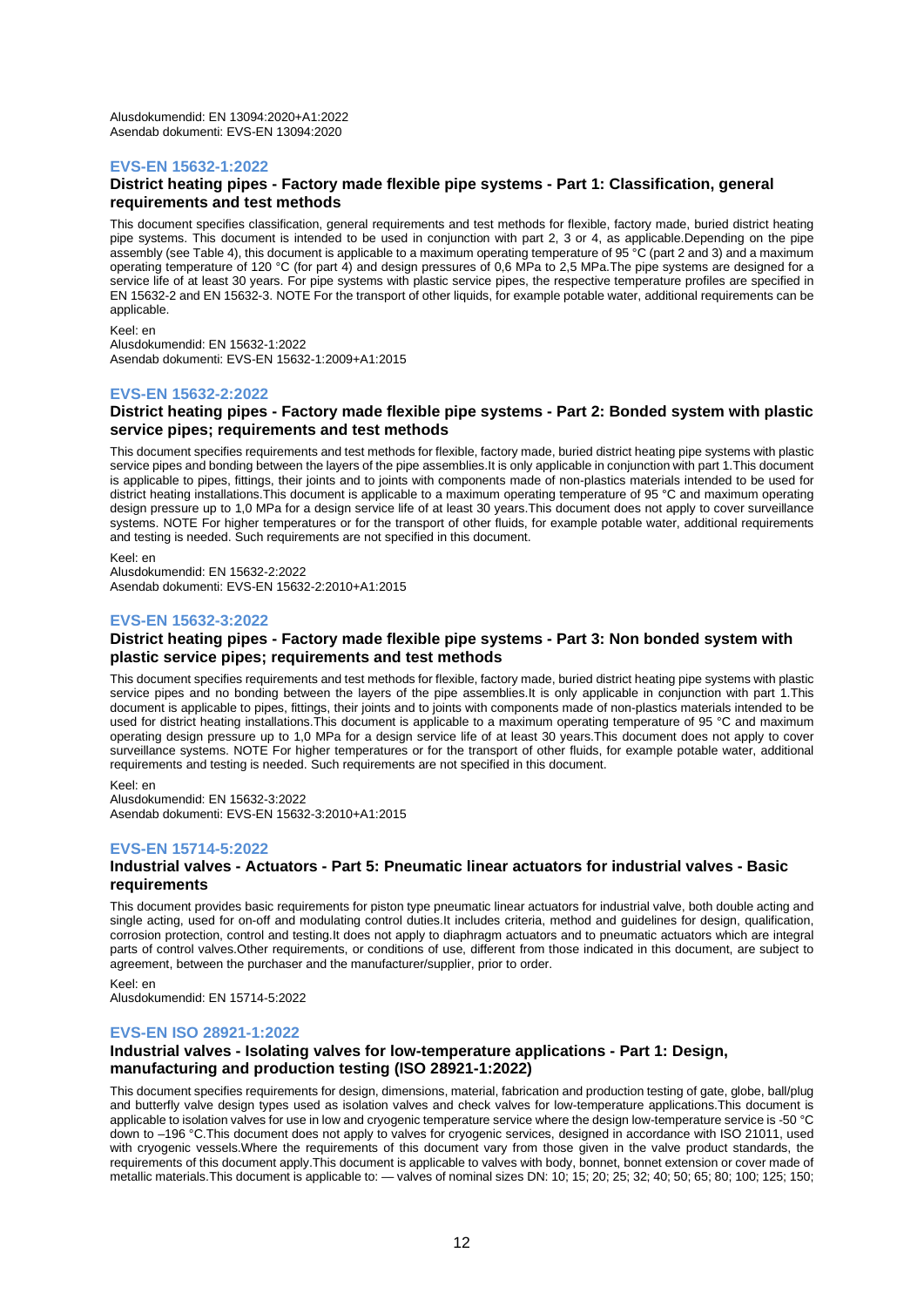Alusdokumendid: EN 13094:2020+A1:2022 Asendab dokumenti: EVS-EN 13094:2020

## **EVS-EN 15632-1:2022**

#### **District heating pipes - Factory made flexible pipe systems - Part 1: Classification, general requirements and test methods**

This document specifies classification, general requirements and test methods for flexible, factory made, buried district heating pipe systems. This document is intended to be used in conjunction with part 2, 3 or 4, as applicable.Depending on the pipe assembly (see Table 4), this document is applicable to a maximum operating temperature of 95 °C (part 2 and 3) and a maximum operating temperature of 120 °C (for part 4) and design pressures of 0,6 MPa to 2,5 MPa.The pipe systems are designed for a service life of at least 30 years. For pipe systems with plastic service pipes, the respective temperature profiles are specified in EN 15632-2 and EN 15632-3. NOTE For the transport of other liquids, for example potable water, additional requirements can be applicable.

Keel: en Alusdokumendid: EN 15632-1:2022

Asendab dokumenti: EVS-EN 15632-1:2009+A1:2015

## **EVS-EN 15632-2:2022**

## **District heating pipes - Factory made flexible pipe systems - Part 2: Bonded system with plastic service pipes; requirements and test methods**

This document specifies requirements and test methods for flexible, factory made, buried district heating pipe systems with plastic service pipes and bonding between the layers of the pipe assemblies.It is only applicable in conjunction with part 1.This document is applicable to pipes, fittings, their joints and to joints with components made of non-plastics materials intended to be used for district heating installations.This document is applicable to a maximum operating temperature of 95 °C and maximum operating design pressure up to 1,0 MPa for a design service life of at least 30 years.This document does not apply to cover surveillance systems. NOTE For higher temperatures or for the transport of other fluids, for example potable water, additional requirements and testing is needed. Such requirements are not specified in this document.

Keel: en Alusdokumendid: EN 15632-2:2022 Asendab dokumenti: EVS-EN 15632-2:2010+A1:2015

## **EVS-EN 15632-3:2022**

## **District heating pipes - Factory made flexible pipe systems - Part 3: Non bonded system with plastic service pipes; requirements and test methods**

This document specifies requirements and test methods for flexible, factory made, buried district heating pipe systems with plastic service pipes and no bonding between the layers of the pipe assemblies.It is only applicable in conjunction with part 1. This document is applicable to pipes, fittings, their joints and to joints with components made of non-plastics materials intended to be used for district heating installations.This document is applicable to a maximum operating temperature of 95 °C and maximum operating design pressure up to 1,0 MPa for a design service life of at least 30 years.This document does not apply to cover surveillance systems. NOTE For higher temperatures or for the transport of other fluids, for example potable water, additional requirements and testing is needed. Such requirements are not specified in this document.

Keel: en Alusdokumendid: EN 15632-3:2022 Asendab dokumenti: EVS-EN 15632-3:2010+A1:2015

## **EVS-EN 15714-5:2022**

## **Industrial valves - Actuators - Part 5: Pneumatic linear actuators for industrial valves - Basic requirements**

This document provides basic requirements for piston type pneumatic linear actuators for industrial valve, both double acting and single acting, used for on-off and modulating control duties.It includes criteria, method and guidelines for design, qualification, corrosion protection, control and testing.It does not apply to diaphragm actuators and to pneumatic actuators which are integral parts of control valves.Other requirements, or conditions of use, different from those indicated in this document, are subject to agreement, between the purchaser and the manufacturer/supplier, prior to order.

Keel: en

Alusdokumendid: EN 15714-5:2022

## **EVS-EN ISO 28921-1:2022**

## **Industrial valves - Isolating valves for low-temperature applications - Part 1: Design, manufacturing and production testing (ISO 28921-1:2022)**

This document specifies requirements for design, dimensions, material, fabrication and production testing of gate, globe, ball/plug and butterfly valve design types used as isolation valves and check valves for low-temperature applications.This document is applicable to isolation valves for use in low and cryogenic temperature service where the design low-temperature service is -50 °C down to –196 °C.This document does not apply to valves for cryogenic services, designed in accordance with ISO 21011, used with cryogenic vessels.Where the requirements of this document vary from those given in the valve product standards, the requirements of this document apply.This document is applicable to valves with body, bonnet, bonnet extension or cover made of metallic materials.This document is applicable to: — valves of nominal sizes DN: 10; 15; 20; 25; 32; 40; 50; 65; 80; 100; 125; 150;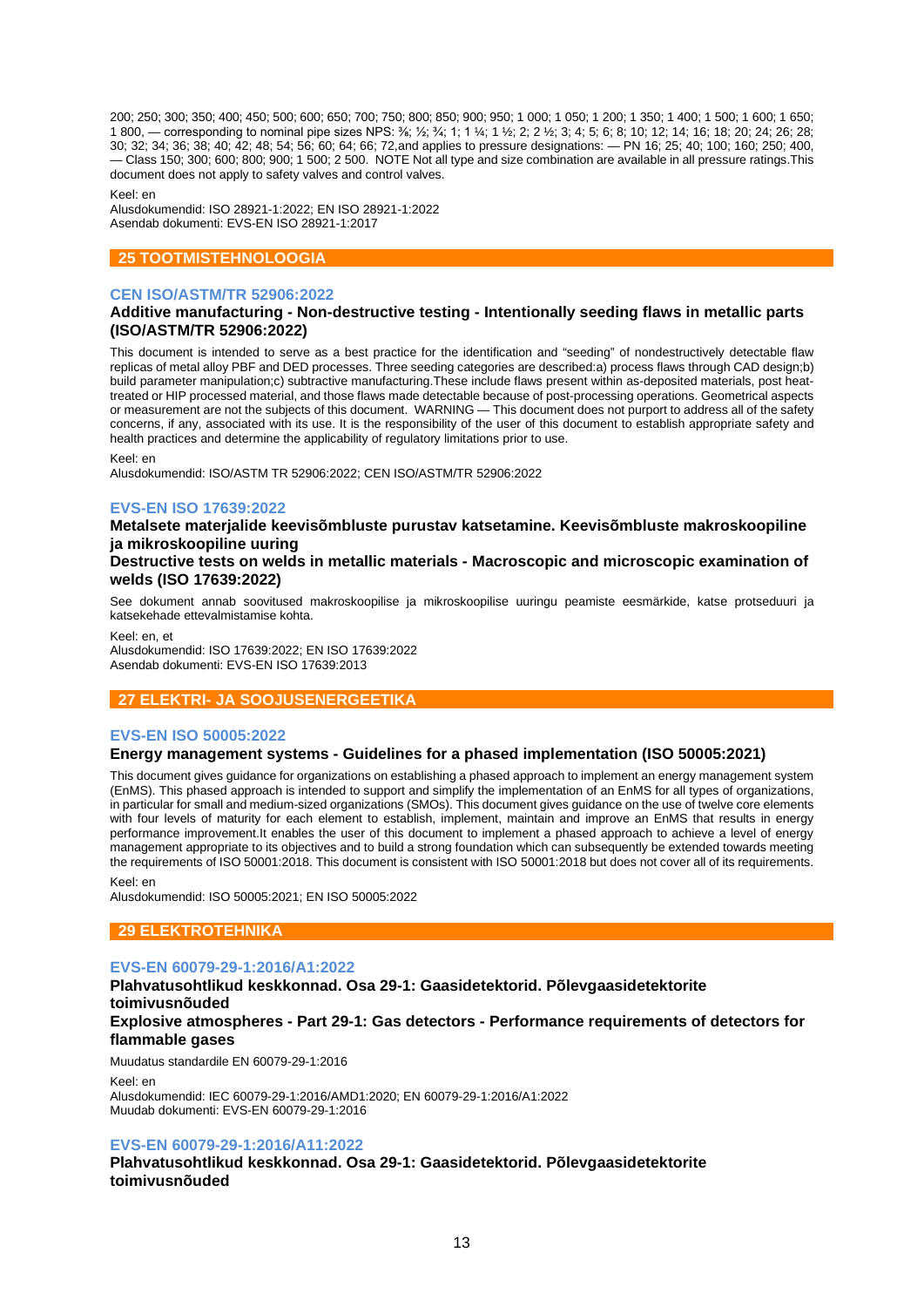200; 250; 300; 350; 400; 450; 500; 600; 650; 700; 750; 800; 850; 900; 950; 1 000; 1 050; 1 200; 1 350; 1 400; 1 500; 1 600; 1 650; 1 800, — corresponding to nominal pipe sizes NPS: ⅜; ½; ¾; 1; 1 ¼; 1 ½; 2; 2 ½; 3; 4; 5; 6; 8; 10; 12; 14; 16; 18; 20; 24; 26; 28; 30; 32; 34; 36; 38; 40; 42; 48; 54; 56; 60; 64; 66; 72,and applies to pressure designations: — PN 16; 25; 40; 100; 160; 250; 400, — Class 150; 300; 600; 800; 900; 1 500; 2 500. NOTE Not all type and size combination are available in all pressure ratings.This document does not apply to safety valves and control valves.

Keel: en

Alusdokumendid: ISO 28921-1:2022; EN ISO 28921-1:2022 Asendab dokumenti: EVS-EN ISO 28921-1:2017

## **25 TOOTMISTEHNOLOOGIA**

## **CEN ISO/ASTM/TR 52906:2022**

## **Additive manufacturing - Non-destructive testing - Intentionally seeding flaws in metallic parts (ISO/ASTM/TR 52906:2022)**

This document is intended to serve as a best practice for the identification and "seeding" of nondestructively detectable flaw replicas of metal alloy PBF and DED processes. Three seeding categories are described:a) process flaws through CAD design;b) build parameter manipulation;c) subtractive manufacturing.These include flaws present within as-deposited materials, post heattreated or HIP processed material, and those flaws made detectable because of post-processing operations. Geometrical aspects or measurement are not the subjects of this document. WARNING — This document does not purport to address all of the safety concerns, if any, associated with its use. It is the responsibility of the user of this document to establish appropriate safety and health practices and determine the applicability of regulatory limitations prior to use.

Keel: en

Alusdokumendid: ISO/ASTM TR 52906:2022; CEN ISO/ASTM/TR 52906:2022

## **EVS-EN ISO 17639:2022**

**Metalsete materjalide keevisõmbluste purustav katsetamine. Keevisõmbluste makroskoopiline ja mikroskoopiline uuring**

## **Destructive tests on welds in metallic materials - Macroscopic and microscopic examination of welds (ISO 17639:2022)**

See dokument annab soovitused makroskoopilise ja mikroskoopilise uuringu peamiste eesmärkide, katse protseduuri ja katsekehade ettevalmistamise kohta.

Keel: en, et

Alusdokumendid: ISO 17639:2022; EN ISO 17639:2022 Asendab dokumenti: EVS-EN ISO 17639:2013

## **27 ELEKTRI- JA SOOJUSENERGEETIKA**

## **EVS-EN ISO 50005:2022**

## **Energy management systems - Guidelines for a phased implementation (ISO 50005:2021)**

This document gives guidance for organizations on establishing a phased approach to implement an energy management system (EnMS). This phased approach is intended to support and simplify the implementation of an EnMS for all types of organizations, in particular for small and medium-sized organizations (SMOs). This document gives guidance on the use of twelve core elements with four levels of maturity for each element to establish, implement, maintain and improve an EnMS that results in energy performance improvement.It enables the user of this document to implement a phased approach to achieve a level of energy management appropriate to its objectives and to build a strong foundation which can subsequently be extended towards meeting the requirements of ISO 50001:2018. This document is consistent with ISO 50001:2018 but does not cover all of its requirements.

Keel: en

Alusdokumendid: ISO 50005:2021; EN ISO 50005:2022

## **29 ELEKTROTEHNIKA**

## **EVS-EN 60079-29-1:2016/A1:2022**

**Plahvatusohtlikud keskkonnad. Osa 29-1: Gaasidetektorid. Põlevgaasidetektorite toimivusnõuded Explosive atmospheres - Part 29-1: Gas detectors - Performance requirements of detectors for** 

#### **flammable gases**

Muudatus standardile EN 60079-29-1:2016

Keel: en

Alusdokumendid: IEC 60079-29-1:2016/AMD1:2020; EN 60079-29-1:2016/A1:2022 Muudab dokumenti: EVS-EN 60079-29-1:2016

## **EVS-EN 60079-29-1:2016/A11:2022**

**Plahvatusohtlikud keskkonnad. Osa 29-1: Gaasidetektorid. Põlevgaasidetektorite toimivusnõuded**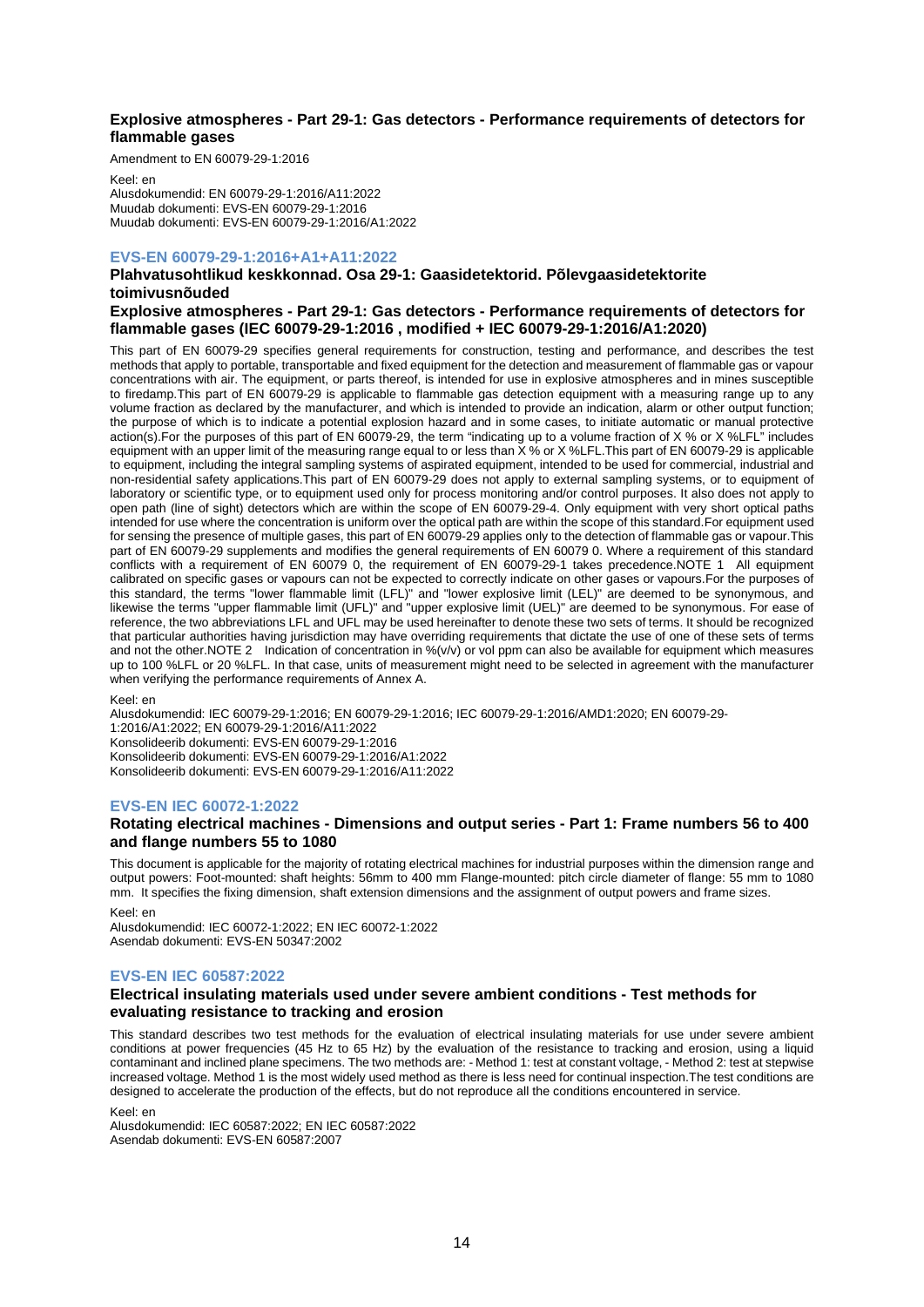## **Explosive atmospheres - Part 29-1: Gas detectors - Performance requirements of detectors for flammable gases**

Amendment to EN 60079-29-1:2016

Keel: en Alusdokumendid: EN 60079-29-1:2016/A11:2022 Muudab dokumenti: EVS-EN 60079-29-1:2016 Muudab dokumenti: EVS-EN 60079-29-1:2016/A1:2022

## **EVS-EN 60079-29-1:2016+A1+A11:2022**

**Plahvatusohtlikud keskkonnad. Osa 29-1: Gaasidetektorid. Põlevgaasidetektorite toimivusnõuded**

## **Explosive atmospheres - Part 29-1: Gas detectors - Performance requirements of detectors for flammable gases (IEC 60079-29-1:2016 , modified + IEC 60079-29-1:2016/A1:2020)**

This part of EN 60079-29 specifies general requirements for construction, testing and performance, and describes the test methods that apply to portable, transportable and fixed equipment for the detection and measurement of flammable gas or vapour concentrations with air. The equipment, or parts thereof, is intended for use in explosive atmospheres and in mines susceptible to firedamp.This part of EN 60079-29 is applicable to flammable gas detection equipment with a measuring range up to any volume fraction as declared by the manufacturer, and which is intended to provide an indication, alarm or other output function; the purpose of which is to indicate a potential explosion hazard and in some cases, to initiate automatic or manual protective action(s).For the purposes of this part of EN 60079-29, the term "indicating up to a volume fraction of X % or X %LFL" includes equipment with an upper limit of the measuring range equal to or less than X % or X %LFL.This part of EN 60079-29 is applicable to equipment, including the integral sampling systems of aspirated equipment, intended to be used for commercial, industrial and non-residential safety applications.This part of EN 60079-29 does not apply to external sampling systems, or to equipment of laboratory or scientific type, or to equipment used only for process monitoring and/or control purposes. It also does not apply to open path (line of sight) detectors which are within the scope of EN 60079-29-4. Only equipment with very short optical paths intended for use where the concentration is uniform over the optical path are within the scope of this standard.For equipment used for sensing the presence of multiple gases, this part of EN 60079-29 applies only to the detection of flammable gas or vapour.This part of EN 60079-29 supplements and modifies the general requirements of EN 60079 0. Where a requirement of this standard conflicts with a requirement of EN 60079 0, the requirement of EN 60079-29-1 takes precedence.NOTE 1 All equipment calibrated on specific gases or vapours can not be expected to correctly indicate on other gases or vapours.For the purposes of this standard, the terms "lower flammable limit (LFL)" and "lower explosive limit (LEL)" are deemed to be synonymous, and likewise the terms "upper flammable limit (UFL)" and "upper explosive limit (UEL)" are deemed to be synonymous. For ease of reference, the two abbreviations LFL and UFL may be used hereinafter to denote these two sets of terms. It should be recognized that particular authorities having jurisdiction may have overriding requirements that dictate the use of one of these sets of terms and not the other.NOTE 2 Indication of concentration in  $%$ ( $v/v$ ) or vol ppm can also be available for equipment which measures up to 100 %LFL or 20 %LFL. In that case, units of measurement might need to be selected in agreement with the manufacturer when verifying the performance requirements of Annex A.

Keel: en

Alusdokumendid: IEC 60079-29-1:2016; EN 60079-29-1:2016; IEC 60079-29-1:2016/AMD1:2020; EN 60079-29- 1:2016/A1:2022; EN 60079-29-1:2016/A11:2022 Konsolideerib dokumenti: EVS-EN 60079-29-1:2016 Konsolideerib dokumenti: EVS-EN 60079-29-1:2016/A1:2022 Konsolideerib dokumenti: EVS-EN 60079-29-1:2016/A11:2022

## **EVS-EN IEC 60072-1:2022**

## **Rotating electrical machines - Dimensions and output series - Part 1: Frame numbers 56 to 400 and flange numbers 55 to 1080**

This document is applicable for the majority of rotating electrical machines for industrial purposes within the dimension range and output powers: Foot-mounted: shaft heights: 56mm to 400 mm Flange-mounted: pitch circle diameter of flange: 55 mm to 1080 mm. It specifies the fixing dimension, shaft extension dimensions and the assignment of output powers and frame sizes.

Keel: en

Alusdokumendid: IEC 60072-1:2022; EN IEC 60072-1:2022 Asendab dokumenti: EVS-EN 50347:2002

## **EVS-EN IEC 60587:2022**

## **Electrical insulating materials used under severe ambient conditions - Test methods for evaluating resistance to tracking and erosion**

This standard describes two test methods for the evaluation of electrical insulating materials for use under severe ambient conditions at power frequencies (45 Hz to 65 Hz) by the evaluation of the resistance to tracking and erosion, using a liquid contaminant and inclined plane specimens. The two methods are: - Method 1: test at constant voltage, - Method 2: test at stepwise increased voltage. Method 1 is the most widely used method as there is less need for continual inspection.The test conditions are designed to accelerate the production of the effects, but do not reproduce all the conditions encountered in service.

Keel: en

Alusdokumendid: IEC 60587:2022; EN IEC 60587:2022 Asendab dokumenti: EVS-EN 60587:2007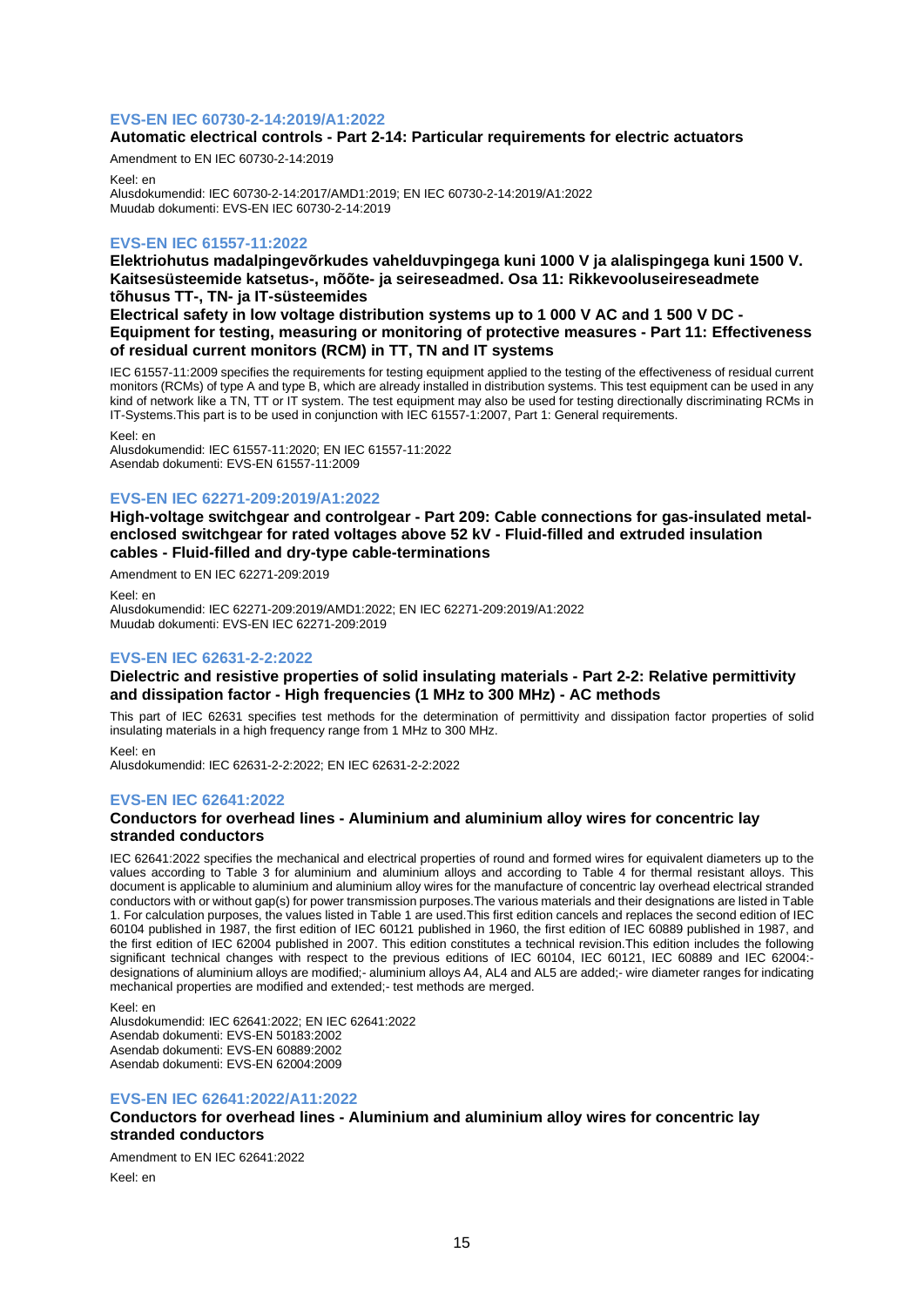## **EVS-EN IEC 60730-2-14:2019/A1:2022**

## **Automatic electrical controls - Part 2-14: Particular requirements for electric actuators**

Amendment to EN IEC 60730-2-14:2019 Keel: en

Alusdokumendid: IEC 60730-2-14:2017/AMD1:2019; EN IEC 60730-2-14:2019/A1:2022 Muudab dokumenti: EVS-EN IEC 60730-2-14:2019

## **EVS-EN IEC 61557-11:2022**

**Elektriohutus madalpingevõrkudes vahelduvpingega kuni 1000 V ja alalispingega kuni 1500 V. Kaitsesüsteemide katsetus-, mõõte- ja seireseadmed. Osa 11: Rikkevooluseireseadmete tõhusus TT-, TN- ja IT-süsteemides**

**Electrical safety in low voltage distribution systems up to 1 000 V AC and 1 500 V DC - Equipment for testing, measuring or monitoring of protective measures - Part 11: Effectiveness of residual current monitors (RCM) in TT, TN and IT systems**

IEC 61557-11:2009 specifies the requirements for testing equipment applied to the testing of the effectiveness of residual current monitors (RCMs) of type A and type B, which are already installed in distribution systems. This test equipment can be used in any kind of network like a TN, TT or IT system. The test equipment may also be used for testing directionally discriminating RCMs in IT-Systems.This part is to be used in conjunction with IEC 61557-1:2007, Part 1: General requirements.

Keel: en

Alusdokumendid: IEC 61557-11:2020; EN IEC 61557-11:2022 Asendab dokumenti: EVS-EN 61557-11:2009

## **EVS-EN IEC 62271-209:2019/A1:2022**

**High-voltage switchgear and controlgear - Part 209: Cable connections for gas-insulated metalenclosed switchgear for rated voltages above 52 kV - Fluid-filled and extruded insulation cables - Fluid-filled and dry-type cable-terminations**

Amendment to EN IEC 62271-209:2019

Keel: en

Alusdokumendid: IEC 62271-209:2019/AMD1:2022; EN IEC 62271-209:2019/A1:2022 Muudab dokumenti: EVS-EN IEC 62271-209:2019

## **EVS-EN IEC 62631-2-2:2022**

## **Dielectric and resistive properties of solid insulating materials - Part 2-2: Relative permittivity and dissipation factor - High frequencies (1 MHz to 300 MHz) - AC methods**

This part of IEC 62631 specifies test methods for the determination of permittivity and dissipation factor properties of solid insulating materials in a high frequency range from 1 MHz to 300 MHz.

Keel: en

Alusdokumendid: IEC 62631-2-2:2022; EN IEC 62631-2-2:2022

## **EVS-EN IEC 62641:2022**

## **Conductors for overhead lines - Aluminium and aluminium alloy wires for concentric lay stranded conductors**

IEC 62641:2022 specifies the mechanical and electrical properties of round and formed wires for equivalent diameters up to the values according to Table 3 for aluminium and aluminium alloys and according to Table 4 for thermal resistant alloys. This document is applicable to aluminium and aluminium alloy wires for the manufacture of concentric lay overhead electrical stranded conductors with or without gap(s) for power transmission purposes.The various materials and their designations are listed in Table 1. For calculation purposes, the values listed in Table 1 are used.This first edition cancels and replaces the second edition of IEC 60104 published in 1987, the first edition of IEC 60121 published in 1960, the first edition of IEC 60889 published in 1987, and the first edition of IEC 62004 published in 2007. This edition constitutes a technical revision.This edition includes the following significant technical changes with respect to the previous editions of IEC 60104, IEC 60121, IEC 60889 and IEC 62004:designations of aluminium alloys are modified;- aluminium alloys A4, AL4 and AL5 are added;- wire diameter ranges for indicating mechanical properties are modified and extended;- test methods are merged.

Keel: en

Alusdokumendid: IEC 62641:2022; EN IEC 62641:2022 Asendab dokumenti: EVS-EN 50183:2002 Asendab dokumenti: EVS-EN 60889:2002 Asendab dokumenti: EVS-EN 62004:2009

## **EVS-EN IEC 62641:2022/A11:2022**

## **Conductors for overhead lines - Aluminium and aluminium alloy wires for concentric lay stranded conductors**

Amendment to EN IEC 62641:2022 Keel: en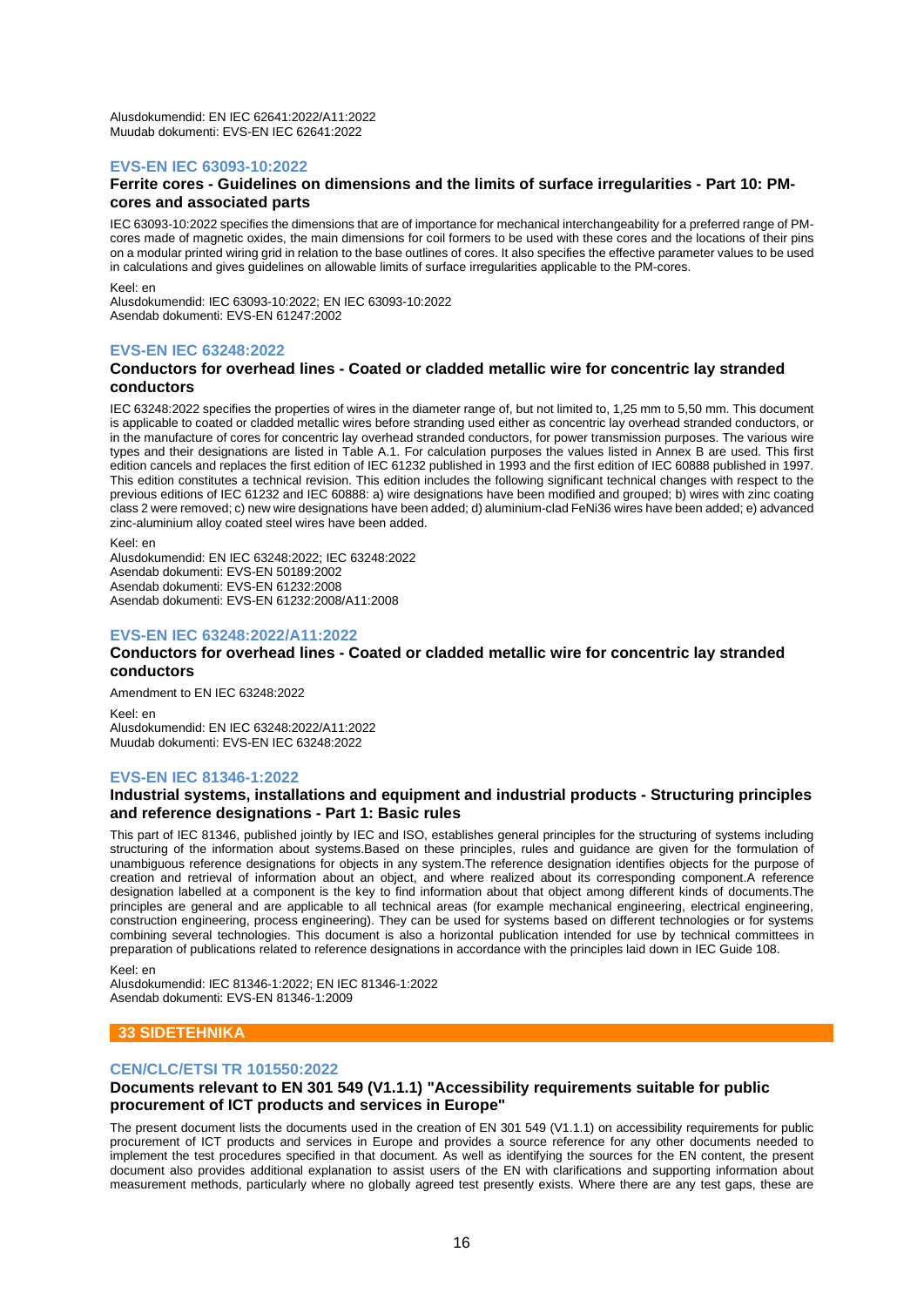Alusdokumendid: EN IEC 62641:2022/A11:2022 Muudab dokumenti: EVS-EN IEC 62641:2022

## **EVS-EN IEC 63093-10:2022**

#### **Ferrite cores - Guidelines on dimensions and the limits of surface irregularities - Part 10: PMcores and associated parts**

IEC 63093-10:2022 specifies the dimensions that are of importance for mechanical interchangeability for a preferred range of PMcores made of magnetic oxides, the main dimensions for coil formers to be used with these cores and the locations of their pins on a modular printed wiring grid in relation to the base outlines of cores. It also specifies the effective parameter values to be used in calculations and gives guidelines on allowable limits of surface irregularities applicable to the PM-cores.

Keel: en Alusdokumendid: IEC 63093-10:2022; EN IEC 63093-10:2022 Asendab dokumenti: EVS-EN 61247:2002

## **EVS-EN IEC 63248:2022**

## **Conductors for overhead lines - Coated or cladded metallic wire for concentric lay stranded conductors**

IEC 63248:2022 specifies the properties of wires in the diameter range of, but not limited to, 1,25 mm to 5,50 mm. This document is applicable to coated or cladded metallic wires before stranding used either as concentric lay overhead stranded conductors, or in the manufacture of cores for concentric lay overhead stranded conductors, for power transmission purposes. The various wire types and their designations are listed in Table A.1. For calculation purposes the values listed in Annex B are used. This first edition cancels and replaces the first edition of IEC 61232 published in 1993 and the first edition of IEC 60888 published in 1997. This edition constitutes a technical revision. This edition includes the following significant technical changes with respect to the previous editions of IEC 61232 and IEC 60888: a) wire designations have been modified and grouped; b) wires with zinc coating class 2 were removed; c) new wire designations have been added; d) aluminium-clad FeNi36 wires have been added; e) advanced zinc-aluminium alloy coated steel wires have been added.

Keel: en

Alusdokumendid: EN IEC 63248:2022; IEC 63248:2022 Asendab dokumenti: EVS-EN 50189:2002 Asendab dokumenti: EVS-EN 61232:2008 Asendab dokumenti: EVS-EN 61232:2008/A11:2008

## **EVS-EN IEC 63248:2022/A11:2022**

## **Conductors for overhead lines - Coated or cladded metallic wire for concentric lay stranded conductors**

Amendment to EN IEC 63248:2022 Keel: en Alusdokumendid: EN IEC 63248:2022/A11:2022 Muudab dokumenti: EVS-EN IEC 63248:2022

## **EVS-EN IEC 81346-1:2022**

## **Industrial systems, installations and equipment and industrial products - Structuring principles and reference designations - Part 1: Basic rules**

This part of IEC 81346, published jointly by IEC and ISO, establishes general principles for the structuring of systems including structuring of the information about systems.Based on these principles, rules and guidance are given for the formulation of unambiguous reference designations for objects in any system.The reference designation identifies objects for the purpose of creation and retrieval of information about an object, and where realized about its corresponding component.A reference designation labelled at a component is the key to find information about that object among different kinds of documents.The principles are general and are applicable to all technical areas (for example mechanical engineering, electrical engineering, construction engineering, process engineering). They can be used for systems based on different technologies or for systems combining several technologies. This document is also a horizontal publication intended for use by technical committees in preparation of publications related to reference designations in accordance with the principles laid down in IEC Guide 108.

Keel: en

Alusdokumendid: IEC 81346-1:2022; EN IEC 81346-1:2022 Asendab dokumenti: EVS-EN 81346-1:2009

## **33 SIDETEHNIKA**

## **CEN/CLC/ETSI TR 101550:2022**

## **Documents relevant to EN 301 549 (V1.1.1) "Accessibility requirements suitable for public procurement of ICT products and services in Europe"**

The present document lists the documents used in the creation of EN 301 549 (V1.1.1) on accessibility requirements for public procurement of ICT products and services in Europe and provides a source reference for any other documents needed to implement the test procedures specified in that document. As well as identifying the sources for the EN content, the present document also provides additional explanation to assist users of the EN with clarifications and supporting information about measurement methods, particularly where no globally agreed test presently exists. Where there are any test gaps, these are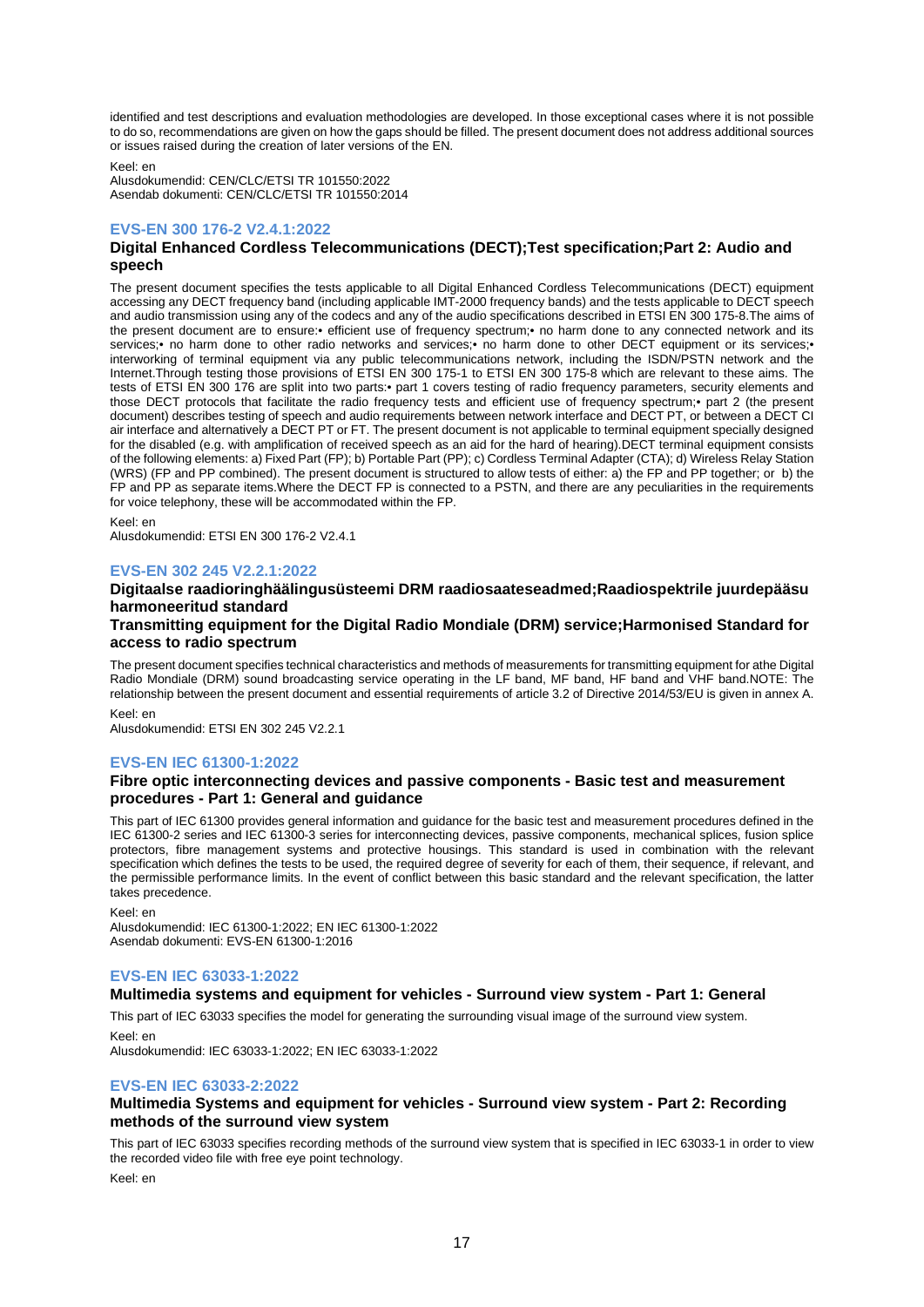identified and test descriptions and evaluation methodologies are developed. In those exceptional cases where it is not possible to do so, recommendations are given on how the gaps should be filled. The present document does not address additional sources or issues raised during the creation of later versions of the EN.

Keel: en

Alusdokumendid: CEN/CLC/ETSI TR 101550:2022 Asendab dokumenti: CEN/CLC/ETSI TR 101550:2014

## **EVS-EN 300 176-2 V2.4.1:2022**

## **Digital Enhanced Cordless Telecommunications (DECT);Test specification;Part 2: Audio and speech**

The present document specifies the tests applicable to all Digital Enhanced Cordless Telecommunications (DECT) equipment accessing any DECT frequency band (including applicable IMT-2000 frequency bands) and the tests applicable to DECT speech and audio transmission using any of the codecs and any of the audio specifications described in ETSI EN 300 175-8.The aims of the present document are to ensure:• efficient use of frequency spectrum;• no harm done to any connected network and its services;• no harm done to other radio networks and services;• no harm done to other DECT equipment or its services;• interworking of terminal equipment via any public telecommunications network, including the ISDN/PSTN network and the Internet.Through testing those provisions of ETSI EN 300 175-1 to ETSI EN 300 175-8 which are relevant to these aims. The tests of ETSI EN 300 176 are split into two parts:• part 1 covers testing of radio frequency parameters, security elements and those DECT protocols that facilitate the radio frequency tests and efficient use of frequency spectrum;• part 2 (the present document) describes testing of speech and audio requirements between network interface and DECT PT, or between a DECT CI air interface and alternatively a DECT PT or FT. The present document is not applicable to terminal equipment specially designed for the disabled (e.g. with amplification of received speech as an aid for the hard of hearing).DECT terminal equipment consists of the following elements: a) Fixed Part (FP); b) Portable Part (PP); c) Cordless Terminal Adapter (CTA); d) Wireless Relay Station (WRS) (FP and PP combined). The present document is structured to allow tests of either: a) the FP and PP together; or b) the FP and PP as separate items.Where the DECT FP is connected to a PSTN, and there are any peculiarities in the requirements for voice telephony, these will be accommodated within the FP.

Keel: en

Alusdokumendid: ETSI EN 300 176-2 V2.4.1

## **EVS-EN 302 245 V2.2.1:2022**

## **Digitaalse raadioringhäälingusüsteemi DRM raadiosaateseadmed;Raadiospektrile juurdepääsu harmoneeritud standard**

## **Transmitting equipment for the Digital Radio Mondiale (DRM) service;Harmonised Standard for access to radio spectrum**

The present document specifies technical characteristics and methods of measurements for transmitting equipment for athe Digital Radio Mondiale (DRM) sound broadcasting service operating in the LF band, MF band, HF band and VHF band.NOTE: The relationship between the present document and essential requirements of article 3.2 of Directive 2014/53/EU is given in annex A. Keel: en

Alusdokumendid: ETSI EN 302 245 V2.2.1

## **EVS-EN IEC 61300-1:2022**

## **Fibre optic interconnecting devices and passive components - Basic test and measurement procedures - Part 1: General and guidance**

This part of IEC 61300 provides general information and guidance for the basic test and measurement procedures defined in the IEC 61300-2 series and IEC 61300-3 series for interconnecting devices, passive components, mechanical splices, fusion splice protectors, fibre management systems and protective housings. This standard is used in combination with the relevant specification which defines the tests to be used, the required degree of severity for each of them, their sequence, if relevant, and the permissible performance limits. In the event of conflict between this basic standard and the relevant specification, the latter takes precedence.

Keel: en

Alusdokumendid: IEC 61300-1:2022; EN IEC 61300-1:2022 Asendab dokumenti: EVS-EN 61300-1:2016

## **EVS-EN IEC 63033-1:2022**

## **Multimedia systems and equipment for vehicles - Surround view system - Part 1: General**

This part of IEC 63033 specifies the model for generating the surrounding visual image of the surround view system.

Keel: en Alusdokumendid: IEC 63033-1:2022; EN IEC 63033-1:2022

# **EVS-EN IEC 63033-2:2022**

## **Multimedia Systems and equipment for vehicles - Surround view system - Part 2: Recording methods of the surround view system**

This part of IEC 63033 specifies recording methods of the surround view system that is specified in IEC 63033-1 in order to view the recorded video file with free eye point technology.

Keel: en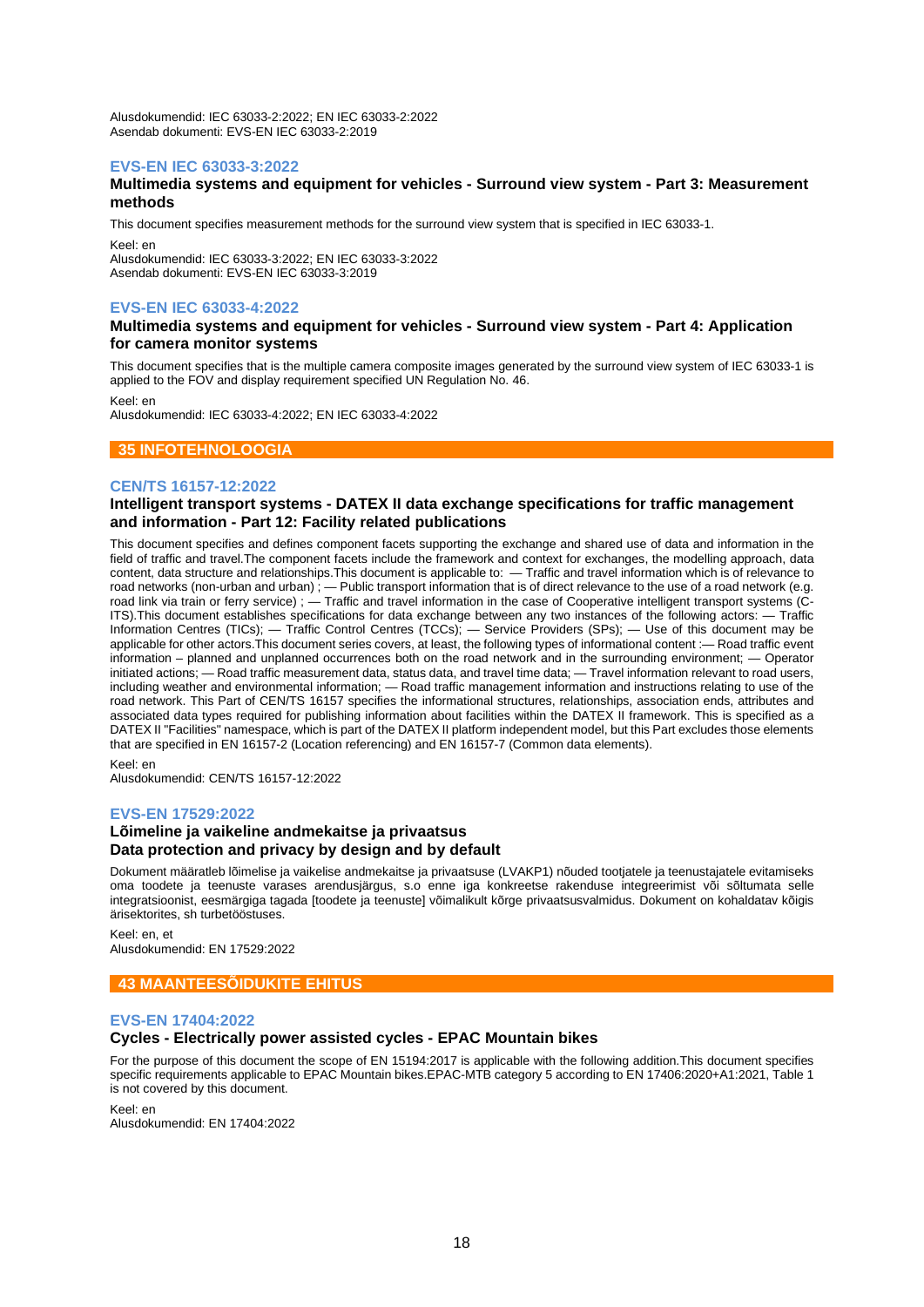Alusdokumendid: IEC 63033-2:2022; EN IEC 63033-2:2022 Asendab dokumenti: EVS-EN IEC 63033-2:2019

## **EVS-EN IEC 63033-3:2022**

## **Multimedia systems and equipment for vehicles - Surround view system - Part 3: Measurement methods**

This document specifies measurement methods for the surround view system that is specified in IEC 63033-1. Keel: en

Alusdokumendid: IEC 63033-3:2022; EN IEC 63033-3:2022 Asendab dokumenti: EVS-EN IEC 63033-3:2019

## **EVS-EN IEC 63033-4:2022**

## **Multimedia systems and equipment for vehicles - Surround view system - Part 4: Application for camera monitor systems**

This document specifies that is the multiple camera composite images generated by the surround view system of IEC 63033-1 is applied to the FOV and display requirement specified UN Regulation No. 46.

Keel: en

Alusdokumendid: IEC 63033-4:2022; EN IEC 63033-4:2022

## **35 INFOTEHNOLOOGIA**

## **CEN/TS 16157-12:2022**

## **Intelligent transport systems - DATEX II data exchange specifications for traffic management and information - Part 12: Facility related publications**

This document specifies and defines component facets supporting the exchange and shared use of data and information in the field of traffic and travel.The component facets include the framework and context for exchanges, the modelling approach, data content, data structure and relationships.This document is applicable to: — Traffic and travel information which is of relevance to road networks (non-urban and urban); — Public transport information that is of direct relevance to the use of a road network (e.g. road link via train or ferry service) ; — Traffic and travel information in the case of Cooperative intelligent transport systems (C-ITS).This document establishes specifications for data exchange between any two instances of the following actors: — Traffic Information Centres (TICs); — Traffic Control Centres (TCCs); — Service Providers (SPs); — Use of this document may be applicable for other actors.This document series covers, at least, the following types of informational content :— Road traffic event information – planned and unplanned occurrences both on the road network and in the surrounding environment; — Operator initiated actions; — Road traffic measurement data, status data, and travel time data; — Travel information relevant to road users, including weather and environmental information; — Road traffic management information and instructions relating to use of the road network. This Part of CEN/TS 16157 specifies the informational structures, relationships, association ends, attributes and associated data types required for publishing information about facilities within the DATEX II framework. This is specified as a DATEX II "Facilities" namespace, which is part of the DATEX II platform independent model, but this Part excludes those elements that are specified in EN 16157-2 (Location referencing) and EN 16157-7 (Common data elements).

Alusdokumendid: CEN/TS 16157-12:2022

## **EVS-EN 17529:2022**

Keel: en

## **Lõimeline ja vaikeline andmekaitse ja privaatsus Data protection and privacy by design and by default**

Dokument määratleb lõimelise ja vaikelise andmekaitse ja privaatsuse (LVAKP1) nõuded tootjatele ja teenustajatele evitamiseks oma toodete ja teenuste varases arendusjärgus, s.o enne iga konkreetse rakenduse integreerimist või sõltumata selle integratsioonist, eesmärgiga tagada [toodete ja teenuste] võimalikult kõrge privaatsusvalmidus. Dokument on kohaldatav kõigis ärisektorites, sh turbetööstuses.

Keel: en, et Alusdokumendid: EN 17529:2022

## **43 MAANTEESÕIDUKITE EHITUS**

## **EVS-EN 17404:2022**

## **Cycles - Electrically power assisted cycles - EPAC Mountain bikes**

For the purpose of this document the scope of EN 15194:2017 is applicable with the following addition.This document specifies specific requirements applicable to EPAC Mountain bikes.EPAC-MTB category 5 according to EN 17406:2020+A1:2021, Table 1 is not covered by this document.

Keel: en

Alusdokumendid: EN 17404:2022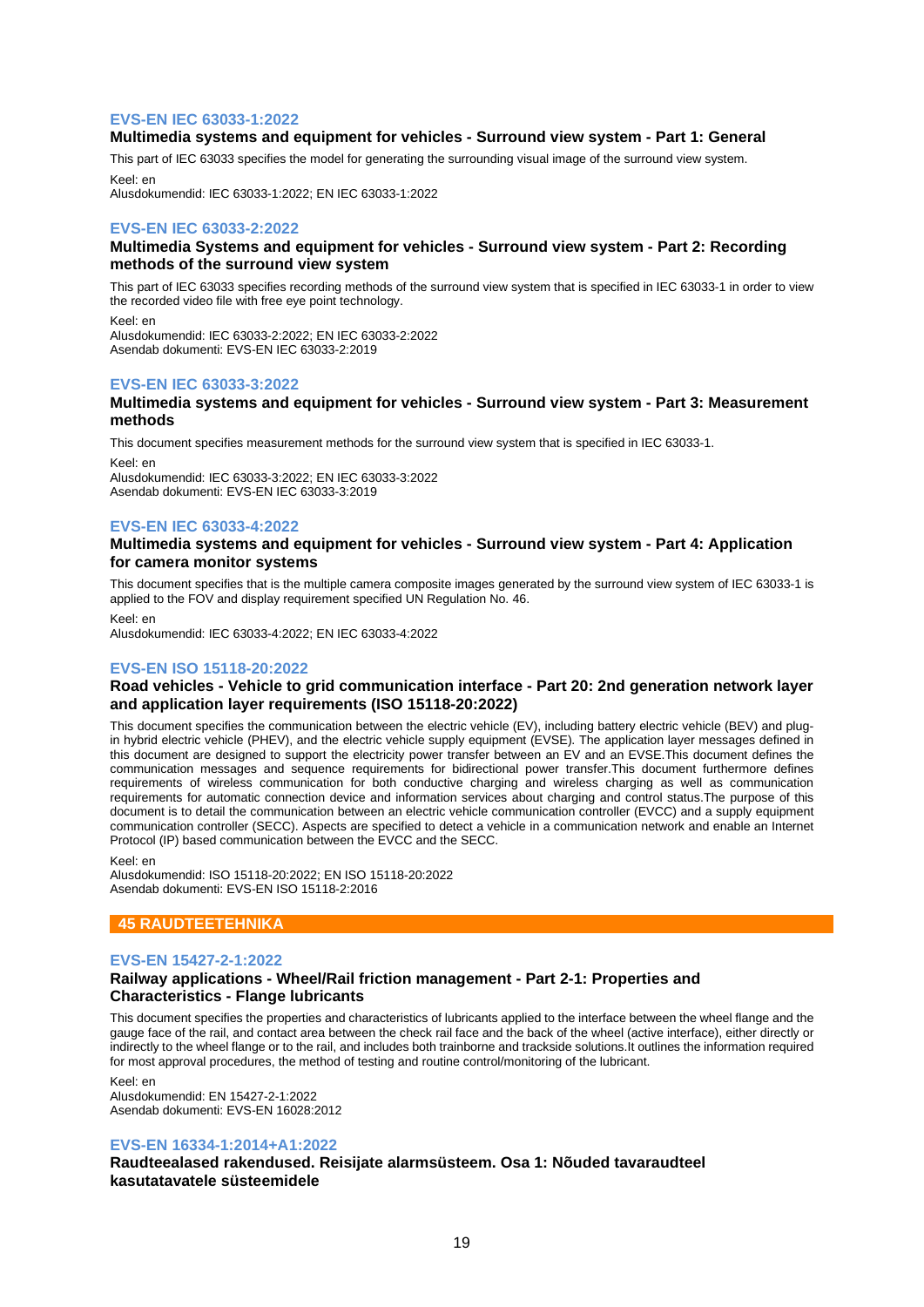## **EVS-EN IEC 63033-1:2022**

## **Multimedia systems and equipment for vehicles - Surround view system - Part 1: General**

This part of IEC 63033 specifies the model for generating the surrounding visual image of the surround view system. Keel: en

Alusdokumendid: IEC 63033-1:2022; EN IEC 63033-1:2022

## **EVS-EN IEC 63033-2:2022**

## **Multimedia Systems and equipment for vehicles - Surround view system - Part 2: Recording methods of the surround view system**

This part of IEC 63033 specifies recording methods of the surround view system that is specified in IEC 63033-1 in order to view the recorded video file with free eye point technology.

Keel: en Alusdokumendid: IEC 63033-2:2022; EN IEC 63033-2:2022 Asendab dokumenti: EVS-EN IEC 63033-2:2019

## **EVS-EN IEC 63033-3:2022**

#### **Multimedia systems and equipment for vehicles - Surround view system - Part 3: Measurement methods**

This document specifies measurement methods for the surround view system that is specified in IEC 63033-1.

Keel: en Alusdokumendid: IEC 63033-3:2022; EN IEC 63033-3:2022 Asendab dokumenti: EVS-EN IEC 63033-3:2019

## **EVS-EN IEC 63033-4:2022**

## **Multimedia systems and equipment for vehicles - Surround view system - Part 4: Application for camera monitor systems**

This document specifies that is the multiple camera composite images generated by the surround view system of IEC 63033-1 is applied to the FOV and display requirement specified UN Regulation No. 46.

Keel: en

Alusdokumendid: IEC 63033-4:2022; EN IEC 63033-4:2022

## **EVS-EN ISO 15118-20:2022**

## **Road vehicles - Vehicle to grid communication interface - Part 20: 2nd generation network layer and application layer requirements (ISO 15118-20:2022)**

This document specifies the communication between the electric vehicle (EV), including battery electric vehicle (BEV) and plugin hybrid electric vehicle (PHEV), and the electric vehicle supply equipment (EVSE). The application layer messages defined in this document are designed to support the electricity power transfer between an EV and an EVSE.This document defines the communication messages and sequence requirements for bidirectional power transfer.This document furthermore defines requirements of wireless communication for both conductive charging and wireless charging as well as communication requirements for automatic connection device and information services about charging and control status.The purpose of this document is to detail the communication between an electric vehicle communication controller (EVCC) and a supply equipment communication controller (SECC). Aspects are specified to detect a vehicle in a communication network and enable an Internet Protocol (IP) based communication between the EVCC and the SECC.

Keel: en

Alusdokumendid: ISO 15118-20:2022; EN ISO 15118-20:2022 Asendab dokumenti: EVS-EN ISO 15118-2:2016

## **45 RAUDTEETEHNIKA**

## **EVS-EN 15427-2-1:2022**

## **Railway applications - Wheel/Rail friction management - Part 2-1: Properties and Characteristics - Flange lubricants**

This document specifies the properties and characteristics of lubricants applied to the interface between the wheel flange and the gauge face of the rail, and contact area between the check rail face and the back of the wheel (active interface), either directly or indirectly to the wheel flange or to the rail, and includes both trainborne and trackside solutions.It outlines the information required for most approval procedures, the method of testing and routine control/monitoring of the lubricant.

Keel: en

Alusdokumendid: EN 15427-2-1:2022 Asendab dokumenti: EVS-EN 16028:2012

## **EVS-EN 16334-1:2014+A1:2022**

**Raudteealased rakendused. Reisijate alarmsüsteem. Osa 1: Nõuded tavaraudteel kasutatavatele süsteemidele**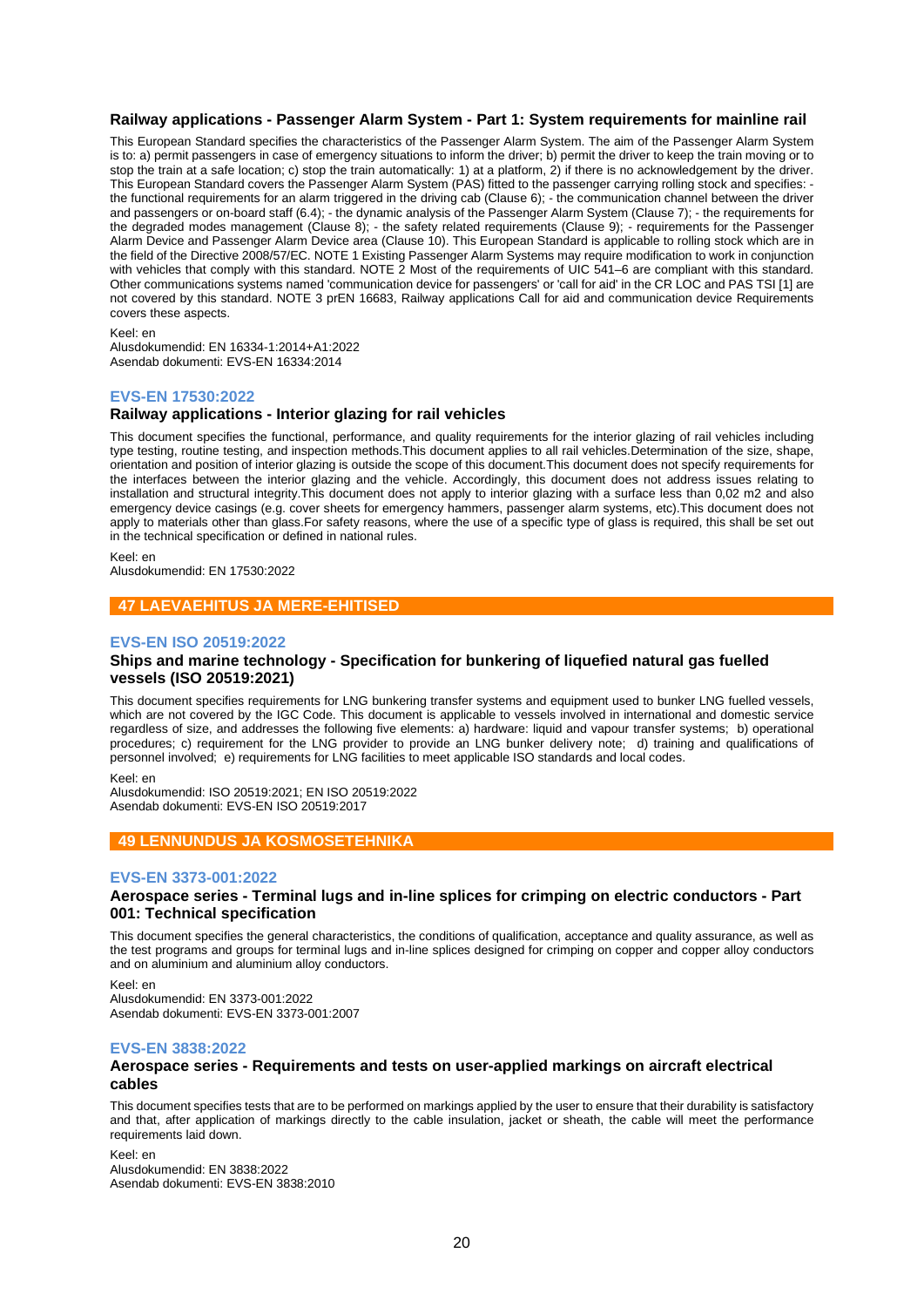## **Railway applications - Passenger Alarm System - Part 1: System requirements for mainline rail**

This European Standard specifies the characteristics of the Passenger Alarm System. The aim of the Passenger Alarm System is to: a) permit passengers in case of emergency situations to inform the driver; b) permit the driver to keep the train moving or to stop the train at a safe location; c) stop the train automatically: 1) at a platform, 2) if there is no acknowledgement by the driver. This European Standard covers the Passenger Alarm System (PAS) fitted to the passenger carrying rolling stock and specifies: the functional requirements for an alarm triggered in the driving cab (Clause 6); - the communication channel between the driver and passengers or on-board staff (6.4); - the dynamic analysis of the Passenger Alarm System (Clause 7); - the requirements for the degraded modes management (Clause 8); - the safety related requirements (Clause 9); - requirements for the Passenger Alarm Device and Passenger Alarm Device area (Clause 10). This European Standard is applicable to rolling stock which are in the field of the Directive 2008/57/EC. NOTE 1 Existing Passenger Alarm Systems may require modification to work in conjunction with vehicles that comply with this standard. NOTE 2 Most of the requirements of UIC 541–6 are compliant with this standard. Other communications systems named 'communication device for passengers' or 'call for aid' in the CR LOC and PAS TSI [1] are not covered by this standard. NOTE 3 prEN 16683, Railway applications Call for aid and communication device Requirements covers these aspects.

Keel: en

Alusdokumendid: EN 16334-1:2014+A1:2022 Asendab dokumenti: EVS-EN 16334:2014

## **EVS-EN 17530:2022**

## **Railway applications - Interior glazing for rail vehicles**

This document specifies the functional, performance, and quality requirements for the interior glazing of rail vehicles including type testing, routine testing, and inspection methods.This document applies to all rail vehicles.Determination of the size, shape, orientation and position of interior glazing is outside the scope of this document.This document does not specify requirements for the interfaces between the interior glazing and the vehicle. Accordingly, this document does not address issues relating to installation and structural integrity. This document does not apply to interior glazing with a surface less than 0,02 m2 and also emergency device casings (e.g. cover sheets for emergency hammers, passenger alarm systems, etc).This document does not apply to materials other than glass.For safety reasons, where the use of a specific type of glass is required, this shall be set out in the technical specification or defined in national rules.

Keel: en Alusdokumendid: EN 17530:2022

## **47 LAEVAEHITUS JA MERE-EHITISED**

## **EVS-EN ISO 20519:2022**

## **Ships and marine technology - Specification for bunkering of liquefied natural gas fuelled vessels (ISO 20519:2021)**

This document specifies requirements for LNG bunkering transfer systems and equipment used to bunker LNG fuelled vessels, which are not covered by the IGC Code. This document is applicable to vessels involved in international and domestic service regardless of size, and addresses the following five elements: a) hardware: liquid and vapour transfer systems; b) operational procedures; c) requirement for the LNG provider to provide an LNG bunker delivery note; d) training and qualifications of personnel involved; e) requirements for LNG facilities to meet applicable ISO standards and local codes.

#### Keel: en

Alusdokumendid: ISO 20519:2021; EN ISO 20519:2022 Asendab dokumenti: EVS-EN ISO 20519:2017

## **49 LENNUNDUS JA KOSMOSETEHNIKA**

#### **EVS-EN 3373-001:2022**

## **Aerospace series - Terminal lugs and in-line splices for crimping on electric conductors - Part 001: Technical specification**

This document specifies the general characteristics, the conditions of qualification, acceptance and quality assurance, as well as the test programs and groups for terminal lugs and in-line splices designed for crimping on copper and copper alloy conductors and on aluminium and aluminium alloy conductors.

Keel: en Alusdokumendid: EN 3373-001:2022 Asendab dokumenti: EVS-EN 3373-001:2007

## **EVS-EN 3838:2022**

#### **Aerospace series - Requirements and tests on user-applied markings on aircraft electrical cables**

This document specifies tests that are to be performed on markings applied by the user to ensure that their durability is satisfactory and that, after application of markings directly to the cable insulation, jacket or sheath, the cable will meet the performance requirements laid down.

Keel: en Alusdokumendid: EN 3838:2022 Asendab dokumenti: EVS-EN 3838:2010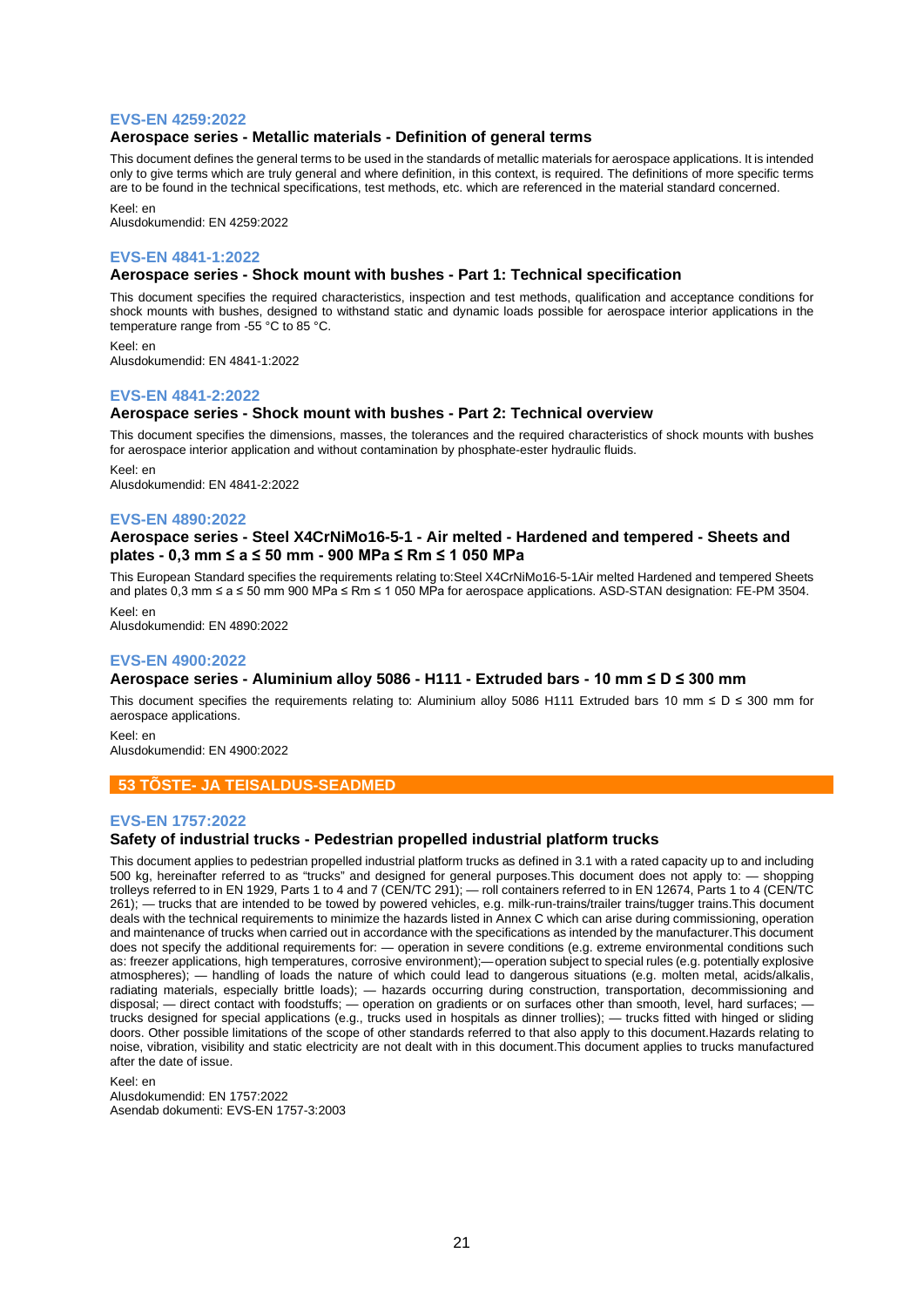#### **EVS-EN 4259:2022**

#### **Aerospace series - Metallic materials - Definition of general terms**

This document defines the general terms to be used in the standards of metallic materials for aerospace applications. It is intended only to give terms which are truly general and where definition, in this context, is required. The definitions of more specific terms are to be found in the technical specifications, test methods, etc. which are referenced in the material standard concerned.

Keel: en

Alusdokumendid: EN 4259:2022

#### **EVS-EN 4841-1:2022**

#### **Aerospace series - Shock mount with bushes - Part 1: Technical specification**

This document specifies the required characteristics, inspection and test methods, qualification and acceptance conditions for shock mounts with bushes, designed to withstand static and dynamic loads possible for aerospace interior applications in the temperature range from -55 °C to 85 °C.

Keel: en Alusdokumendid: EN 4841-1:2022

#### **EVS-EN 4841-2:2022**

#### **Aerospace series - Shock mount with bushes - Part 2: Technical overview**

This document specifies the dimensions, masses, the tolerances and the required characteristics of shock mounts with bushes for aerospace interior application and without contamination by phosphate-ester hydraulic fluids.

Keel: en Alusdokumendid: EN 4841-2:2022

#### **EVS-EN 4890:2022**

## **Aerospace series - Steel X4CrNiMo16-5-1 - Air melted - Hardened and tempered - Sheets and plates - 0,3 mm ≤ a ≤ 50 mm - 900 MPa ≤ Rm ≤ 1 050 MPa**

This European Standard specifies the requirements relating to:Steel X4CrNiMo16-5-1Air melted Hardened and tempered Sheets and plates 0,3 mm ≤ a ≤ 50 mm 900 MPa ≤ Rm ≤ 1 050 MPa for aerospace applications. ASD-STAN designation: FE-PM 3504.

Keel: en Alusdokumendid: EN 4890:2022

## **EVS-EN 4900:2022**

## **Aerospace series - Aluminium alloy 5086 - H111 - Extruded bars - 10 mm ≤ D ≤ 300 mm**

This document specifies the requirements relating to: Aluminium alloy 5086 H111 Extruded bars 10 mm ≤ D ≤ 300 mm for aerospace applications.

Keel: en Alusdokumendid: EN 4900:2022

## **53 TÕSTE- JA TEISALDUS-SEADMED**

## **EVS-EN 1757:2022**

## **Safety of industrial trucks - Pedestrian propelled industrial platform trucks**

This document applies to pedestrian propelled industrial platform trucks as defined in 3.1 with a rated capacity up to and including 500 kg, hereinafter referred to as "trucks" and designed for general purposes.This document does not apply to: — shopping trolleys referred to in EN 1929, Parts 1 to 4 and 7 (CEN/TC 291); — roll containers referred to in EN 12674, Parts 1 to 4 (CEN/TC 261); — trucks that are intended to be towed by powered vehicles, e.g. milk-run-trains/trailer trains/tugger trains.This document deals with the technical requirements to minimize the hazards listed in Annex C which can arise during commissioning, operation and maintenance of trucks when carried out in accordance with the specifications as intended by the manufacturer.This document does not specify the additional requirements for: — operation in severe conditions (e.g. extreme environmental conditions such as: freezer applications, high temperatures, corrosive environment);—operation subject to special rules (e.g. potentially explosive atmospheres); — handling of loads the nature of which could lead to dangerous situations (e.g. molten metal, acids/alkalis, radiating materials, especially brittle loads); — hazards occurring during construction, transportation, decommissioning and disposal; — direct contact with foodstuffs; — operation on gradients or on surfaces other than smooth, level, hard surfaces; trucks designed for special applications (e.g., trucks used in hospitals as dinner trollies); — trucks fitted with hinged or sliding doors. Other possible limitations of the scope of other standards referred to that also apply to this document.Hazards relating to noise, vibration, visibility and static electricity are not dealt with in this document.This document applies to trucks manufactured after the date of issue.

Keel: en

Alusdokumendid: EN 1757:2022 Asendab dokumenti: EVS-EN 1757-3:2003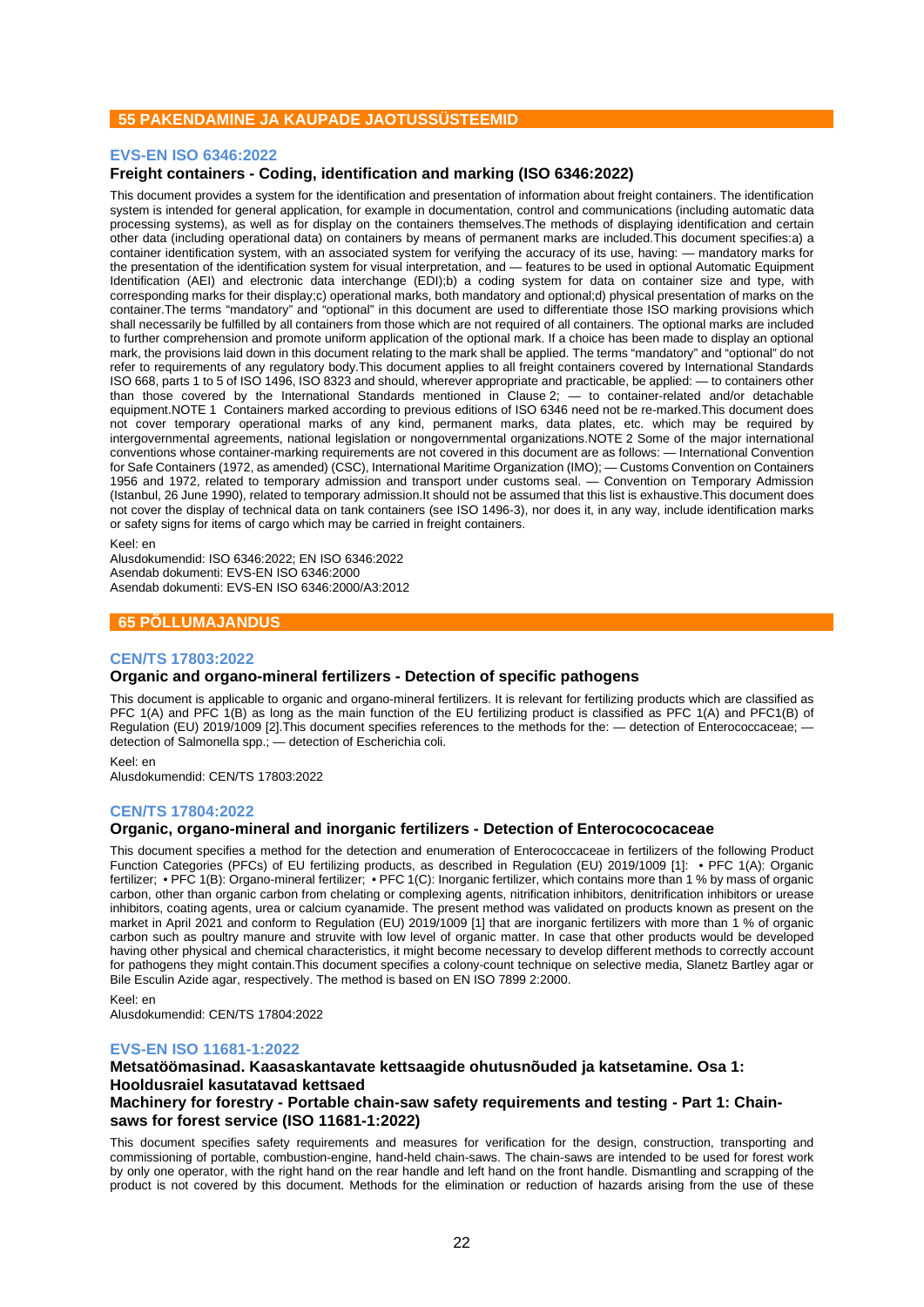## **55 PAKENDAMINE JA KAUPADE JAOTUSSÜSTEEMID**

## **EVS-EN ISO 6346:2022**

## **Freight containers - Coding, identification and marking (ISO 6346:2022)**

This document provides a system for the identification and presentation of information about freight containers. The identification system is intended for general application, for example in documentation, control and communications (including automatic data processing systems), as well as for display on the containers themselves.The methods of displaying identification and certain other data (including operational data) on containers by means of permanent marks are included.This document specifies:a) a container identification system, with an associated system for verifying the accuracy of its use, having: — mandatory marks for the presentation of the identification system for visual interpretation, and — features to be used in optional Automatic Equipment Identification (AEI) and electronic data interchange (EDI);b) a coding system for data on container size and type, with corresponding marks for their display;c) operational marks, both mandatory and optional;d) physical presentation of marks on the container.The terms "mandatory" and "optional" in this document are used to differentiate those ISO marking provisions which shall necessarily be fulfilled by all containers from those which are not required of all containers. The optional marks are included to further comprehension and promote uniform application of the optional mark. If a choice has been made to display an optional mark, the provisions laid down in this document relating to the mark shall be applied. The terms "mandatory" and "optional" do not refer to requirements of any regulatory body.This document applies to all freight containers covered by International Standards ISO 668, parts 1 to 5 of ISO 1496, ISO 8323 and should, wherever appropriate and practicable, be applied: — to containers other than those covered by the International Standards mentioned in Clause 2; — to container-related and/or detachable equipment.NOTE 1 Containers marked according to previous editions of ISO 6346 need not be re-marked.This document does not cover temporary operational marks of any kind, permanent marks, data plates, etc. which may be required by intergovernmental agreements, national legislation or nongovernmental organizations.NOTE 2 Some of the major international conventions whose container-marking requirements are not covered in this document are as follows: — International Convention for Safe Containers (1972, as amended) (CSC), International Maritime Organization (IMO); — Customs Convention on Containers 1956 and 1972, related to temporary admission and transport under customs seal. — Convention on Temporary Admission (Istanbul, 26 June 1990), related to temporary admission.It should not be assumed that this list is exhaustive.This document does not cover the display of technical data on tank containers (see ISO 1496-3), nor does it, in any way, include identification marks or safety signs for items of cargo which may be carried in freight containers.

Keel: en

Alusdokumendid: ISO 6346:2022; EN ISO 6346:2022 Asendab dokumenti: EVS-EN ISO 6346:2000 Asendab dokumenti: EVS-EN ISO 6346:2000/A3:2012

## **65 PÕLLUMAJANDUS**

#### **CEN/TS 17803:2022**

## **Organic and organo-mineral fertilizers - Detection of specific pathogens**

This document is applicable to organic and organo-mineral fertilizers. It is relevant for fertilizing products which are classified as PFC 1(A) and PFC 1(B) as long as the main function of the EU fertilizing product is classified as PFC 1(A) and PFC1(B) of Regulation (EU) 2019/1009 [2].This document specifies references to the methods for the: — detection of Enterococcaceae; detection of Salmonella spp.; — detection of Escherichia coli.

Keel: en Alusdokumendid: CEN/TS 17803:2022

## **CEN/TS 17804:2022**

## **Organic, organo-mineral and inorganic fertilizers - Detection of Enterocococaceae**

This document specifies a method for the detection and enumeration of Enterococcaceae in fertilizers of the following Product Function Categories (PFCs) of EU fertilizing products, as described in Regulation (EU) 2019/1009 [1]: • PFC 1(A): Organic fertilizer; • PFC 1(B): Organo-mineral fertilizer; • PFC 1(C): Inorganic fertilizer, which contains more than 1 % by mass of organic carbon, other than organic carbon from chelating or complexing agents, nitrification inhibitors, denitrification inhibitors or urease inhibitors, coating agents, urea or calcium cyanamide. The present method was validated on products known as present on the market in April 2021 and conform to Regulation (EU) 2019/1009 [1] that are inorganic fertilizers with more than 1 % of organic carbon such as poultry manure and struvite with low level of organic matter. In case that other products would be developed having other physical and chemical characteristics, it might become necessary to develop different methods to correctly account for pathogens they might contain.This document specifies a colony-count technique on selective media, Slanetz Bartley agar or Bile Esculin Azide agar, respectively. The method is based on EN ISO 7899 2:2000.

#### Keel: en

Alusdokumendid: CEN/TS 17804:2022

#### **EVS-EN ISO 11681-1:2022**

## **Metsatöömasinad. Kaasaskantavate kettsaagide ohutusnõuded ja katsetamine. Osa 1: Hooldusraiel kasutatavad kettsaed Machinery for forestry - Portable chain-saw safety requirements and testing - Part 1: Chainsaws for forest service (ISO 11681-1:2022)**

This document specifies safety requirements and measures for verification for the design, construction, transporting and commissioning of portable, combustion-engine, hand-held chain-saws. The chain-saws are intended to be used for forest work by only one operator, with the right hand on the rear handle and left hand on the front handle. Dismantling and scrapping of the product is not covered by this document. Methods for the elimination or reduction of hazards arising from the use of these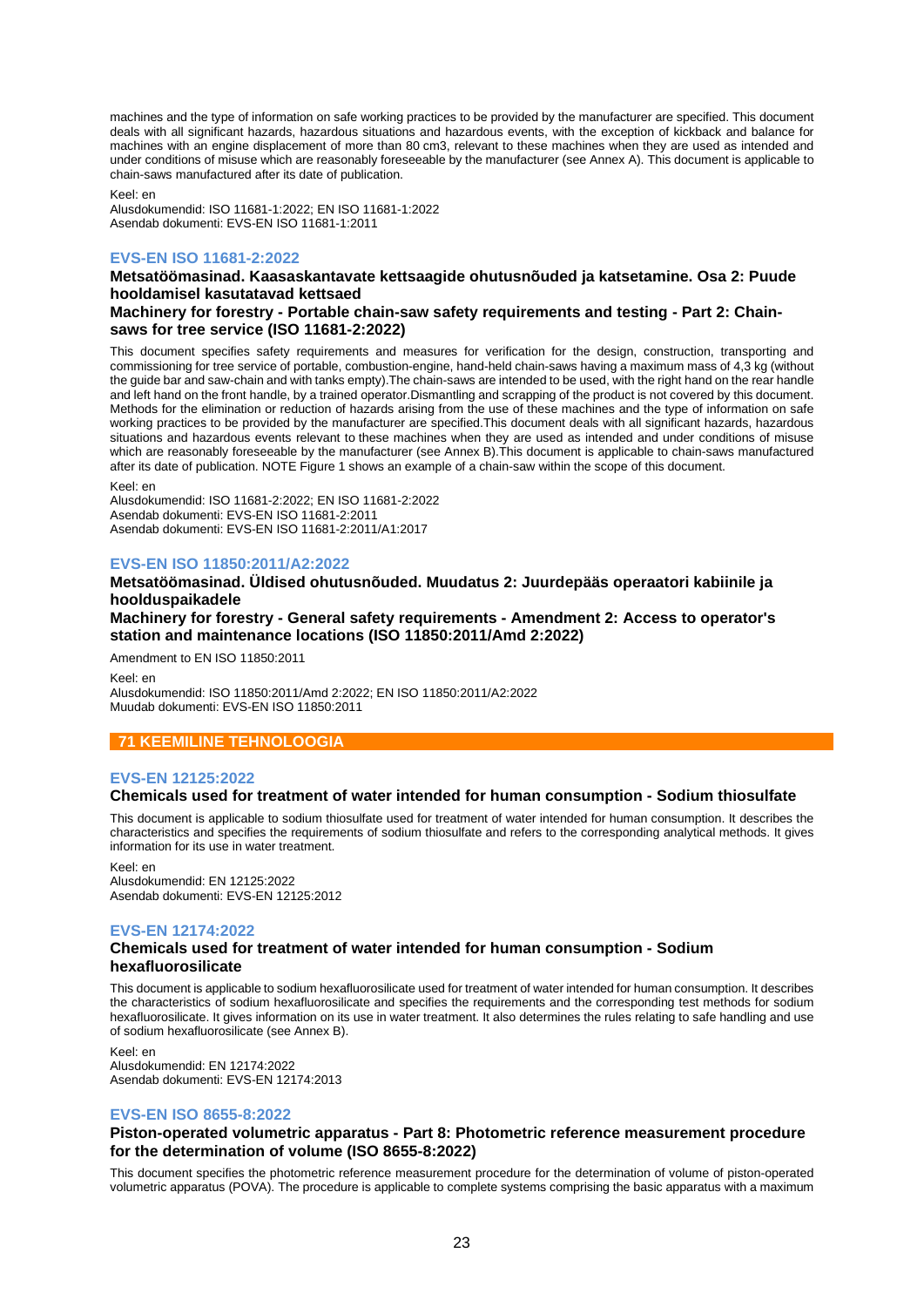machines and the type of information on safe working practices to be provided by the manufacturer are specified. This document deals with all significant hazards, hazardous situations and hazardous events, with the exception of kickback and balance for machines with an engine displacement of more than 80 cm3, relevant to these machines when they are used as intended and under conditions of misuse which are reasonably foreseeable by the manufacturer (see Annex A). This document is applicable to chain-saws manufactured after its date of publication.

Keel: en

Alusdokumendid: ISO 11681-1:2022; EN ISO 11681-1:2022 Asendab dokumenti: EVS-EN ISO 11681-1:2011

## **EVS-EN ISO 11681-2:2022**

## **Metsatöömasinad. Kaasaskantavate kettsaagide ohutusnõuded ja katsetamine. Osa 2: Puude hooldamisel kasutatavad kettsaed**

## **Machinery for forestry - Portable chain-saw safety requirements and testing - Part 2: Chainsaws for tree service (ISO 11681-2:2022)**

This document specifies safety requirements and measures for verification for the design, construction, transporting and commissioning for tree service of portable, combustion-engine, hand-held chain-saws having a maximum mass of 4,3 kg (without the guide bar and saw-chain and with tanks empty).The chain-saws are intended to be used, with the right hand on the rear handle and left hand on the front handle, by a trained operator.Dismantling and scrapping of the product is not covered by this document. Methods for the elimination or reduction of hazards arising from the use of these machines and the type of information on safe working practices to be provided by the manufacturer are specified. This document deals with all significant hazards, hazardous situations and hazardous events relevant to these machines when they are used as intended and under conditions of misuse which are reasonably foreseeable by the manufacturer (see Annex B).This document is applicable to chain-saws manufactured after its date of publication. NOTE Figure 1 shows an example of a chain-saw within the scope of this document.

Keel: en

Alusdokumendid: ISO 11681-2:2022; EN ISO 11681-2:2022 Asendab dokumenti: EVS-EN ISO 11681-2:2011 Asendab dokumenti: EVS-EN ISO 11681-2:2011/A1:2017

## **EVS-EN ISO 11850:2011/A2:2022**

## **Metsatöömasinad. Üldised ohutusnõuded. Muudatus 2: Juurdepääs operaatori kabiinile ja hoolduspaikadele**

## **Machinery for forestry - General safety requirements - Amendment 2: Access to operator's station and maintenance locations (ISO 11850:2011/Amd 2:2022)**

Amendment to EN ISO 11850:2011

Keel: en Alusdokumendid: ISO 11850:2011/Amd 2:2022; EN ISO 11850:2011/A2:2022 Muudab dokumenti: EVS-EN ISO 11850:2011

## **71 KEEMILINE TEHNOLOOGIA**

## **EVS-EN 12125:2022**

## **Chemicals used for treatment of water intended for human consumption - Sodium thiosulfate**

This document is applicable to sodium thiosulfate used for treatment of water intended for human consumption. It describes the characteristics and specifies the requirements of sodium thiosulfate and refers to the corresponding analytical methods. It gives information for its use in water treatment.

#### Keel: en

Alusdokumendid: EN 12125:2022 Asendab dokumenti: EVS-EN 12125:2012

## **EVS-EN 12174:2022**

## **Chemicals used for treatment of water intended for human consumption - Sodium hexafluorosilicate**

This document is applicable to sodium hexafluorosilicate used for treatment of water intended for human consumption. It describes the characteristics of sodium hexafluorosilicate and specifies the requirements and the corresponding test methods for sodium hexafluorosilicate. It gives information on its use in water treatment. It also determines the rules relating to safe handling and use of sodium hexafluorosilicate (see Annex B).

Keel: en Alusdokumendid: EN 12174:2022 Asendab dokumenti: EVS-EN 12174:2013

## **EVS-EN ISO 8655-8:2022**

## **Piston-operated volumetric apparatus - Part 8: Photometric reference measurement procedure for the determination of volume (ISO 8655-8:2022)**

This document specifies the photometric reference measurement procedure for the determination of volume of piston-operated volumetric apparatus (POVA). The procedure is applicable to complete systems comprising the basic apparatus with a maximum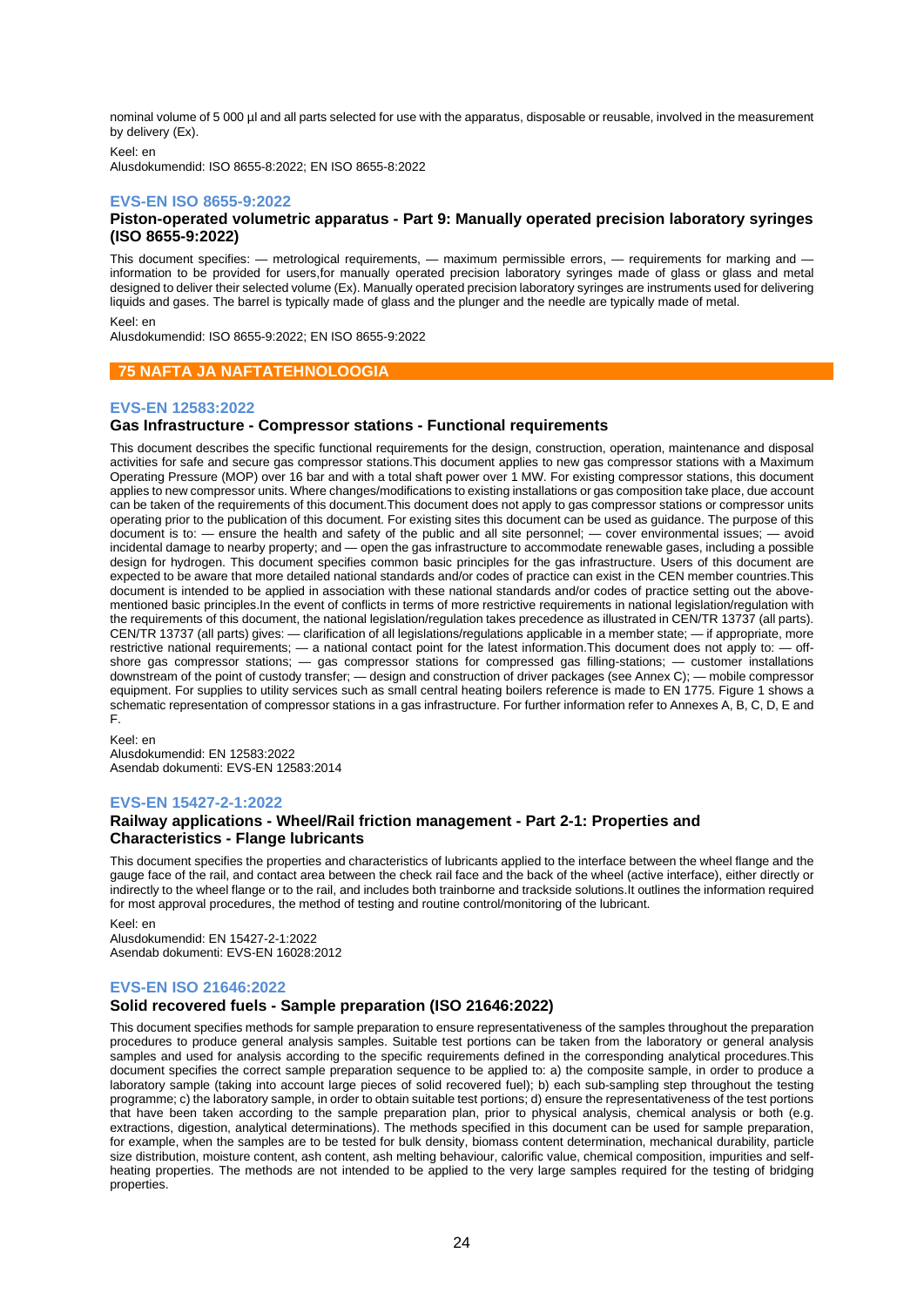nominal volume of 5 000 µl and all parts selected for use with the apparatus, disposable or reusable, involved in the measurement by delivery (Ex).

Keel: en Alusdokumendid: ISO 8655-8:2022; EN ISO 8655-8:2022

## **EVS-EN ISO 8655-9:2022**

## **Piston-operated volumetric apparatus - Part 9: Manually operated precision laboratory syringes (ISO 8655-9:2022)**

This document specifies: — metrological requirements, — maximum permissible errors, — requirements for marking and information to be provided for users,for manually operated precision laboratory syringes made of glass or glass and metal designed to deliver their selected volume (Ex). Manually operated precision laboratory syringes are instruments used for delivering liquids and gases. The barrel is typically made of glass and the plunger and the needle are typically made of metal.

Keel: en

Alusdokumendid: ISO 8655-9:2022; EN ISO 8655-9:2022

## **75 NAFTA JA NAFTATEHNOLOOGIA**

## **EVS-EN 12583:2022**

## **Gas Infrastructure - Compressor stations - Functional requirements**

This document describes the specific functional requirements for the design, construction, operation, maintenance and disposal activities for safe and secure gas compressor stations.This document applies to new gas compressor stations with a Maximum Operating Pressure (MOP) over 16 bar and with a total shaft power over 1 MW. For existing compressor stations, this document applies to new compressor units. Where changes/modifications to existing installations or gas composition take place, due account can be taken of the requirements of this document.This document does not apply to gas compressor stations or compressor units operating prior to the publication of this document. For existing sites this document can be used as guidance. The purpose of this document is to: — ensure the health and safety of the public and all site personnel; — cover environmental issues; — avoid incidental damage to nearby property; and — open the gas infrastructure to accommodate renewable gases, including a possible design for hydrogen. This document specifies common basic principles for the gas infrastructure. Users of this document are expected to be aware that more detailed national standards and/or codes of practice can exist in the CEN member countries.This document is intended to be applied in association with these national standards and/or codes of practice setting out the abovementioned basic principles.In the event of conflicts in terms of more restrictive requirements in national legislation/regulation with the requirements of this document, the national legislation/regulation takes precedence as illustrated in CEN/TR 13737 (all parts). CEN/TR 13737 (all parts) gives: — clarification of all legislations/regulations applicable in a member state; — if appropriate, more restrictive national requirements; — a national contact point for the latest information.This document does not apply to: — offshore gas compressor stations; — gas compressor stations for compressed gas filling-stations; — customer installations downstream of the point of custody transfer; — design and construction of driver packages (see Annex C); — mobile compressor equipment. For supplies to utility services such as small central heating boilers reference is made to EN 1775. Figure 1 shows a schematic representation of compressor stations in a gas infrastructure. For further information refer to Annexes A, B, C, D, E and F.

Keel: en

Alusdokumendid: EN 12583:2022 Asendab dokumenti: EVS-EN 12583:2014

## **EVS-EN 15427-2-1:2022**

## **Railway applications - Wheel/Rail friction management - Part 2-1: Properties and Characteristics - Flange lubricants**

This document specifies the properties and characteristics of lubricants applied to the interface between the wheel flange and the gauge face of the rail, and contact area between the check rail face and the back of the wheel (active interface), either directly or indirectly to the wheel flange or to the rail, and includes both trainborne and trackside solutions. It outlines the information required for most approval procedures, the method of testing and routine control/monitoring of the lubricant.

Keel: en Alusdokumendid: EN 15427-2-1:2022 Asendab dokumenti: EVS-EN 16028:2012

## **EVS-EN ISO 21646:2022**

## **Solid recovered fuels - Sample preparation (ISO 21646:2022)**

This document specifies methods for sample preparation to ensure representativeness of the samples throughout the preparation procedures to produce general analysis samples. Suitable test portions can be taken from the laboratory or general analysis samples and used for analysis according to the specific requirements defined in the corresponding analytical procedures.This document specifies the correct sample preparation sequence to be applied to: a) the composite sample, in order to produce a laboratory sample (taking into account large pieces of solid recovered fuel); b) each sub-sampling step throughout the testing programme; c) the laboratory sample, in order to obtain suitable test portions; d) ensure the representativeness of the test portions that have been taken according to the sample preparation plan, prior to physical analysis, chemical analysis or both (e.g. extractions, digestion, analytical determinations). The methods specified in this document can be used for sample preparation, for example, when the samples are to be tested for bulk density, biomass content determination, mechanical durability, particle size distribution, moisture content, ash content, ash melting behaviour, calorific value, chemical composition, impurities and selfheating properties. The methods are not intended to be applied to the very large samples required for the testing of bridging properties.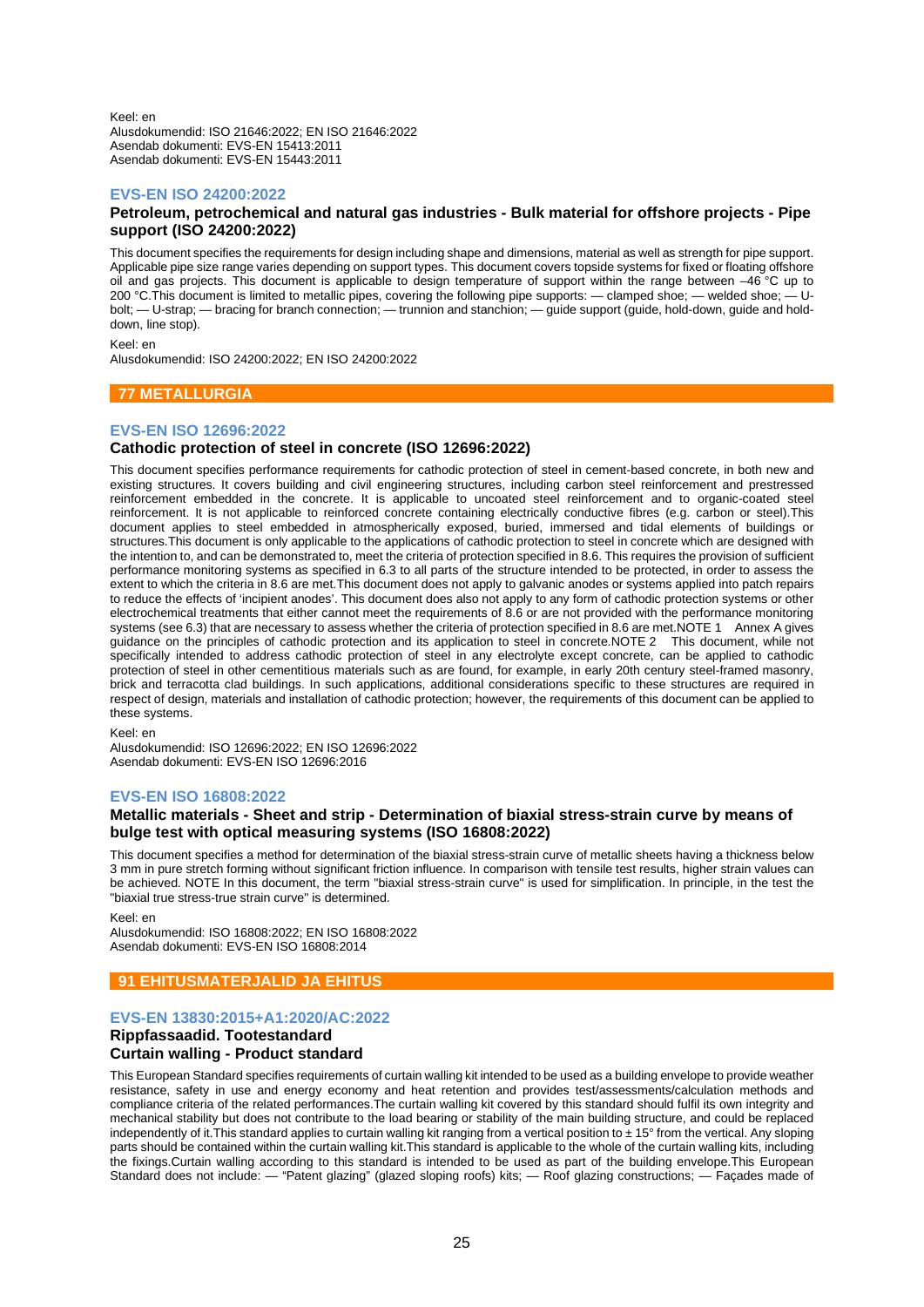Keel: en Alusdokumendid: ISO 21646:2022; EN ISO 21646:2022 Asendab dokumenti: EVS-EN 15413:2011 Asendab dokumenti: EVS-EN 15443:2011

## **EVS-EN ISO 24200:2022**

## **Petroleum, petrochemical and natural gas industries - Bulk material for offshore projects - Pipe support (ISO 24200:2022)**

This document specifies the requirements for design including shape and dimensions, material as well as strength for pipe support. Applicable pipe size range varies depending on support types. This document covers topside systems for fixed or floating offshore oil and gas projects. This document is applicable to design temperature of support within the range between  $-46^{\circ}$ C up to 200 °C This document is limited to metallic pipes covering the following pipe supports: — clampe 200 °C. This document is limited to metallic pipes, covering the following pipe supports: — clamped shoe; — welded shoe; bolt; — U-strap; — bracing for branch connection; — trunnion and stanchion; — guide support (guide, hold-down, guide and holddown, line stop).

Keel: en

Alusdokumendid: ISO 24200:2022; EN ISO 24200:2022

## **77 METALLURGIA**

## **EVS-EN ISO 12696:2022**

## **Cathodic protection of steel in concrete (ISO 12696:2022)**

This document specifies performance requirements for cathodic protection of steel in cement-based concrete, in both new and existing structures. It covers building and civil engineering structures, including carbon steel reinforcement and prestressed reinforcement embedded in the concrete. It is applicable to uncoated steel reinforcement and to organic-coated steel reinforcement. It is not applicable to reinforced concrete containing electrically conductive fibres (e.g. carbon or steel).This document applies to steel embedded in atmospherically exposed, buried, immersed and tidal elements of buildings or structures.This document is only applicable to the applications of cathodic protection to steel in concrete which are designed with the intention to, and can be demonstrated to, meet the criteria of protection specified in 8.6. This requires the provision of sufficient performance monitoring systems as specified in 6.3 to all parts of the structure intended to be protected, in order to assess the extent to which the criteria in 8.6 are met.This document does not apply to galvanic anodes or systems applied into patch repairs to reduce the effects of 'incipient anodes'. This document does also not apply to any form of cathodic protection systems or other electrochemical treatments that either cannot meet the requirements of 8.6 or are not provided with the performance monitoring systems (see 6.3) that are necessary to assess whether the criteria of protection specified in 8.6 are met.NOTE 1 Annex A gives guidance on the principles of cathodic protection and its application to steel in concrete.NOTE 2 This document, while not specifically intended to address cathodic protection of steel in any electrolyte except concrete, can be applied to cathodic protection of steel in other cementitious materials such as are found, for example, in early 20th century steel-framed masonry, brick and terracotta clad buildings. In such applications, additional considerations specific to these structures are required in respect of design, materials and installation of cathodic protection; however, the requirements of this document can be applied to these systems.

Keel: en

Alusdokumendid: ISO 12696:2022; EN ISO 12696:2022 Asendab dokumenti: EVS-EN ISO 12696:2016

## **EVS-EN ISO 16808:2022**

## **Metallic materials - Sheet and strip - Determination of biaxial stress-strain curve by means of bulge test with optical measuring systems (ISO 16808:2022)**

This document specifies a method for determination of the biaxial stress-strain curve of metallic sheets having a thickness below 3 mm in pure stretch forming without significant friction influence. In comparison with tensile test results, higher strain values can be achieved. NOTE In this document, the term "biaxial stress-strain curve" is used for simplification. In principle, in the test the "biaxial true stress-true strain curve" is determined.

Keel: en

Alusdokumendid: ISO 16808:2022; EN ISO 16808:2022 Asendab dokumenti: EVS-EN ISO 16808:2014

## **91 EHITUSMATERJALID JA EHITUS**

## **EVS-EN 13830:2015+A1:2020/AC:2022**

## **Rippfassaadid. Tootestandard Curtain walling - Product standard**

This European Standard specifies requirements of curtain walling kit intended to be used as a building envelope to provide weather resistance, safety in use and energy economy and heat retention and provides test/assessments/calculation methods and compliance criteria of the related performances.The curtain walling kit covered by this standard should fulfil its own integrity and mechanical stability but does not contribute to the load bearing or stability of the main building structure, and could be replaced independently of it.This standard applies to curtain walling kit ranging from a vertical position to ± 15° from the vertical. Any sloping parts should be contained within the curtain walling kit.This standard is applicable to the whole of the curtain walling kits, including the fixings.Curtain walling according to this standard is intended to be used as part of the building envelope.This European Standard does not include: — "Patent glazing" (glazed sloping roofs) kits; — Roof glazing constructions; — Façades made of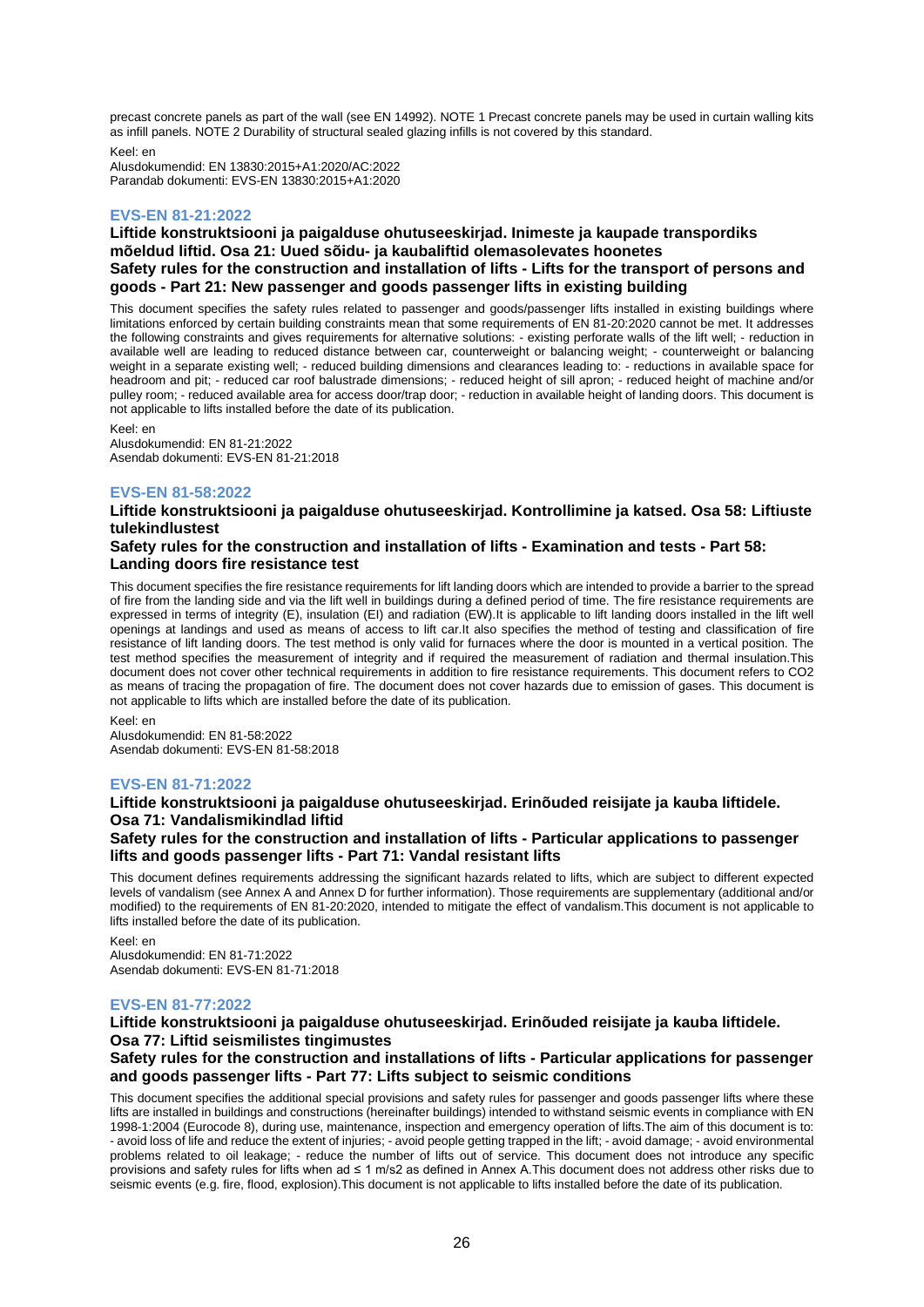precast concrete panels as part of the wall (see EN 14992). NOTE 1 Precast concrete panels may be used in curtain walling kits as infill panels. NOTE 2 Durability of structural sealed glazing infills is not covered by this standard.

Keel: en

Alusdokumendid: EN 13830:2015+A1:2020/AC:2022 Parandab dokumenti: EVS-EN 13830:2015+A1:2020

## **EVS-EN 81-21:2022**

## **Liftide konstruktsiooni ja paigalduse ohutuseeskirjad. Inimeste ja kaupade transpordiks mõeldud liftid. Osa 21: Uued sõidu- ja kaubaliftid olemasolevates hoonetes Safety rules for the construction and installation of lifts - Lifts for the transport of persons and goods - Part 21: New passenger and goods passenger lifts in existing building**

This document specifies the safety rules related to passenger and goods/passenger lifts installed in existing buildings where limitations enforced by certain building constraints mean that some requirements of EN 81-20:2020 cannot be met. It addresses the following constraints and gives requirements for alternative solutions: - existing perforate walls of the lift well; - reduction in available well are leading to reduced distance between car, counterweight or balancing weight; - counterweight or balancing weight in a separate existing well; - reduced building dimensions and clearances leading to: - reductions in available space for headroom and pit; - reduced car roof balustrade dimensions; - reduced height of sill apron; - reduced height of machine and/or pulley room; - reduced available area for access door/trap door; - reduction in available height of landing doors. This document is not applicable to lifts installed before the date of its publication.

Keel: en

Alusdokumendid: EN 81-21:2022 Asendab dokumenti: EVS-EN 81-21:2018

## **EVS-EN 81-58:2022**

## **Liftide konstruktsiooni ja paigalduse ohutuseeskirjad. Kontrollimine ja katsed. Osa 58: Liftiuste tulekindlustest**

## **Safety rules for the construction and installation of lifts - Examination and tests - Part 58: Landing doors fire resistance test**

This document specifies the fire resistance requirements for lift landing doors which are intended to provide a barrier to the spread of fire from the landing side and via the lift well in buildings during a defined period of time. The fire resistance requirements are expressed in terms of integrity (E), insulation (EI) and radiation (EW).It is applicable to lift landing doors installed in the lift well openings at landings and used as means of access to lift car.It also specifies the method of testing and classification of fire resistance of lift landing doors. The test method is only valid for furnaces where the door is mounted in a vertical position. The test method specifies the measurement of integrity and if required the measurement of radiation and thermal insulation.This document does not cover other technical requirements in addition to fire resistance requirements. This document refers to CO2 as means of tracing the propagation of fire. The document does not cover hazards due to emission of gases. This document is not applicable to lifts which are installed before the date of its publication.

Keel: en Alusdokumendid: EN 81-58:2022 Asendab dokumenti: EVS-EN 81-58:2018

## **EVS-EN 81-71:2022**

# **Liftide konstruktsiooni ja paigalduse ohutuseeskirjad. Erinõuded reisijate ja kauba liftidele. Osa 71: Vandalismikindlad liftid**

## **Safety rules for the construction and installation of lifts - Particular applications to passenger lifts and goods passenger lifts - Part 71: Vandal resistant lifts**

This document defines requirements addressing the significant hazards related to lifts, which are subject to different expected levels of vandalism (see Annex A and Annex D for further information). Those requirements are supplementary (additional and/or modified) to the requirements of EN 81-20:2020, intended to mitigate the effect of vandalism.This document is not applicable to lifts installed before the date of its publication.

Keel: en Alusdokumendid: EN 81-71:2022 Asendab dokumenti: EVS-EN 81-71:2018

## **EVS-EN 81-77:2022**

## **Liftide konstruktsiooni ja paigalduse ohutuseeskirjad. Erinõuded reisijate ja kauba liftidele. Osa 77: Liftid seismilistes tingimustes Safety rules for the construction and installations of lifts - Particular applications for passenger**

# **and goods passenger lifts - Part 77: Lifts subject to seismic conditions** This document specifies the additional special provisions and safety rules for passenger and goods passenger lifts where these

lifts are installed in buildings and constructions (hereinafter buildings) intended to withstand seismic events in compliance with EN 1998-1:2004 (Eurocode 8), during use, maintenance, inspection and emergency operation of lifts.The aim of this document is to: - avoid loss of life and reduce the extent of injuries; - avoid people getting trapped in the lift; - avoid damage; - avoid environmental problems related to oil leakage; - reduce the number of lifts out of service. This document does not introduce any specific provisions and safety rules for lifts when ad ≤ 1 m/s2 as defined in Annex A.This document does not address other risks due to seismic events (e.g. fire, flood, explosion).This document is not applicable to lifts installed before the date of its publication.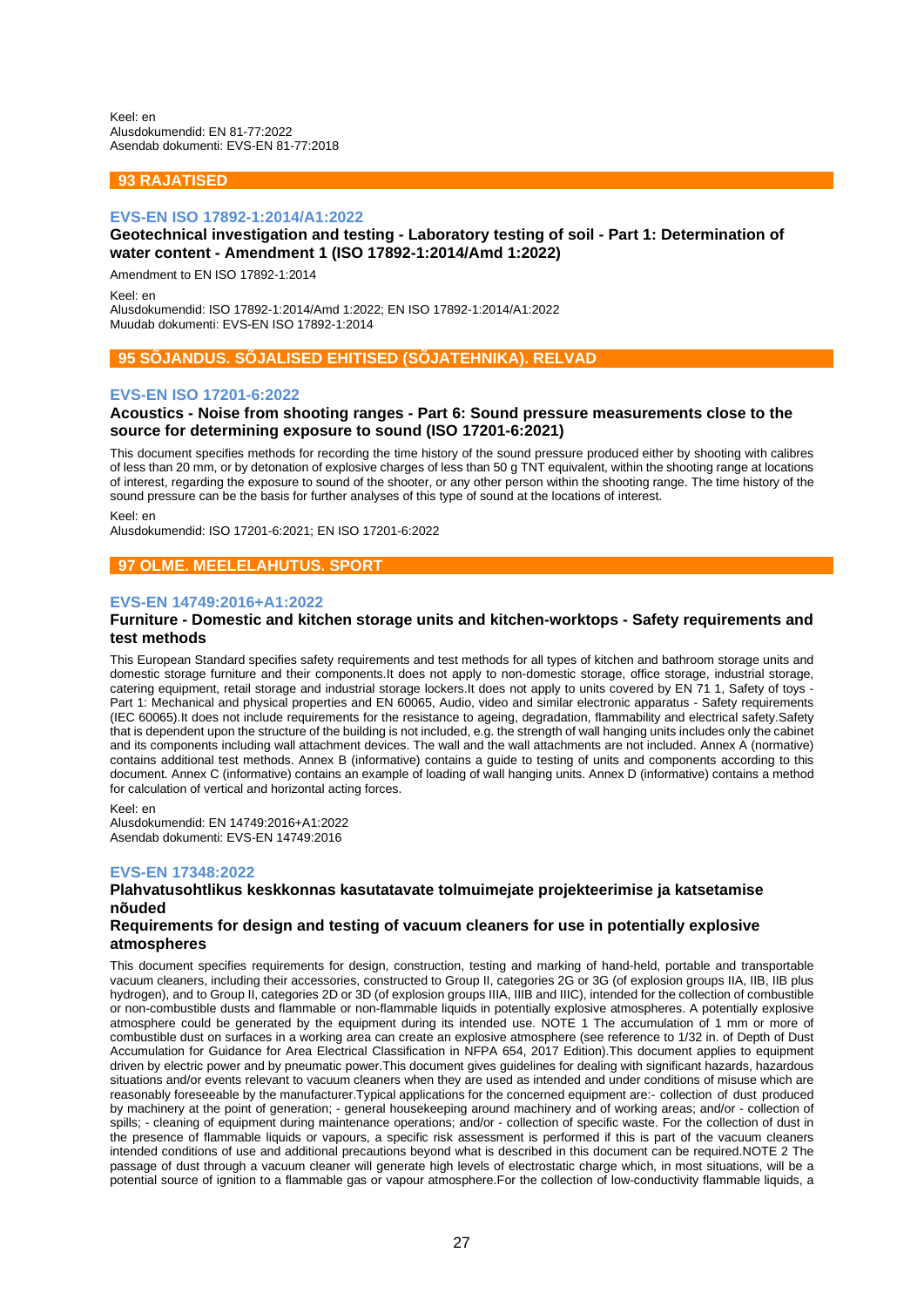Keel: en Alusdokumendid: EN 81-77:2022 Asendab dokumenti: EVS-EN 81-77:2018

## **93 RAJATISED**

#### **EVS-EN ISO 17892-1:2014/A1:2022**

## **Geotechnical investigation and testing - Laboratory testing of soil - Part 1: Determination of water content - Amendment 1 (ISO 17892-1:2014/Amd 1:2022)**

Amendment to EN ISO 17892-1:2014

Keel: en

Alusdokumendid: ISO 17892-1:2014/Amd 1:2022; EN ISO 17892-1:2014/A1:2022 Muudab dokumenti: EVS-EN ISO 17892-1:2014

## **95 SÕJANDUS. SÕJALISED EHITISED (SÕJATEHNIKA). RELVAD**

## **EVS-EN ISO 17201-6:2022**

## **Acoustics - Noise from shooting ranges - Part 6: Sound pressure measurements close to the source for determining exposure to sound (ISO 17201-6:2021)**

This document specifies methods for recording the time history of the sound pressure produced either by shooting with calibres of less than 20 mm, or by detonation of explosive charges of less than 50 g TNT equivalent, within the shooting range at locations of interest, regarding the exposure to sound of the shooter, or any other person within the shooting range. The time history of the sound pressure can be the basis for further analyses of this type of sound at the locations of interest.

Keel: en

Alusdokumendid: ISO 17201-6:2021; EN ISO 17201-6:2022

## **97 OLME. MEELELAHUTUS. SPORT**

## **EVS-EN 14749:2016+A1:2022**

## **Furniture - Domestic and kitchen storage units and kitchen-worktops - Safety requirements and test methods**

This European Standard specifies safety requirements and test methods for all types of kitchen and bathroom storage units and domestic storage furniture and their components.It does not apply to non-domestic storage, office storage, industrial storage, catering equipment, retail storage and industrial storage lockers.It does not apply to units covered by EN 71 1, Safety of toys - Part 1: Mechanical and physical properties and EN 60065, Audio, video and similar electronic apparatus - Safety requirements (IEC 60065).It does not include requirements for the resistance to ageing, degradation, flammability and electrical safety.Safety that is dependent upon the structure of the building is not included, e.g. the strength of wall hanging units includes only the cabinet and its components including wall attachment devices. The wall and the wall attachments are not included. Annex A (normative) contains additional test methods. Annex B (informative) contains a guide to testing of units and components according to this document. Annex C (informative) contains an example of loading of wall hanging units. Annex D (informative) contains a method for calculation of vertical and horizontal acting forces.

Keel: en

Alusdokumendid: EN 14749:2016+A1:2022 Asendab dokumenti: EVS-EN 14749:2016

#### **EVS-EN 17348:2022**

## **Plahvatusohtlikus keskkonnas kasutatavate tolmuimejate projekteerimise ja katsetamise nõuded**

## **Requirements for design and testing of vacuum cleaners for use in potentially explosive atmospheres**

This document specifies requirements for design, construction, testing and marking of hand-held, portable and transportable vacuum cleaners, including their accessories, constructed to Group II, categories 2G or 3G (of explosion groups IIA, IIB, IIB plus hydrogen), and to Group II, categories 2D or 3D (of explosion groups IIIA, IIIB and IIIC), intended for the collection of combustible or non-combustible dusts and flammable or non-flammable liquids in potentially explosive atmospheres. A potentially explosive atmosphere could be generated by the equipment during its intended use. NOTE 1 The accumulation of 1 mm or more of combustible dust on surfaces in a working area can create an explosive atmosphere (see reference to 1/32 in. of Depth of Dust Accumulation for Guidance for Area Electrical Classification in NFPA 654, 2017 Edition).This document applies to equipment driven by electric power and by pneumatic power.This document gives guidelines for dealing with significant hazards, hazardous situations and/or events relevant to vacuum cleaners when they are used as intended and under conditions of misuse which are reasonably foreseeable by the manufacturer.Typical applications for the concerned equipment are:- collection of dust produced by machinery at the point of generation; - general housekeeping around machinery and of working areas; and/or - collection of spills; - cleaning of equipment during maintenance operations; and/or - collection of specific waste. For the collection of dust in the presence of flammable liquids or vapours, a specific risk assessment is performed if this is part of the vacuum cleaners intended conditions of use and additional precautions beyond what is described in this document can be required.NOTE 2 The passage of dust through a vacuum cleaner will generate high levels of electrostatic charge which, in most situations, will be a potential source of ignition to a flammable gas or vapour atmosphere.For the collection of low-conductivity flammable liquids, a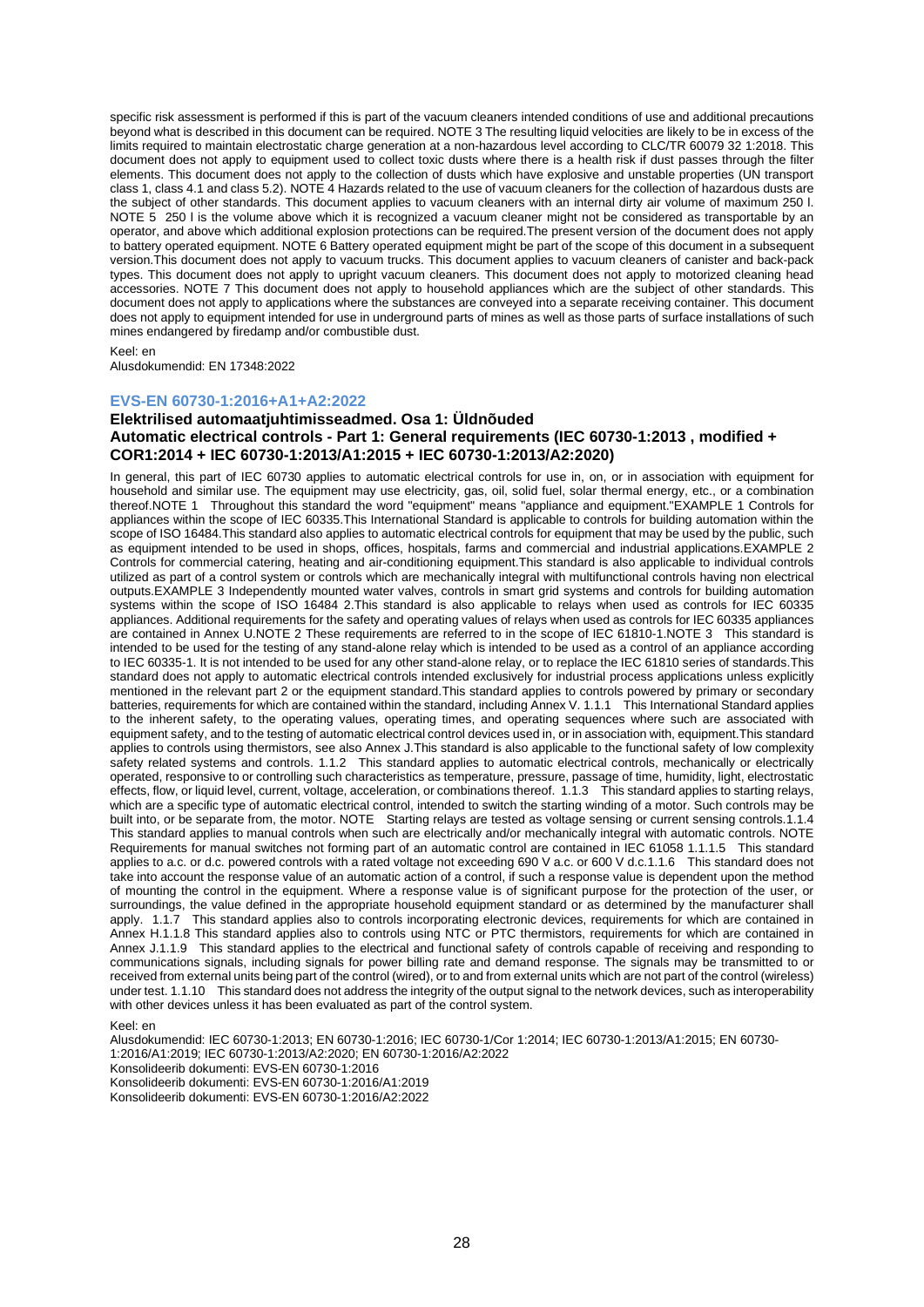specific risk assessment is performed if this is part of the vacuum cleaners intended conditions of use and additional precautions beyond what is described in this document can be required. NOTE 3 The resulting liquid velocities are likely to be in excess of the limits required to maintain electrostatic charge generation at a non-hazardous level according to CLC/TR 60079 32 1:2018. This document does not apply to equipment used to collect toxic dusts where there is a health risk if dust passes through the filter elements. This document does not apply to the collection of dusts which have explosive and unstable properties (UN transport class 1, class 4.1 and class 5.2). NOTE 4 Hazards related to the use of vacuum cleaners for the collection of hazardous dusts are the subject of other standards. This document applies to vacuum cleaners with an internal dirty air volume of maximum 250 l. NOTE 5 250 l is the volume above which it is recognized a vacuum cleaner might not be considered as transportable by an operator, and above which additional explosion protections can be required.The present version of the document does not apply to battery operated equipment. NOTE 6 Battery operated equipment might be part of the scope of this document in a subsequent version.This document does not apply to vacuum trucks. This document applies to vacuum cleaners of canister and back-pack types. This document does not apply to upright vacuum cleaners. This document does not apply to motorized cleaning head accessories. NOTE 7 This document does not apply to household appliances which are the subject of other standards. This document does not apply to applications where the substances are conveyed into a separate receiving container. This document does not apply to equipment intended for use in underground parts of mines as well as those parts of surface installations of such mines endangered by firedamp and/or combustible dust.

#### Keel: en

Alusdokumendid: EN 17348:2022

#### **EVS-EN 60730-1:2016+A1+A2:2022**

## **Elektrilised automaatjuhtimisseadmed. Osa 1: Üldnõuded Automatic electrical controls - Part 1: General requirements (IEC 60730-1:2013 , modified + COR1:2014 + IEC 60730-1:2013/A1:2015 + IEC 60730-1:2013/A2:2020)**

In general, this part of IEC 60730 applies to automatic electrical controls for use in, on, or in association with equipment for household and similar use. The equipment may use electricity, gas, oil, solid fuel, solar thermal energy, etc., or a combination thereof.NOTE 1 Throughout this standard the word "equipment" means "appliance and equipment."EXAMPLE 1 Controls for appliances within the scope of IEC 60335.This International Standard is applicable to controls for building automation within the scope of ISO 16484.This standard also applies to automatic electrical controls for equipment that may be used by the public, such as equipment intended to be used in shops, offices, hospitals, farms and commercial and industrial applications.EXAMPLE 2 Controls for commercial catering, heating and air-conditioning equipment.This standard is also applicable to individual controls utilized as part of a control system or controls which are mechanically integral with multifunctional controls having non electrical outputs.EXAMPLE 3 Independently mounted water valves, controls in smart grid systems and controls for building automation systems within the scope of ISO 16484 2.This standard is also applicable to relays when used as controls for IEC 60335 appliances. Additional requirements for the safety and operating values of relays when used as controls for IEC 60335 appliances are contained in Annex U.NOTE 2 These requirements are referred to in the scope of IEC 61810-1.NOTE 3 This standard is intended to be used for the testing of any stand-alone relay which is intended to be used as a control of an appliance according to IEC 60335-1. It is not intended to be used for any other stand-alone relay, or to replace the IEC 61810 series of standards.This standard does not apply to automatic electrical controls intended exclusively for industrial process applications unless explicitly mentioned in the relevant part 2 or the equipment standard. This standard applies to controls powered by primary or secondary batteries, requirements for which are contained within the standard, including Annex V. 1.1.1 This International Standard applies to the inherent safety, to the operating values, operating times, and operating sequences where such are associated with equipment safety, and to the testing of automatic electrical control devices used in, or in association with, equipment.This standard applies to controls using thermistors, see also Annex J.This standard is also applicable to the functional safety of low complexity safety related systems and controls. 1.1.2 This standard applies to automatic electrical controls, mechanically or electrically operated, responsive to or controlling such characteristics as temperature, pressure, passage of time, humidity, light, electrostatic effects, flow, or liquid level, current, voltage, acceleration, or combinations thereof. 1.1.3 This standard applies to starting relays, which are a specific type of automatic electrical control, intended to switch the starting winding of a motor. Such controls may be built into, or be separate from, the motor. NOTE Starting relays are tested as voltage sensing or current sensing controls.1.1.4 This standard applies to manual controls when such are electrically and/or mechanically integral with automatic controls. NOTE Requirements for manual switches not forming part of an automatic control are contained in IEC 61058 1.1.1.5 This standard applies to a.c. or d.c. powered controls with a rated voltage not exceeding 690 V a.c. or 600 V d.c.1.1.6 This standard does not take into account the response value of an automatic action of a control, if such a response value is dependent upon the method of mounting the control in the equipment. Where a response value is of significant purpose for the protection of the user, or surroundings, the value defined in the appropriate household equipment standard or as determined by the manufacturer shall apply. 1.1.7 This standard applies also to controls incorporating electronic devices, requirements for which are contained in Annex H.1.1.8 This standard applies also to controls using NTC or PTC thermistors, requirements for which are contained in Annex J.1.1.9 This standard applies to the electrical and functional safety of controls capable of receiving and responding to communications signals, including signals for power billing rate and demand response. The signals may be transmitted to or received from external units being part of the control (wired), or to and from external units which are not part of the control (wireless) under test. 1.1.10 This standard does not address the integrity of the output signal to the network devices, such as interoperability with other devices unless it has been evaluated as part of the control system.

Keel: en

Alusdokumendid: IEC 60730-1:2013; EN 60730-1:2016; IEC 60730-1/Cor 1:2014; IEC 60730-1:2013/A1:2015; EN 60730- 1:2016/A1:2019; IEC 60730-1:2013/A2:2020; EN 60730-1:2016/A2:2022 Konsolideerib dokumenti: EVS-EN 60730-1:2016 Konsolideerib dokumenti: EVS-EN 60730-1:2016/A1:2019 Konsolideerib dokumenti: EVS-EN 60730-1:2016/A2:2022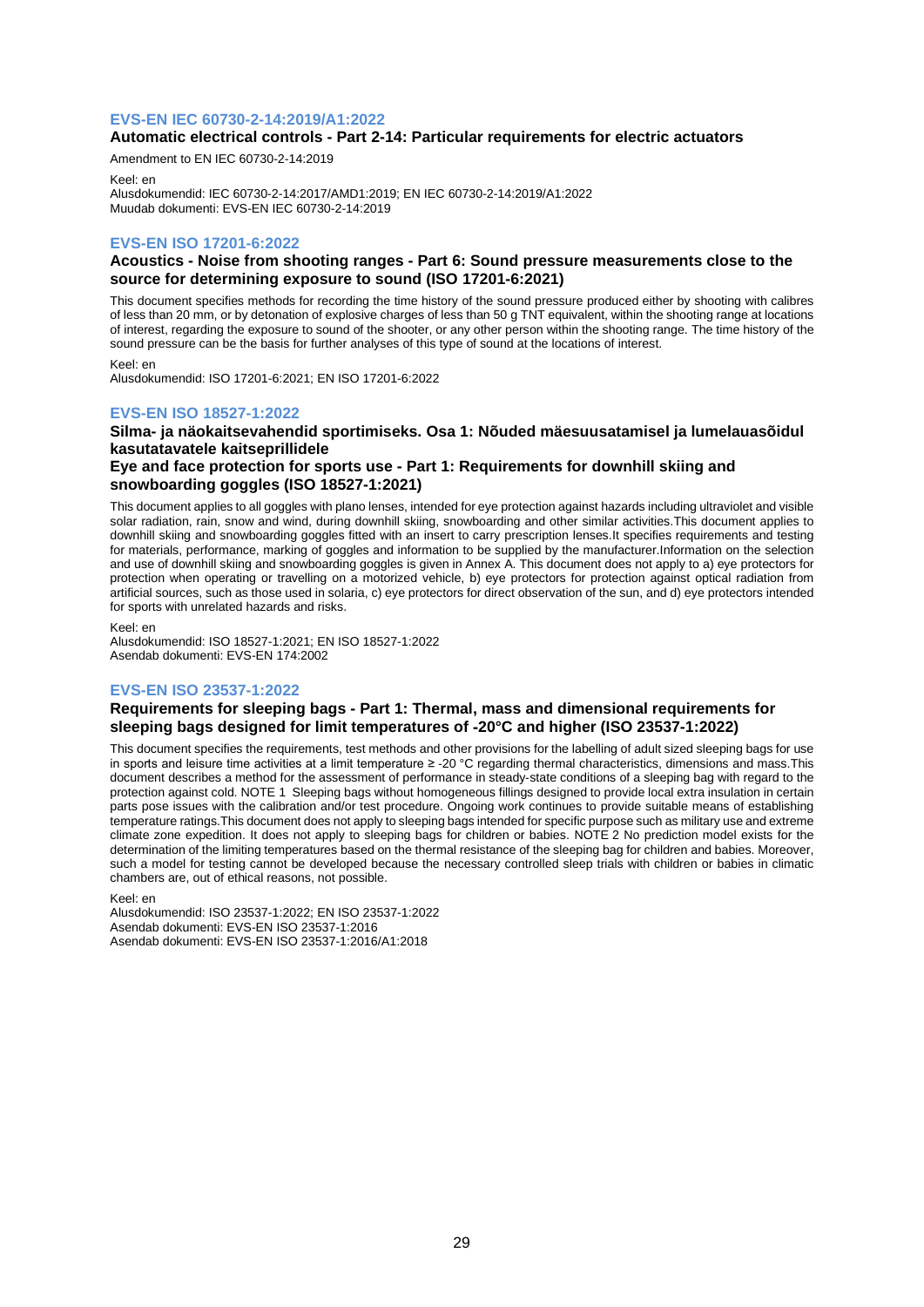## **EVS-EN IEC 60730-2-14:2019/A1:2022**

## **Automatic electrical controls - Part 2-14: Particular requirements for electric actuators**

Amendment to EN IEC 60730-2-14:2019 Keel: en

Alusdokumendid: IEC 60730-2-14:2017/AMD1:2019; EN IEC 60730-2-14:2019/A1:2022 Muudab dokumenti: EVS-EN IEC 60730-2-14:2019

## **EVS-EN ISO 17201-6:2022**

## **Acoustics - Noise from shooting ranges - Part 6: Sound pressure measurements close to the source for determining exposure to sound (ISO 17201-6:2021)**

This document specifies methods for recording the time history of the sound pressure produced either by shooting with calibres of less than 20 mm, or by detonation of explosive charges of less than 50 g TNT equivalent, within the shooting range at locations of interest, regarding the exposure to sound of the shooter, or any other person within the shooting range. The time history of the sound pressure can be the basis for further analyses of this type of sound at the locations of interest.

Keel: en Alusdokumendid: ISO 17201-6:2021; EN ISO 17201-6:2022

## **EVS-EN ISO 18527-1:2022**

## **Silma- ja näokaitsevahendid sportimiseks. Osa 1: Nõuded mäesuusatamisel ja lumelauasõidul kasutatavatele kaitseprillidele**

## **Eye and face protection for sports use - Part 1: Requirements for downhill skiing and snowboarding goggles (ISO 18527-1:2021)**

This document applies to all goggles with plano lenses, intended for eye protection against hazards including ultraviolet and visible solar radiation, rain, snow and wind, during downhill skiing, snowboarding and other similar activities.This document applies to downhill skiing and snowboarding goggles fitted with an insert to carry prescription lenses.It specifies requirements and testing for materials, performance, marking of goggles and information to be supplied by the manufacturer.Information on the selection and use of downhill skiing and snowboarding goggles is given in Annex A. This document does not apply to a) eye protectors for protection when operating or travelling on a motorized vehicle, b) eye protectors for protection against optical radiation from artificial sources, such as those used in solaria, c) eye protectors for direct observation of the sun, and d) eye protectors intended for sports with unrelated hazards and risks.

Keel: en

Alusdokumendid: ISO 18527-1:2021; EN ISO 18527-1:2022 Asendab dokumenti: EVS-EN 174:2002

## **EVS-EN ISO 23537-1:2022**

## **Requirements for sleeping bags - Part 1: Thermal, mass and dimensional requirements for sleeping bags designed for limit temperatures of** ‑**20°C and higher (ISO 23537-1:2022)**

This document specifies the requirements, test methods and other provisions for the labelling of adult sized sleeping bags for use in sports and leisure time activities at a limit temperature ≥ ‑20 °C regarding thermal characteristics, dimensions and mass.This document describes a method for the assessment of performance in steady‑state conditions of a sleeping bag with regard to the protection against cold. NOTE 1 Sleeping bags without homogeneous fillings designed to provide local extra insulation in certain parts pose issues with the calibration and/or test procedure. Ongoing work continues to provide suitable means of establishing temperature ratings.This document does not apply to sleeping bags intended for specific purpose such as military use and extreme climate zone expedition. It does not apply to sleeping bags for children or babies. NOTE 2 No prediction model exists for the determination of the limiting temperatures based on the thermal resistance of the sleeping bag for children and babies. Moreover, such a model for testing cannot be developed because the necessary controlled sleep trials with children or babies in climatic chambers are, out of ethical reasons, not possible.

Keel: en

Alusdokumendid: ISO 23537-1:2022; EN ISO 23537-1:2022 Asendab dokumenti: EVS-EN ISO 23537-1:2016 Asendab dokumenti: EVS-EN ISO 23537-1:2016/A1:2018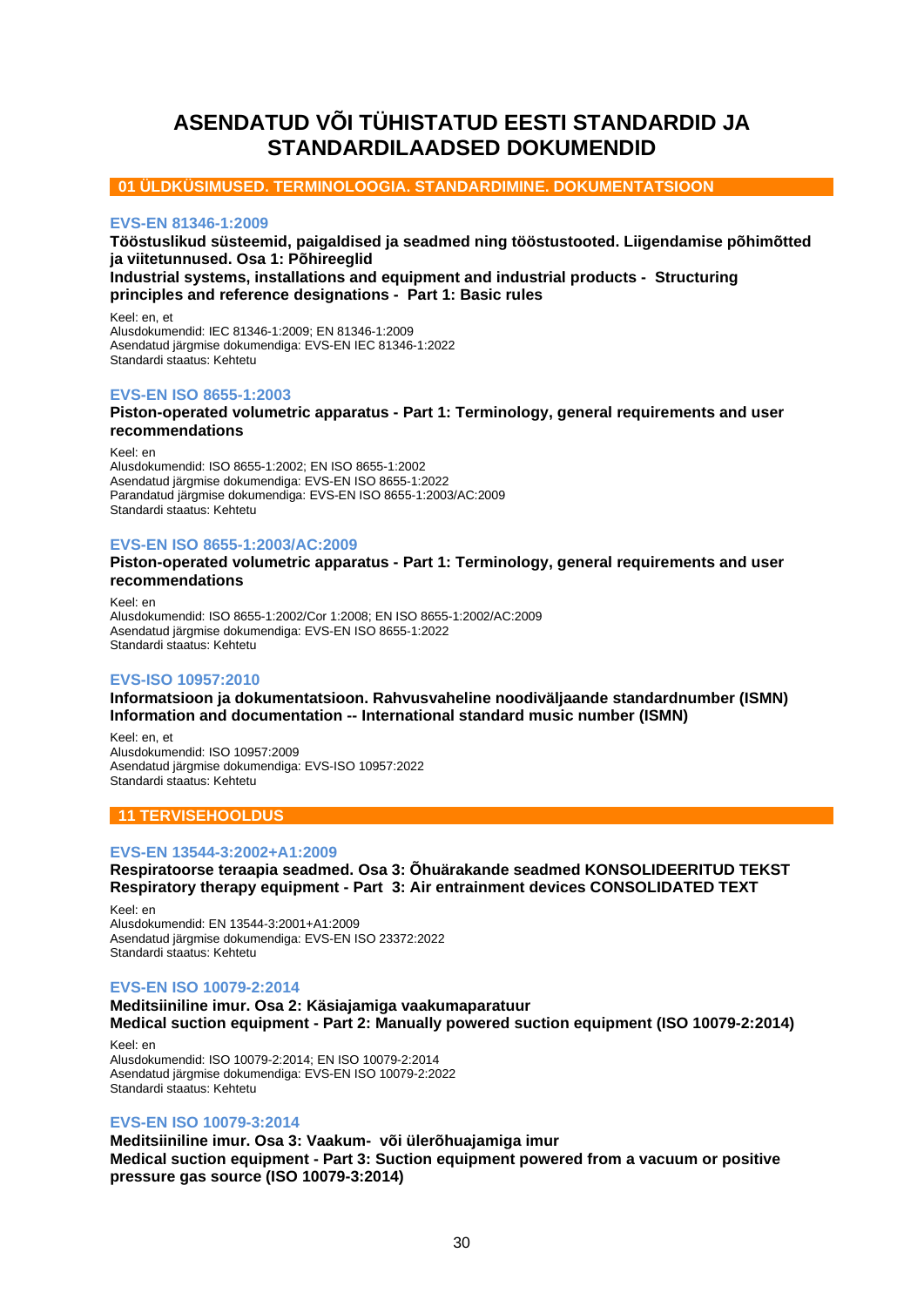# <span id="page-29-0"></span>**ASENDATUD VÕI TÜHISTATUD EESTI STANDARDID JA STANDARDILAADSED DOKUMENDID**

## **01 ÜLDKÜSIMUSED. TERMINOLOOGIA. STANDARDIMINE. DOKUMENTATSIOON**

## **EVS-EN 81346-1:2009**

**Tööstuslikud süsteemid, paigaldised ja seadmed ning tööstustooted. Liigendamise põhimõtted ja viitetunnused. Osa 1: Põhireeglid**

**Industrial systems, installations and equipment and industrial products - Structuring principles and reference designations - Part 1: Basic rules**

Keel: en, et Alusdokumendid: IEC 81346-1:2009; EN 81346-1:2009 Asendatud järgmise dokumendiga: EVS-EN IEC 81346-1:2022 Standardi staatus: Kehtetu

## **EVS-EN ISO 8655-1:2003**

**Piston-operated volumetric apparatus - Part 1: Terminology, general requirements and user recommendations**

Keel: en Alusdokumendid: ISO 8655-1:2002; EN ISO 8655-1:2002 Asendatud järgmise dokumendiga: EVS-EN ISO 8655-1:2022 Parandatud järgmise dokumendiga: EVS-EN ISO 8655-1:2003/AC:2009 Standardi staatus: Kehtetu

## **EVS-EN ISO 8655-1:2003/AC:2009**

**Piston-operated volumetric apparatus - Part 1: Terminology, general requirements and user recommendations**

Keel: en Alusdokumendid: ISO 8655-1:2002/Cor 1:2008; EN ISO 8655-1:2002/AC:2009 Asendatud järgmise dokumendiga: EVS-EN ISO 8655-1:2022 Standardi staatus: Kehtetu

## **EVS-ISO 10957:2010**

**Informatsioon ja dokumentatsioon. Rahvusvaheline noodiväljaande standardnumber (ISMN) Information and documentation -- International standard music number (ISMN)**

Keel: en, et Alusdokumendid: ISO 10957:2009 Asendatud järgmise dokumendiga: EVS-ISO 10957:2022 Standardi staatus: Kehtetu

## **11 TERVISEHOOLDUS**

## **EVS-EN 13544-3:2002+A1:2009**

**Respiratoorse teraapia seadmed. Osa 3: Õhuärakande seadmed KONSOLIDEERITUD TEKST Respiratory therapy equipment - Part 3: Air entrainment devices CONSOLIDATED TEXT**

Keel: en Alusdokumendid: EN 13544-3:2001+A1:2009 Asendatud järgmise dokumendiga: EVS-EN ISO 23372:2022 Standardi staatus: Kehtetu

## **EVS-EN ISO 10079-2:2014**

## **Meditsiiniline imur. Osa 2: Käsiajamiga vaakumaparatuur**

**Medical suction equipment - Part 2: Manually powered suction equipment (ISO 10079-2:2014)**

Keel: en Alusdokumendid: ISO 10079-2:2014; EN ISO 10079-2:2014 Asendatud järgmise dokumendiga: EVS-EN ISO 10079-2:2022 Standardi staatus: Kehtetu

## **EVS-EN ISO 10079-3:2014**

**Meditsiiniline imur. Osa 3: Vaakum- või ülerõhuajamiga imur Medical suction equipment - Part 3: Suction equipment powered from a vacuum or positive pressure gas source (ISO 10079-3:2014)**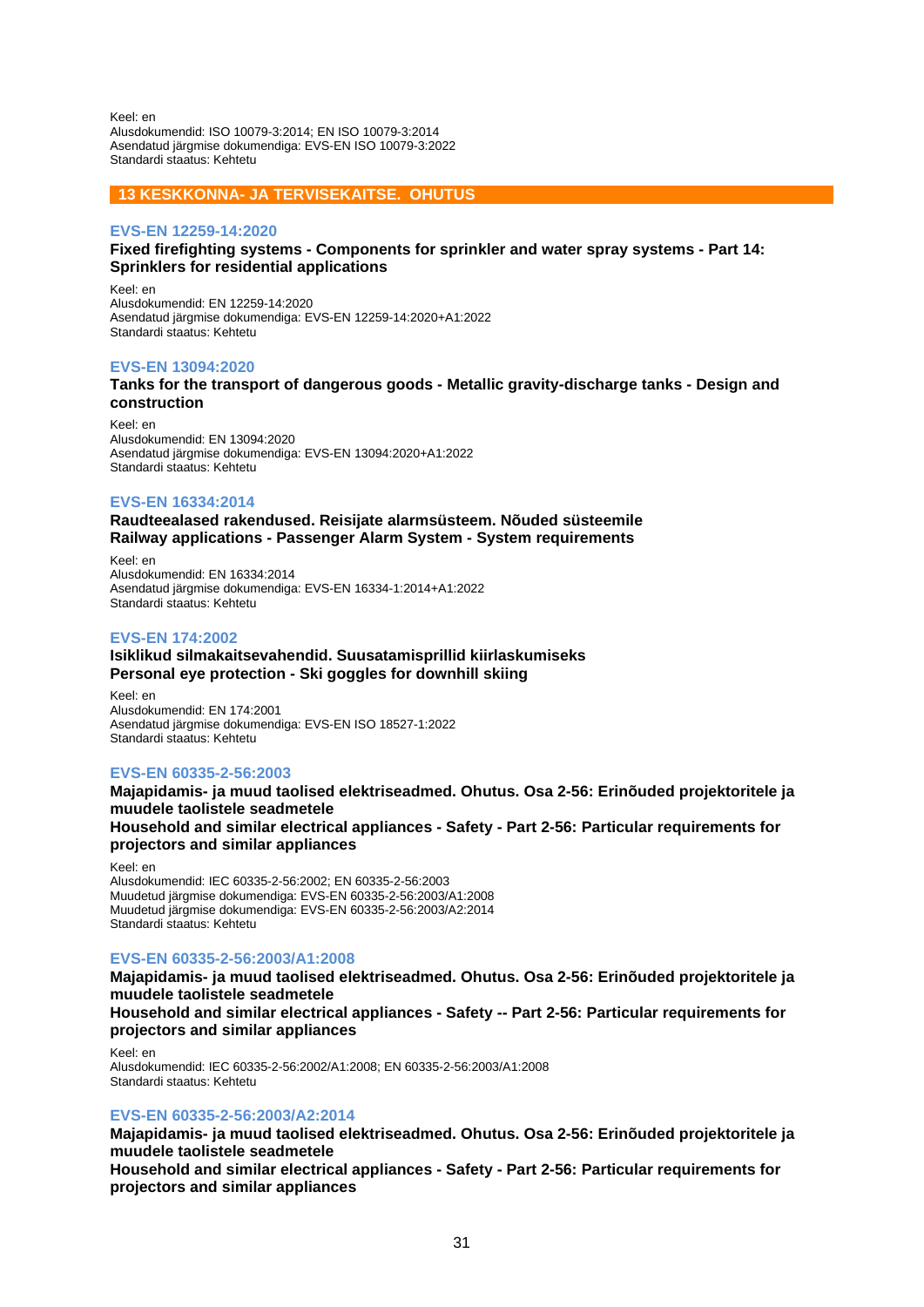Keel: en Alusdokumendid: ISO 10079-3:2014; EN ISO 10079-3:2014 Asendatud järgmise dokumendiga: EVS-EN ISO 10079-3:2022 Standardi staatus: Kehtetu

## **13 KESKKONNA- JA TERVISEKAITSE. OHUTUS**

## **EVS-EN 12259-14:2020**

## **Fixed firefighting systems - Components for sprinkler and water spray systems - Part 14: Sprinklers for residential applications**

Keel: en Alusdokumendid: EN 12259-14:2020 Asendatud järgmise dokumendiga: EVS-EN 12259-14:2020+A1:2022 Standardi staatus: Kehtetu

## **EVS-EN 13094:2020**

## **Tanks for the transport of dangerous goods - Metallic gravity-discharge tanks - Design and construction**

Keel: en Alusdokumendid: EN 13094:2020 Asendatud järgmise dokumendiga: EVS-EN 13094:2020+A1:2022 Standardi staatus: Kehtetu

## **EVS-EN 16334:2014**

**Raudteealased rakendused. Reisijate alarmsüsteem. Nõuded süsteemile Railway applications - Passenger Alarm System - System requirements**

Keel: en Alusdokumendid: EN 16334:2014 Asendatud järgmise dokumendiga: EVS-EN 16334-1:2014+A1:2022 Standardi staatus: Kehtetu

## **EVS-EN 174:2002**

## **Isiklikud silmakaitsevahendid. Suusatamisprillid kiirlaskumiseks Personal eye protection - Ski goggles for downhill skiing**

Keel: en Alusdokumendid: EN 174:2001 Asendatud järgmise dokumendiga: EVS-EN ISO 18527-1:2022 Standardi staatus: Kehtetu

## **EVS-EN 60335-2-56:2003**

**Majapidamis- ja muud taolised elektriseadmed. Ohutus. Osa 2-56: Erinõuded projektoritele ja muudele taolistele seadmetele Household and similar electrical appliances - Safety - Part 2-56: Particular requirements for projectors and similar appliances**

Keel: en

Alusdokumendid: IEC 60335-2-56:2002; EN 60335-2-56:2003 Muudetud järgmise dokumendiga: EVS-EN 60335-2-56:2003/A1:2008 Muudetud järgmise dokumendiga: EVS-EN 60335-2-56:2003/A2:2014 Standardi staatus: Kehtetu

## **EVS-EN 60335-2-56:2003/A1:2008**

**Majapidamis- ja muud taolised elektriseadmed. Ohutus. Osa 2-56: Erinõuded projektoritele ja muudele taolistele seadmetele**

**Household and similar electrical appliances - Safety -- Part 2-56: Particular requirements for projectors and similar appliances**

Keel: en Alusdokumendid: IEC 60335-2-56:2002/A1:2008; EN 60335-2-56:2003/A1:2008 Standardi staatus: Kehtetu

## **EVS-EN 60335-2-56:2003/A2:2014**

**Majapidamis- ja muud taolised elektriseadmed. Ohutus. Osa 2-56: Erinõuded projektoritele ja muudele taolistele seadmetele**

**Household and similar electrical appliances - Safety - Part 2-56: Particular requirements for projectors and similar appliances**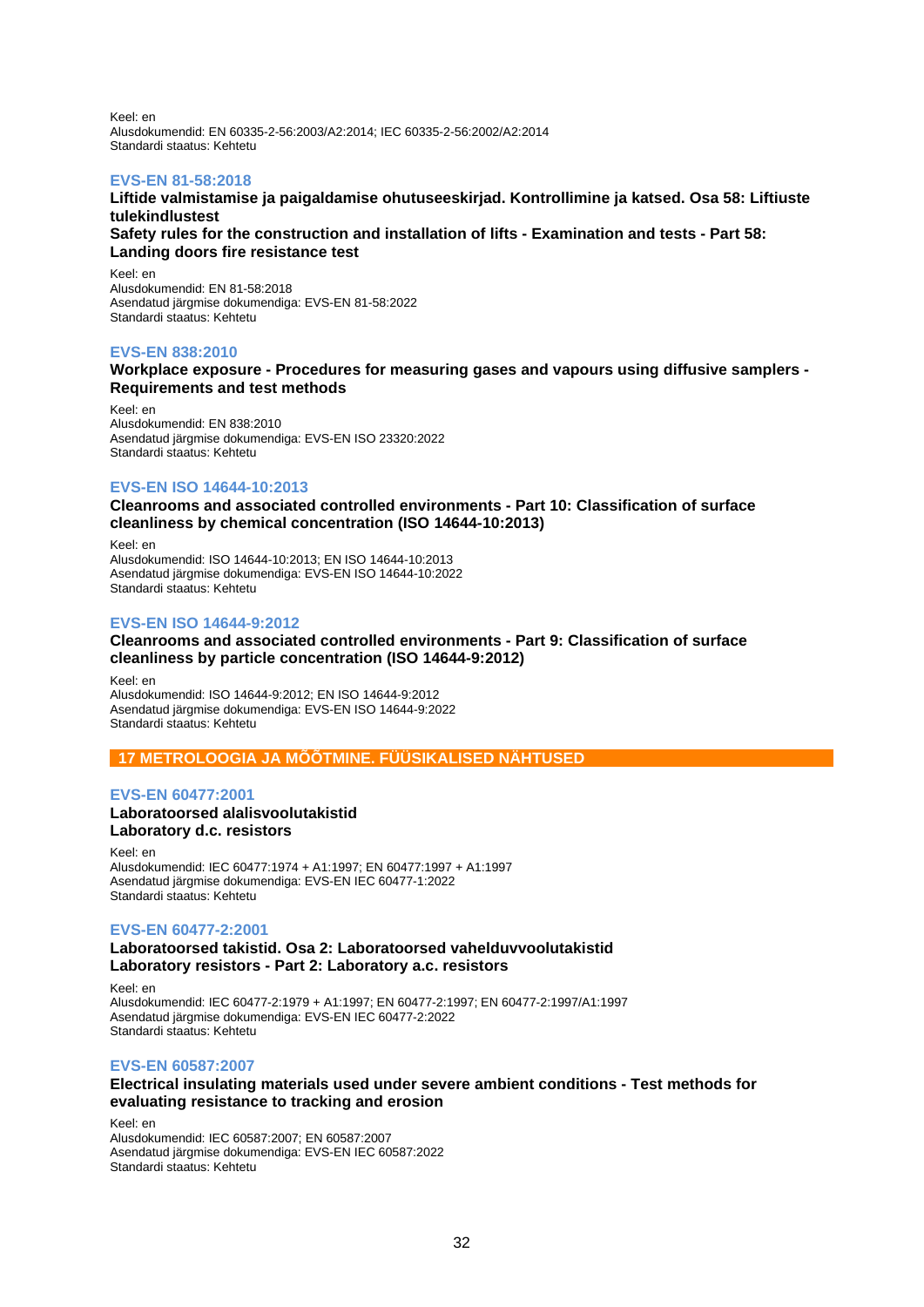Keel: en Alusdokumendid: EN 60335-2-56:2003/A2:2014; IEC 60335-2-56:2002/A2:2014 Standardi staatus: Kehtetu

## **EVS-EN 81-58:2018**

**Liftide valmistamise ja paigaldamise ohutuseeskirjad. Kontrollimine ja katsed. Osa 58: Liftiuste tulekindlustest**

**Safety rules for the construction and installation of lifts - Examination and tests - Part 58: Landing doors fire resistance test**

Keel: en Alusdokumendid: EN 81-58:2018 Asendatud järgmise dokumendiga: EVS-EN 81-58:2022 Standardi staatus: Kehtetu

## **EVS-EN 838:2010**

## **Workplace exposure - Procedures for measuring gases and vapours using diffusive samplers - Requirements and test methods**

Keel: en Alusdokumendid: EN 838:2010 Asendatud järgmise dokumendiga: EVS-EN ISO 23320:2022 Standardi staatus: Kehtetu

## **EVS-EN ISO 14644-10:2013**

**Cleanrooms and associated controlled environments - Part 10: Classification of surface cleanliness by chemical concentration (ISO 14644-10:2013)**

Keel: en Alusdokumendid: ISO 14644-10:2013; EN ISO 14644-10:2013 Asendatud järgmise dokumendiga: EVS-EN ISO 14644-10:2022 Standardi staatus: Kehtetu

## **EVS-EN ISO 14644-9:2012**

## **Cleanrooms and associated controlled environments - Part 9: Classification of surface cleanliness by particle concentration (ISO 14644-9:2012)**

Keel: en Alusdokumendid: ISO 14644-9:2012; EN ISO 14644-9:2012 Asendatud järgmise dokumendiga: EVS-EN ISO 14644-9:2022 Standardi staatus: Kehtetu

**17 METROLOOGIA JA MÕÕTMINE. FÜÜSIKALISED NÄHTUSED**

## **EVS-EN 60477:2001 Laboratoorsed alalisvoolutakistid Laboratory d.c. resistors**

Keel: en Alusdokumendid: IEC 60477:1974 + A1:1997; EN 60477:1997 + A1:1997 Asendatud järgmise dokumendiga: EVS-EN IEC 60477-1:2022 Standardi staatus: Kehtetu

## **EVS-EN 60477-2:2001**

## **Laboratoorsed takistid. Osa 2: Laboratoorsed vahelduvvoolutakistid Laboratory resistors - Part 2: Laboratory a.c. resistors**

Keel: en Alusdokumendid: IEC 60477-2:1979 + A1:1997; EN 60477-2:1997; EN 60477-2:1997/A1:1997 Asendatud järgmise dokumendiga: EVS-EN IEC 60477-2:2022 Standardi staatus: Kehtetu

## **EVS-EN 60587:2007**

## **Electrical insulating materials used under severe ambient conditions - Test methods for evaluating resistance to tracking and erosion**

Keel: en Alusdokumendid: IEC 60587:2007; EN 60587:2007 Asendatud järgmise dokumendiga: EVS-EN IEC 60587:2022 Standardi staatus: Kehtetu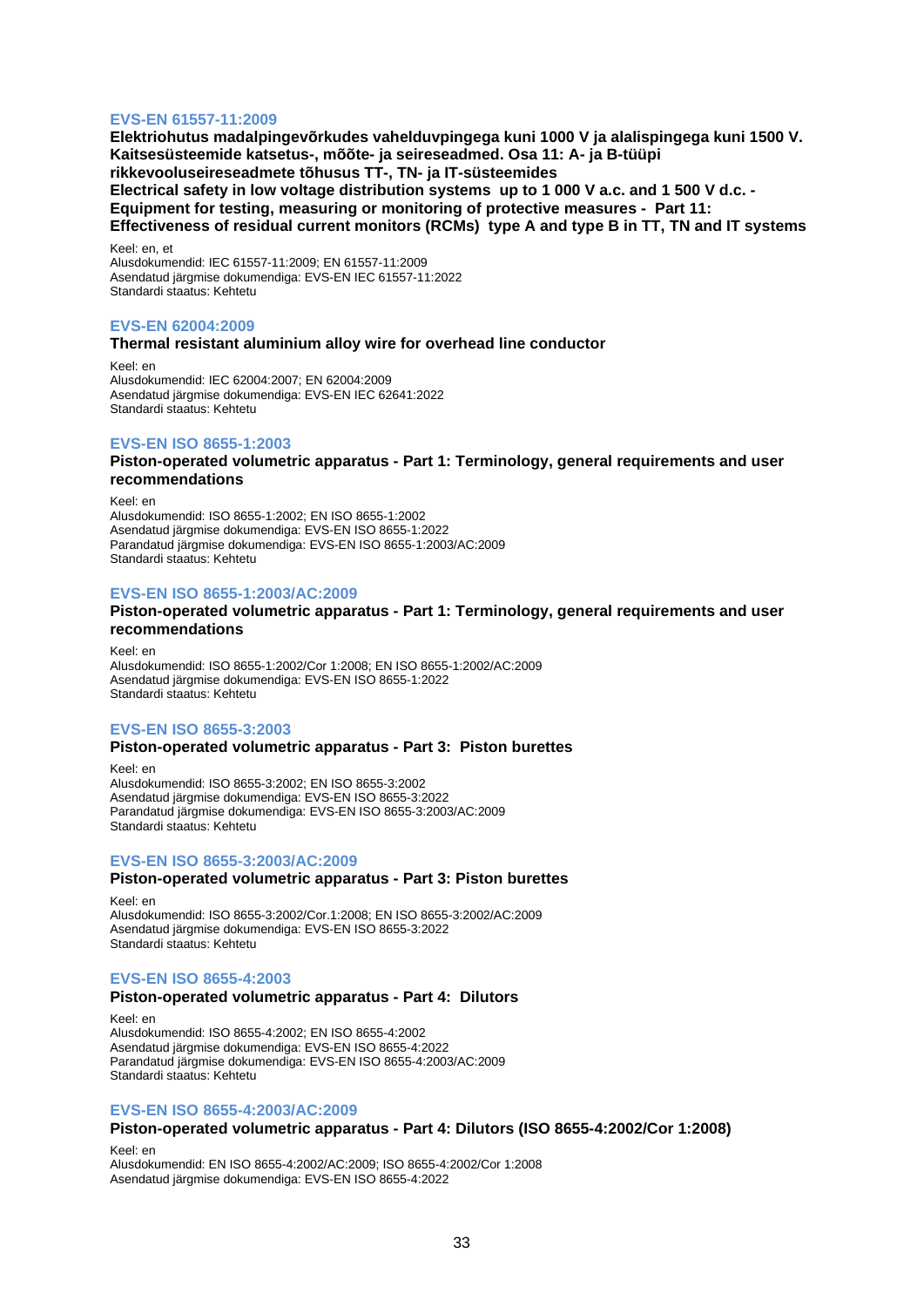## **EVS-EN 61557-11:2009**

**Elektriohutus madalpingevõrkudes vahelduvpingega kuni 1000 V ja alalispingega kuni 1500 V. Kaitsesüsteemide katsetus-, mõõte- ja seireseadmed. Osa 11: A- ja B-tüüpi rikkevooluseireseadmete tõhusus TT-, TN- ja IT-süsteemides Electrical safety in low voltage distribution systems up to 1 000 V a.c. and 1 500 V d.c. - Equipment for testing, measuring or monitoring of protective measures - Part 11: Effectiveness of residual current monitors (RCMs) type A and type B in TT, TN and IT systems**

Keel: en, et Alusdokumendid: IEC 61557-11:2009; EN 61557-11:2009 Asendatud järgmise dokumendiga: EVS-EN IEC 61557-11:2022 Standardi staatus: Kehtetu

#### **EVS-EN 62004:2009**

#### **Thermal resistant aluminium alloy wire for overhead line conductor**

Keel: en Alusdokumendid: IEC 62004:2007; EN 62004:2009 Asendatud järgmise dokumendiga: EVS-EN IEC 62641:2022 Standardi staatus: Kehtetu

## **EVS-EN ISO 8655-1:2003**

**Piston-operated volumetric apparatus - Part 1: Terminology, general requirements and user recommendations**

Keel: en Alusdokumendid: ISO 8655-1:2002; EN ISO 8655-1:2002 Asendatud järgmise dokumendiga: EVS-EN ISO 8655-1:2022 Parandatud järgmise dokumendiga: EVS-EN ISO 8655-1:2003/AC:2009 Standardi staatus: Kehtetu

#### **EVS-EN ISO 8655-1:2003/AC:2009**

## **Piston-operated volumetric apparatus - Part 1: Terminology, general requirements and user recommendations**

Keel: en Alusdokumendid: ISO 8655-1:2002/Cor 1:2008; EN ISO 8655-1:2002/AC:2009 Asendatud järgmise dokumendiga: EVS-EN ISO 8655-1:2022 Standardi staatus: Kehtetu

## **EVS-EN ISO 8655-3:2003**

## **Piston-operated volumetric apparatus - Part 3: Piston burettes**

Keel: en Alusdokumendid: ISO 8655-3:2002; EN ISO 8655-3:2002 Asendatud järgmise dokumendiga: EVS-EN ISO 8655-3:2022 Parandatud järgmise dokumendiga: EVS-EN ISO 8655-3:2003/AC:2009 Standardi staatus: Kehtetu

## **EVS-EN ISO 8655-3:2003/AC:2009**

## **Piston-operated volumetric apparatus - Part 3: Piston burettes**

Keel: en Alusdokumendid: ISO 8655-3:2002/Cor.1:2008; EN ISO 8655-3:2002/AC:2009 Asendatud järgmise dokumendiga: EVS-EN ISO 8655-3:2022 Standardi staatus: Kehtetu

## **EVS-EN ISO 8655-4:2003**

#### **Piston-operated volumetric apparatus - Part 4: Dilutors**

Keel: en Alusdokumendid: ISO 8655-4:2002; EN ISO 8655-4:2002 Asendatud järgmise dokumendiga: EVS-EN ISO 8655-4:2022 Parandatud järgmise dokumendiga: EVS-EN ISO 8655-4:2003/AC:2009 Standardi staatus: Kehtetu

#### **EVS-EN ISO 8655-4:2003/AC:2009**

#### **Piston-operated volumetric apparatus - Part 4: Dilutors (ISO 8655-4:2002/Cor 1:2008)**

Keel: en

Alusdokumendid: EN ISO 8655-4:2002/AC:2009; ISO 8655-4:2002/Cor 1:2008 Asendatud järgmise dokumendiga: EVS-EN ISO 8655-4:2022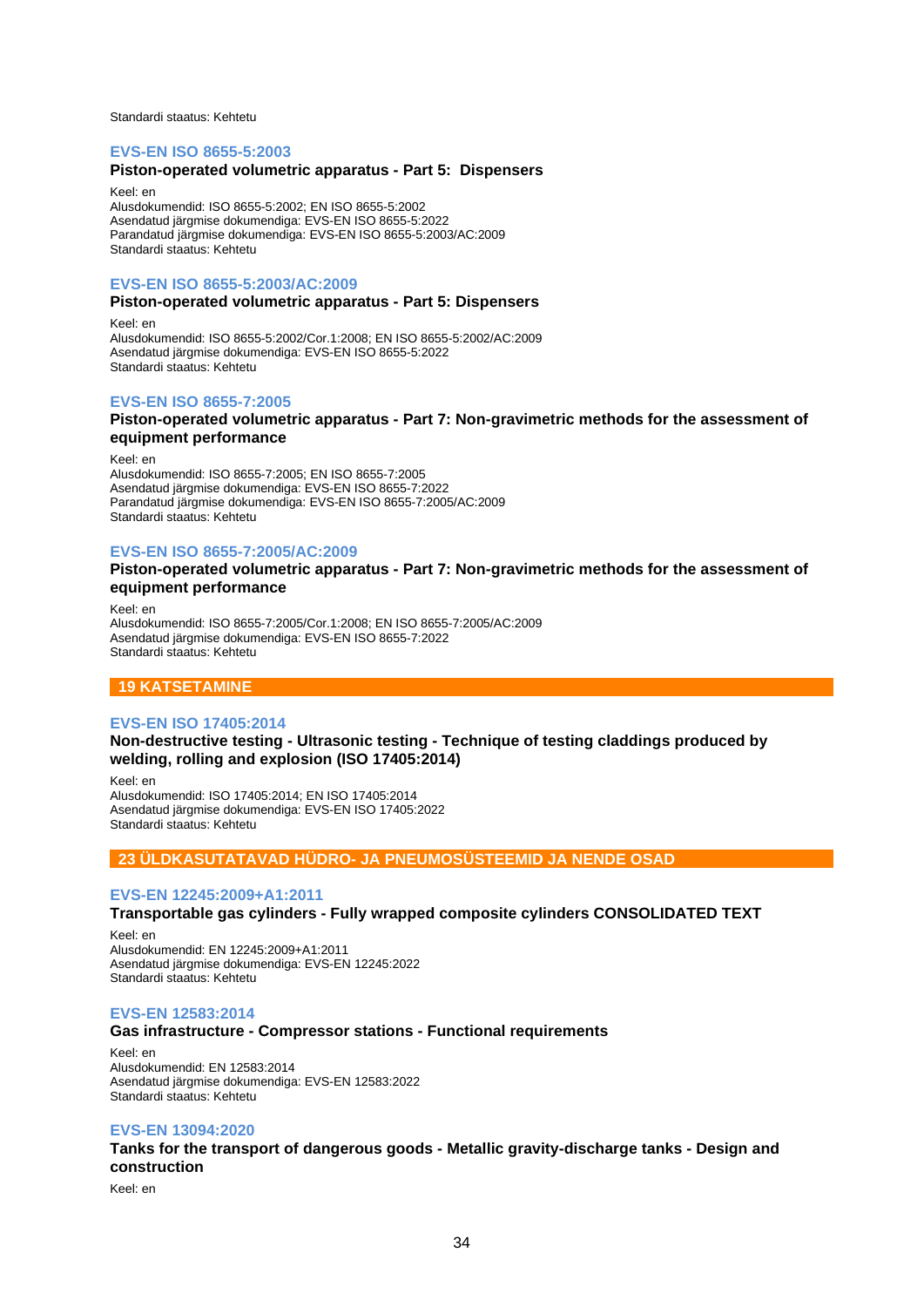Standardi staatus: Kehtetu

#### **EVS-EN ISO 8655-5:2003**

## **Piston-operated volumetric apparatus - Part 5: Dispensers**

Keel: en Alusdokumendid: ISO 8655-5:2002; EN ISO 8655-5:2002 Asendatud järgmise dokumendiga: EVS-EN ISO 8655-5:2022 Parandatud järgmise dokumendiga: EVS-EN ISO 8655-5:2003/AC:2009 Standardi staatus: Kehtetu

## **EVS-EN ISO 8655-5:2003/AC:2009**

## **Piston-operated volumetric apparatus - Part 5: Dispensers**

Keel: en Alusdokumendid: ISO 8655-5:2002/Cor.1:2008; EN ISO 8655-5:2002/AC:2009 Asendatud järgmise dokumendiga: EVS-EN ISO 8655-5:2022 Standardi staatus: Kehtetu

## **EVS-EN ISO 8655-7:2005**

#### **Piston-operated volumetric apparatus - Part 7: Non-gravimetric methods for the assessment of equipment performance**

Keel: en

Alusdokumendid: ISO 8655-7:2005; EN ISO 8655-7:2005 Asendatud järgmise dokumendiga: EVS-EN ISO 8655-7:2022 Parandatud järgmise dokumendiga: EVS-EN ISO 8655-7:2005/AC:2009 Standardi staatus: Kehtetu

#### **EVS-EN ISO 8655-7:2005/AC:2009**

### **Piston-operated volumetric apparatus - Part 7: Non-gravimetric methods for the assessment of equipment performance**

Keel: en Alusdokumendid: ISO 8655-7:2005/Cor.1:2008; EN ISO 8655-7:2005/AC:2009 Asendatud järgmise dokumendiga: EVS-EN ISO 8655-7:2022 Standardi staatus: Kehtetu

## **19 KATSETAMINE**

## **EVS-EN ISO 17405:2014**

**Non-destructive testing - Ultrasonic testing - Technique of testing claddings produced by welding, rolling and explosion (ISO 17405:2014)**

Keel: en Alusdokumendid: ISO 17405:2014; EN ISO 17405:2014 Asendatud järgmise dokumendiga: EVS-EN ISO 17405:2022 Standardi staatus: Kehtetu

## **23 ÜLDKASUTATAVAD HÜDRO- JA PNEUMOSÜSTEEMID JA NENDE OSAD**

#### **EVS-EN 12245:2009+A1:2011**

**Transportable gas cylinders - Fully wrapped composite cylinders CONSOLIDATED TEXT**

Keel: en Alusdokumendid: EN 12245:2009+A1:2011 Asendatud järgmise dokumendiga: EVS-EN 12245:2022 Standardi staatus: Kehtetu

## **EVS-EN 12583:2014**

## **Gas infrastructure - Compressor stations - Functional requirements**

Keel: en Alusdokumendid: EN 12583:2014 Asendatud järgmise dokumendiga: EVS-EN 12583:2022 Standardi staatus: Kehtetu

#### **EVS-EN 13094:2020**

**Tanks for the transport of dangerous goods - Metallic gravity-discharge tanks - Design and construction**

Keel: en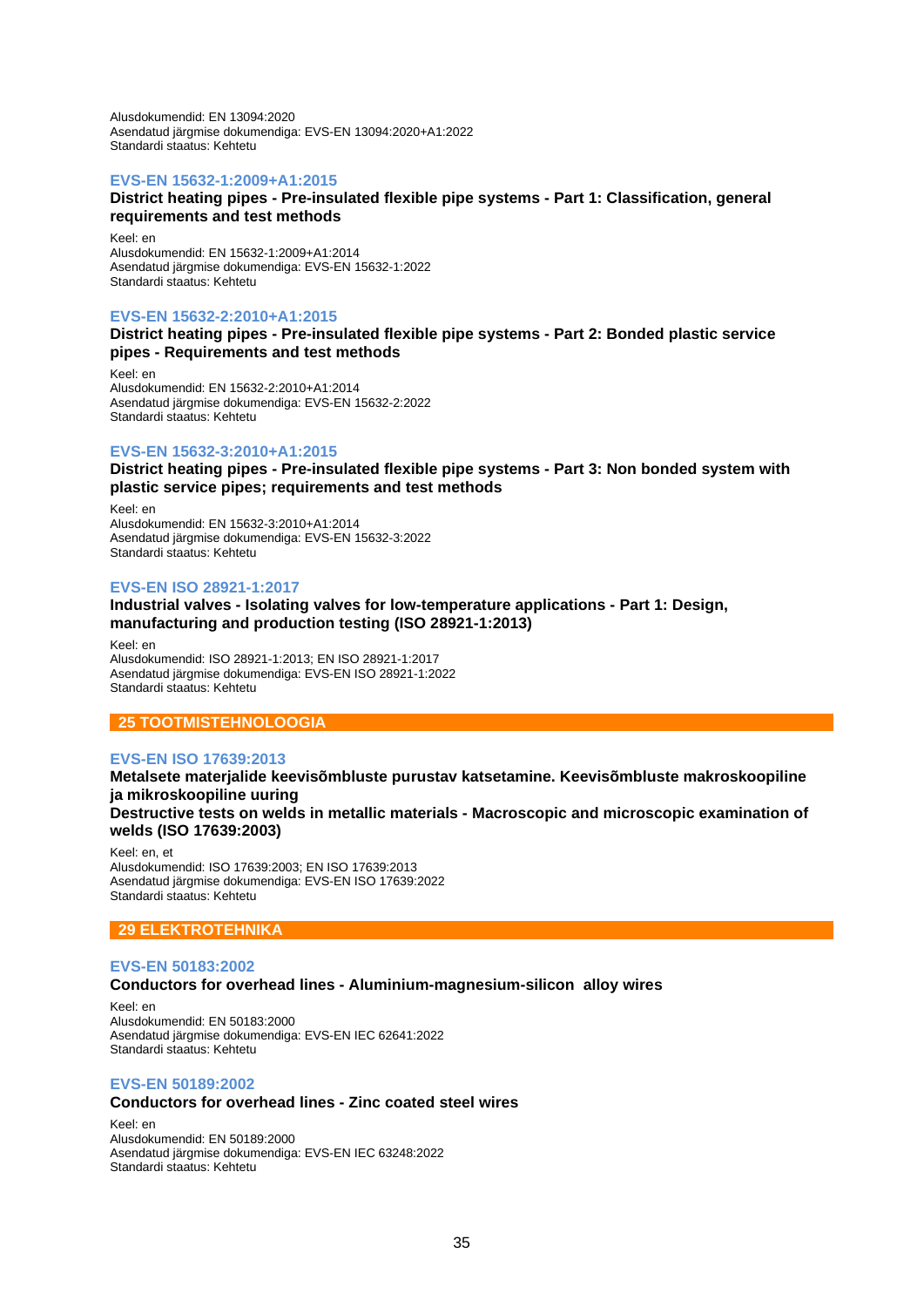Alusdokumendid: EN 13094:2020 Asendatud järgmise dokumendiga: EVS-EN 13094:2020+A1:2022 Standardi staatus: Kehtetu

## **EVS-EN 15632-1:2009+A1:2015**

## **District heating pipes - Pre-insulated flexible pipe systems - Part 1: Classification, general requirements and test methods**

Keel: en Alusdokumendid: EN 15632-1:2009+A1:2014 Asendatud järgmise dokumendiga: EVS-EN 15632-1:2022 Standardi staatus: Kehtetu

## **EVS-EN 15632-2:2010+A1:2015**

**District heating pipes - Pre-insulated flexible pipe systems - Part 2: Bonded plastic service pipes - Requirements and test methods**

Keel: en Alusdokumendid: EN 15632-2:2010+A1:2014 Asendatud järgmise dokumendiga: EVS-EN 15632-2:2022 Standardi staatus: Kehtetu

## **EVS-EN 15632-3:2010+A1:2015**

**District heating pipes - Pre-insulated flexible pipe systems - Part 3: Non bonded system with plastic service pipes; requirements and test methods**

Keel: en Alusdokumendid: EN 15632-3:2010+A1:2014 Asendatud järgmise dokumendiga: EVS-EN 15632-3:2022 Standardi staatus: Kehtetu

## **EVS-EN ISO 28921-1:2017**

#### **Industrial valves - Isolating valves for low-temperature applications - Part 1: Design, manufacturing and production testing (ISO 28921-1:2013)**

Keel: en Alusdokumendid: ISO 28921-1:2013; EN ISO 28921-1:2017 Asendatud järgmise dokumendiga: EVS-EN ISO 28921-1:2022 Standardi staatus: Kehtetu

## **25 TOOTMISTEHNOLOOGIA**

## **EVS-EN ISO 17639:2013**

**welds (ISO 17639:2003)**

## **Metalsete materjalide keevisõmbluste purustav katsetamine. Keevisõmbluste makroskoopiline ja mikroskoopiline uuring Destructive tests on welds in metallic materials - Macroscopic and microscopic examination of**

Keel: en, et Alusdokumendid: ISO 17639:2003; EN ISO 17639:2013 Asendatud järgmise dokumendiga: EVS-EN ISO 17639:2022 Standardi staatus: Kehtetu

## **29 ELEKTROTEHNIKA**

#### **EVS-EN 50183:2002**

## **Conductors for overhead lines - Aluminium-magnesium-silicon alloy wires**

Keel: en Alusdokumendid: EN 50183:2000 Asendatud järgmise dokumendiga: EVS-EN IEC 62641:2022 Standardi staatus: Kehtetu

## **EVS-EN 50189:2002**

## **Conductors for overhead lines - Zinc coated steel wires**

Keel: en Alusdokumendid: EN 50189:2000 Asendatud järgmise dokumendiga: EVS-EN IEC 63248:2022 Standardi staatus: Kehtetu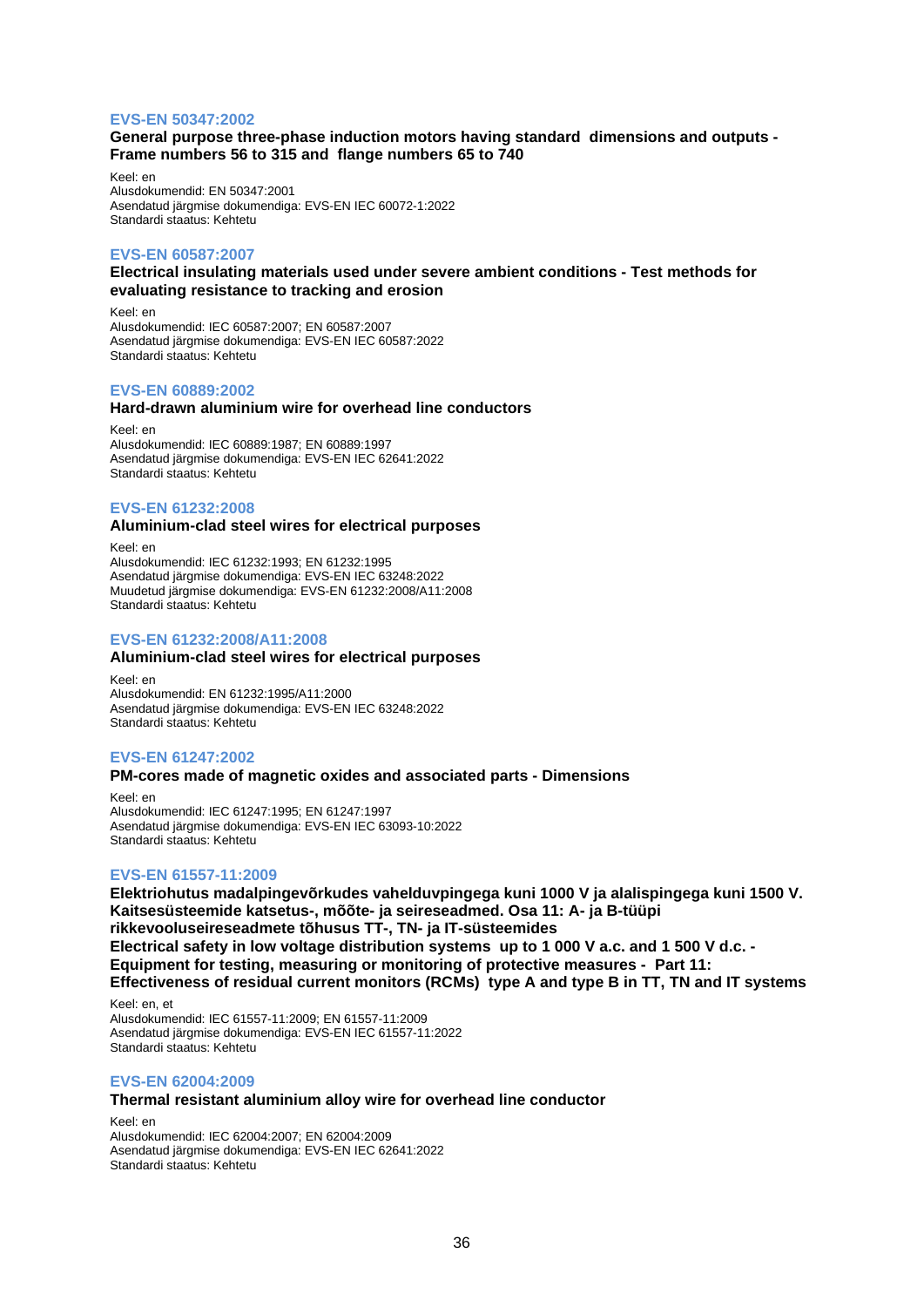## **EVS-EN 50347:2002**

## **General purpose three-phase induction motors having standard dimensions and outputs - Frame numbers 56 to 315 and flange numbers 65 to 740**

Keel: en Alusdokumendid: EN 50347:2001 Asendatud järgmise dokumendiga: EVS-EN IEC 60072-1:2022 Standardi staatus: Kehtetu

## **EVS-EN 60587:2007**

## **Electrical insulating materials used under severe ambient conditions - Test methods for evaluating resistance to tracking and erosion**

Keel: en Alusdokumendid: IEC 60587:2007; EN 60587:2007 Asendatud järgmise dokumendiga: EVS-EN IEC 60587:2022 Standardi staatus: Kehtetu

## **EVS-EN 60889:2002**

#### **Hard-drawn aluminium wire for overhead line conductors**

Keel: en Alusdokumendid: IEC 60889:1987; EN 60889:1997 Asendatud järgmise dokumendiga: EVS-EN IEC 62641:2022 Standardi staatus: Kehtetu

## **EVS-EN 61232:2008**

## **Aluminium-clad steel wires for electrical purposes**

Keel: en Alusdokumendid: IEC 61232:1993; EN 61232:1995 Asendatud järgmise dokumendiga: EVS-EN IEC 63248:2022 Muudetud järgmise dokumendiga: EVS-EN 61232:2008/A11:2008 Standardi staatus: Kehtetu

## **EVS-EN 61232:2008/A11:2008**

## **Aluminium-clad steel wires for electrical purposes**

Keel: en Alusdokumendid: EN 61232:1995/A11:2000 Asendatud järgmise dokumendiga: EVS-EN IEC 63248:2022 Standardi staatus: Kehtetu

## **EVS-EN 61247:2002**

## **PM-cores made of magnetic oxides and associated parts - Dimensions**

Keel: en Alusdokumendid: IEC 61247:1995; EN 61247:1997 Asendatud järgmise dokumendiga: EVS-EN IEC 63093-10:2022 Standardi staatus: Kehtetu

## **EVS-EN 61557-11:2009**

**Elektriohutus madalpingevõrkudes vahelduvpingega kuni 1000 V ja alalispingega kuni 1500 V. Kaitsesüsteemide katsetus-, mõõte- ja seireseadmed. Osa 11: A- ja B-tüüpi rikkevooluseireseadmete tõhusus TT-, TN- ja IT-süsteemides Electrical safety in low voltage distribution systems up to 1 000 V a.c. and 1 500 V d.c. - Equipment for testing, measuring or monitoring of protective measures - Part 11: Effectiveness of residual current monitors (RCMs) type A and type B in TT, TN and IT systems**

Keel: en, et Alusdokumendid: IEC 61557-11:2009; EN 61557-11:2009 Asendatud järgmise dokumendiga: EVS-EN IEC 61557-11:2022 Standardi staatus: Kehtetu

## **EVS-EN 62004:2009**

## **Thermal resistant aluminium alloy wire for overhead line conductor**

Keel: en Alusdokumendid: IEC 62004:2007; EN 62004:2009 Asendatud järgmise dokumendiga: EVS-EN IEC 62641:2022 Standardi staatus: Kehtetu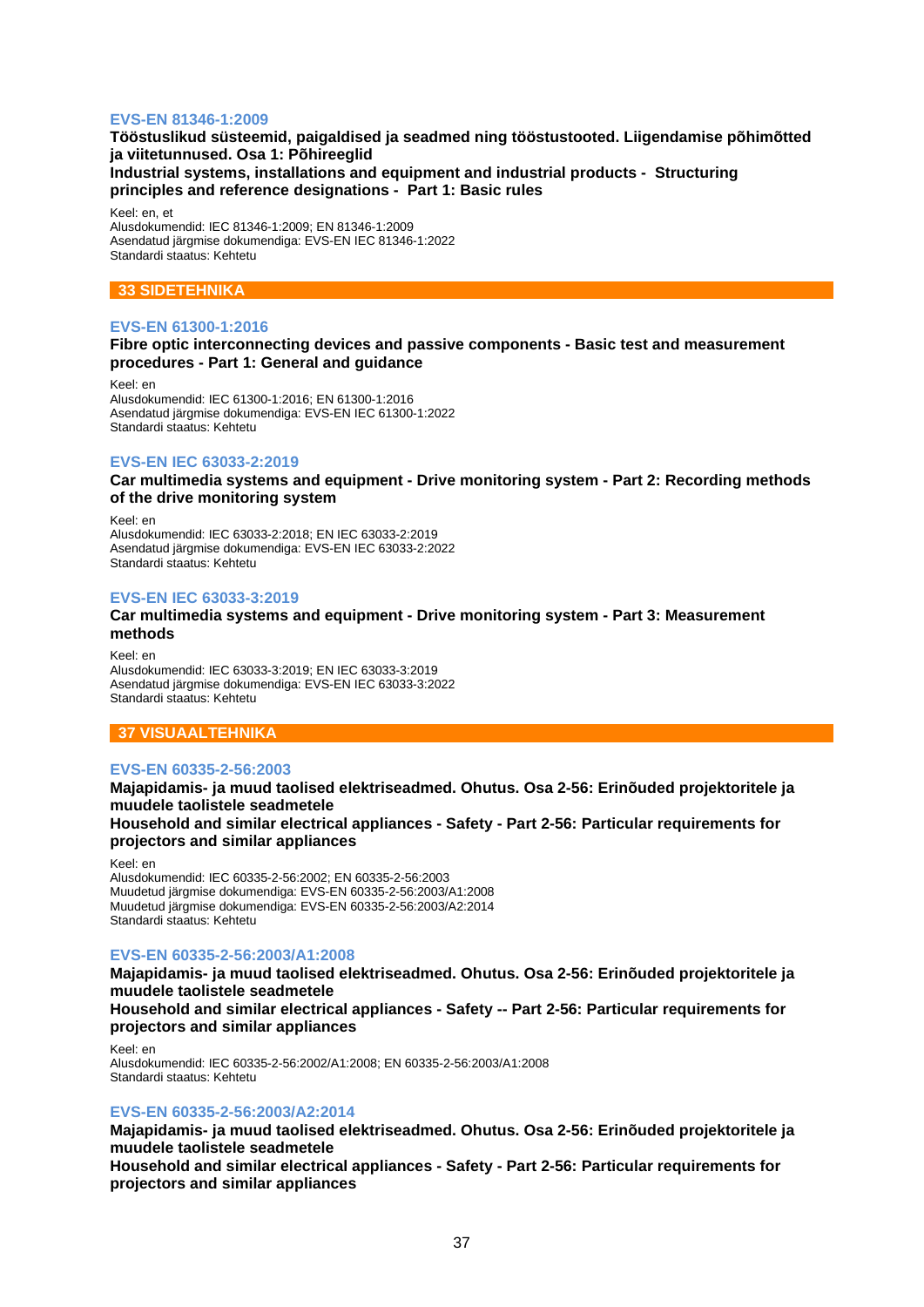## **EVS-EN 81346-1:2009**

**Tööstuslikud süsteemid, paigaldised ja seadmed ning tööstustooted. Liigendamise põhimõtted ja viitetunnused. Osa 1: Põhireeglid Industrial systems, installations and equipment and industrial products - Structuring principles and reference designations - Part 1: Basic rules**

Keel: en, et

Alusdokumendid: IEC 81346-1:2009; EN 81346-1:2009 Asendatud järgmise dokumendiga: EVS-EN IEC 81346-1:2022 Standardi staatus: Kehtetu

## **33 SIDETEHNIKA**

## **EVS-EN 61300-1:2016**

**Fibre optic interconnecting devices and passive components - Basic test and measurement procedures - Part 1: General and guidance**

Keel: en Alusdokumendid: IEC 61300-1:2016; EN 61300-1:2016 Asendatud järgmise dokumendiga: EVS-EN IEC 61300-1:2022 Standardi staatus: Kehtetu

### **EVS-EN IEC 63033-2:2019**

**Car multimedia systems and equipment - Drive monitoring system - Part 2: Recording methods of the drive monitoring system**

Keel: en Alusdokumendid: IEC 63033-2:2018; EN IEC 63033-2:2019 Asendatud järgmise dokumendiga: EVS-EN IEC 63033-2:2022 Standardi staatus: Kehtetu

### **EVS-EN IEC 63033-3:2019**

## **Car multimedia systems and equipment - Drive monitoring system - Part 3: Measurement methods**

Keel: en Alusdokumendid: IEC 63033-3:2019; EN IEC 63033-3:2019 Asendatud järgmise dokumendiga: EVS-EN IEC 63033-3:2022 Standardi staatus: Kehtetu

### **37 VISUAALTEHNIKA**

### **EVS-EN 60335-2-56:2003**

**Majapidamis- ja muud taolised elektriseadmed. Ohutus. Osa 2-56: Erinõuded projektoritele ja muudele taolistele seadmetele Household and similar electrical appliances - Safety - Part 2-56: Particular requirements for projectors and similar appliances**

Keel: en

Alusdokumendid: IEC 60335-2-56:2002; EN 60335-2-56:2003 Muudetud järgmise dokumendiga: EVS-EN 60335-2-56:2003/A1:2008 Muudetud järgmise dokumendiga: EVS-EN 60335-2-56:2003/A2:2014 Standardi staatus: Kehtetu

## **EVS-EN 60335-2-56:2003/A1:2008**

**Majapidamis- ja muud taolised elektriseadmed. Ohutus. Osa 2-56: Erinõuded projektoritele ja muudele taolistele seadmetele**

**Household and similar electrical appliances - Safety -- Part 2-56: Particular requirements for projectors and similar appliances**

Keel: en Alusdokumendid: IEC 60335-2-56:2002/A1:2008; EN 60335-2-56:2003/A1:2008 Standardi staatus: Kehtetu

## **EVS-EN 60335-2-56:2003/A2:2014**

**Majapidamis- ja muud taolised elektriseadmed. Ohutus. Osa 2-56: Erinõuded projektoritele ja muudele taolistele seadmetele**

**Household and similar electrical appliances - Safety - Part 2-56: Particular requirements for projectors and similar appliances**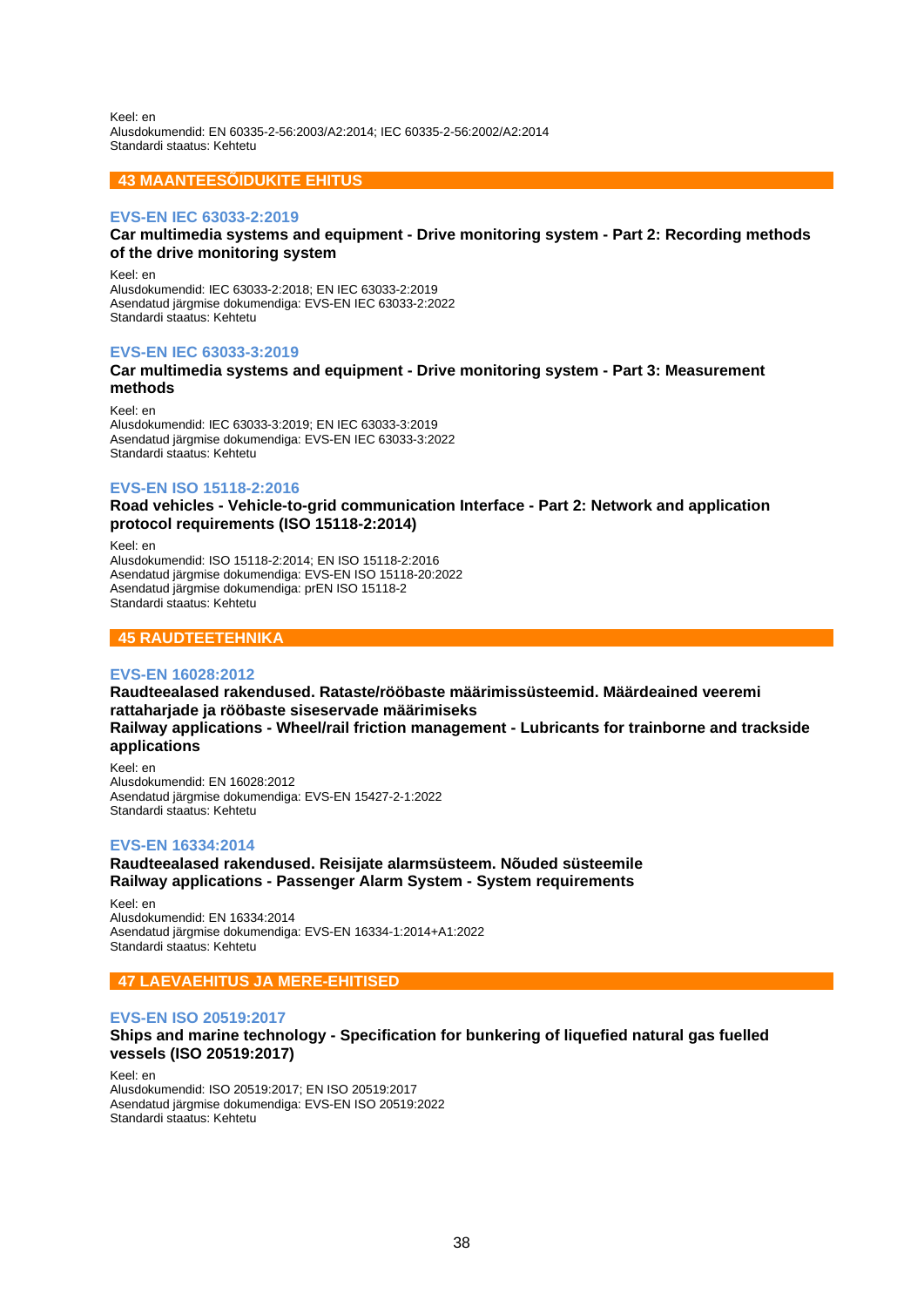Keel: en Alusdokumendid: EN 60335-2-56:2003/A2:2014; IEC 60335-2-56:2002/A2:2014 Standardi staatus: Kehtetu

## **43 MAANTEESÕIDUKITE EHITUS**

### **EVS-EN IEC 63033-2:2019**

## **Car multimedia systems and equipment - Drive monitoring system - Part 2: Recording methods of the drive monitoring system**

Keel: en Alusdokumendid: IEC 63033-2:2018; EN IEC 63033-2:2019 Asendatud järgmise dokumendiga: EVS-EN IEC 63033-2:2022 Standardi staatus: Kehtetu

### **EVS-EN IEC 63033-3:2019**

## **Car multimedia systems and equipment - Drive monitoring system - Part 3: Measurement methods**

Keel: en Alusdokumendid: IEC 63033-3:2019; EN IEC 63033-3:2019 Asendatud järgmise dokumendiga: EVS-EN IEC 63033-3:2022 Standardi staatus: Kehtetu

## **EVS-EN ISO 15118-2:2016**

**Road vehicles - Vehicle-to-grid communication Interface - Part 2: Network and application protocol requirements (ISO 15118-2:2014)**

Keel: en Alusdokumendid: ISO 15118-2:2014; EN ISO 15118-2:2016 Asendatud järgmise dokumendiga: EVS-EN ISO 15118-20:2022 Asendatud järgmise dokumendiga: prEN ISO 15118-2 Standardi staatus: Kehtetu

## **45 RAUDTEETEHNIKA**

### **EVS-EN 16028:2012**

**Raudteealased rakendused. Rataste/rööbaste määrimissüsteemid. Määrdeained veeremi rattaharjade ja rööbaste siseservade määrimiseks Railway applications - Wheel/rail friction management - Lubricants for trainborne and trackside applications**

Keel: en Alusdokumendid: EN 16028:2012 Asendatud järgmise dokumendiga: EVS-EN 15427-2-1:2022 Standardi staatus: Kehtetu

### **EVS-EN 16334:2014**

**Raudteealased rakendused. Reisijate alarmsüsteem. Nõuded süsteemile Railway applications - Passenger Alarm System - System requirements**

Keel: en Alusdokumendid: EN 16334:2014 Asendatud järgmise dokumendiga: EVS-EN 16334-1:2014+A1:2022 Standardi staatus: Kehtetu

## **47 LAEVAEHITUS JA MERE-EHITISED**

## **EVS-EN ISO 20519:2017**

## **Ships and marine technology - Specification for bunkering of liquefied natural gas fuelled vessels (ISO 20519:2017)**

Keel: en Alusdokumendid: ISO 20519:2017; EN ISO 20519:2017 Asendatud järgmise dokumendiga: EVS-EN ISO 20519:2022 Standardi staatus: Kehtetu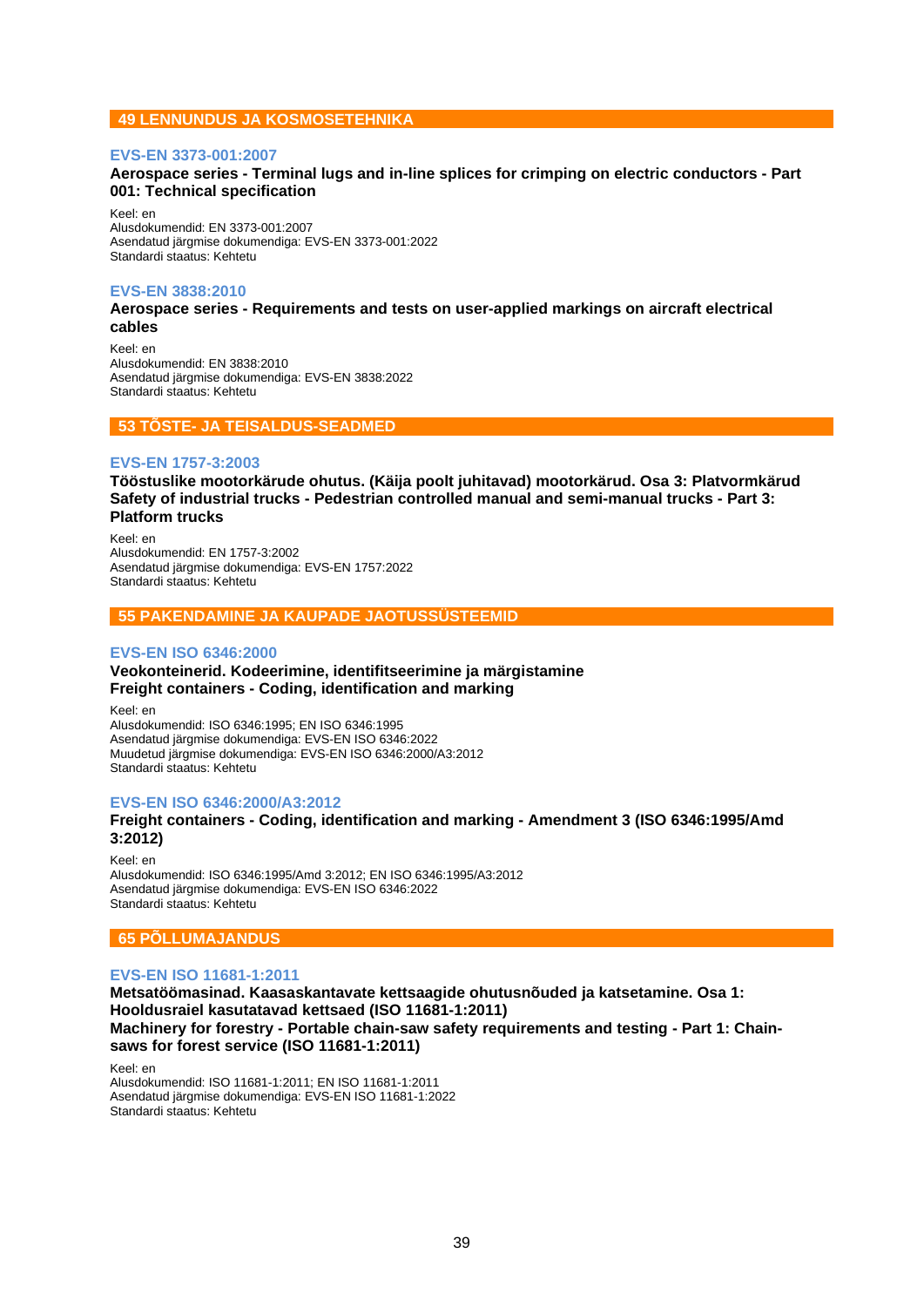## **49 LENNUNDUS JA KOSMOSETEHNIKA**

## **EVS-EN 3373-001:2007**

## **Aerospace series - Terminal lugs and in-line splices for crimping on electric conductors - Part 001: Technical specification**

Keel: en Alusdokumendid: EN 3373-001:2007 Asendatud järgmise dokumendiga: EVS-EN 3373-001:2022 Standardi staatus: Kehtetu

## **EVS-EN 3838:2010**

## **Aerospace series - Requirements and tests on user-applied markings on aircraft electrical cables**

Keel: en Alusdokumendid: EN 3838:2010 Asendatud järgmise dokumendiga: EVS-EN 3838:2022 Standardi staatus: Kehtetu

### **53 TÕSTE- JA TEISALDUS-SEADMED**

## **EVS-EN 1757-3:2003**

**Tööstuslike mootorkärude ohutus. (Käija poolt juhitavad) mootorkärud. Osa 3: Platvormkärud Safety of industrial trucks - Pedestrian controlled manual and semi-manual trucks - Part 3: Platform trucks**

Keel: en Alusdokumendid: EN 1757-3:2002 Asendatud järgmise dokumendiga: EVS-EN 1757:2022 Standardi staatus: Kehtetu

## **55 PAKENDAMINE JA KAUPADE JAOTUSSÜSTEEMID**

### **EVS-EN ISO 6346:2000**

## **Veokonteinerid. Kodeerimine, identifitseerimine ja märgistamine Freight containers - Coding, identification and marking**

Keel: en Alusdokumendid: ISO 6346:1995; EN ISO 6346:1995 Asendatud järgmise dokumendiga: EVS-EN ISO 6346:2022 Muudetud järgmise dokumendiga: EVS-EN ISO 6346:2000/A3:2012 Standardi staatus: Kehtetu

## **EVS-EN ISO 6346:2000/A3:2012**

## **Freight containers - Coding, identification and marking - Amendment 3 (ISO 6346:1995/Amd 3:2012)**

Keel: en Alusdokumendid: ISO 6346:1995/Amd 3:2012; EN ISO 6346:1995/A3:2012 Asendatud järgmise dokumendiga: EVS-EN ISO 6346:2022 Standardi staatus: Kehtetu

## **65 PÕLLUMAJANDUS**

## **EVS-EN ISO 11681-1:2011**

**Metsatöömasinad. Kaasaskantavate kettsaagide ohutusnõuded ja katsetamine. Osa 1: Hooldusraiel kasutatavad kettsaed (ISO 11681-1:2011) Machinery for forestry - Portable chain-saw safety requirements and testing - Part 1: Chainsaws for forest service (ISO 11681-1:2011)**

Keel: en Alusdokumendid: ISO 11681-1:2011; EN ISO 11681-1:2011 Asendatud järgmise dokumendiga: EVS-EN ISO 11681-1:2022 Standardi staatus: Kehtetu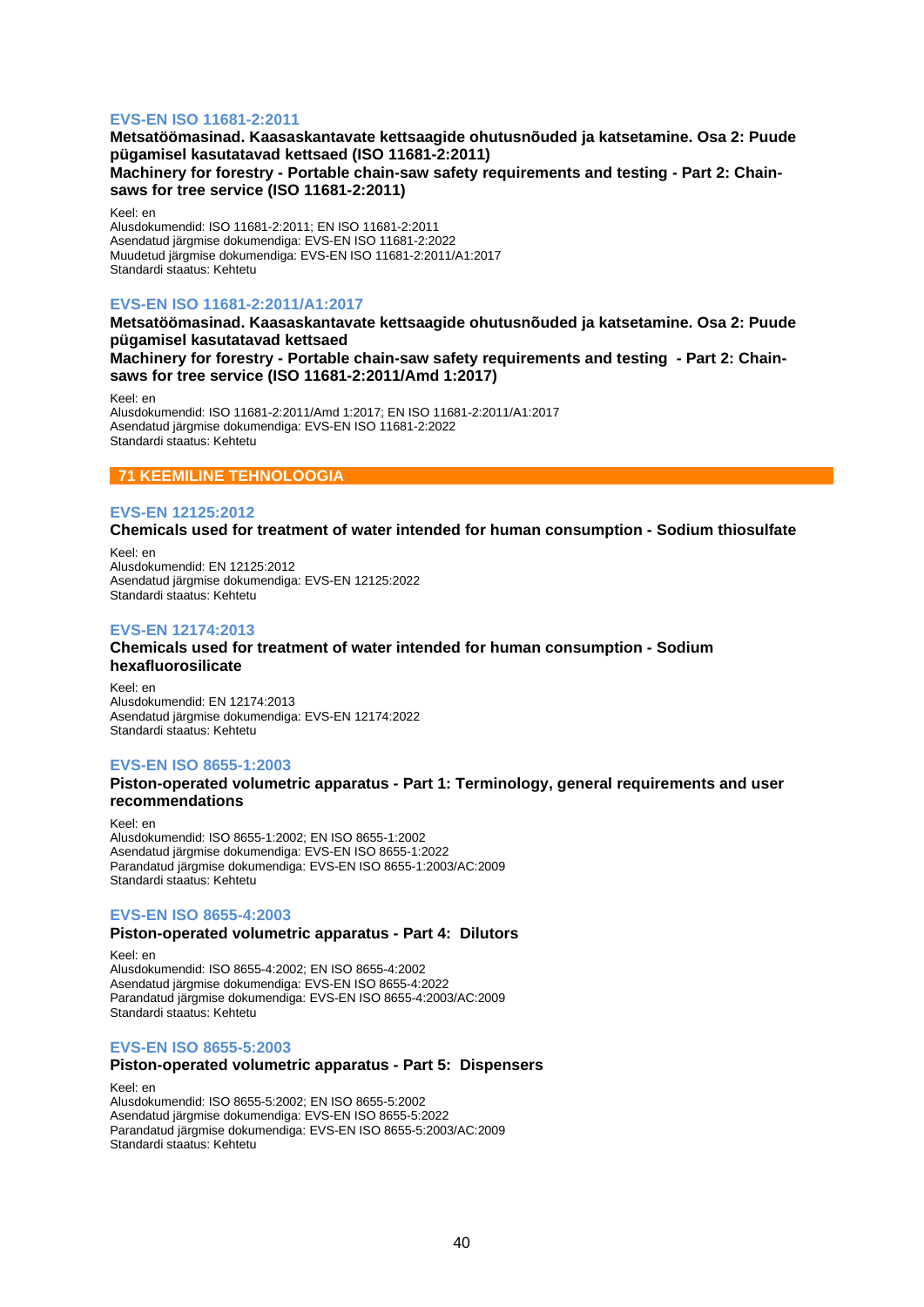## **EVS-EN ISO 11681-2:2011**

## **Metsatöömasinad. Kaasaskantavate kettsaagide ohutusnõuded ja katsetamine. Osa 2: Puude pügamisel kasutatavad kettsaed (ISO 11681-2:2011) Machinery for forestry - Portable chain-saw safety requirements and testing - Part 2: Chainsaws for tree service (ISO 11681-2:2011)**

Keel: en

Alusdokumendid: ISO 11681-2:2011; EN ISO 11681-2:2011 Asendatud järgmise dokumendiga: EVS-EN ISO 11681-2:2022 Muudetud järgmise dokumendiga: EVS-EN ISO 11681-2:2011/A1:2017 Standardi staatus: Kehtetu

## **EVS-EN ISO 11681-2:2011/A1:2017**

**Metsatöömasinad. Kaasaskantavate kettsaagide ohutusnõuded ja katsetamine. Osa 2: Puude pügamisel kasutatavad kettsaed**

**Machinery for forestry - Portable chain-saw safety requirements and testing - Part 2: Chainsaws for tree service (ISO 11681-2:2011/Amd 1:2017)**

Keel: en

Alusdokumendid: ISO 11681-2:2011/Amd 1:2017; EN ISO 11681-2:2011/A1:2017 Asendatud järgmise dokumendiga: EVS-EN ISO 11681-2:2022 Standardi staatus: Kehtetu

## **71 KEEMILINE TEHNOLOOGIA**

### **EVS-EN 12125:2012**

**Chemicals used for treatment of water intended for human consumption - Sodium thiosulfate**

Keel: en Alusdokumendid: EN 12125:2012 Asendatud järgmise dokumendiga: EVS-EN 12125:2022 Standardi staatus: Kehtetu

### **EVS-EN 12174:2013**

## **Chemicals used for treatment of water intended for human consumption - Sodium hexafluorosilicate**

Keel: en Alusdokumendid: EN 12174:2013 Asendatud järgmise dokumendiga: EVS-EN 12174:2022 Standardi staatus: Kehtetu

## **EVS-EN ISO 8655-1:2003**

### **Piston-operated volumetric apparatus - Part 1: Terminology, general requirements and user recommendations**

Keel: en Alusdokumendid: ISO 8655-1:2002; EN ISO 8655-1:2002 Asendatud järgmise dokumendiga: EVS-EN ISO 8655-1:2022 Parandatud järgmise dokumendiga: EVS-EN ISO 8655-1:2003/AC:2009 Standardi staatus: Kehtetu

## **EVS-EN ISO 8655-4:2003**

## **Piston-operated volumetric apparatus - Part 4: Dilutors**

Keel: en Alusdokumendid: ISO 8655-4:2002; EN ISO 8655-4:2002 Asendatud järgmise dokumendiga: EVS-EN ISO 8655-4:2022 Parandatud järgmise dokumendiga: EVS-EN ISO 8655-4:2003/AC:2009 Standardi staatus: Kehtetu

#### **EVS-EN ISO 8655-5:2003**

#### **Piston-operated volumetric apparatus - Part 5: Dispensers**

Keel: en Alusdokumendid: ISO 8655-5:2002; EN ISO 8655-5:2002 Asendatud järgmise dokumendiga: EVS-EN ISO 8655-5:2022 Parandatud järgmise dokumendiga: EVS-EN ISO 8655-5:2003/AC:2009 Standardi staatus: Kehtetu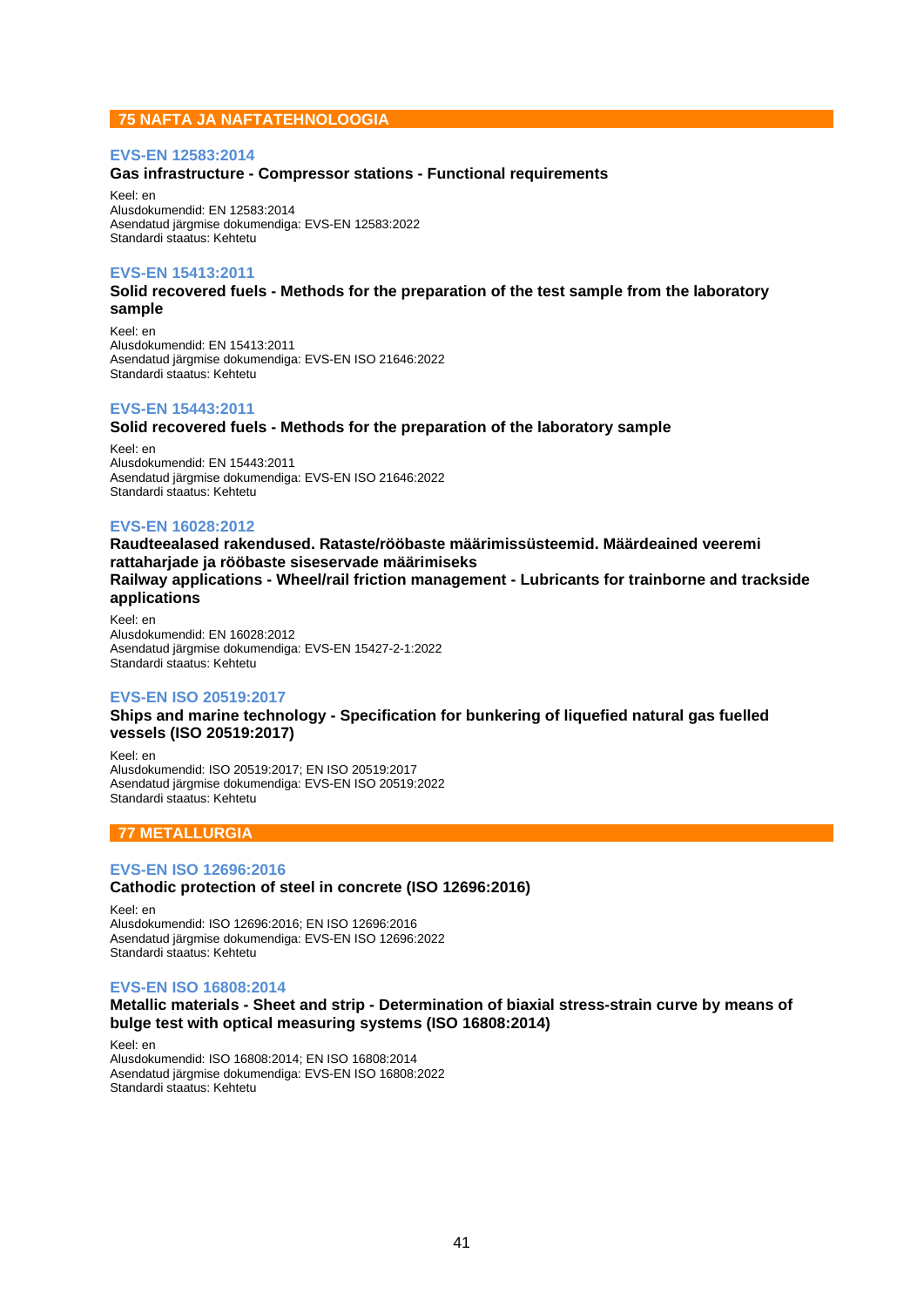## **75 NAFTA JA NAFTATEHNOLOOGIA**

## **EVS-EN 12583:2014**

## **Gas infrastructure - Compressor stations - Functional requirements**

Keel: en Alusdokumendid: EN 12583:2014 Asendatud järgmise dokumendiga: EVS-EN 12583:2022 Standardi staatus: Kehtetu

### **EVS-EN 15413:2011**

**Solid recovered fuels - Methods for the preparation of the test sample from the laboratory sample**

Keel: en Alusdokumendid: EN 15413:2011 Asendatud järgmise dokumendiga: EVS-EN ISO 21646:2022 Standardi staatus: Kehtetu

### **EVS-EN 15443:2011**

### **Solid recovered fuels - Methods for the preparation of the laboratory sample**

Keel: en Alusdokumendid: EN 15443:2011 Asendatud järgmise dokumendiga: EVS-EN ISO 21646:2022 Standardi staatus: Kehtetu

## **EVS-EN 16028:2012**

**Raudteealased rakendused. Rataste/rööbaste määrimissüsteemid. Määrdeained veeremi rattaharjade ja rööbaste siseservade määrimiseks Railway applications - Wheel/rail friction management - Lubricants for trainborne and trackside applications**

Keel: en Alusdokumendid: EN 16028:2012 Asendatud järgmise dokumendiga: EVS-EN 15427-2-1:2022 Standardi staatus: Kehtetu

## **EVS-EN ISO 20519:2017**

**Ships and marine technology - Specification for bunkering of liquefied natural gas fuelled vessels (ISO 20519:2017)**

Keel: en Alusdokumendid: ISO 20519:2017; EN ISO 20519:2017 Asendatud järgmise dokumendiga: EVS-EN ISO 20519:2022 Standardi staatus: Kehtetu

## **77 METALLURGIA**

### **EVS-EN ISO 12696:2016**

## **Cathodic protection of steel in concrete (ISO 12696:2016)**

Keel: en Alusdokumendid: ISO 12696:2016; EN ISO 12696:2016 Asendatud järgmise dokumendiga: EVS-EN ISO 12696:2022 Standardi staatus: Kehtetu

### **EVS-EN ISO 16808:2014**

## **Metallic materials - Sheet and strip - Determination of biaxial stress-strain curve by means of bulge test with optical measuring systems (ISO 16808:2014)**

Keel: en Alusdokumendid: ISO 16808:2014; EN ISO 16808:2014 Asendatud järgmise dokumendiga: EVS-EN ISO 16808:2022 Standardi staatus: Kehtetu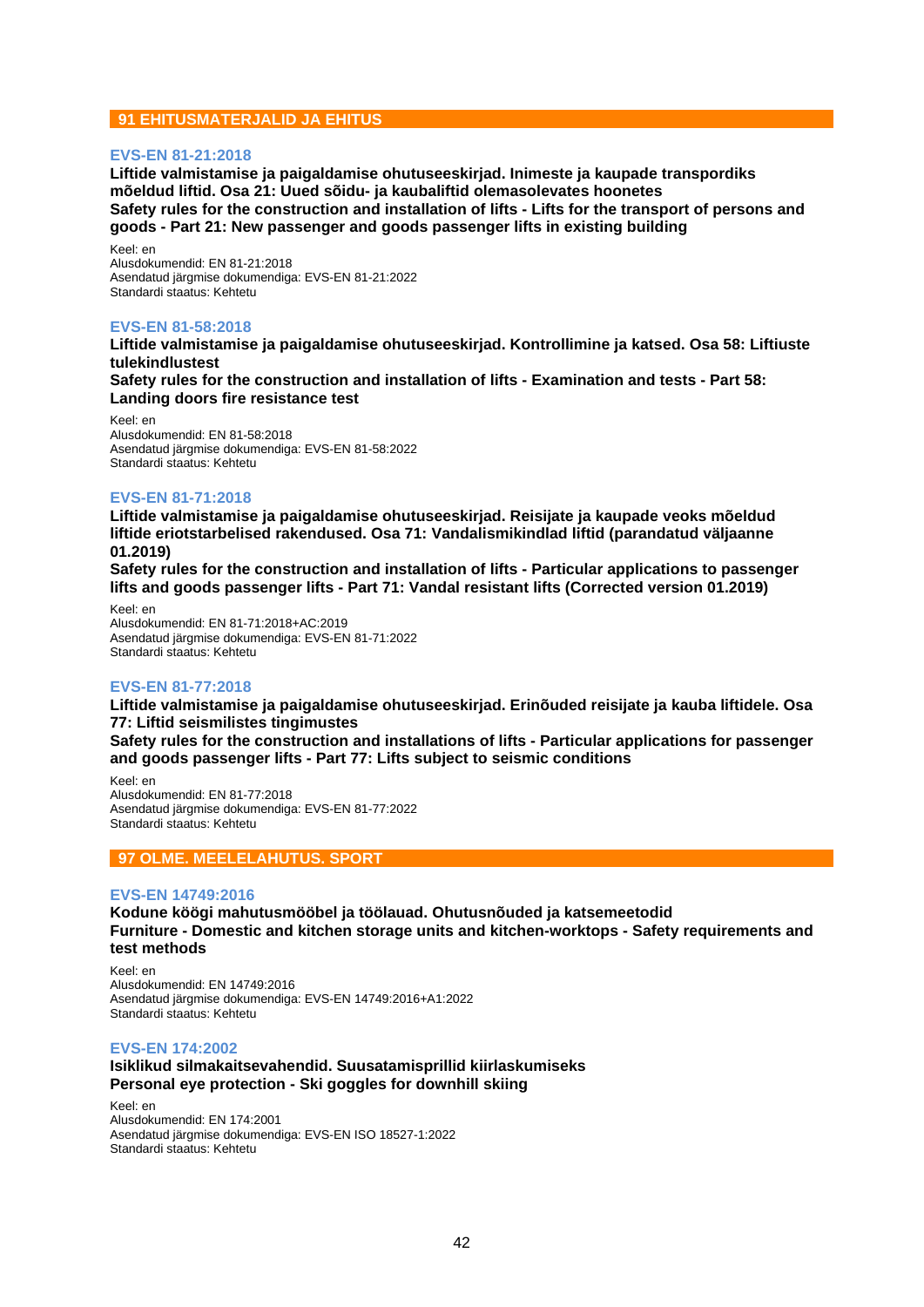## **91 EHITUSMATERJALID JA EHITUS**

## **EVS-EN 81-21:2018**

**Liftide valmistamise ja paigaldamise ohutuseeskirjad. Inimeste ja kaupade transpordiks mõeldud liftid. Osa 21: Uued sõidu- ja kaubaliftid olemasolevates hoonetes Safety rules for the construction and installation of lifts - Lifts for the transport of persons and goods - Part 21: New passenger and goods passenger lifts in existing building**

Keel: en Alusdokumendid: EN 81-21:2018 Asendatud järgmise dokumendiga: EVS-EN 81-21:2022 Standardi staatus: Kehtetu

## **EVS-EN 81-58:2018**

**Liftide valmistamise ja paigaldamise ohutuseeskirjad. Kontrollimine ja katsed. Osa 58: Liftiuste tulekindlustest**

**Safety rules for the construction and installation of lifts - Examination and tests - Part 58: Landing doors fire resistance test**

Keel: en Alusdokumendid: EN 81-58:2018 Asendatud järgmise dokumendiga: EVS-EN 81-58:2022 Standardi staatus: Kehtetu

## **EVS-EN 81-71:2018**

**Liftide valmistamise ja paigaldamise ohutuseeskirjad. Reisijate ja kaupade veoks mõeldud liftide eriotstarbelised rakendused. Osa 71: Vandalismikindlad liftid (parandatud väljaanne 01.2019)**

**Safety rules for the construction and installation of lifts - Particular applications to passenger lifts and goods passenger lifts - Part 71: Vandal resistant lifts (Corrected version 01.2019)**

Keel: en Alusdokumendid: EN 81-71:2018+AC:2019 Asendatud järgmise dokumendiga: EVS-EN 81-71:2022 Standardi staatus: Kehtetu

## **EVS-EN 81-77:2018**

**Liftide valmistamise ja paigaldamise ohutuseeskirjad. Erinõuded reisijate ja kauba liftidele. Osa 77: Liftid seismilistes tingimustes**

**Safety rules for the construction and installations of lifts - Particular applications for passenger and goods passenger lifts - Part 77: Lifts subject to seismic conditions**

Keel: en Alusdokumendid: EN 81-77:2018 Asendatud järgmise dokumendiga: EVS-EN 81-77:2022 Standardi staatus: Kehtetu

## **97 OLME. MEELELAHUTUS. SPORT**

## **EVS-EN 14749:2016**

**Kodune köögi mahutusmööbel ja töölauad. Ohutusnõuded ja katsemeetodid Furniture - Domestic and kitchen storage units and kitchen-worktops - Safety requirements and test methods**

Keel: en Alusdokumendid: EN 14749:2016 Asendatud järgmise dokumendiga: EVS-EN 14749:2016+A1:2022 Standardi staatus: Kehtetu

## **EVS-EN 174:2002**

**Isiklikud silmakaitsevahendid. Suusatamisprillid kiirlaskumiseks Personal eye protection - Ski goggles for downhill skiing**

Keel: en Alusdokumendid: EN 174:2001 Asendatud järgmise dokumendiga: EVS-EN ISO 18527-1:2022 Standardi staatus: Kehtetu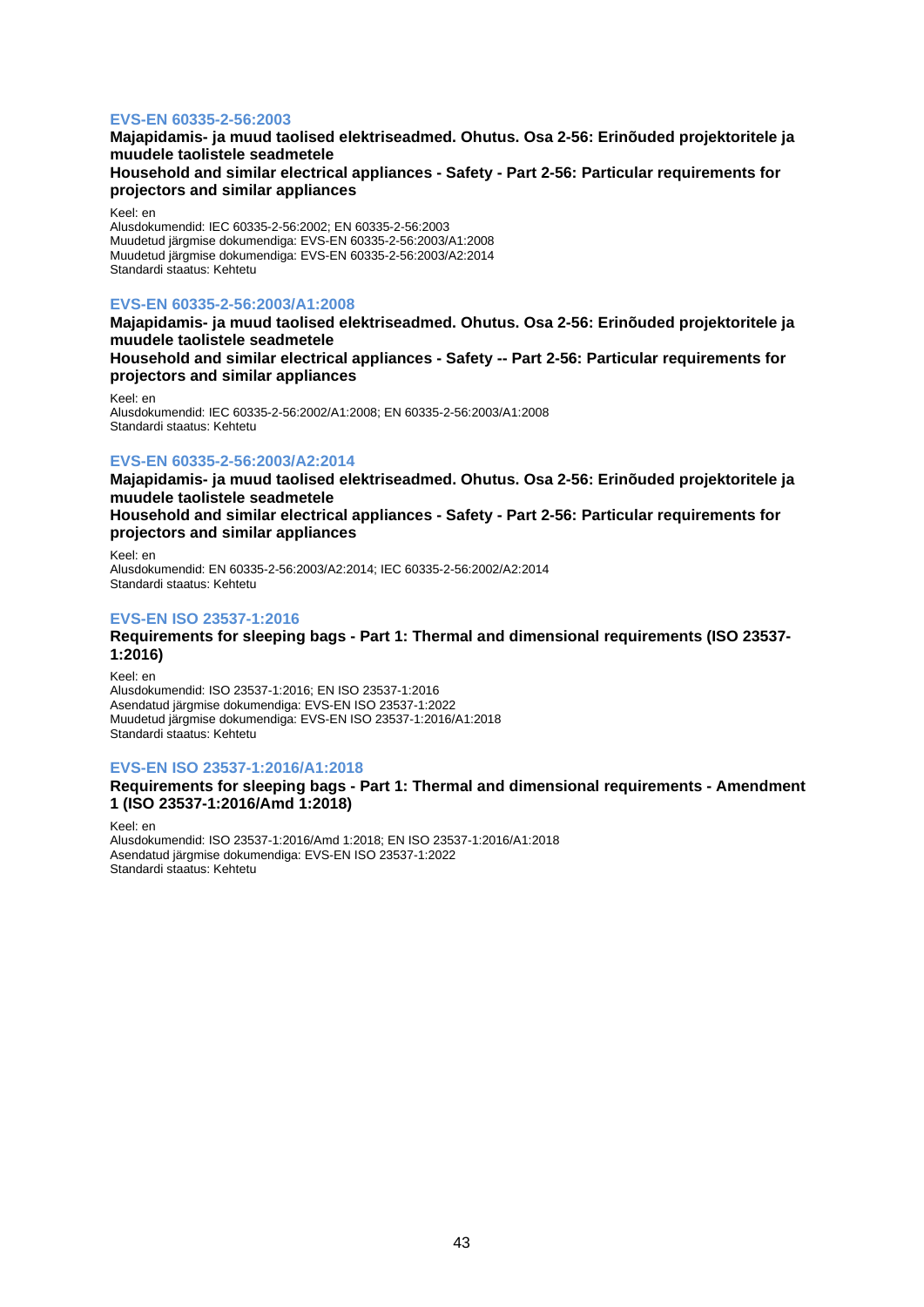## **EVS-EN 60335-2-56:2003**

## **Majapidamis- ja muud taolised elektriseadmed. Ohutus. Osa 2-56: Erinõuded projektoritele ja muudele taolistele seadmetele Household and similar electrical appliances - Safety - Part 2-56: Particular requirements for projectors and similar appliances**

Keel: en

Alusdokumendid: IEC 60335-2-56:2002; EN 60335-2-56:2003 Muudetud järgmise dokumendiga: EVS-EN 60335-2-56:2003/A1:2008 Muudetud järgmise dokumendiga: EVS-EN 60335-2-56:2003/A2:2014 Standardi staatus: Kehtetu

## **EVS-EN 60335-2-56:2003/A1:2008**

**Majapidamis- ja muud taolised elektriseadmed. Ohutus. Osa 2-56: Erinõuded projektoritele ja muudele taolistele seadmetele**

**Household and similar electrical appliances - Safety -- Part 2-56: Particular requirements for projectors and similar appliances**

Keel: en Alusdokumendid: IEC 60335-2-56:2002/A1:2008; EN 60335-2-56:2003/A1:2008 Standardi staatus: Kehtetu

## **EVS-EN 60335-2-56:2003/A2:2014**

**Majapidamis- ja muud taolised elektriseadmed. Ohutus. Osa 2-56: Erinõuded projektoritele ja muudele taolistele seadmetele**

**Household and similar electrical appliances - Safety - Part 2-56: Particular requirements for projectors and similar appliances**

Keel: en Alusdokumendid: EN 60335-2-56:2003/A2:2014; IEC 60335-2-56:2002/A2:2014 Standardi staatus: Kehtetu

## **EVS-EN ISO 23537-1:2016**

**Requirements for sleeping bags - Part 1: Thermal and dimensional requirements (ISO 23537- 1:2016)**

Keel: en

Alusdokumendid: ISO 23537-1:2016; EN ISO 23537-1:2016 Asendatud järgmise dokumendiga: EVS-EN ISO 23537-1:2022 Muudetud järgmise dokumendiga: EVS-EN ISO 23537-1:2016/A1:2018 Standardi staatus: Kehtetu

### **EVS-EN ISO 23537-1:2016/A1:2018**

## **Requirements for sleeping bags - Part 1: Thermal and dimensional requirements - Amendment 1 (ISO 23537-1:2016/Amd 1:2018)**

Keel: en Alusdokumendid: ISO 23537-1:2016/Amd 1:2018; EN ISO 23537-1:2016/A1:2018 Asendatud järgmise dokumendiga: EVS-EN ISO 23537-1:2022 Standardi staatus: Kehtetu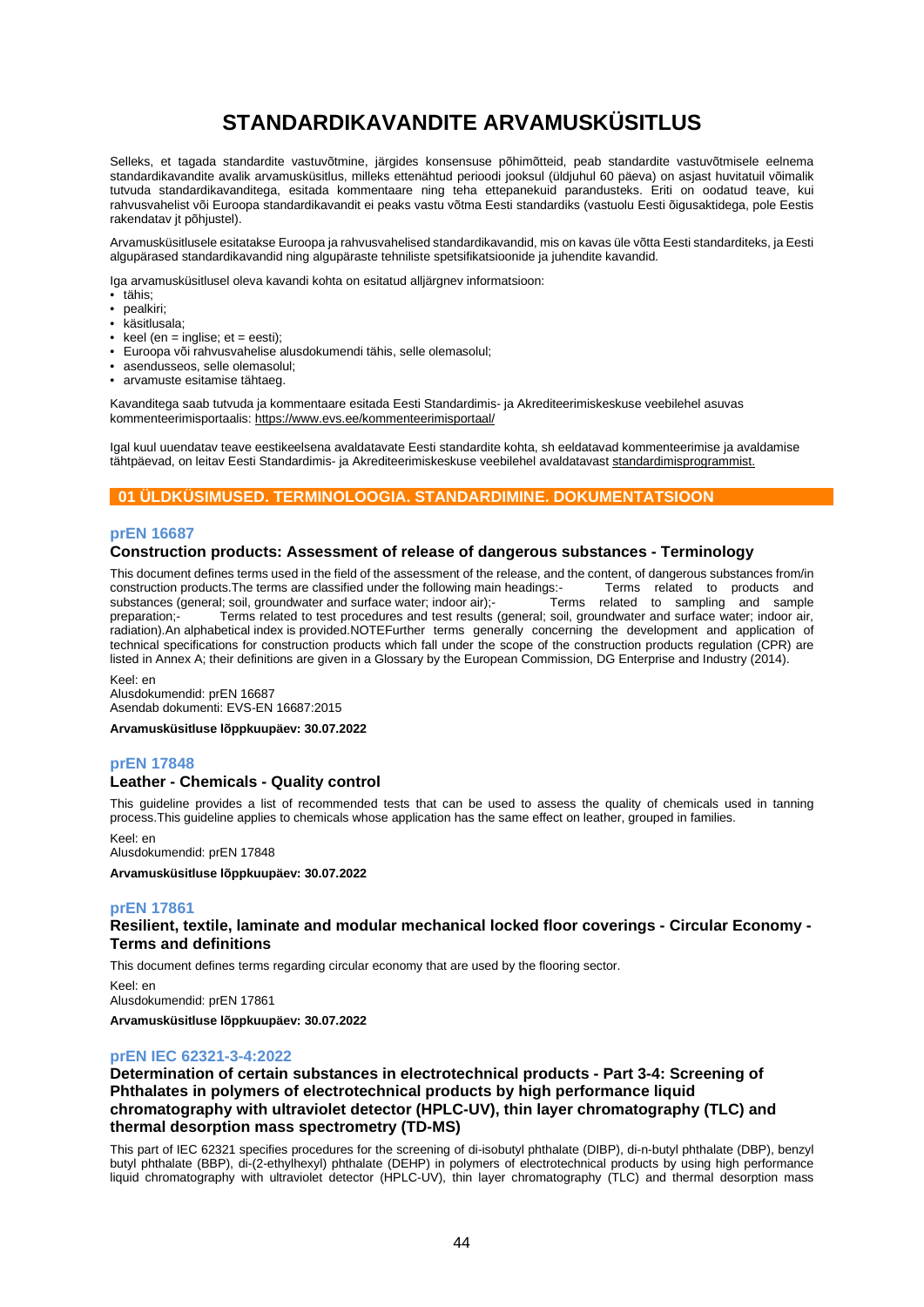# **STANDARDIKAVANDITE ARVAMUSKÜSITLUS**

Selleks, et tagada standardite vastuvõtmine, järgides konsensuse põhimõtteid, peab standardite vastuvõtmisele eelnema standardikavandite avalik arvamusküsitlus, milleks ettenähtud perioodi jooksul (üldjuhul 60 päeva) on asjast huvitatuil võimalik tutvuda standardikavanditega, esitada kommentaare ning teha ettepanekuid parandusteks. Eriti on oodatud teave, kui rahvusvahelist või Euroopa standardikavandit ei peaks vastu võtma Eesti standardiks (vastuolu Eesti õigusaktidega, pole Eestis rakendatav jt põhjustel).

Arvamusküsitlusele esitatakse Euroopa ja rahvusvahelised standardikavandid, mis on kavas üle võtta Eesti standarditeks, ja Eesti algupärased standardikavandid ning algupäraste tehniliste spetsifikatsioonide ja juhendite kavandid.

Iga arvamusküsitlusel oleva kavandi kohta on esitatud alljärgnev informatsioon:

- tähis;
- pealkiri;
- käsitlusala;
- $keel (en = inglise; et = eesti);$
- Euroopa või rahvusvahelise alusdokumendi tähis, selle olemasolul;
- asendusseos, selle olemasolul;
- arvamuste esitamise tähtaeg.

Kavanditega saab tutvuda ja kommentaare esitada Eesti Standardimis- ja Akrediteerimiskeskuse veebilehel asuvas kommenteerimisportaalis[: https://www.evs.ee/kommenteerimisportaal/](https://www.evs.ee/kommenteerimisportaal/)

Igal kuul uuendatav teave eestikeelsena avaldatavate Eesti standardite kohta, sh eeldatavad kommenteerimise ja avaldamise tähtpäevad, on leitav Eesti Standardimis- ja Akrediteerimiskeskuse veebilehel avaldatavas[t standardimisprogrammist.](https://www.evs.ee/et/standardimisprogramm)

## **01 ÜLDKÜSIMUSED. TERMINOLOOGIA. STANDARDIMINE. DOKUMENTATSIOON**

### **prEN 16687**

## **Construction products: Assessment of release of dangerous substances - Terminology**

This document defines terms used in the field of the assessment of the release, and the content, of dangerous substances from/in construction products. The terms are classified under the following main headings:<br>The mass r construction products. The terms are classified under the following main headings:<br>substances (general; soil, groundwater and surface water; indoor air);<br>Terms related to sampling and sample substances (general; soil, groundwater and surface water; indoor air);preparation;- Terms related to test procedures and test results (general; soil, groundwater and surface water; indoor air, radiation).An alphabetical index is provided.NOTEFurther terms generally concerning the development and application of technical specifications for construction products which fall under the scope of the construction products regulation (CPR) are listed in Annex A; their definitions are given in a Glossary by the European Commission, DG Enterprise and Industry (2014).

Keel: en Alusdokumendid: prEN 16687 Asendab dokumenti: EVS-EN 16687:2015

**Arvamusküsitluse lõppkuupäev: 30.07.2022**

## **prEN 17848**

## **Leather - Chemicals - Quality control**

This guideline provides a list of recommended tests that can be used to assess the quality of chemicals used in tanning process.This guideline applies to chemicals whose application has the same effect on leather, grouped in families.

Keel: en Alusdokumendid: prEN 17848

**Arvamusküsitluse lõppkuupäev: 30.07.2022**

### **prEN 17861**

## **Resilient, textile, laminate and modular mechanical locked floor coverings - Circular Economy - Terms and definitions**

This document defines terms regarding circular economy that are used by the flooring sector.

Keel: en Alusdokumendid: prEN 17861 **Arvamusküsitluse lõppkuupäev: 30.07.2022**

## **prEN IEC 62321-3-4:2022**

## **Determination of certain substances in electrotechnical products - Part 3-4: Screening of Phthalates in polymers of electrotechnical products by high performance liquid chromatography with ultraviolet detector (HPLC-UV), thin layer chromatography (TLC) and thermal desorption mass spectrometry (TD-MS)**

This part of IEC 62321 specifies procedures for the screening of di-isobutyl phthalate (DIBP), di-n-butyl phthalate (DBP), benzyl butyl phthalate (BBP), di-(2-ethylhexyl) phthalate (DEHP) in polymers of electrotechnical products by using high performance liquid chromatography with ultraviolet detector (HPLC-UV), thin layer chromatography (TLC) and thermal desorption mass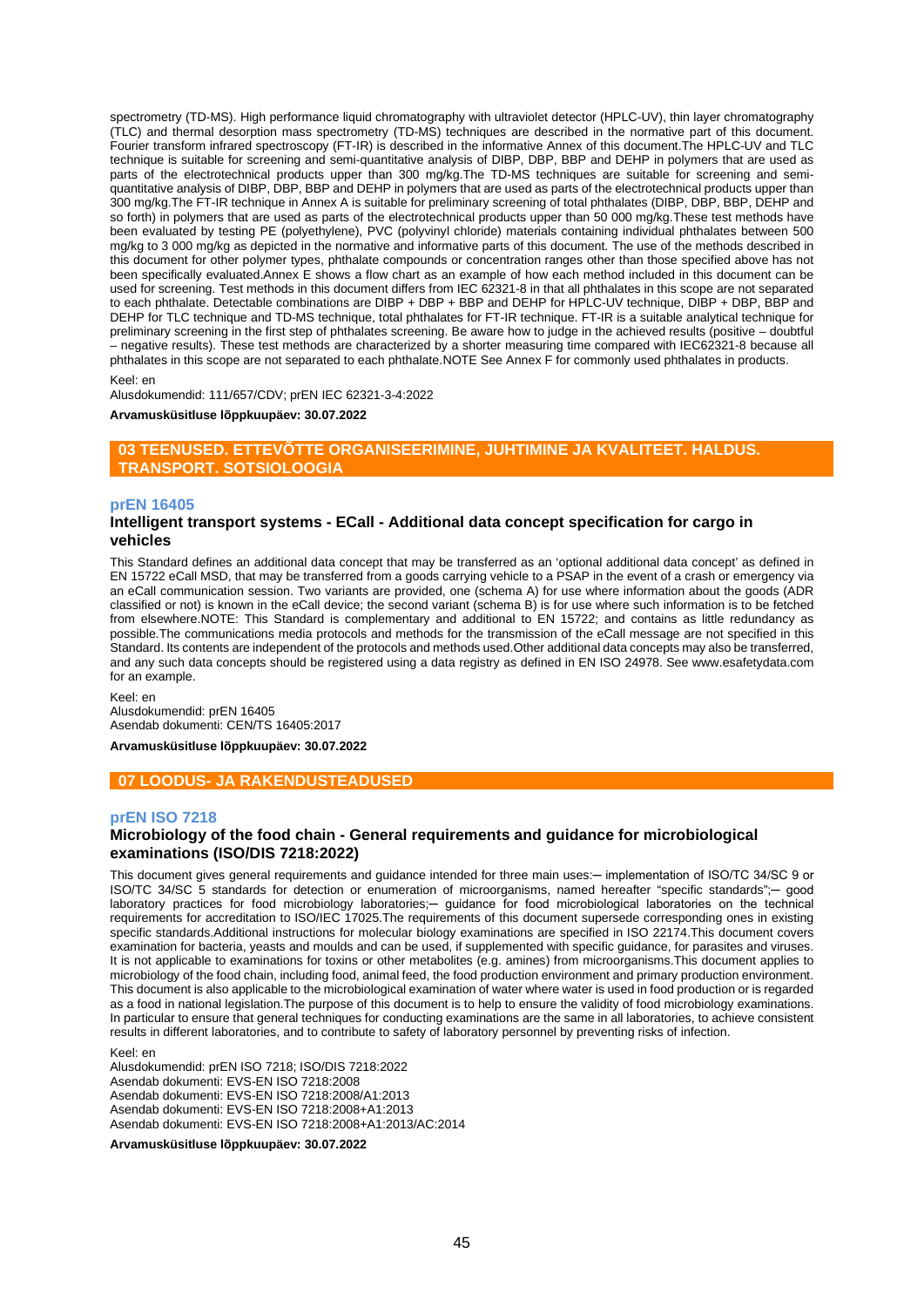spectrometry (TD-MS). High performance liquid chromatography with ultraviolet detector (HPLC-UV), thin layer chromatography (TLC) and thermal desorption mass spectrometry (TD-MS) techniques are described in the normative part of this document. Fourier transform infrared spectroscopy (FT-IR) is described in the informative Annex of this document.The HPLC-UV and TLC technique is suitable for screening and semi-quantitative analysis of DIBP, DBP, BBP and DEHP in polymers that are used as parts of the electrotechnical products upper than 300 mg/kg.The TD-MS techniques are suitable for screening and semiquantitative analysis of DIBP, DBP, BBP and DEHP in polymers that are used as parts of the electrotechnical products upper than 300 mg/kg.The FT-IR technique in Annex A is suitable for preliminary screening of total phthalates (DIBP, DBP, BBP, DEHP and so forth) in polymers that are used as parts of the electrotechnical products upper than 50 000 mg/kg. These test methods have been evaluated by testing PE (polyethylene), PVC (polyvinyl chloride) materials containing individual phthalates between 500 mg/kg to 3 000 mg/kg as depicted in the normative and informative parts of this document. The use of the methods described in this document for other polymer types, phthalate compounds or concentration ranges other than those specified above has not been specifically evaluated.Annex E shows a flow chart as an example of how each method included in this document can be used for screening. Test methods in this document differs from IEC 62321-8 in that all phthalates in this scope are not separated to each phthalate. Detectable combinations are DIBP + DBP + BBP and DEHP for HPLC-UV technique, DIBP + DBP, BBP and DEHP for TLC technique and TD-MS technique, total phthalates for FT-IR technique. FT-IR is a suitable analytical technique for preliminary screening in the first step of phthalates screening. Be aware how to judge in the achieved results (positive – doubtful – negative results). These test methods are characterized by a shorter measuring time compared with IEC62321-8 because all phthalates in this scope are not separated to each phthalate.NOTE See Annex F for commonly used phthalates in products.

#### Keel: en

Alusdokumendid: 111/657/CDV; prEN IEC 62321-3-4:2022

#### **Arvamusküsitluse lõppkuupäev: 30.07.2022**

## **03 TEENUSED. ETTEVÕTTE ORGANISEERIMINE, JUHTIMINE JA KVALITEET. HALDUS. TRANSPORT. SOTSIOLOOGIA**

#### **prEN 16405**

### **Intelligent transport systems - ECall - Additional data concept specification for cargo in vehicles**

This Standard defines an additional data concept that may be transferred as an 'optional additional data concept' as defined in EN 15722 eCall MSD, that may be transferred from a goods carrying vehicle to a PSAP in the event of a crash or emergency via an eCall communication session. Two variants are provided, one (schema A) for use where information about the goods (ADR classified or not) is known in the eCall device; the second variant (schema B) is for use where such information is to be fetched from elsewhere.NOTE: This Standard is complementary and additional to EN 15722; and contains as little redundancy as possible.The communications media protocols and methods for the transmission of the eCall message are not specified in this Standard. Its contents are independent of the protocols and methods used.Other additional data concepts may also be transferred, and any such data concepts should be registered using a data registry as defined in EN ISO 24978. See www.esafetydata.com for an example.

Keel: en Alusdokumendid: prEN 16405 Asendab dokumenti: CEN/TS 16405:2017

**Arvamusküsitluse lõppkuupäev: 30.07.2022**

### **07 LOODUS- JA RAKENDUSTEADUSED**

#### **prEN ISO 7218**

## **Microbiology of the food chain - General requirements and guidance for microbiological examinations (ISO/DIS 7218:2022)**

This document gives general requirements and guidance intended for three main uses:— implementation of ISO/TC 34/SC 9 or ISO/TC 34/SC 5 standards for detection or enumeration of microorganisms, named hereafter "specific standards";─ good laboratory practices for food microbiology laboratories;- guidance for food microbiological laboratories on the technical requirements for accreditation to ISO/IEC 17025. The requirements of this document supersede corresponding ones in existing specific standards.Additional instructions for molecular biology examinations are specified in ISO 22174.This document covers examination for bacteria, yeasts and moulds and can be used, if supplemented with specific guidance, for parasites and viruses. It is not applicable to examinations for toxins or other metabolites (e.g. amines) from microorganisms.This document applies to microbiology of the food chain, including food, animal feed, the food production environment and primary production environment. This document is also applicable to the microbiological examination of water where water is used in food production or is regarded as a food in national legislation.The purpose of this document is to help to ensure the validity of food microbiology examinations. In particular to ensure that general techniques for conducting examinations are the same in all laboratories, to achieve consistent results in different laboratories, and to contribute to safety of laboratory personnel by preventing risks of infection.

Keel: en

Alusdokumendid: prEN ISO 7218; ISO/DIS 7218:2022 Asendab dokumenti: EVS-EN ISO 7218:2008 Asendab dokumenti: EVS-EN ISO 7218:2008/A1:2013 Asendab dokumenti: EVS-EN ISO 7218:2008+A1:2013 Asendab dokumenti: EVS-EN ISO 7218:2008+A1:2013/AC:2014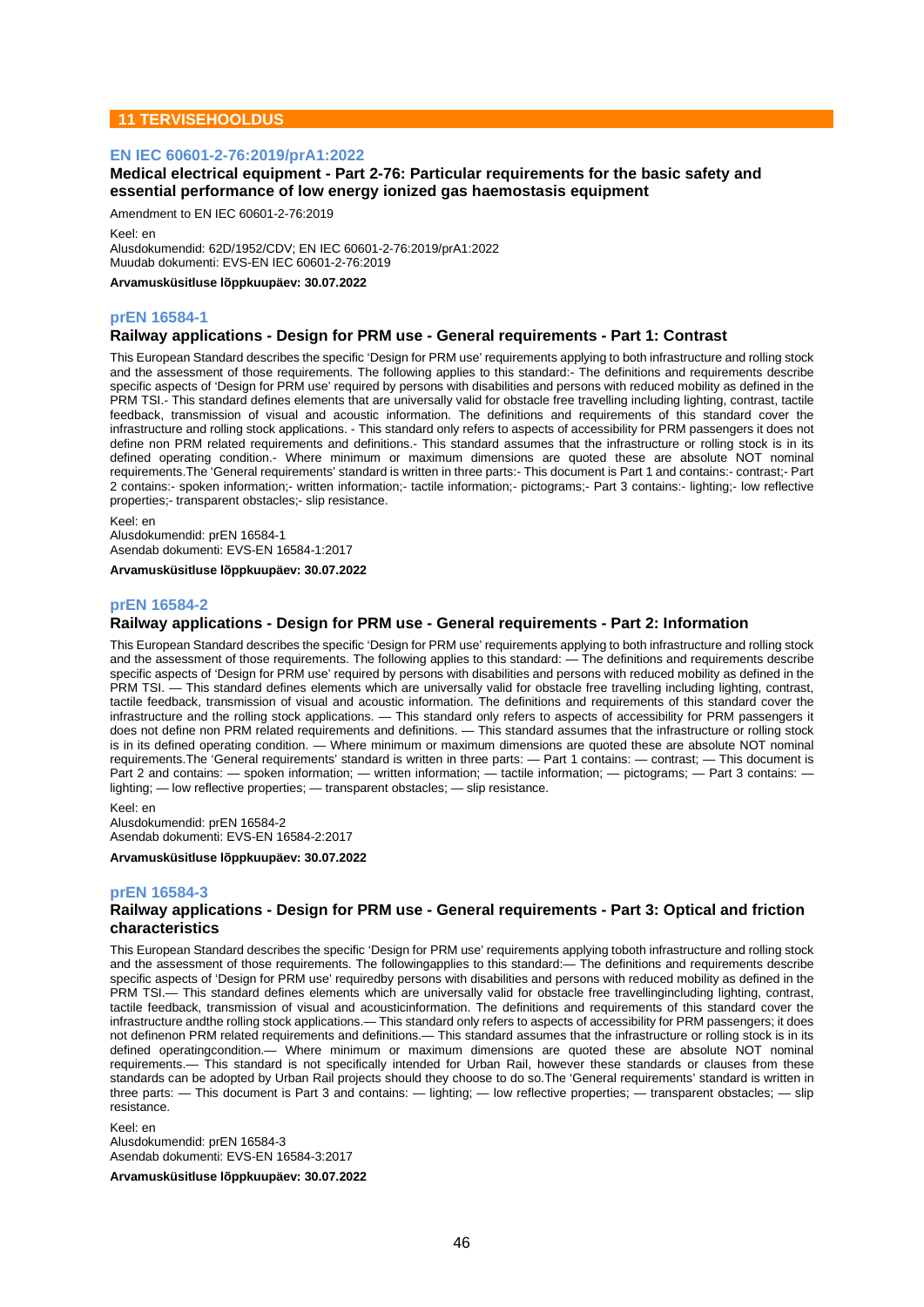## **11 TERVISEHOOLDUS**

### **EN IEC 60601-2-76:2019/prA1:2022**

## **Medical electrical equipment - Part 2-76: Particular requirements for the basic safety and essential performance of low energy ionized gas haemostasis equipment**

Amendment to EN IEC 60601-2-76:2019

Keel: en

Alusdokumendid: 62D/1952/CDV; EN IEC 60601-2-76:2019/prA1:2022 Muudab dokumenti: EVS-EN IEC 60601-2-76:2019

**Arvamusküsitluse lõppkuupäev: 30.07.2022**

### **prEN 16584-1**

### **Railway applications - Design for PRM use - General requirements - Part 1: Contrast**

This European Standard describes the specific 'Design for PRM use' requirements applying to both infrastructure and rolling stock and the assessment of those requirements. The following applies to this standard:- The definitions and requirements describe specific aspects of 'Design for PRM use' required by persons with disabilities and persons with reduced mobility as defined in the PRM TSI.- This standard defines elements that are universally valid for obstacle free travelling including lighting, contrast, tactile feedback, transmission of visual and acoustic information. The definitions and requirements of this standard cover the infrastructure and rolling stock applications. - This standard only refers to aspects of accessibility for PRM passengers it does not define non PRM related requirements and definitions.- This standard assumes that the infrastructure or rolling stock is in its defined operating condition.- Where minimum or maximum dimensions are quoted these are absolute NOT nominal requirements.The 'General requirements' standard is written in three parts:- This document is Part 1 and contains:- contrast;- Part 2 contains:- spoken information;- written information;- tactile information;- pictograms;- Part 3 contains:- lighting;- low reflective properties;- transparent obstacles;- slip resistance.

Keel: en Alusdokumendid: prEN 16584-1 Asendab dokumenti: EVS-EN 16584-1:2017

**Arvamusküsitluse lõppkuupäev: 30.07.2022**

## **prEN 16584-2**

## **Railway applications - Design for PRM use - General requirements - Part 2: Information**

This European Standard describes the specific 'Design for PRM use' requirements applying to both infrastructure and rolling stock and the assessment of those requirements. The following applies to this standard: — The definitions and requirements describe specific aspects of 'Design for PRM use' required by persons with disabilities and persons with reduced mobility as defined in the PRM TSI. - This standard defines elements which are universally valid for obstacle free travelling including lighting, contrast, tactile feedback, transmission of visual and acoustic information. The definitions and requirements of this standard cover the infrastructure and the rolling stock applications. — This standard only refers to aspects of accessibility for PRM passengers it does not define non PRM related requirements and definitions. — This standard assumes that the infrastructure or rolling stock is in its defined operating condition. — Where minimum or maximum dimensions are quoted these are absolute NOT nominal requirements.The 'General requirements' standard is written in three parts: — Part 1 contains: — contrast; — This document is Part 2 and contains: — spoken information; — written information; — tactile information; — pictograms; — Part 3 contains: lighting; — low reflective properties; — transparent obstacles; — slip resistance.

Keel: en

Alusdokumendid: prEN 16584-2 Asendab dokumenti: EVS-EN 16584-2:2017

#### **Arvamusküsitluse lõppkuupäev: 30.07.2022**

#### **prEN 16584-3**

### **Railway applications - Design for PRM use - General requirements - Part 3: Optical and friction characteristics**

This European Standard describes the specific 'Design for PRM use' requirements applying toboth infrastructure and rolling stock and the assessment of those requirements. The followingapplies to this standard:— The definitions and requirements describe specific aspects of 'Design for PRM use' requiredby persons with disabilities and persons with reduced mobility as defined in the PRM TSI.— This standard defines elements which are universally valid for obstacle free travellingincluding lighting, contrast, tactile feedback, transmission of visual and acousticinformation. The definitions and requirements of this standard cover the infrastructure andthe rolling stock applications.— This standard only refers to aspects of accessibility for PRM passengers; it does not definenon PRM related requirements and definitions.— This standard assumes that the infrastructure or rolling stock is in its defined operatingcondition.— Where minimum or maximum dimensions are quoted these are absolute NOT nominal requirements.— This standard is not specifically intended for Urban Rail, however these standards or clauses from these standards can be adopted by Urban Rail projects should they choose to do so.The 'General requirements' standard is written in three parts: — This document is Part 3 and contains: — lighting; — low reflective properties; — transparent obstacles; — slip resistance.

Keel: en Alusdokumendid: prEN 16584-3 Asendab dokumenti: EVS-EN 16584-3:2017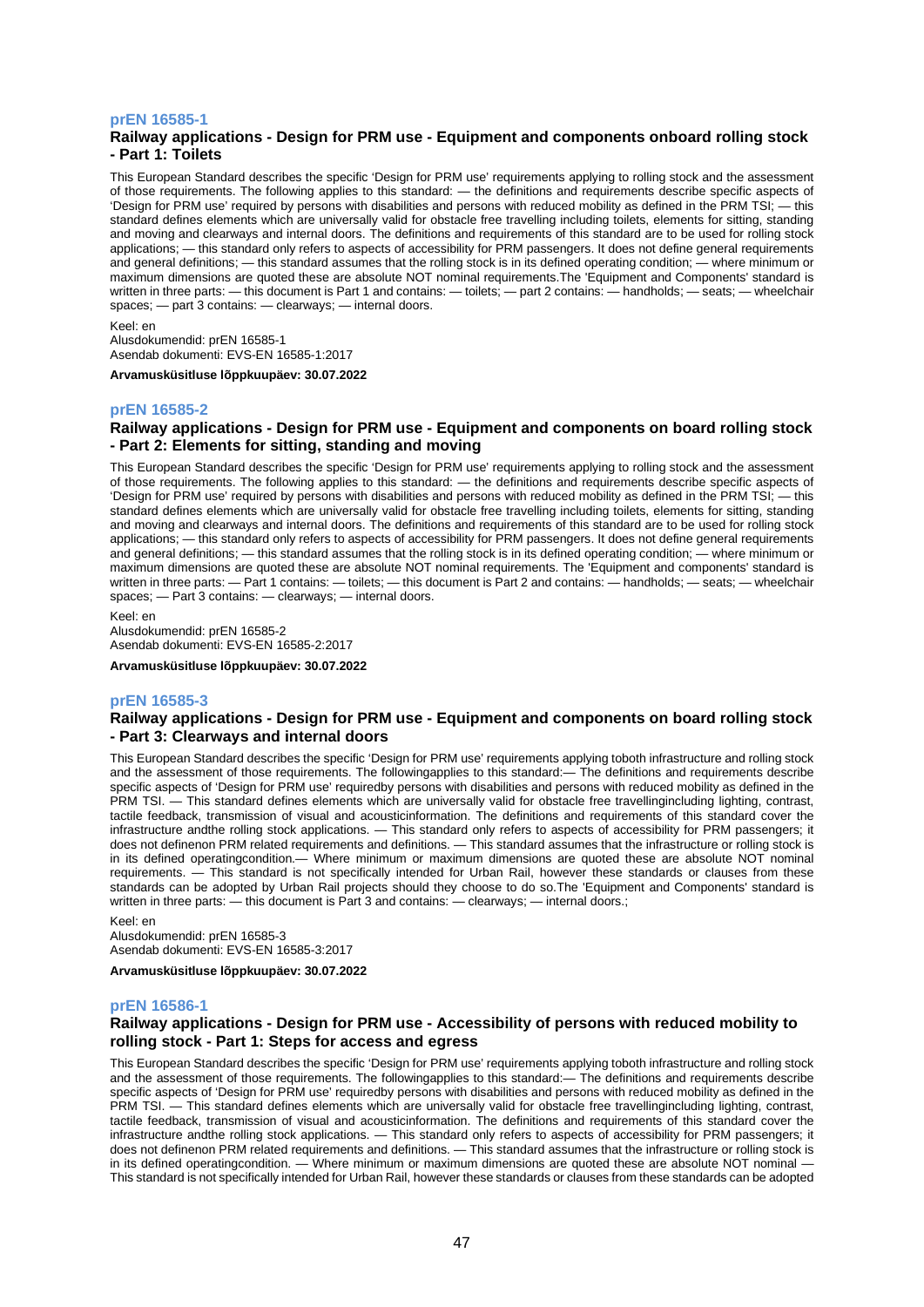### **prEN 16585-1**

## **Railway applications - Design for PRM use - Equipment and components onboard rolling stock - Part 1: Toilets**

This European Standard describes the specific 'Design for PRM use' requirements applying to rolling stock and the assessment of those requirements. The following applies to this standard: — the definitions and requirements describe specific aspects of 'Design for PRM use' required by persons with disabilities and persons with reduced mobility as defined in the PRM TSI; — this standard defines elements which are universally valid for obstacle free travelling including toilets, elements for sitting, standing and moving and clearways and internal doors. The definitions and requirements of this standard are to be used for rolling stock applications; — this standard only refers to aspects of accessibility for PRM passengers. It does not define general requirements and general definitions; — this standard assumes that the rolling stock is in its defined operating condition; — where minimum or maximum dimensions are quoted these are absolute NOT nominal requirements.The 'Equipment and Components' standard is written in three parts: — this document is Part 1 and contains: — toilets; — part 2 contains: — handholds; — seats; — wheelchair spaces; — part 3 contains: — clearways; — internal doors.

Keel: en

Alusdokumendid: prEN 16585-1 Asendab dokumenti: EVS-EN 16585-1:2017

**Arvamusküsitluse lõppkuupäev: 30.07.2022**

### **prEN 16585-2**

## **Railway applications - Design for PRM use - Equipment and components on board rolling stock - Part 2: Elements for sitting, standing and moving**

This European Standard describes the specific 'Design for PRM use' requirements applying to rolling stock and the assessment of those requirements. The following applies to this standard: — the definitions and requirements describe specific aspects of 'Design for PRM use' required by persons with disabilities and persons with reduced mobility as defined in the PRM TSI; — this standard defines elements which are universally valid for obstacle free travelling including toilets, elements for sitting, standing and moving and clearways and internal doors. The definitions and requirements of this standard are to be used for rolling stock applications; — this standard only refers to aspects of accessibility for PRM passengers. It does not define general requirements and general definitions; — this standard assumes that the rolling stock is in its defined operating condition; — where minimum or maximum dimensions are quoted these are absolute NOT nominal requirements. The 'Equipment and components' standard is written in three parts: — Part 1 contains: — toilets; — this document is Part 2 and contains: — handholds; — seats; — wheelchair spaces; — Part 3 contains: — clearways; — internal doors.

Keel: en

Alusdokumendid: prEN 16585-2 Asendab dokumenti: EVS-EN 16585-2:2017

**Arvamusküsitluse lõppkuupäev: 30.07.2022**

#### **prEN 16585-3**

### **Railway applications - Design for PRM use - Equipment and components on board rolling stock - Part 3: Clearways and internal doors**

This European Standard describes the specific 'Design for PRM use' requirements applying toboth infrastructure and rolling stock and the assessment of those requirements. The followingapplies to this standard:— The definitions and requirements describe specific aspects of 'Design for PRM use' requiredby persons with disabilities and persons with reduced mobility as defined in the PRM TSI. — This standard defines elements which are universally valid for obstacle free travellingincluding lighting, contrast, tactile feedback, transmission of visual and acousticinformation. The definitions and requirements of this standard cover the infrastructure andthe rolling stock applications. — This standard only refers to aspects of accessibility for PRM passengers; it does not definenon PRM related requirements and definitions. — This standard assumes that the infrastructure or rolling stock is in its defined operatingcondition.— Where minimum or maximum dimensions are quoted these are absolute NOT nominal requirements. — This standard is not specifically intended for Urban Rail, however these standards or clauses from these standards can be adopted by Urban Rail projects should they choose to do so.The 'Equipment and Components' standard is written in three parts: — this document is Part 3 and contains: — clearways; — internal doors.;

Keel: en

Alusdokumendid: prEN 16585-3 Asendab dokumenti: EVS-EN 16585-3:2017

**Arvamusküsitluse lõppkuupäev: 30.07.2022**

#### **prEN 16586-1**

### **Railway applications - Design for PRM use - Accessibility of persons with reduced mobility to rolling stock - Part 1: Steps for access and egress**

This European Standard describes the specific 'Design for PRM use' requirements applying toboth infrastructure and rolling stock and the assessment of those requirements. The followingapplies to this standard:— The definitions and requirements describe specific aspects of 'Design for PRM use' requiredby persons with disabilities and persons with reduced mobility as defined in the PRM TSI. — This standard defines elements which are universally valid for obstacle free travellingincluding lighting, contrast, tactile feedback, transmission of visual and acousticinformation. The definitions and requirements of this standard cover the infrastructure andthe rolling stock applications. — This standard only refers to aspects of accessibility for PRM passengers; it does not definenon PRM related requirements and definitions. — This standard assumes that the infrastructure or rolling stock is in its defined operatingcondition. — Where minimum or maximum dimensions are quoted these are absolute NOT nominal This standard is not specifically intended for Urban Rail, however these standards or clauses from these standards can be adopted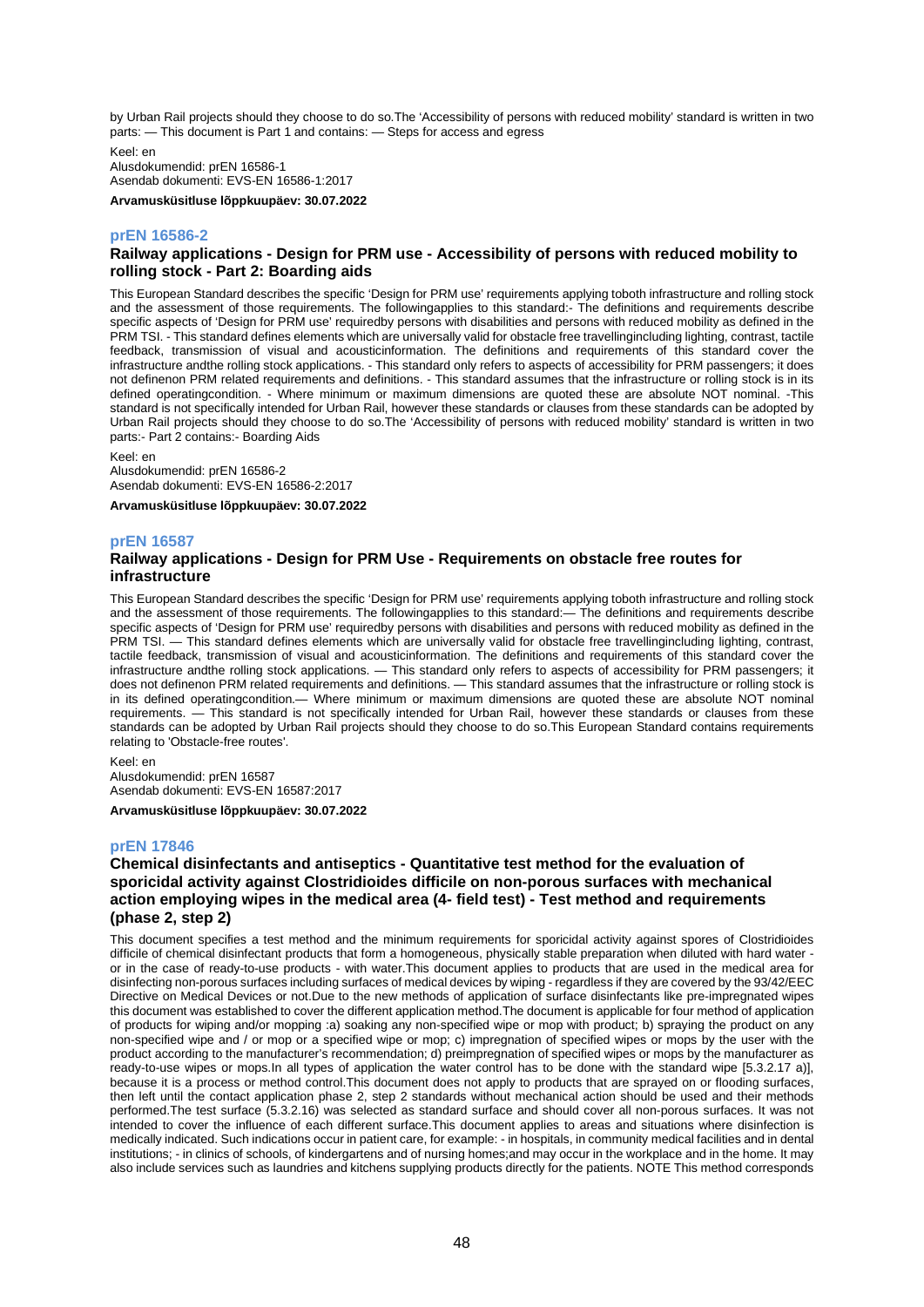by Urban Rail projects should they choose to do so.The 'Accessibility of persons with reduced mobility' standard is written in two parts: — This document is Part 1 and contains: — Steps for access and egress

Keel: en Alusdokumendid: prEN 16586-1 Asendab dokumenti: EVS-EN 16586-1:2017

**Arvamusküsitluse lõppkuupäev: 30.07.2022**

### **prEN 16586-2**

## **Railway applications - Design for PRM use - Accessibility of persons with reduced mobility to rolling stock - Part 2: Boarding aids**

This European Standard describes the specific 'Design for PRM use' requirements applying toboth infrastructure and rolling stock and the assessment of those requirements. The followingapplies to this standard:- The definitions and requirements describe specific aspects of 'Design for PRM use' requiredby persons with disabilities and persons with reduced mobility as defined in the PRM TSI. - This standard defines elements which are universally valid for obstacle free travellingincluding lighting, contrast, tactile feedback, transmission of visual and acousticinformation. The definitions and requirements of this standard cover the infrastructure andthe rolling stock applications. - This standard only refers to aspects of accessibility for PRM passengers; it does not definenon PRM related requirements and definitions. - This standard assumes that the infrastructure or rolling stock is in its defined operatingcondition. - Where minimum or maximum dimensions are quoted these are absolute NOT nominal. -This standard is not specifically intended for Urban Rail, however these standards or clauses from these standards can be adopted by Urban Rail projects should they choose to do so.The 'Accessibility of persons with reduced mobility' standard is written in two parts:- Part 2 contains:- Boarding Aids

Keel: en

Alusdokumendid: prEN 16586-2 Asendab dokumenti: EVS-EN 16586-2:2017

**Arvamusküsitluse lõppkuupäev: 30.07.2022**

### **prEN 16587**

## **Railway applications - Design for PRM Use - Requirements on obstacle free routes for infrastructure**

This European Standard describes the specific 'Design for PRM use' requirements applying toboth infrastructure and rolling stock and the assessment of those requirements. The followingapplies to this standard:— The definitions and requirements describe specific aspects of 'Design for PRM use' requiredby persons with disabilities and persons with reduced mobility as defined in the PRM TSI. — This standard defines elements which are universally valid for obstacle free travellingincluding lighting, contrast, tactile feedback, transmission of visual and acousticinformation. The definitions and requirements of this standard cover the infrastructure andthe rolling stock applications. — This standard only refers to aspects of accessibility for PRM passengers; it does not definenon PRM related requirements and definitions. — This standard assumes that the infrastructure or rolling stock is in its defined operatingcondition.— Where minimum or maximum dimensions are quoted these are absolute NOT nominal requirements. — This standard is not specifically intended for Urban Rail, however these standards or clauses from these standards can be adopted by Urban Rail projects should they choose to do so.This European Standard contains requirements relating to 'Obstacle-free routes'.

Keel: en Alusdokumendid: prEN 16587 Asendab dokumenti: EVS-EN 16587:2017

**Arvamusküsitluse lõppkuupäev: 30.07.2022**

## **prEN 17846**

## **Chemical disinfectants and antiseptics - Quantitative test method for the evaluation of sporicidal activity against Clostridioides difficile on non-porous surfaces with mechanical action employing wipes in the medical area (4- field test) - Test method and requirements (phase 2, step 2)**

This document specifies a test method and the minimum requirements for sporicidal activity against spores of Clostridioides difficile of chemical disinfectant products that form a homogeneous, physically stable preparation when diluted with hard water or in the case of ready-to-use products - with water.This document applies to products that are used in the medical area for disinfecting non-porous surfaces including surfaces of medical devices by wiping - regardless if they are covered by the 93/42/EEC Directive on Medical Devices or not.Due to the new methods of application of surface disinfectants like pre-impregnated wipes this document was established to cover the different application method.The document is applicable for four method of application of products for wiping and/or mopping :a) soaking any non-specified wipe or mop with product; b) spraying the product on any non-specified wipe and / or mop or a specified wipe or mop; c) impregnation of specified wipes or mops by the user with the product according to the manufacturer's recommendation; d) preimpregnation of specified wipes or mops by the manufacturer as ready-to-use wipes or mops.In all types of application the water control has to be done with the standard wipe [5.3.2.17 a)], because it is a process or method control.This document does not apply to products that are sprayed on or flooding surfaces, then left until the contact application phase 2, step 2 standards without mechanical action should be used and their methods performed.The test surface (5.3.2.16) was selected as standard surface and should cover all non-porous surfaces. It was not intended to cover the influence of each different surface.This document applies to areas and situations where disinfection is medically indicated. Such indications occur in patient care, for example: - in hospitals, in community medical facilities and in dental institutions; - in clinics of schools, of kindergartens and of nursing homes;and may occur in the workplace and in the home. It may also include services such as laundries and kitchens supplying products directly for the patients. NOTE This method corresponds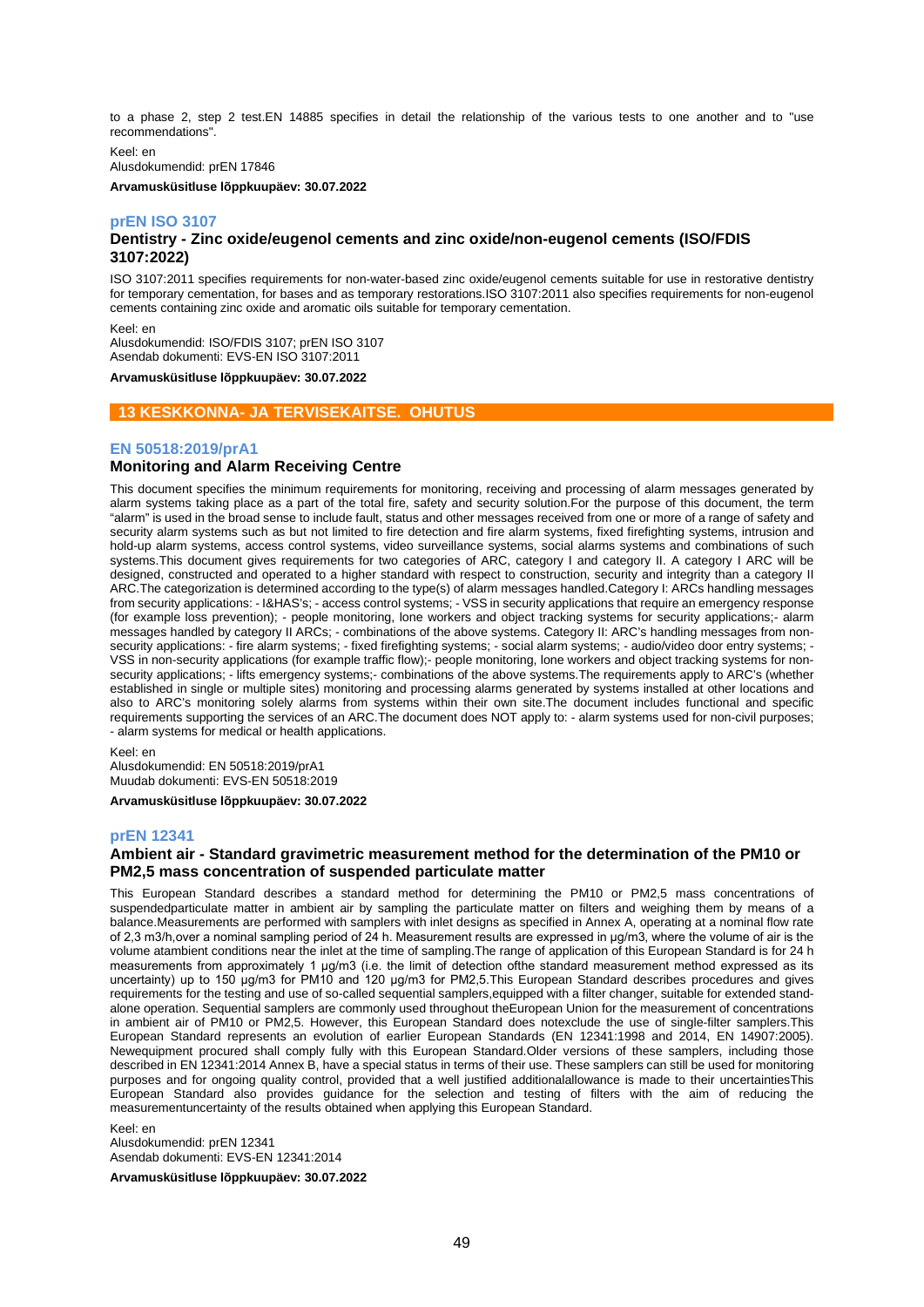to a phase 2, step 2 test.EN 14885 specifies in detail the relationship of the various tests to one another and to "use recommendations".

Keel: en Alusdokumendid: prEN 17846

**Arvamusküsitluse lõppkuupäev: 30.07.2022**

## **prEN ISO 3107**

## **Dentistry - Zinc oxide/eugenol cements and zinc oxide/non-eugenol cements (ISO/FDIS 3107:2022)**

ISO 3107:2011 specifies requirements for non-water-based zinc oxide/eugenol cements suitable for use in restorative dentistry for temporary cementation, for bases and as temporary restorations.ISO 3107:2011 also specifies requirements for non-eugenol cements containing zinc oxide and aromatic oils suitable for temporary cementation.

Keel: en

Alusdokumendid: ISO/FDIS 3107; prEN ISO 3107 Asendab dokumenti: EVS-EN ISO 3107:2011

**Arvamusküsitluse lõppkuupäev: 30.07.2022**

## **13 KESKKONNA- JA TERVISEKAITSE. OHUTUS**

## **EN 50518:2019/prA1**

## **Monitoring and Alarm Receiving Centre**

This document specifies the minimum requirements for monitoring, receiving and processing of alarm messages generated by alarm systems taking place as a part of the total fire, safety and security solution.For the purpose of this document, the term "alarm" is used in the broad sense to include fault, status and other messages received from one or more of a range of safety and security alarm systems such as but not limited to fire detection and fire alarm systems, fixed firefighting systems, intrusion and hold-up alarm systems, access control systems, video surveillance systems, social alarms systems and combinations of such systems. This document gives requirements for two categories of ARC, category I and category II. A category I ARC will be designed, constructed and operated to a higher standard with respect to construction, security and integrity than a category II ARC.The categorization is determined according to the type(s) of alarm messages handled.Category I: ARCs handling messages from security applications: - I&HAS's; - access control systems; - VSS in security applications that require an emergency response (for example loss prevention); - people monitoring, lone workers and object tracking systems for security applications;- alarm messages handled by category II ARCs; - combinations of the above systems. Category II: ARC's handling messages from nonsecurity applications: - fire alarm systems; - fixed firefighting systems; - social alarm systems; - audio/video door entry systems; -VSS in non-security applications (for example traffic flow);- people monitoring, lone workers and object tracking systems for nonsecurity applications; - lifts emergency systems;- combinations of the above systems. The requirements apply to ARC's (whether established in single or multiple sites) monitoring and processing alarms generated by systems installed at other locations and also to ARC's monitoring solely alarms from systems within their own site.The document includes functional and specific requirements supporting the services of an ARC.The document does NOT apply to: - alarm systems used for non-civil purposes; - alarm systems for medical or health applications.

Keel: en

Alusdokumendid: EN 50518:2019/prA1 Muudab dokumenti: EVS-EN 50518:2019

**Arvamusküsitluse lõppkuupäev: 30.07.2022**

#### **prEN 12341**

## **Ambient air - Standard gravimetric measurement method for the determination of the PM10 or PM2,5 mass concentration of suspended particulate matter**

This European Standard describes a standard method for determining the PM10 or PM2,5 mass concentrations of suspendedparticulate matter in ambient air by sampling the particulate matter on filters and weighing them by means of a balance.Measurements are performed with samplers with inlet designs as specified in Annex A, operating at a nominal flow rate of 2,3 m3/h,over a nominal sampling period of 24 h. Measurement results are expressed in μg/m3, where the volume of air is the volume atambient conditions near the inlet at the time of sampling.The range of application of this European Standard is for 24 h measurements from approximately 1 μg/m3 (i.e. the limit of detection ofthe standard measurement method expressed as its uncertainty) up to 150 μg/m3 for PM10 and 120 μg/m3 for PM2,5.This European Standard describes procedures and gives requirements for the testing and use of so-called sequential samplers,equipped with a filter changer, suitable for extended standalone operation. Sequential samplers are commonly used throughout theEuropean Union for the measurement of concentrations in ambient air of PM10 or PM2,5. However, this European Standard does notexclude the use of single-filter samplers.This European Standard represents an evolution of earlier European Standards (EN 12341:1998 and 2014, EN 14907:2005). Newequipment procured shall comply fully with this European Standard.Older versions of these samplers, including those described in EN 12341:2014 Annex B, have a special status in terms of their use. These samplers can still be used for monitoring purposes and for ongoing quality control, provided that a well justified additionalallowance is made to their uncertaintiesThis European Standard also provides guidance for the selection and testing of filters with the aim of reducing the measurementuncertainty of the results obtained when applying this European Standard.

Keel: en Alusdokumendid: prEN 12341 Asendab dokumenti: EVS-EN 12341:2014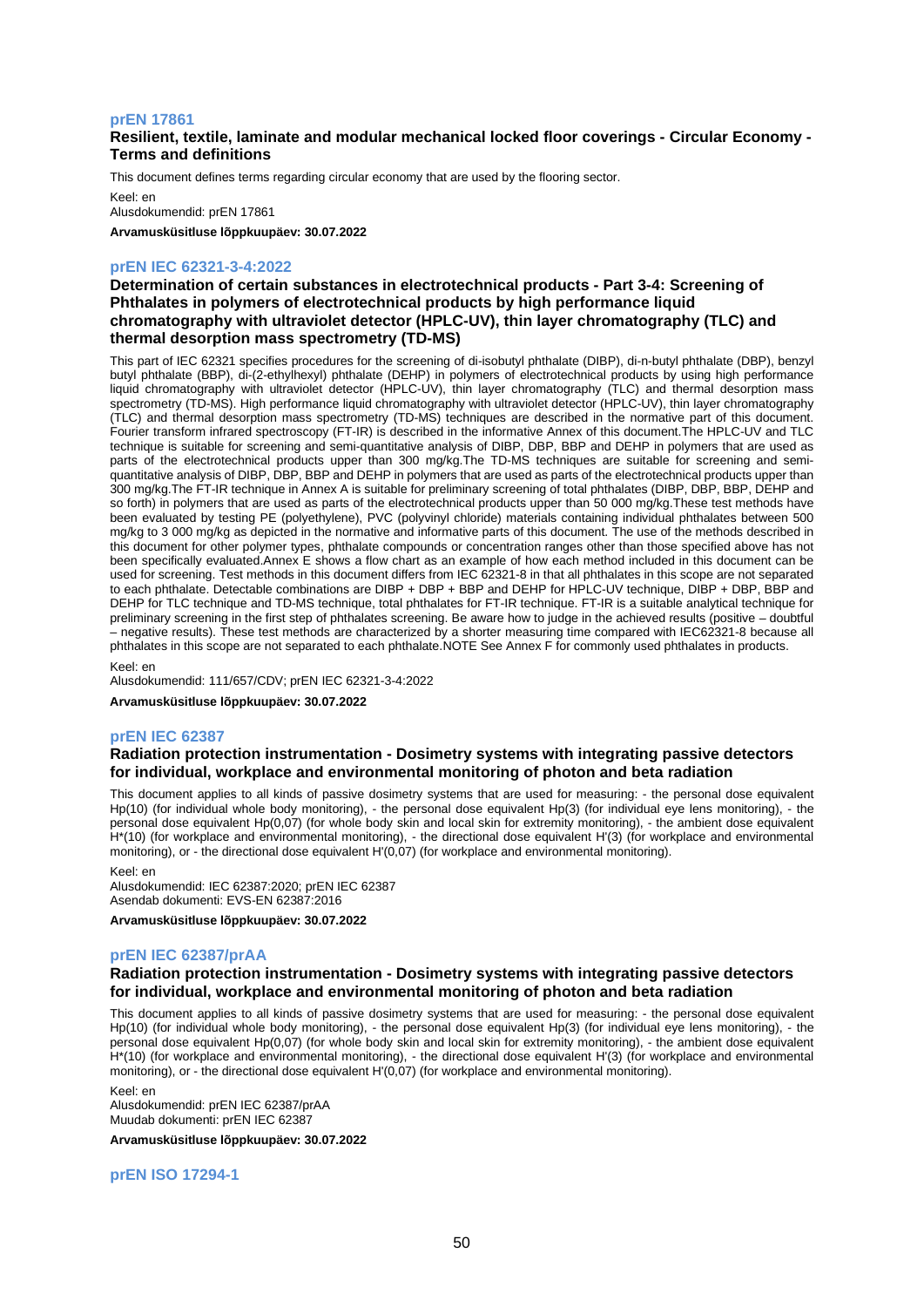#### **prEN 17861**

## **Resilient, textile, laminate and modular mechanical locked floor coverings - Circular Economy - Terms and definitions**

This document defines terms regarding circular economy that are used by the flooring sector.

Keel: en Alusdokumendid: prEN 17861

**Arvamusküsitluse lõppkuupäev: 30.07.2022**

## **prEN IEC 62321-3-4:2022**

**Determination of certain substances in electrotechnical products - Part 3-4: Screening of Phthalates in polymers of electrotechnical products by high performance liquid chromatography with ultraviolet detector (HPLC-UV), thin layer chromatography (TLC) and thermal desorption mass spectrometry (TD-MS)**

This part of IEC 62321 specifies procedures for the screening of di-isobutyl phthalate (DIBP), di-n-butyl phthalate (DBP), benzyl butyl phthalate (BBP), di-(2-ethylhexyl) phthalate (DEHP) in polymers of electrotechnical products by using high performance liquid chromatography with ultraviolet detector (HPLC-UV), thin layer chromatography (TLC) and thermal desorption mass spectrometry (TD-MS). High performance liquid chromatography with ultraviolet detector (HPLC-UV), thin layer chromatography (TLC) and thermal desorption mass spectrometry (TD-MS) techniques are described in the normative part of this document. Fourier transform infrared spectroscopy (FT-IR) is described in the informative Annex of this document.The HPLC-UV and TLC technique is suitable for screening and semi-quantitative analysis of DIBP, DBP, BBP and DEHP in polymers that are used as parts of the electrotechnical products upper than 300 mg/kg.The TD-MS techniques are suitable for screening and semiquantitative analysis of DIBP, DBP, BBP and DEHP in polymers that are used as parts of the electrotechnical products upper than 300 mg/kg.The FT-IR technique in Annex A is suitable for preliminary screening of total phthalates (DIBP, DBP, BBP, DEHP and so forth) in polymers that are used as parts of the electrotechnical products upper than 50 000 mg/kg. These test methods have been evaluated by testing PE (polyethylene), PVC (polyvinyl chloride) materials containing individual phthalates between 500 mg/kg to 3 000 mg/kg as depicted in the normative and informative parts of this document. The use of the methods described in this document for other polymer types, phthalate compounds or concentration ranges other than those specified above has not been specifically evaluated.Annex E shows a flow chart as an example of how each method included in this document can be used for screening. Test methods in this document differs from IEC 62321-8 in that all phthalates in this scope are not separated to each phthalate. Detectable combinations are DIBP + DBP + BBP and DEHP for HPLC-UV technique, DIBP + DBP, BBP and DEHP for TLC technique and TD-MS technique, total phthalates for FT-IR technique. FT-IR is a suitable analytical technique for preliminary screening in the first step of phthalates screening. Be aware how to judge in the achieved results (positive – doubtful – negative results). These test methods are characterized by a shorter measuring time compared with IEC62321-8 because all phthalates in this scope are not separated to each phthalate.NOTE See Annex F for commonly used phthalates in products.

Keel: en

Alusdokumendid: 111/657/CDV; prEN IEC 62321-3-4:2022

**Arvamusküsitluse lõppkuupäev: 30.07.2022**

### **prEN IEC 62387**

### **Radiation protection instrumentation - Dosimetry systems with integrating passive detectors for individual, workplace and environmental monitoring of photon and beta radiation**

This document applies to all kinds of passive dosimetry systems that are used for measuring: - the personal dose equivalent Hp(10) (for individual whole body monitoring), - the personal dose equivalent Hp(3) (for individual eye lens monitoring), - the personal dose equivalent Hp(0,07) (for whole body skin and local skin for extremity monitoring), - the ambient dose equivalent H\*(10) (for workplace and environmental monitoring), - the directional dose equivalent H'(3) (for workplace and environmental monitoring), or - the directional dose equivalent H'(0,07) (for workplace and environmental monitoring).

Keel: en

Alusdokumendid: IEC 62387:2020; prEN IEC 62387 Asendab dokumenti: EVS-EN 62387:2016

**Arvamusküsitluse lõppkuupäev: 30.07.2022**

#### **prEN IEC 62387/prAA**

## **Radiation protection instrumentation - Dosimetry systems with integrating passive detectors for individual, workplace and environmental monitoring of photon and beta radiation**

This document applies to all kinds of passive dosimetry systems that are used for measuring: - the personal dose equivalent Hp(10) (for individual whole body monitoring), - the personal dose equivalent Hp(3) (for individual eye lens monitoring), - the personal dose equivalent Hp(0,07) (for whole body skin and local skin for extremity monitoring), - the ambient dose equivalent H\*(10) (for workplace and environmental monitoring), - the directional dose equivalent H'(3) (for workplace and environmental monitoring), or - the directional dose equivalent H'(0,07) (for workplace and environmental monitoring).

Keel: en Alusdokumendid: prEN IEC 62387/prAA Muudab dokumenti: prEN IEC 62387

**Arvamusküsitluse lõppkuupäev: 30.07.2022**

**prEN ISO 17294-1**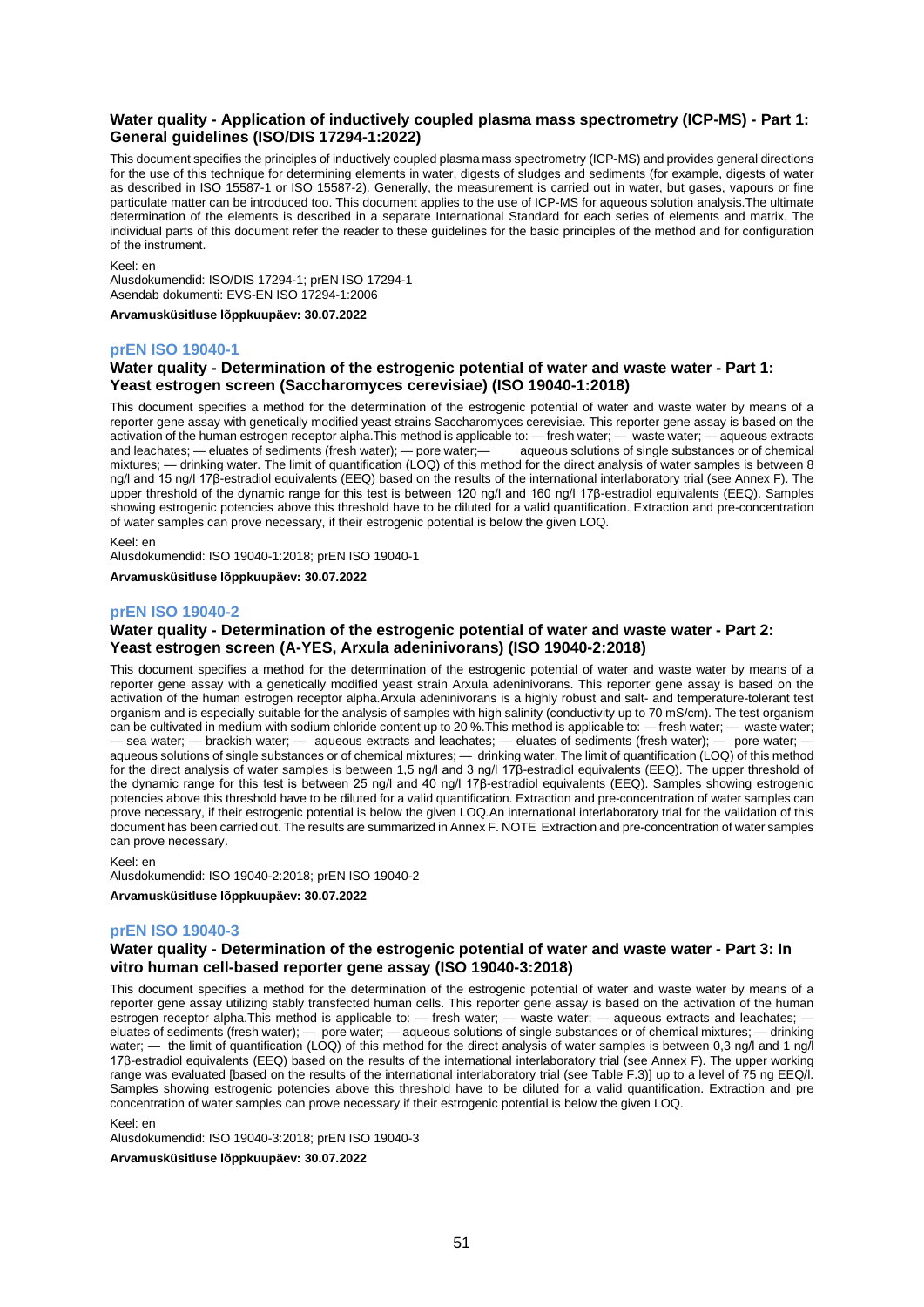## **Water quality - Application of inductively coupled plasma mass spectrometry (ICP-MS) - Part 1: General guidelines (ISO/DIS 17294-1:2022)**

This document specifies the principles of inductively coupled plasma mass spectrometry (ICP‑MS) and provides general directions for the use of this technique for determining elements in water, digests of sludges and sediments (for example, digests of water as described in ISO 15587-1 or ISO 15587-2). Generally, the measurement is carried out in water, but gases, vapours or fine particulate matter can be introduced too. This document applies to the use of ICP‑MS for aqueous solution analysis.The ultimate determination of the elements is described in a separate International Standard for each series of elements and matrix. The individual parts of this document refer the reader to these guidelines for the basic principles of the method and for configuration of the instrument.

Keel: en

Alusdokumendid: ISO/DIS 17294-1; prEN ISO 17294-1 Asendab dokumenti: EVS-EN ISO 17294-1:2006

**Arvamusküsitluse lõppkuupäev: 30.07.2022**

## **prEN ISO 19040-1**

## **Water quality - Determination of the estrogenic potential of water and waste water - Part 1: Yeast estrogen screen (Saccharomyces cerevisiae) (ISO 19040-1:2018)**

This document specifies a method for the determination of the estrogenic potential of water and waste water by means of a reporter gene assay with genetically modified yeast strains Saccharomyces cerevisiae. This reporter gene assay is based on the activation of the human estrogen receptor alpha.This method is applicable to: — fresh water; — waste water; — aqueous extracts and leachates; — eluates of sediments (fresh water); — pore water; — aqueous solutions of singl and leachates; — eluates of sediments (fresh water); — pore water; mixtures; — drinking water. The limit of quantification (LOQ) of this method for the direct analysis of water samples is between 8 ng/l and 15 ng/l 17β-estradiol equivalents (EEQ) based on the results of the international interlaboratory trial (see Annex F). The upper threshold of the dynamic range for this test is between 120 ng/l and 160 ng/l 17β-estradiol equivalents (EEQ). Samples showing estrogenic potencies above this threshold have to be diluted for a valid quantification. Extraction and pre-concentration of water samples can prove necessary, if their estrogenic potential is below the given LOQ.

Keel: en

Alusdokumendid: ISO 19040-1:2018; prEN ISO 19040-1

**Arvamusküsitluse lõppkuupäev: 30.07.2022**

### **prEN ISO 19040-2**

### **Water quality - Determination of the estrogenic potential of water and waste water - Part 2: Yeast estrogen screen (A-YES, Arxula adeninivorans) (ISO 19040-2:2018)**

This document specifies a method for the determination of the estrogenic potential of water and waste water by means of a reporter gene assay with a genetically modified yeast strain Arxula adeninivorans. This reporter gene assay is based on the activation of the human estrogen receptor alpha.Arxula adeninivorans is a highly robust and salt- and temperature-tolerant test organism and is especially suitable for the analysis of samples with high salinity (conductivity up to 70 mS/cm). The test organism can be cultivated in medium with sodium chloride content up to 20 %.This method is applicable to: — fresh water; — waste water; — sea water; — brackish water; — aqueous extracts and leachates; — eluates of sediments (fresh water); — pore water; aqueous solutions of single substances or of chemical mixtures; — drinking water. The limit of quantification (LOQ) of this method for the direct analysis of water samples is between 1,5 ng/l and 3 ng/l 17β-estradiol equivalents (EEQ). The upper threshold of the dynamic range for this test is between 25 ng/l and 40 ng/l 17β-estradiol equivalents (EEQ). Samples showing estrogenic potencies above this threshold have to be diluted for a valid quantification. Extraction and pre-concentration of water samples can prove necessary, if their estrogenic potential is below the given LOQ.An international interlaboratory trial for the validation of this document has been carried out. The results are summarized in Annex F. NOTE Extraction and pre-concentration of water samples can prove necessary.

Keel: en

Alusdokumendid: ISO 19040-2:2018; prEN ISO 19040-2

**Arvamusküsitluse lõppkuupäev: 30.07.2022**

#### **prEN ISO 19040-3**

## **Water quality - Determination of the estrogenic potential of water and waste water - Part 3: In vitro human cell-based reporter gene assay (ISO 19040-3:2018)**

This document specifies a method for the determination of the estrogenic potential of water and waste water by means of a reporter gene assay utilizing stably transfected human cells. This reporter gene assay is based on the activation of the human estrogen receptor alpha.This method is applicable to: — fresh water; — waste water; — aqueous extracts and leachates; eluates of sediments (fresh water); — pore water; — aqueous solutions of single substances or of chemical mixtures; — drinking water; — the limit of quantification (LOQ) of this method for the direct analysis of water samples is between 0,3 ng/l and 1 ng/l 17β-estradiol equivalents (EEQ) based on the results of the international interlaboratory trial (see Annex F). The upper working range was evaluated [based on the results of the international interlaboratory trial (see Table F.3)] up to a level of 75 ng EEQ/l. Samples showing estrogenic potencies above this threshold have to be diluted for a valid quantification. Extraction and pre concentration of water samples can prove necessary if their estrogenic potential is below the given LOQ.

Keel: en

Alusdokumendid: ISO 19040-3:2018; prEN ISO 19040-3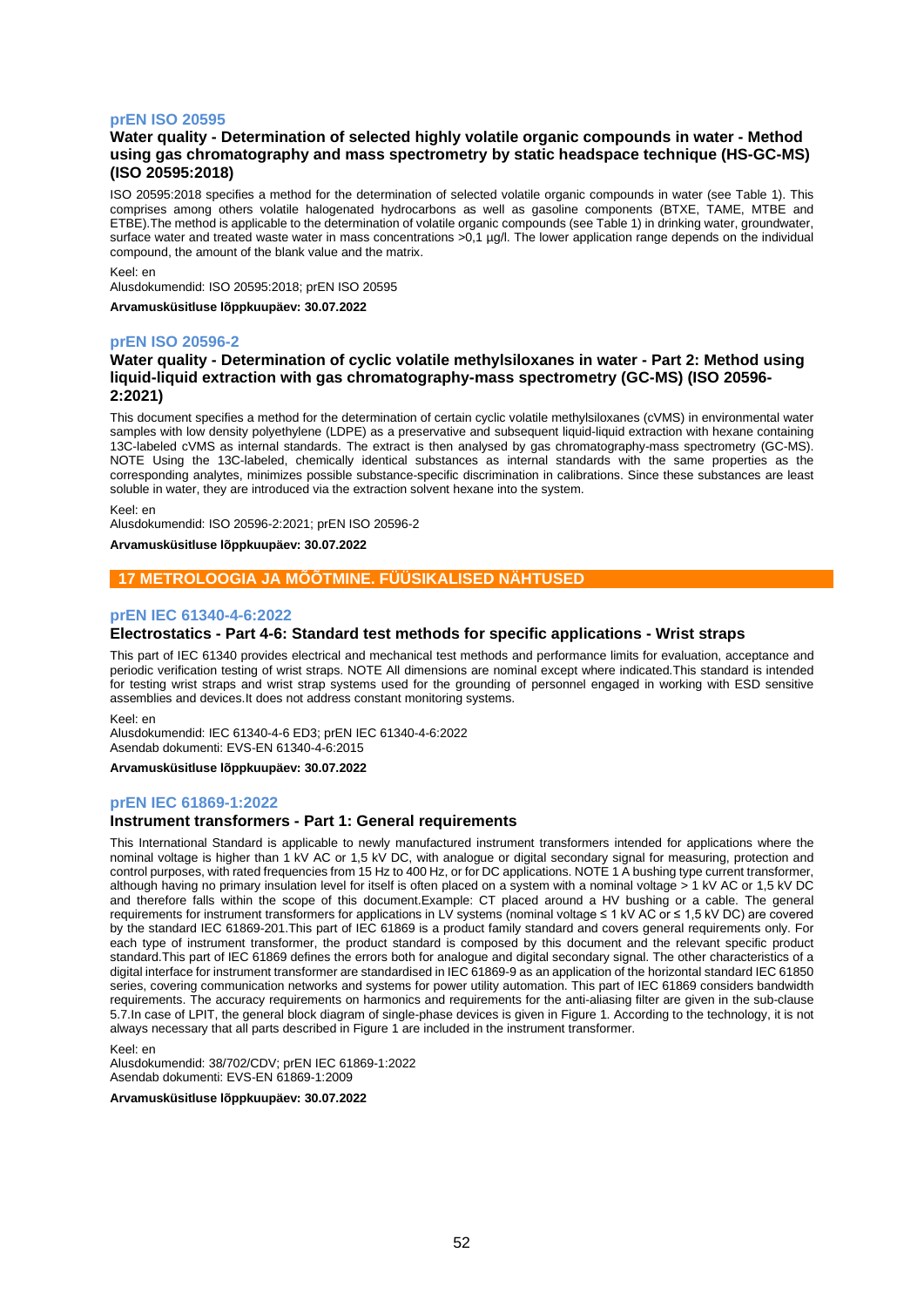## **prEN ISO 20595**

## **Water quality - Determination of selected highly volatile organic compounds in water - Method using gas chromatography and mass spectrometry by static headspace technique (HS-GC-MS) (ISO 20595:2018)**

ISO 20595:2018 specifies a method for the determination of selected volatile organic compounds in water (see Table 1). This comprises among others volatile halogenated hydrocarbons as well as gasoline components (BTXE, TAME, MTBE and ETBE).The method is applicable to the determination of volatile organic compounds (see Table 1) in drinking water, groundwater, surface water and treated waste water in mass concentrations >0,1 µg/l. The lower application range depends on the individual compound, the amount of the blank value and the matrix.

#### Keel: en

Alusdokumendid: ISO 20595:2018; prEN ISO 20595

**Arvamusküsitluse lõppkuupäev: 30.07.2022**

### **prEN ISO 20596-2**

## **Water quality - Determination of cyclic volatile methylsiloxanes in water - Part 2: Method using liquid-liquid extraction with gas chromatography-mass spectrometry (GC-MS) (ISO 20596- 2:2021)**

This document specifies a method for the determination of certain cyclic volatile methylsiloxanes (cVMS) in environmental water samples with low density polyethylene (LDPE) as a preservative and subsequent liquid-liquid extraction with hexane containing 13C-labeled cVMS as internal standards. The extract is then analysed by gas chromatography-mass spectrometry (GC-MS). NOTE Using the 13C-labeled, chemically identical substances as internal standards with the same properties as the corresponding analytes, minimizes possible substance-specific discrimination in calibrations. Since these substances are least soluble in water, they are introduced via the extraction solvent hexane into the system.

Keel: en

Alusdokumendid: ISO 20596-2:2021; prEN ISO 20596-2

### **Arvamusküsitluse lõppkuupäev: 30.07.2022**

## **17 METROLOOGIA JA MÕÕTMINE. FÜÜSIKALISED NÄHTUSED**

### **prEN IEC 61340-4-6:2022**

### **Electrostatics - Part 4-6: Standard test methods for specific applications - Wrist straps**

This part of IEC 61340 provides electrical and mechanical test methods and performance limits for evaluation, acceptance and periodic verification testing of wrist straps. NOTE All dimensions are nominal except where indicated.This standard is intended for testing wrist straps and wrist strap systems used for the grounding of personnel engaged in working with ESD sensitive assemblies and devices.It does not address constant monitoring systems.

Keel: en

Alusdokumendid: IEC 61340-4-6 ED3; prEN IEC 61340-4-6:2022 Asendab dokumenti: EVS-EN 61340-4-6:2015

**Arvamusküsitluse lõppkuupäev: 30.07.2022**

#### **prEN IEC 61869-1:2022**

#### **Instrument transformers - Part 1: General requirements**

This International Standard is applicable to newly manufactured instrument transformers intended for applications where the nominal voltage is higher than 1 kV AC or 1,5 kV DC, with analogue or digital secondary signal for measuring, protection and control purposes, with rated frequencies from 15 Hz to 400 Hz, or for DC applications. NOTE 1 A bushing type current transformer, although having no primary insulation level for itself is often placed on a system with a nominal voltage > 1 kV AC or 1,5 kV DC and therefore falls within the scope of this document.Example: CT placed around a HV bushing or a cable. The general requirements for instrument transformers for applications in LV systems (nominal voltage ≤ 1 kV AC or ≤ 1,5 kV DC) are covered by the standard IEC 61869-201.This part of IEC 61869 is a product family standard and covers general requirements only. For each type of instrument transformer, the product standard is composed by this document and the relevant specific product standard.This part of IEC 61869 defines the errors both for analogue and digital secondary signal. The other characteristics of a digital interface for instrument transformer are standardised in IEC 61869-9 as an application of the horizontal standard IEC 61850 series, covering communication networks and systems for power utility automation. This part of IEC 61869 considers bandwidth requirements. The accuracy requirements on harmonics and requirements for the anti-aliasing filter are given in the sub-clause 5.7.In case of LPIT, the general block diagram of single-phase devices is given in Figure 1. According to the technology, it is not always necessary that all parts described in Figure 1 are included in the instrument transformer.

Keel: en

Alusdokumendid: 38/702/CDV; prEN IEC 61869-1:2022 Asendab dokumenti: EVS-EN 61869-1:2009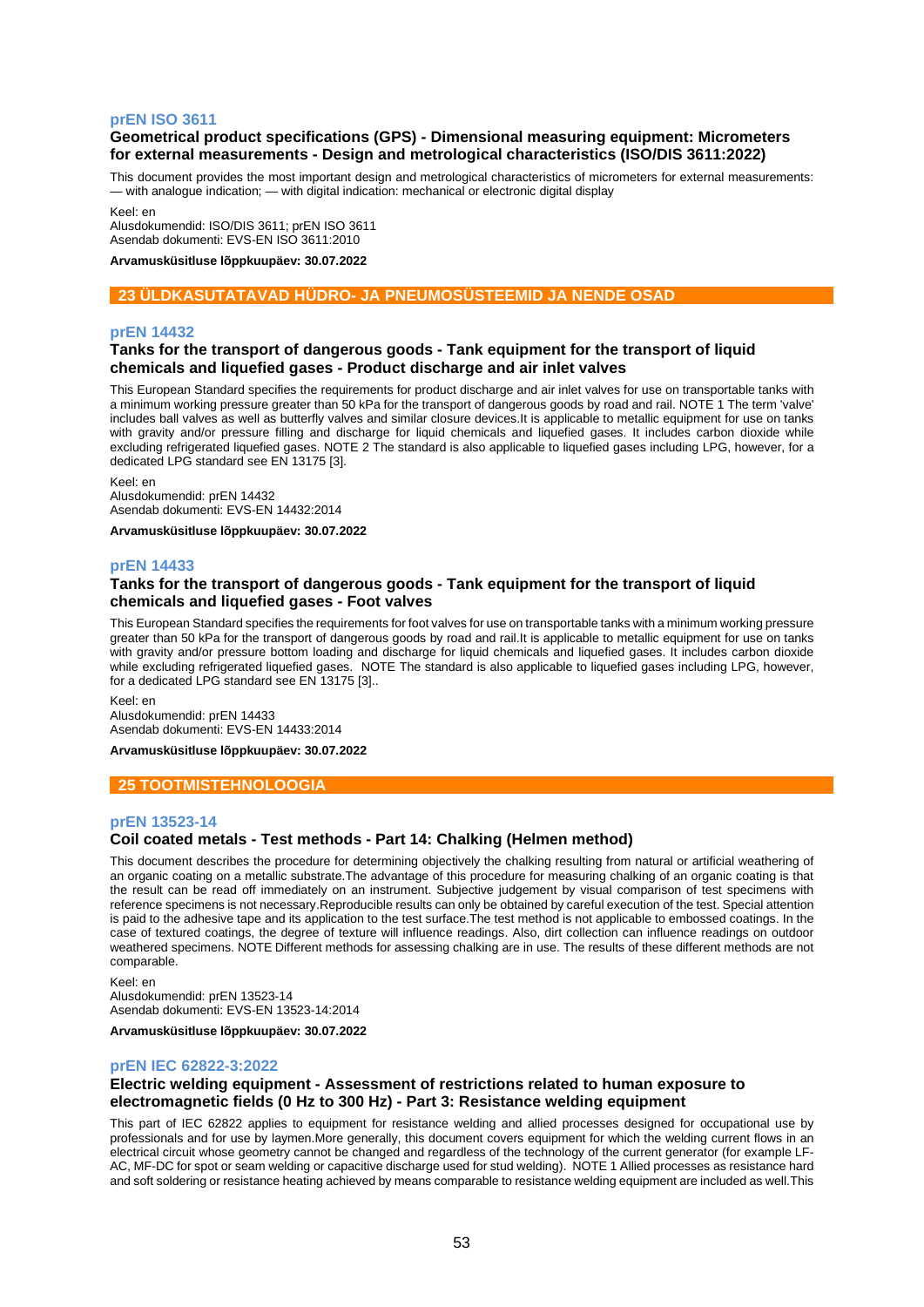### **prEN ISO 3611**

## **Geometrical product specifications (GPS) - Dimensional measuring equipment: Micrometers for external measurements - Design and metrological characteristics (ISO/DIS 3611:2022)**

This document provides the most important design and metrological characteristics of micrometers for external measurements: — with analogue indication; — with digital indication: mechanical or electronic digital display

Keel: en

Alusdokumendid: ISO/DIS 3611; prEN ISO 3611 Asendab dokumenti: EVS-EN ISO 3611:2010

**Arvamusküsitluse lõppkuupäev: 30.07.2022**

## **23 ÜLDKASUTATAVAD HÜDRO- JA PNEUMOSÜSTEEMID JA NENDE OSAD**

## **prEN 14432**

## **Tanks for the transport of dangerous goods - Tank equipment for the transport of liquid chemicals and liquefied gases - Product discharge and air inlet valves**

This European Standard specifies the requirements for product discharge and air inlet valves for use on transportable tanks with a minimum working pressure greater than 50 kPa for the transport of dangerous goods by road and rail. NOTE 1 The term 'valve' includes ball valves as well as butterfly valves and similar closure devices.It is applicable to metallic equipment for use on tanks with gravity and/or pressure filling and discharge for liquid chemicals and liquefied gases. It includes carbon dioxide while excluding refrigerated liquefied gases. NOTE 2 The standard is also applicable to liquefied gases including LPG, however, for a dedicated LPG standard see EN 13175 [3].

Keel: en

Alusdokumendid: prEN 14432 Asendab dokumenti: EVS-EN 14432:2014

**Arvamusküsitluse lõppkuupäev: 30.07.2022**

### **prEN 14433**

## **Tanks for the transport of dangerous goods - Tank equipment for the transport of liquid chemicals and liquefied gases - Foot valves**

This European Standard specifies the requirements for foot valves for use on transportable tanks with a minimum working pressure greater than 50 kPa for the transport of dangerous goods by road and rail.It is applicable to metallic equipment for use on tanks with gravity and/or pressure bottom loading and discharge for liquid chemicals and liquefied gases. It includes carbon dioxide while excluding refrigerated liquefied gases. NOTE The standard is also applicable to liquefied gases including LPG, however, for a dedicated LPG standard see EN 13175 [3]..

Keel: en

Alusdokumendid: prEN 14433 Asendab dokumenti: EVS-EN 14433:2014

**Arvamusküsitluse lõppkuupäev: 30.07.2022**

#### **25 TOOTMISTEHNOLOOGIA**

#### **prEN 13523-14**

## **Coil coated metals - Test methods - Part 14: Chalking (Helmen method)**

This document describes the procedure for determining objectively the chalking resulting from natural or artificial weathering of an organic coating on a metallic substrate.The advantage of this procedure for measuring chalking of an organic coating is that the result can be read off immediately on an instrument. Subjective judgement by visual comparison of test specimens with reference specimens is not necessary.Reproducible results can only be obtained by careful execution of the test. Special attention is paid to the adhesive tape and its application to the test surface.The test method is not applicable to embossed coatings. In the case of textured coatings, the degree of texture will influence readings. Also, dirt collection can influence readings on outdoor weathered specimens. NOTE Different methods for assessing chalking are in use. The results of these different methods are not comparable.

Keel: en Alusdokumendid: prEN 13523-14 Asendab dokumenti: EVS-EN 13523-14:2014

**Arvamusküsitluse lõppkuupäev: 30.07.2022**

### **prEN IEC 62822-3:2022**

## **Electric welding equipment - Assessment of restrictions related to human exposure to electromagnetic fields (0 Hz to 300 Hz) - Part 3: Resistance welding equipment**

This part of IEC 62822 applies to equipment for resistance welding and allied processes designed for occupational use by professionals and for use by laymen.More generally, this document covers equipment for which the welding current flows in an electrical circuit whose geometry cannot be changed and regardless of the technology of the current generator (for example LF-AC, MF-DC for spot or seam welding or capacitive discharge used for stud welding). NOTE 1 Allied processes as resistance hard and soft soldering or resistance heating achieved by means comparable to resistance welding equipment are included as well.This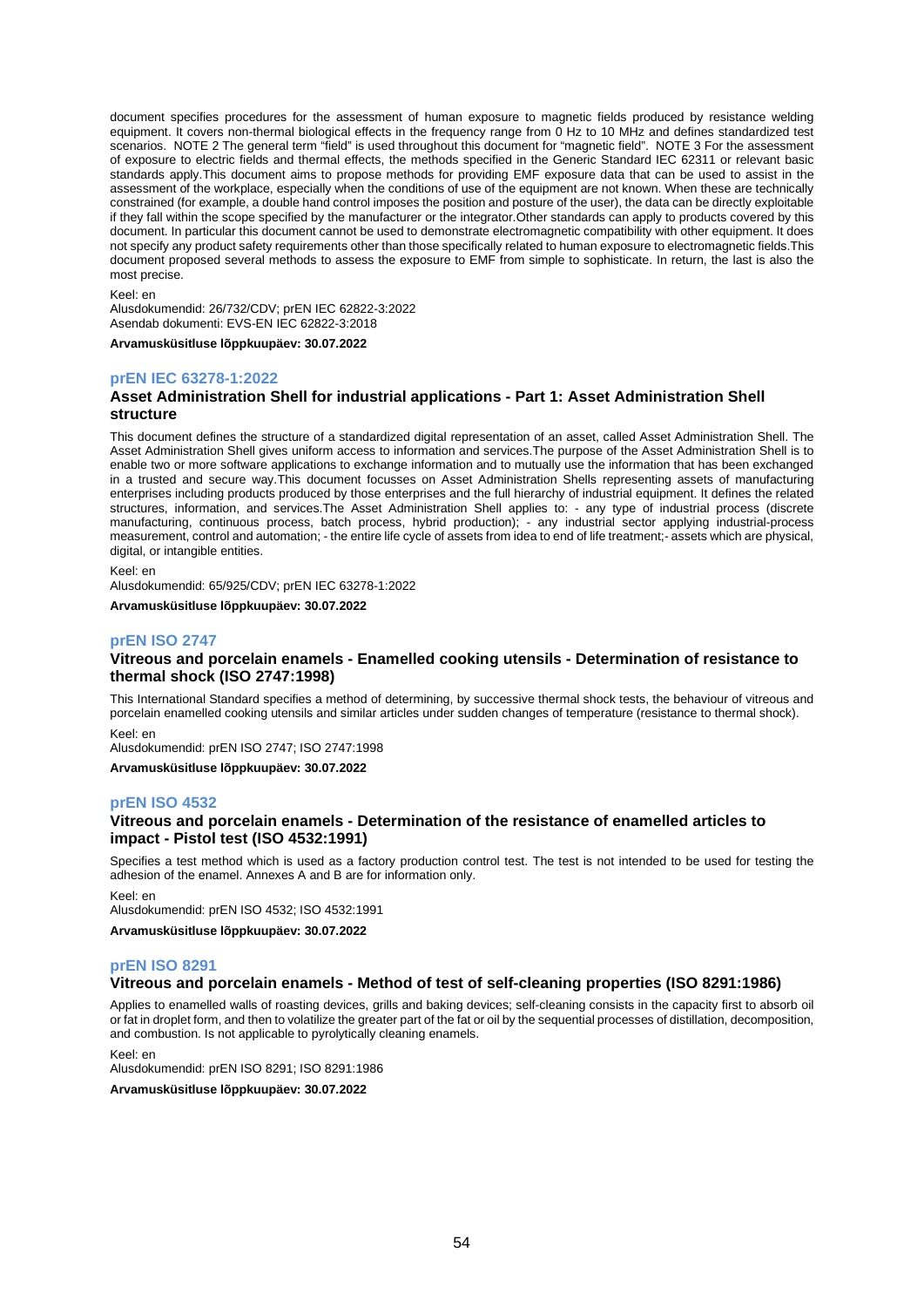document specifies procedures for the assessment of human exposure to magnetic fields produced by resistance welding equipment. It covers non-thermal biological effects in the frequency range from 0 Hz to 10 MHz and defines standardized test scenarios. NOTE 2 The general term "field" is used throughout this document for "magnetic field". NOTE 3 For the assessment of exposure to electric fields and thermal effects, the methods specified in the Generic Standard IEC 62311 or relevant basic standards apply.This document aims to propose methods for providing EMF exposure data that can be used to assist in the assessment of the workplace, especially when the conditions of use of the equipment are not known. When these are technically constrained (for example, a double hand control imposes the position and posture of the user), the data can be directly exploitable if they fall within the scope specified by the manufacturer or the integrator.Other standards can apply to products covered by this document. In particular this document cannot be used to demonstrate electromagnetic compatibility with other equipment. It does not specify any product safety requirements other than those specifically related to human exposure to electromagnetic fields.This document proposed several methods to assess the exposure to EMF from simple to sophisticate. In return, the last is also the most precise.

#### Keel: en

Alusdokumendid: 26/732/CDV; prEN IEC 62822-3:2022 Asendab dokumenti: EVS-EN IEC 62822-3:2018

**Arvamusküsitluse lõppkuupäev: 30.07.2022**

### **prEN IEC 63278-1:2022**

## **Asset Administration Shell for industrial applications - Part 1: Asset Administration Shell structure**

This document defines the structure of a standardized digital representation of an asset, called Asset Administration Shell. The Asset Administration Shell gives uniform access to information and services.The purpose of the Asset Administration Shell is to enable two or more software applications to exchange information and to mutually use the information that has been exchanged in a trusted and secure way.This document focusses on Asset Administration Shells representing assets of manufacturing enterprises including products produced by those enterprises and the full hierarchy of industrial equipment. It defines the related structures, information, and services.The Asset Administration Shell applies to: - any type of industrial process (discrete manufacturing, continuous process, batch process, hybrid production); - any industrial sector applying industrial-process measurement, control and automation; - the entire life cycle of assets from idea to end of life treatment;- assets which are physical, digital, or intangible entities.

Keel: en

Alusdokumendid: 65/925/CDV; prEN IEC 63278-1:2022

**Arvamusküsitluse lõppkuupäev: 30.07.2022**

## **prEN ISO 2747**

## **Vitreous and porcelain enamels - Enamelled cooking utensils - Determination of resistance to thermal shock (ISO 2747:1998)**

This International Standard specifies a method of determining, by successive thermal shock tests, the behaviour of vitreous and porcelain enamelled cooking utensils and similar articles under sudden changes of temperature (resistance to thermal shock). Keel: en

Alusdokumendid: prEN ISO 2747; ISO 2747:1998

**Arvamusküsitluse lõppkuupäev: 30.07.2022**

### **prEN ISO 4532**

### **Vitreous and porcelain enamels - Determination of the resistance of enamelled articles to impact - Pistol test (ISO 4532:1991)**

Specifies a test method which is used as a factory production control test. The test is not intended to be used for testing the adhesion of the enamel. Annexes A and B are for information only.

Keel: en

Alusdokumendid: prEN ISO 4532; ISO 4532:1991 **Arvamusküsitluse lõppkuupäev: 30.07.2022**

### **prEN ISO 8291**

#### **Vitreous and porcelain enamels - Method of test of self-cleaning properties (ISO 8291:1986)**

Applies to enamelled walls of roasting devices, grills and baking devices; self-cleaning consists in the capacity first to absorb oil or fat in droplet form, and then to volatilize the greater part of the fat or oil by the sequential processes of distillation, decomposition, and combustion. Is not applicable to pyrolytically cleaning enamels.

Keel: en

Alusdokumendid: prEN ISO 8291; ISO 8291:1986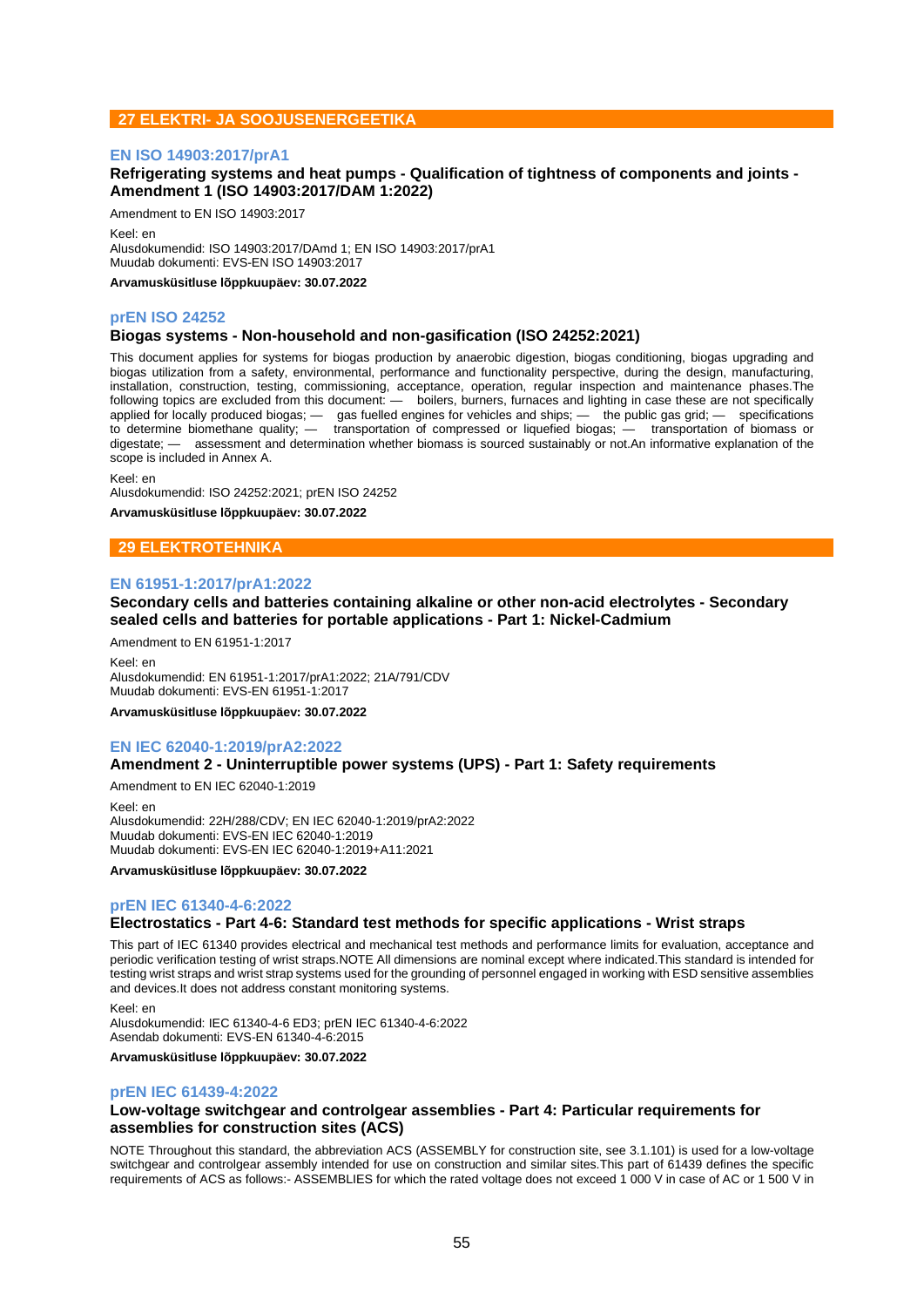## **27 ELEKTRI- JA SOOJUSENERGEETIKA**

### **EN ISO 14903:2017/prA1**

Amendment to EN ISO 14903:2017

## **Refrigerating systems and heat pumps - Qualification of tightness of components and joints - Amendment 1 (ISO 14903:2017/DAM 1:2022)**

Keel: en Alusdokumendid: ISO 14903:2017/DAmd 1; EN ISO 14903:2017/prA1 Muudab dokumenti: EVS-EN ISO 14903:2017

**Arvamusküsitluse lõppkuupäev: 30.07.2022**

#### **prEN ISO 24252**

### **Biogas systems - Non-household and non-gasification (ISO 24252:2021)**

This document applies for systems for biogas production by anaerobic digestion, biogas conditioning, biogas upgrading and biogas utilization from a safety, environmental, performance and functionality perspective, during the design, manufacturing, installation, construction, testing, commissioning, acceptance, operation, regular inspection and maintenance phases.The following topics are excluded from this document: — boilers, burners, furnaces and lighting in case these are not specifically applied for locally produced biogas; — gas fuelled engines for vehicles and ships; — the public gas grid; — specifications to determine biomethane quality; — transportation of compressed or liquefied biogas; — transportation of biomass or digestate; — assessment and determination whether biomass is sourced sustainably or not.An informative explanation of the scope is included in Annex A.

Keel: en

Alusdokumendid: ISO 24252:2021; prEN ISO 24252

**Arvamusküsitluse lõppkuupäev: 30.07.2022**

## **29 ELEKTROTEHNIKA**

### **EN 61951-1:2017/prA1:2022**

## **Secondary cells and batteries containing alkaline or other non-acid electrolytes - Secondary sealed cells and batteries for portable applications - Part 1: Nickel-Cadmium**

Amendment to EN 61951-1:2017

Keel: en Alusdokumendid: EN 61951-1:2017/prA1:2022; 21A/791/CDV Muudab dokumenti: EVS-EN 61951-1:2017

**Arvamusküsitluse lõppkuupäev: 30.07.2022**

## **EN IEC 62040-1:2019/prA2:2022**

### **Amendment 2 - Uninterruptible power systems (UPS) - Part 1: Safety requirements**

Amendment to EN IEC 62040-1:2019

Keel: en Alusdokumendid: 22H/288/CDV; EN IEC 62040-1:2019/prA2:2022 Muudab dokumenti: EVS-EN IEC 62040-1:2019 Muudab dokumenti: EVS-EN IEC 62040-1:2019+A11:2021

**Arvamusküsitluse lõppkuupäev: 30.07.2022**

#### **prEN IEC 61340-4-6:2022**

### **Electrostatics - Part 4-6: Standard test methods for specific applications - Wrist straps**

This part of IEC 61340 provides electrical and mechanical test methods and performance limits for evaluation, acceptance and periodic verification testing of wrist straps.NOTE All dimensions are nominal except where indicated.This standard is intended for testing wrist straps and wrist strap systems used for the grounding of personnel engaged in working with ESD sensitive assemblies and devices.It does not address constant monitoring systems.

Keel: en

Alusdokumendid: IEC 61340-4-6 ED3; prEN IEC 61340-4-6:2022 Asendab dokumenti: EVS-EN 61340-4-6:2015

**Arvamusküsitluse lõppkuupäev: 30.07.2022**

#### **prEN IEC 61439-4:2022**

## **Low-voltage switchgear and controlgear assemblies - Part 4: Particular requirements for assemblies for construction sites (ACS)**

NOTE Throughout this standard, the abbreviation ACS (ASSEMBLY for construction site, see 3.1.101) is used for a low-voltage switchgear and controlgear assembly intended for use on construction and similar sites.This part of 61439 defines the specific requirements of ACS as follows:- ASSEMBLIES for which the rated voltage does not exceed 1 000 V in case of AC or 1 500 V in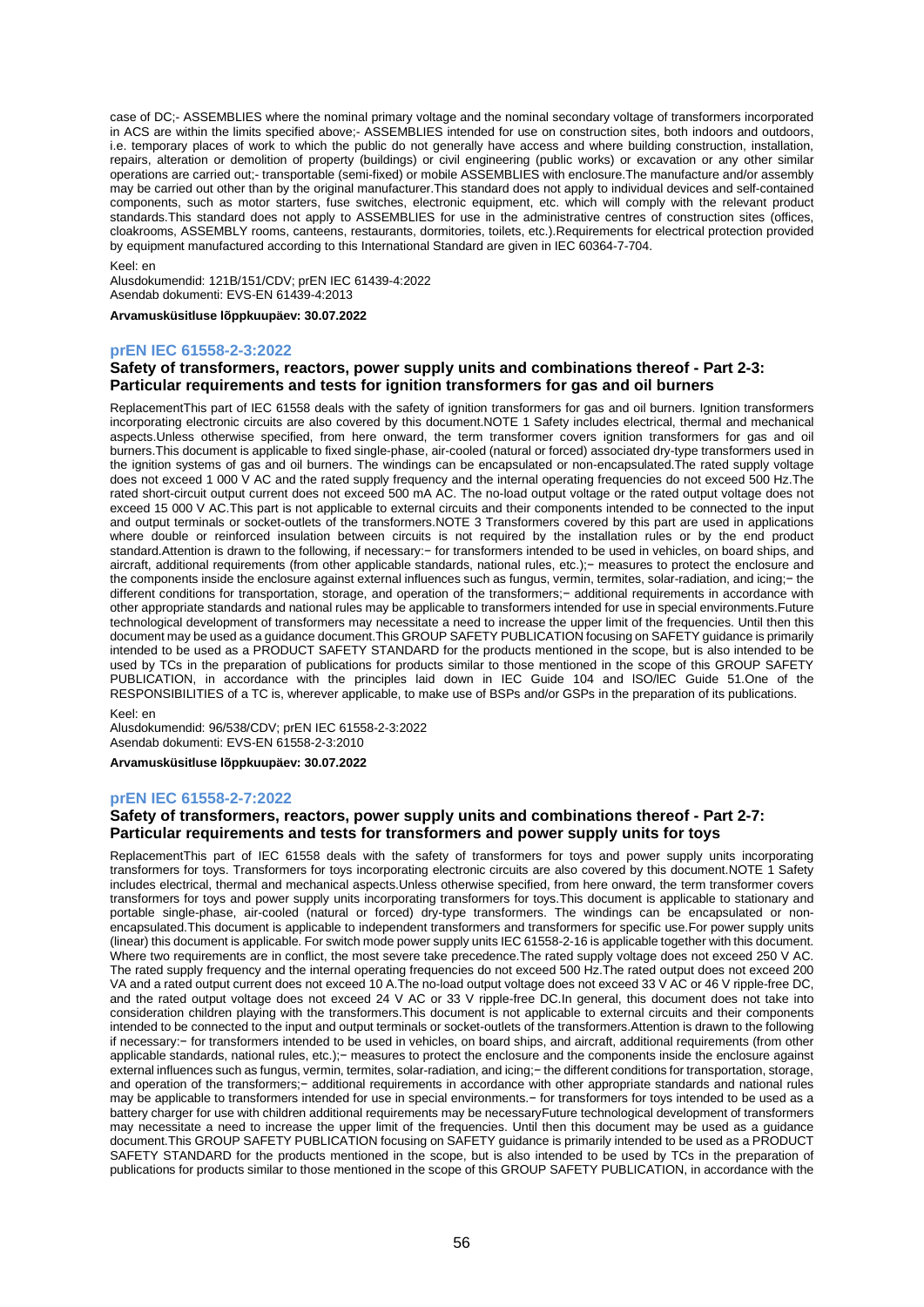case of DC;- ASSEMBLIES where the nominal primary voltage and the nominal secondary voltage of transformers incorporated in ACS are within the limits specified above;- ASSEMBLIES intended for use on construction sites, both indoors and outdoors. i.e. temporary places of work to which the public do not generally have access and where building construction, installation, repairs, alteration or demolition of property (buildings) or civil engineering (public works) or excavation or any other similar operations are carried out;- transportable (semi-fixed) or mobile ASSEMBLIES with enclosure.The manufacture and/or assembly may be carried out other than by the original manufacturer.This standard does not apply to individual devices and self-contained components, such as motor starters, fuse switches, electronic equipment, etc. which will comply with the relevant product standards.This standard does not apply to ASSEMBLIES for use in the administrative centres of construction sites (offices, cloakrooms, ASSEMBLY rooms, canteens, restaurants, dormitories, toilets, etc.).Requirements for electrical protection provided by equipment manufactured according to this International Standard are given in IEC 60364-7-704.

#### Keel: en

Alusdokumendid: 121B/151/CDV; prEN IEC 61439-4:2022 Asendab dokumenti: EVS-EN 61439-4:2013

#### **Arvamusküsitluse lõppkuupäev: 30.07.2022**

#### **prEN IEC 61558-2-3:2022**

### **Safety of transformers, reactors, power supply units and combinations thereof - Part 2-3: Particular requirements and tests for ignition transformers for gas and oil burners**

ReplacementThis part of IEC 61558 deals with the safety of ignition transformers for gas and oil burners. Ignition transformers incorporating electronic circuits are also covered by this document.NOTE 1 Safety includes electrical, thermal and mechanical aspects.Unless otherwise specified, from here onward, the term transformer covers ignition transformers for gas and oil burners.This document is applicable to fixed single-phase, air-cooled (natural or forced) associated dry-type transformers used in the ignition systems of gas and oil burners. The windings can be encapsulated or non-encapsulated.The rated supply voltage does not exceed 1 000 V AC and the rated supply frequency and the internal operating frequencies do not exceed 500 Hz.The rated short-circuit output current does not exceed 500 mA AC. The no-load output voltage or the rated output voltage does not exceed 15 000 V AC.This part is not applicable to external circuits and their components intended to be connected to the input and output terminals or socket-outlets of the transformers.NOTE 3 Transformers covered by this part are used in applications where double or reinforced insulation between circuits is not required by the installation rules or by the end product standard.Attention is drawn to the following, if necessary:− for transformers intended to be used in vehicles, on board ships, and aircraft, additional requirements (from other applicable standards, national rules, etc.);− measures to protect the enclosure and the components inside the enclosure against external influences such as fungus, vermin, termites, solar-radiation, and icing;− the different conditions for transportation, storage, and operation of the transformers;− additional requirements in accordance with other appropriate standards and national rules may be applicable to transformers intended for use in special environments.Future technological development of transformers may necessitate a need to increase the upper limit of the frequencies. Until then this document may be used as a guidance document.This GROUP SAFETY PUBLICATION focusing on SAFETY guidance is primarily intended to be used as a PRODUCT SAFETY STANDARD for the products mentioned in the scope, but is also intended to be used by TCs in the preparation of publications for products similar to those mentioned in the scope of this GROUP SAFETY PUBLICATION, in accordance with the principles laid down in IEC Guide 104 and lSO/lEC Guide 51.One of the RESPONSIBILITIES of a TC is, wherever applicable, to make use of BSPs and/or GSPs in the preparation of its publications.

#### Keel: en

Alusdokumendid: 96/538/CDV; prEN IEC 61558-2-3:2022 Asendab dokumenti: EVS-EN 61558-2-3:2010

**Arvamusküsitluse lõppkuupäev: 30.07.2022**

#### **prEN IEC 61558-2-7:2022**

## **Safety of transformers, reactors, power supply units and combinations thereof - Part 2-7: Particular requirements and tests for transformers and power supply units for toys**

ReplacementThis part of IEC 61558 deals with the safety of transformers for toys and power supply units incorporating transformers for toys. Transformers for toys incorporating electronic circuits are also covered by this document.NOTE 1 Safety includes electrical, thermal and mechanical aspects.Unless otherwise specified, from here onward, the term transformer covers transformers for toys and power supply units incorporating transformers for toys.This document is applicable to stationary and portable single-phase, air-cooled (natural or forced) dry-type transformers. The windings can be encapsulated or nonencapsulated.This document is applicable to independent transformers and transformers for specific use.For power supply units (linear) this document is applicable. For switch mode power supply units IEC 61558-2-16 is applicable together with this document. Where two requirements are in conflict, the most severe take precedence.The rated supply voltage does not exceed 250 V AC. The rated supply frequency and the internal operating frequencies do not exceed 500 Hz.The rated output does not exceed 200 VA and a rated output current does not exceed 10 A.The no-load output voltage does not exceed 33 V AC or 46 V ripple-free DC, and the rated output voltage does not exceed 24 V AC or 33 V ripple-free DC.In general, this document does not take into consideration children playing with the transformers.This document is not applicable to external circuits and their components intended to be connected to the input and output terminals or socket-outlets of the transformers.Attention is drawn to the following if necessary:− for transformers intended to be used in vehicles, on board ships, and aircraft, additional requirements (from other applicable standards, national rules, etc.);− measures to protect the enclosure and the components inside the enclosure against external influences such as fungus, vermin, termites, solar-radiation, and icing;− the different conditions for transportation, storage, and operation of the transformers;− additional requirements in accordance with other appropriate standards and national rules may be applicable to transformers intended for use in special environments.− for transformers for toys intended to be used as a battery charger for use with children additional requirements may be necessaryFuture technological development of transformers may necessitate a need to increase the upper limit of the frequencies. Until then this document may be used as a guidance document.This GROUP SAFETY PUBLICATION focusing on SAFETY guidance is primarily intended to be used as a PRODUCT SAFETY STANDARD for the products mentioned in the scope, but is also intended to be used by TCs in the preparation of publications for products similar to those mentioned in the scope of this GROUP SAFETY PUBLICATION, in accordance with the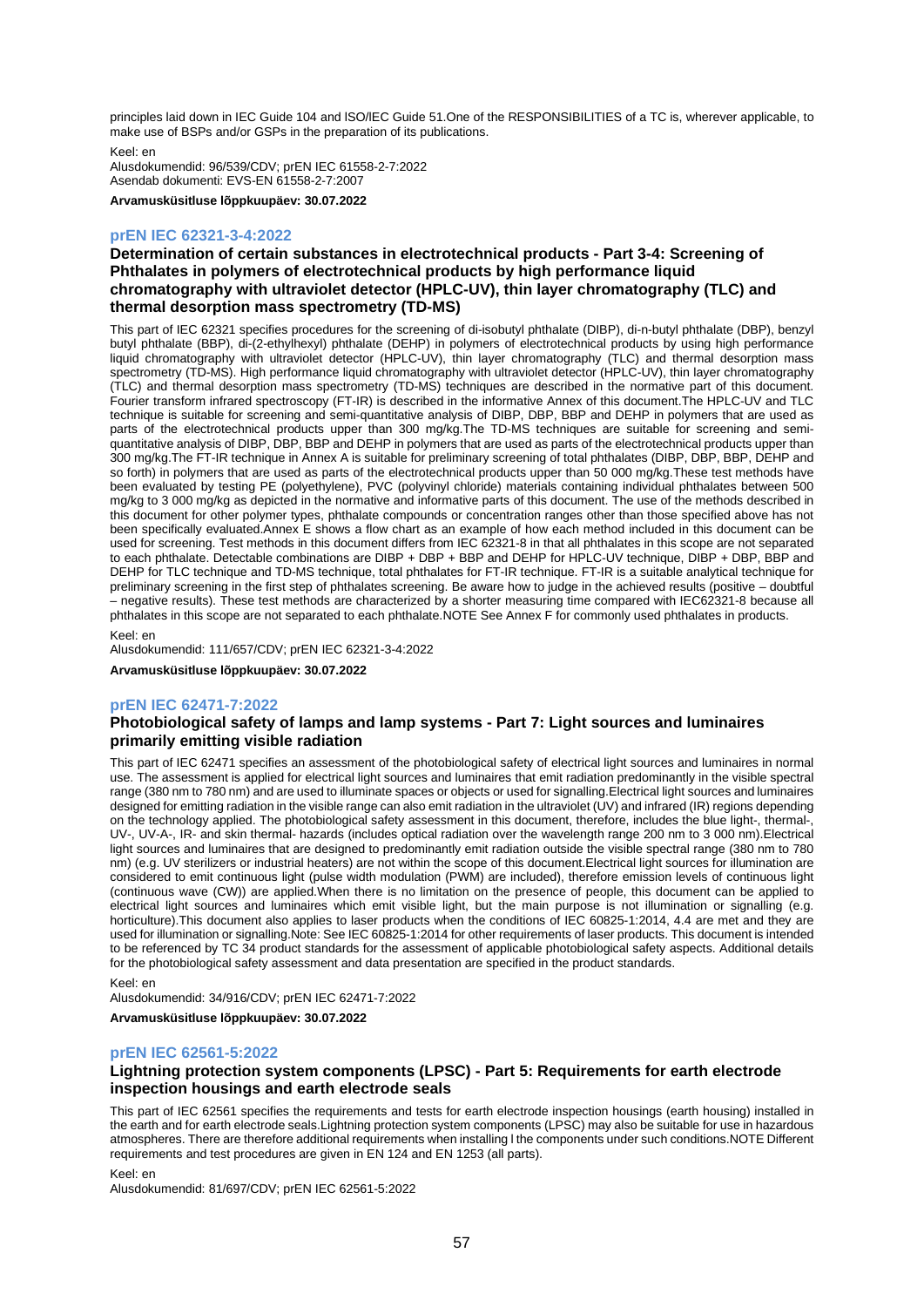principles laid down in IEC Guide 104 and lSO/lEC Guide 51.One of the RESPONSIBILITIES of a TC is, wherever applicable, to make use of BSPs and/or GSPs in the preparation of its publications.

Keel: en

Alusdokumendid: 96/539/CDV; prEN IEC 61558-2-7:2022 Asendab dokumenti: EVS-EN 61558-2-7:2007

**Arvamusküsitluse lõppkuupäev: 30.07.2022**

## **prEN IEC 62321-3-4:2022**

## **Determination of certain substances in electrotechnical products - Part 3-4: Screening of Phthalates in polymers of electrotechnical products by high performance liquid chromatography with ultraviolet detector (HPLC-UV), thin layer chromatography (TLC) and thermal desorption mass spectrometry (TD-MS)**

This part of IEC 62321 specifies procedures for the screening of di-isobutyl phthalate (DIBP), di-n-butyl phthalate (DBP), benzyl butyl phthalate (BBP), di-(2-ethylhexyl) phthalate (DEHP) in polymers of electrotechnical products by using high performance liquid chromatography with ultraviolet detector (HPLC-UV), thin layer chromatography (TLC) and thermal desorption mass spectrometry (TD-MS). High performance liquid chromatography with ultraviolet detector (HPLC-UV), thin layer chromatography (TLC) and thermal desorption mass spectrometry (TD-MS) techniques are described in the normative part of this document. Fourier transform infrared spectroscopy (FT-IR) is described in the informative Annex of this document.The HPLC-UV and TLC technique is suitable for screening and semi-quantitative analysis of DIBP, DBP, BBP and DEHP in polymers that are used as parts of the electrotechnical products upper than 300 mg/kg.The TD-MS techniques are suitable for screening and semiquantitative analysis of DIBP, DBP, BBP and DEHP in polymers that are used as parts of the electrotechnical products upper than 300 mg/kg.The FT-IR technique in Annex A is suitable for preliminary screening of total phthalates (DIBP, DBP, BBP, DEHP and so forth) in polymers that are used as parts of the electrotechnical products upper than 50 000 mg/kg. These test methods have been evaluated by testing PE (polyethylene), PVC (polyvinyl chloride) materials containing individual phthalates between 500 mg/kg to 3 000 mg/kg as depicted in the normative and informative parts of this document. The use of the methods described in this document for other polymer types, phthalate compounds or concentration ranges other than those specified above has not been specifically evaluated.Annex E shows a flow chart as an example of how each method included in this document can be used for screening. Test methods in this document differs from IEC 62321-8 in that all phthalates in this scope are not separated to each phthalate. Detectable combinations are DIBP + DBP + BBP and DEHP for HPLC-UV technique, DIBP + DBP, BBP and DEHP for TLC technique and TD-MS technique, total phthalates for FT-IR technique. FT-IR is a suitable analytical technique for preliminary screening in the first step of phthalates screening. Be aware how to judge in the achieved results (positive – doubtful – negative results). These test methods are characterized by a shorter measuring time compared with IEC62321-8 because all phthalates in this scope are not separated to each phthalate.NOTE See Annex F for commonly used phthalates in products.

Keel: en

Alusdokumendid: 111/657/CDV; prEN IEC 62321-3-4:2022

**Arvamusküsitluse lõppkuupäev: 30.07.2022**

### **prEN IEC 62471-7:2022**

## **Photobiological safety of lamps and lamp systems - Part 7: Light sources and luminaires primarily emitting visible radiation**

This part of IEC 62471 specifies an assessment of the photobiological safety of electrical light sources and luminaires in normal use. The assessment is applied for electrical light sources and luminaires that emit radiation predominantly in the visible spectral range (380 nm to 780 nm) and are used to illuminate spaces or objects or used for signalling.Electrical light sources and luminaires designed for emitting radiation in the visible range can also emit radiation in the ultraviolet (UV) and infrared (IR) regions depending on the technology applied. The photobiological safety assessment in this document, therefore, includes the blue light-, thermal-, UV-, UV-A-, IR- and skin thermal- hazards (includes optical radiation over the wavelength range 200 nm to 3 000 nm).Electrical light sources and luminaires that are designed to predominantly emit radiation outside the visible spectral range (380 nm to 780 nm) (e.g. UV sterilizers or industrial heaters) are not within the scope of this document.Electrical light sources for illumination are considered to emit continuous light (pulse width modulation (PWM) are included), therefore emission levels of continuous light (continuous wave (CW)) are applied.When there is no limitation on the presence of people, this document can be applied to electrical light sources and luminaires which emit visible light, but the main purpose is not illumination or signalling (e.g. horticulture). This document also applies to laser products when the conditions of IEC 60825-1:2014, 4.4 are met and they are used for illumination or signalling.Note: See IEC 60825-1:2014 for other requirements of laser products. This document is intended to be referenced by TC 34 product standards for the assessment of applicable photobiological safety aspects. Additional details for the photobiological safety assessment and data presentation are specified in the product standards.

Keel: en

Alusdokumendid: 34/916/CDV; prEN IEC 62471-7:2022

**Arvamusküsitluse lõppkuupäev: 30.07.2022**

### **prEN IEC 62561-5:2022**

## **Lightning protection system components (LPSC) - Part 5: Requirements for earth electrode inspection housings and earth electrode seals**

This part of IEC 62561 specifies the requirements and tests for earth electrode inspection housings (earth housing) installed in the earth and for earth electrode seals.Lightning protection system components (LPSC) may also be suitable for use in hazardous atmospheres. There are therefore additional requirements when installing l the components under such conditions.NOTE Different requirements and test procedures are given in EN 124 and EN 1253 (all parts).

Keel: en

Alusdokumendid: 81/697/CDV; prEN IEC 62561-5:2022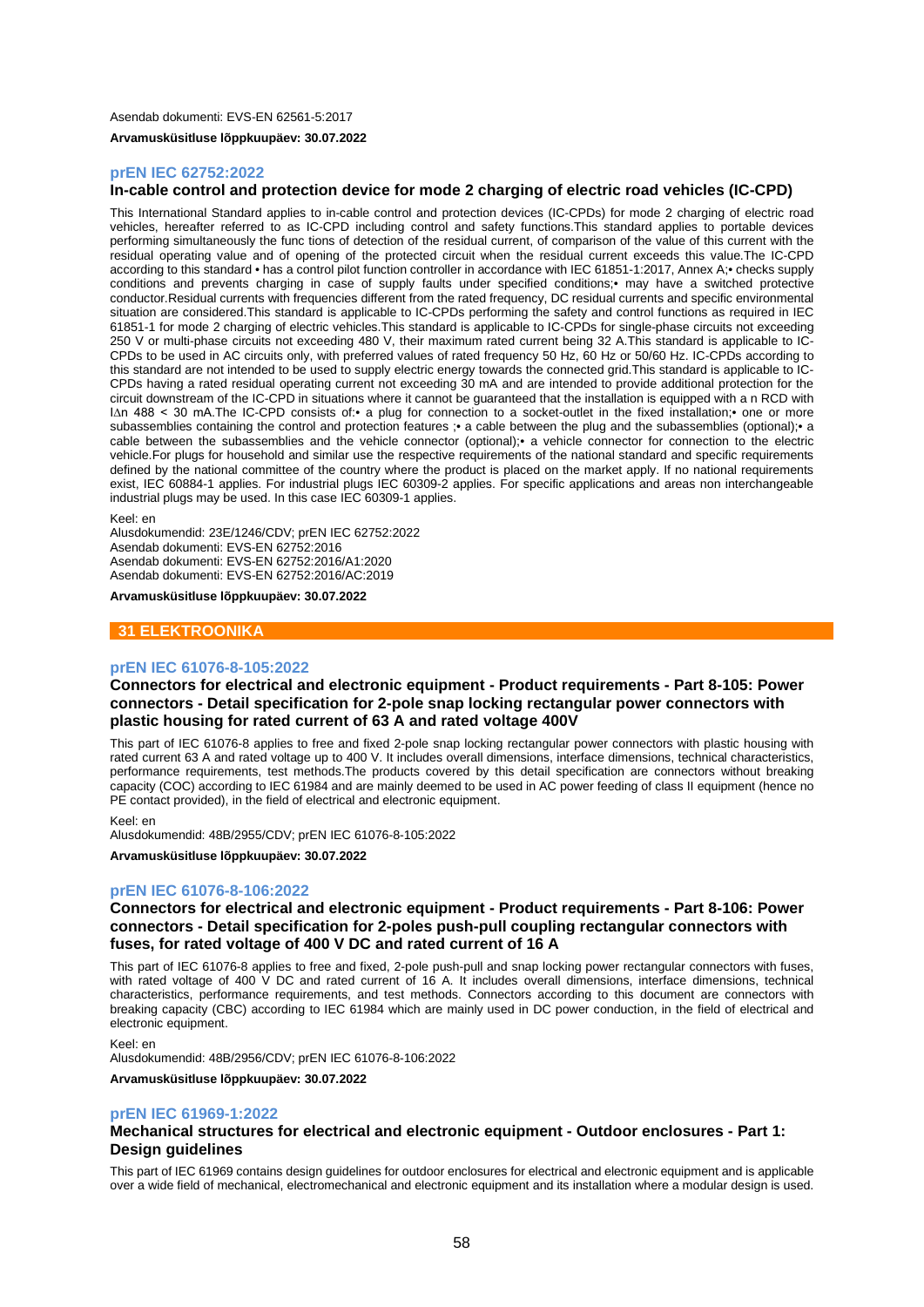### **prEN IEC 62752:2022**

## **In-cable control and protection device for mode 2 charging of electric road vehicles (IC-CPD)**

This International Standard applies to in-cable control and protection devices (IC-CPDs) for mode 2 charging of electric road vehicles, hereafter referred to as IC-CPD including control and safety functions.This standard applies to portable devices performing simultaneously the func tions of detection of the residual current, of comparison of the value of this current with the residual operating value and of opening of the protected circuit when the residual current exceeds this value.The IC-CPD according to this standard • has a control pilot function controller in accordance with IEC 61851-1:2017, Annex A;• checks supply conditions and prevents charging in case of supply faults under specified conditions;• may have a switched protective conductor.Residual currents with frequencies different from the rated frequency, DC residual currents and specific environmental situation are considered.This standard is applicable to IC-CPDs performing the safety and control functions as required in IEC 61851-1 for mode 2 charging of electric vehicles.This standard is applicable to IC-CPDs for single-phase circuits not exceeding 250 V or multi-phase circuits not exceeding 480 V, their maximum rated current being 32 A.This standard is applicable to IC-CPDs to be used in AC circuits only, with preferred values of rated frequency 50 Hz, 60 Hz or 50/60 Hz. IC-CPDs according to this standard are not intended to be used to supply electric energy towards the connected grid.This standard is applicable to IC-CPDs having a rated residual operating current not exceeding 30 mA and are intended to provide additional protection for the circuit downstream of the IC-CPD in situations where it cannot be guaranteed that the installation is equipped with a n RCD with I∆n 488 < 30 mA.The IC-CPD consists of:• a plug for connection to a socket-outlet in the fixed installation;• one or more subassemblies containing the control and protection features ;• a cable between the plug and the subassemblies (optional);• a cable between the subassemblies and the vehicle connector (optional);• a vehicle connector for connection to the electric vehicle.For plugs for household and similar use the respective requirements of the national standard and specific requirements defined by the national committee of the country where the product is placed on the market apply. If no national requirements exist, IEC 60884-1 applies. For industrial plugs IEC 60309-2 applies. For specific applications and areas non interchangeable industrial plugs may be used. In this case IEC 60309-1 applies.

Keel: en

Alusdokumendid: 23E/1246/CDV; prEN IEC 62752:2022 Asendab dokumenti: EVS-EN 62752:2016 Asendab dokumenti: EVS-EN 62752:2016/A1:2020 Asendab dokumenti: EVS-EN 62752:2016/AC:2019

**Arvamusküsitluse lõppkuupäev: 30.07.2022**

## **31 ELEKTROONIKA**

### **prEN IEC 61076-8-105:2022**

## **Connectors for electrical and electronic equipment - Product requirements - Part 8-105: Power connectors - Detail specification for 2-pole snap locking rectangular power connectors with plastic housing for rated current of 63 A and rated voltage 400V**

This part of IEC 61076-8 applies to free and fixed 2-pole snap locking rectangular power connectors with plastic housing with rated current 63 A and rated voltage up to 400 V. It includes overall dimensions, interface dimensions, technical characteristics, performance requirements, test methods.The products covered by this detail specification are connectors without breaking capacity (COC) according to IEC 61984 and are mainly deemed to be used in AC power feeding of class II equipment (hence no PE contact provided), in the field of electrical and electronic equipment.

#### Keel: en

Alusdokumendid: 48B/2955/CDV; prEN IEC 61076-8-105:2022

**Arvamusküsitluse lõppkuupäev: 30.07.2022**

### **prEN IEC 61076-8-106:2022**

## **Connectors for electrical and electronic equipment - Product requirements - Part 8-106: Power connectors - Detail specification for 2-poles push-pull coupling rectangular connectors with fuses, for rated voltage of 400 V DC and rated current of 16 A**

This part of IEC 61076-8 applies to free and fixed, 2-pole push-pull and snap locking power rectangular connectors with fuses, with rated voltage of 400 V DC and rated current of 16 A. It includes overall dimensions, interface dimensions, technical characteristics, performance requirements, and test methods. Connectors according to this document are connectors with breaking capacity (CBC) according to IEC 61984 which are mainly used in DC power conduction, in the field of electrical and electronic equipment.

### Keel: en

Alusdokumendid: 48B/2956/CDV; prEN IEC 61076-8-106:2022

**Arvamusküsitluse lõppkuupäev: 30.07.2022**

#### **prEN IEC 61969-1:2022**

## **Mechanical structures for electrical and electronic equipment - Outdoor enclosures - Part 1: Design guidelines**

This part of IEC 61969 contains design guidelines for outdoor enclosures for electrical and electronic equipment and is applicable over a wide field of mechanical, electromechanical and electronic equipment and its installation where a modular design is used.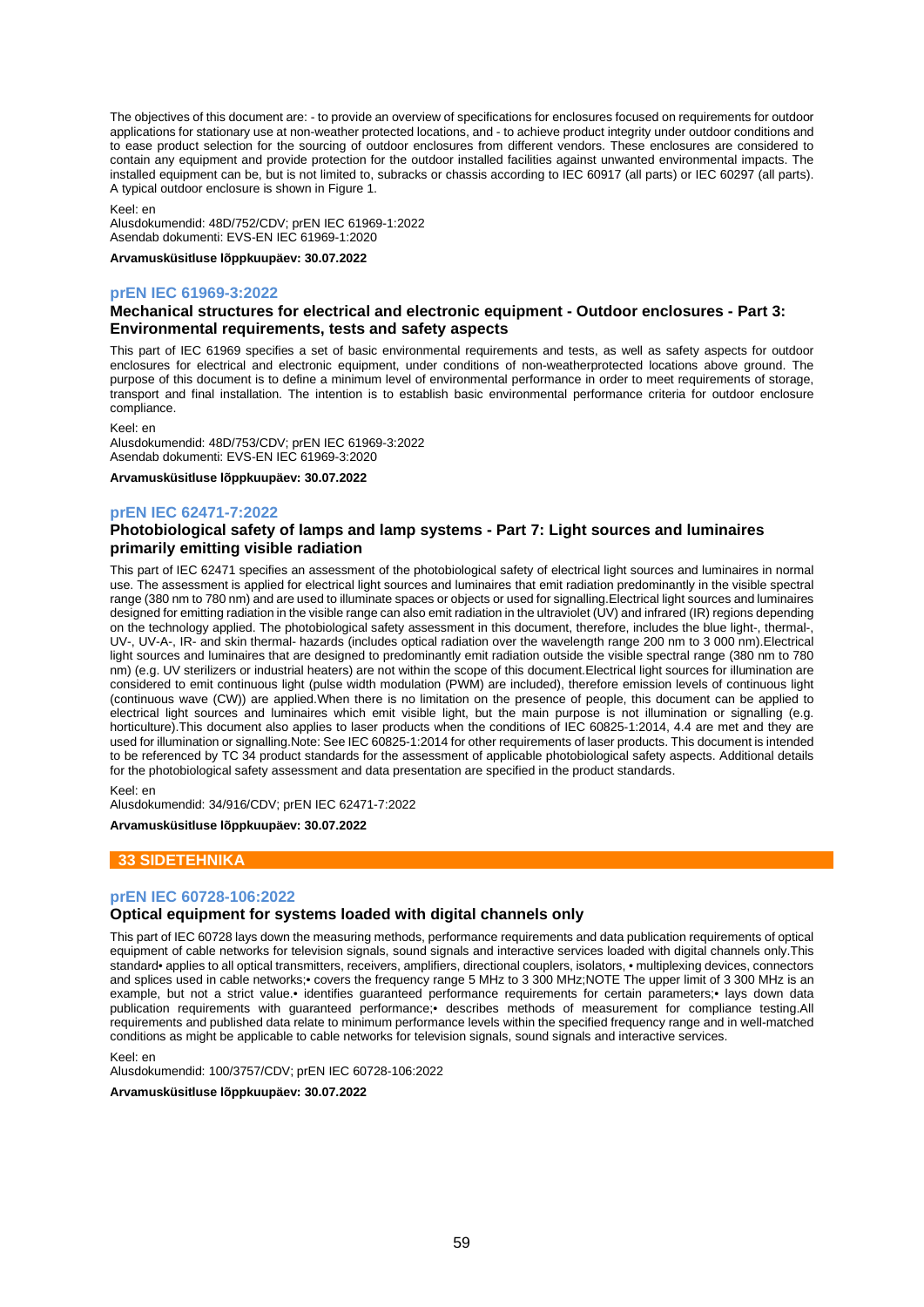The objectives of this document are: - to provide an overview of specifications for enclosures focused on requirements for outdoor applications for stationary use at non-weather protected locations, and - to achieve product integrity under outdoor conditions and to ease product selection for the sourcing of outdoor enclosures from different vendors. These enclosures are considered to contain any equipment and provide protection for the outdoor installed facilities against unwanted environmental impacts. The installed equipment can be, but is not limited to, subracks or chassis according to IEC 60917 (all parts) or IEC 60297 (all parts). A typical outdoor enclosure is shown in Figure 1.

Keel: en

Alusdokumendid: 48D/752/CDV; prEN IEC 61969-1:2022 Asendab dokumenti: EVS-EN IEC 61969-1:2020

**Arvamusküsitluse lõppkuupäev: 30.07.2022**

### **prEN IEC 61969-3:2022**

## **Mechanical structures for electrical and electronic equipment - Outdoor enclosures - Part 3: Environmental requirements, tests and safety aspects**

This part of IEC 61969 specifies a set of basic environmental requirements and tests, as well as safety aspects for outdoor enclosures for electrical and electronic equipment, under conditions of non-weatherprotected locations above ground. The purpose of this document is to define a minimum level of environmental performance in order to meet requirements of storage, transport and final installation. The intention is to establish basic environmental performance criteria for outdoor enclosure compliance.

Keel: en

Alusdokumendid: 48D/753/CDV; prEN IEC 61969-3:2022 Asendab dokumenti: EVS-EN IEC 61969-3:2020

**Arvamusküsitluse lõppkuupäev: 30.07.2022**

### **prEN IEC 62471-7:2022**

## **Photobiological safety of lamps and lamp systems - Part 7: Light sources and luminaires primarily emitting visible radiation**

This part of IEC 62471 specifies an assessment of the photobiological safety of electrical light sources and luminaires in normal use. The assessment is applied for electrical light sources and luminaires that emit radiation predominantly in the visible spectral range (380 nm to 780 nm) and are used to illuminate spaces or objects or used for signalling.Electrical light sources and luminaires designed for emitting radiation in the visible range can also emit radiation in the ultraviolet (UV) and infrared (IR) regions depending on the technology applied. The photobiological safety assessment in this document, therefore, includes the blue light-, thermal-, UV-, UV-A-, IR- and skin thermal- hazards (includes optical radiation over the wavelength range 200 nm to 3 000 nm).Electrical light sources and luminaires that are designed to predominantly emit radiation outside the visible spectral range (380 nm to 780 nm) (e.g. UV sterilizers or industrial heaters) are not within the scope of this document.Electrical light sources for illumination are considered to emit continuous light (pulse width modulation (PWM) are included), therefore emission levels of continuous light (continuous wave (CW)) are applied.When there is no limitation on the presence of people, this document can be applied to electrical light sources and luminaires which emit visible light, but the main purpose is not illumination or signalling (e.g. horticulture). This document also applies to laser products when the conditions of IEC 60825-1:2014, 4.4 are met and they are used for illumination or signalling.Note: See IEC 60825-1:2014 for other requirements of laser products. This document is intended to be referenced by TC 34 product standards for the assessment of applicable photobiological safety aspects. Additional details for the photobiological safety assessment and data presentation are specified in the product standards.

Keel: en

Alusdokumendid: 34/916/CDV; prEN IEC 62471-7:2022

**Arvamusküsitluse lõppkuupäev: 30.07.2022**

## **33 SIDETEHNIKA**

#### **prEN IEC 60728-106:2022**

## **Optical equipment for systems loaded with digital channels only**

This part of IEC 60728 lays down the measuring methods, performance requirements and data publication requirements of optical equipment of cable networks for television signals, sound signals and interactive services loaded with digital channels only.This standard• applies to all optical transmitters, receivers, amplifiers, directional couplers, isolators, • multiplexing devices, connectors and splices used in cable networks;• covers the frequency range 5 MHz to 3 300 MHz;NOTE The upper limit of 3 300 MHz is an example, but not a strict value.• identifies guaranteed performance requirements for certain parameters;• lays down data publication requirements with guaranteed performance;• describes methods of measurement for compliance testing.All requirements and published data relate to minimum performance levels within the specified frequency range and in well-matched conditions as might be applicable to cable networks for television signals, sound signals and interactive services.

Keel: en

Alusdokumendid: 100/3757/CDV; prEN IEC 60728-106:2022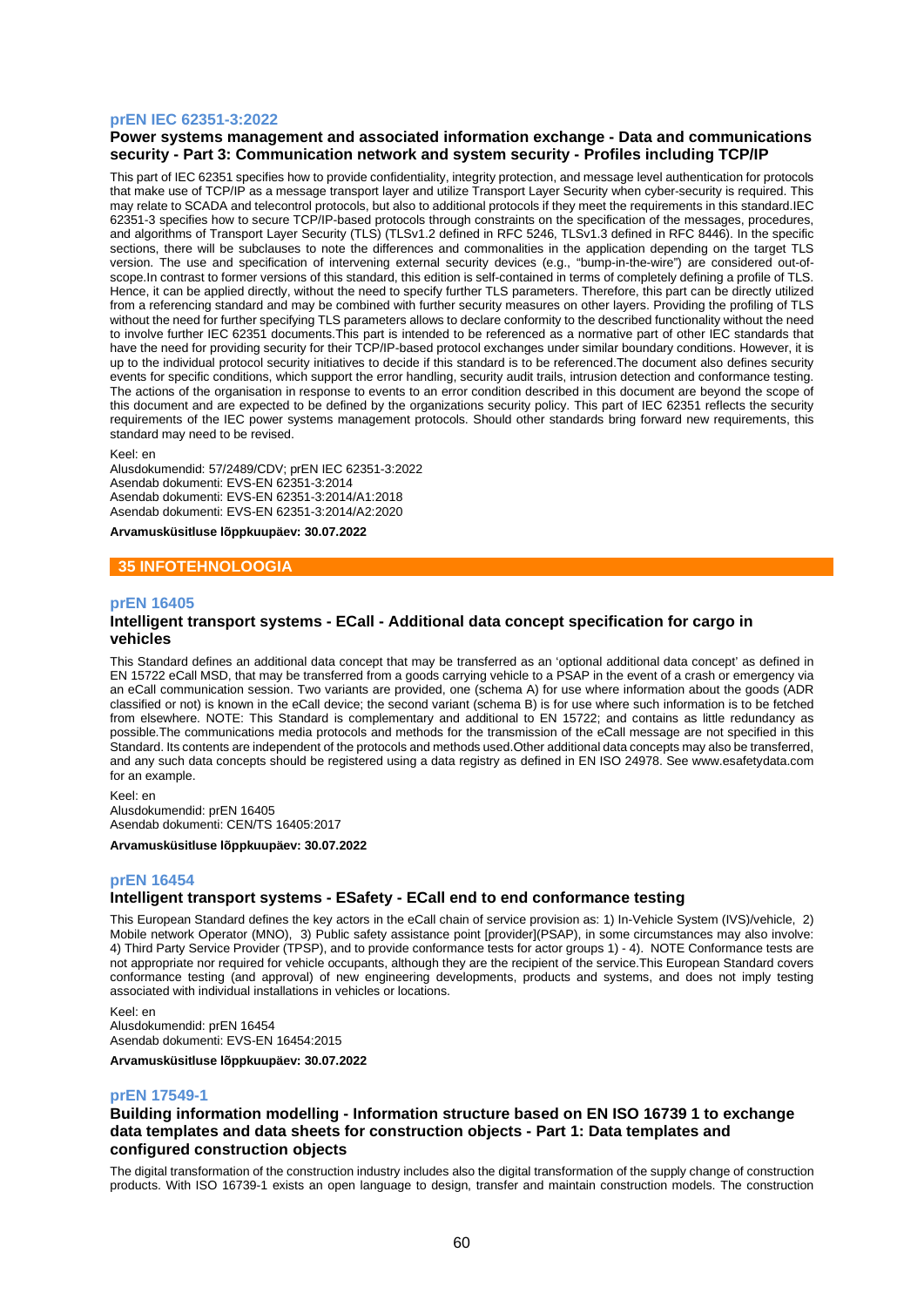### **prEN IEC 62351-3:2022**

## **Power systems management and associated information exchange - Data and communications security - Part 3: Communication network and system security - Profiles including TCP/IP**

This part of IEC 62351 specifies how to provide confidentiality, integrity protection, and message level authentication for protocols that make use of TCP/IP as a message transport layer and utilize Transport Layer Security when cyber-security is required. This may relate to SCADA and telecontrol protocols, but also to additional protocols if they meet the requirements in this standard.IEC 62351-3 specifies how to secure TCP/IP-based protocols through constraints on the specification of the messages, procedures, and algorithms of Transport Layer Security (TLS) (TLSv1.2 defined in RFC 5246, TLSv1.3 defined in RFC 8446). In the specific sections, there will be subclauses to note the differences and commonalities in the application depending on the target TLS version. The use and specification of intervening external security devices (e.g., "bump-in-the-wire") are considered out-ofscope.In contrast to former versions of this standard, this edition is self-contained in terms of completely defining a profile of TLS. Hence, it can be applied directly, without the need to specify further TLS parameters. Therefore, this part can be directly utilized from a referencing standard and may be combined with further security measures on other layers. Providing the profiling of TLS without the need for further specifying TLS parameters allows to declare conformity to the described functionality without the need to involve further IEC 62351 documents.This part is intended to be referenced as a normative part of other IEC standards that have the need for providing security for their TCP/IP-based protocol exchanges under similar boundary conditions. However, it is up to the individual protocol security initiatives to decide if this standard is to be referenced.The document also defines security events for specific conditions, which support the error handling, security audit trails, intrusion detection and conformance testing. The actions of the organisation in response to events to an error condition described in this document are beyond the scope of this document and are expected to be defined by the organizations security policy. This part of IEC 62351 reflects the security requirements of the IEC power systems management protocols. Should other standards bring forward new requirements, this standard may need to be revised.

#### Keel: en

Alusdokumendid: 57/2489/CDV; prEN IEC 62351-3:2022 Asendab dokumenti: EVS-EN 62351-3:2014 Asendab dokumenti: EVS-EN 62351-3:2014/A1:2018 Asendab dokumenti: EVS-EN 62351-3:2014/A2:2020

**Arvamusküsitluse lõppkuupäev: 30.07.2022**

### **35 INFOTEHNOLOOGIA**

#### **prEN 16405**

## **Intelligent transport systems - ECall - Additional data concept specification for cargo in vehicles**

This Standard defines an additional data concept that may be transferred as an 'optional additional data concept' as defined in EN 15722 eCall MSD, that may be transferred from a goods carrying vehicle to a PSAP in the event of a crash or emergency via an eCall communication session. Two variants are provided, one (schema A) for use where information about the goods (ADR classified or not) is known in the eCall device; the second variant (schema B) is for use where such information is to be fetched from elsewhere. NOTE: This Standard is complementary and additional to EN 15722; and contains as little redundancy as possible.The communications media protocols and methods for the transmission of the eCall message are not specified in this Standard. Its contents are independent of the protocols and methods used.Other additional data concepts may also be transferred, and any such data concepts should be registered using a data registry as defined in EN ISO 24978. See www.esafetydata.com for an example.

Keel: en Alusdokumendid: prEN 16405 Asendab dokumenti: CEN/TS 16405:2017

**Arvamusküsitluse lõppkuupäev: 30.07.2022**

#### **prEN 16454**

## **Intelligent transport systems - ESafety - ECall end to end conformance testing**

This European Standard defines the key actors in the eCall chain of service provision as: 1) In-Vehicle System (IVS)/vehicle, 2) Mobile network Operator (MNO), 3) Public safety assistance point [provider](PSAP), in some circumstances may also involve: 4) Third Party Service Provider (TPSP), and to provide conformance tests for actor groups 1) - 4). NOTE Conformance tests are not appropriate nor required for vehicle occupants, although they are the recipient of the service.This European Standard covers conformance testing (and approval) of new engineering developments, products and systems, and does not imply testing associated with individual installations in vehicles or locations.

Keel: en Alusdokumendid: prEN 16454 Asendab dokumenti: EVS-EN 16454:2015

**Arvamusküsitluse lõppkuupäev: 30.07.2022**

### **prEN 17549-1**

### **Building information modelling - Information structure based on EN ISO 16739 1 to exchange data templates and data sheets for construction objects - Part 1: Data templates and configured construction objects**

The digital transformation of the construction industry includes also the digital transformation of the supply change of construction products. With ISO 16739-1 exists an open language to design, transfer and maintain construction models. The construction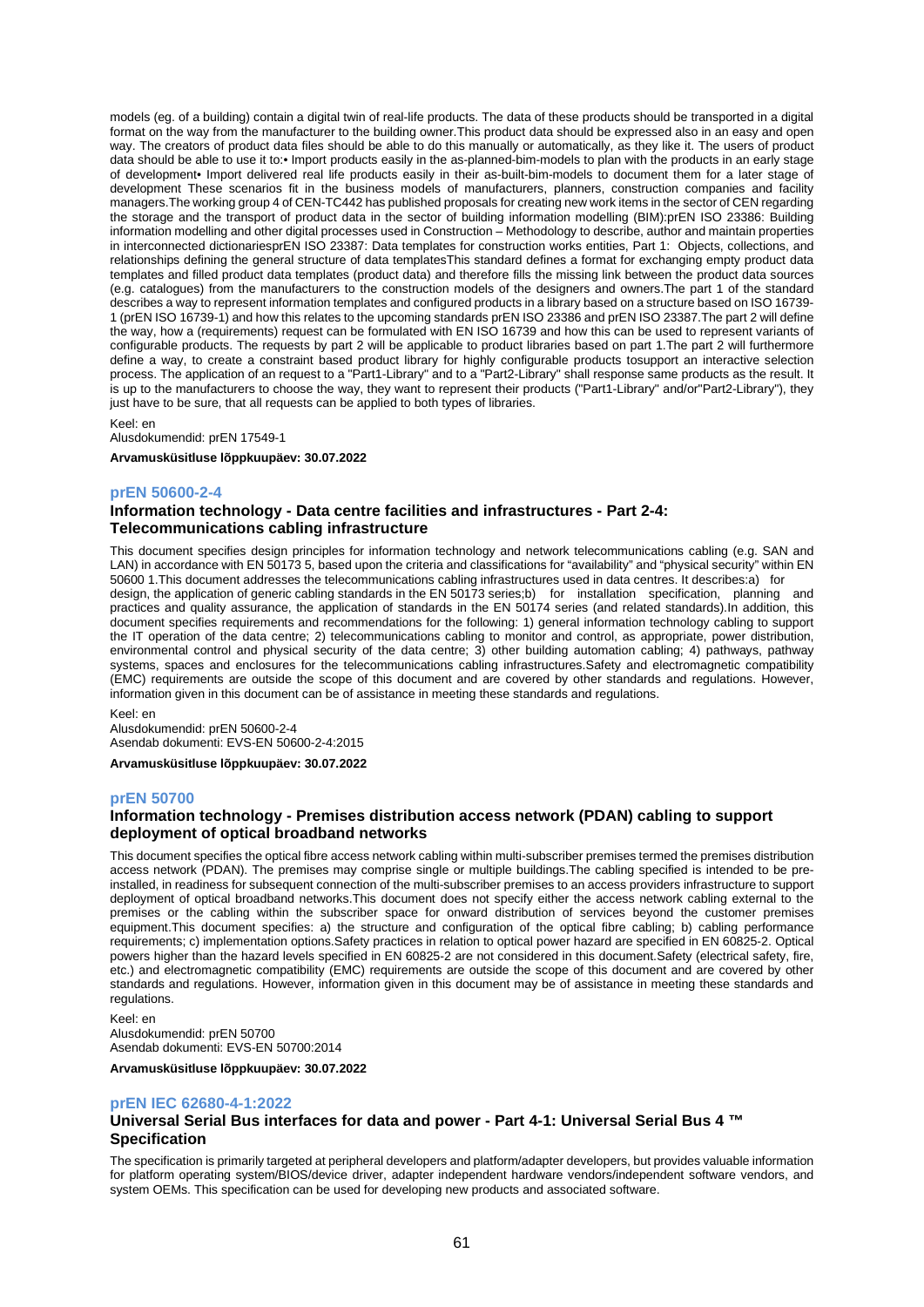models (eg. of a building) contain a digital twin of real-life products. The data of these products should be transported in a digital format on the way from the manufacturer to the building owner.This product data should be expressed also in an easy and open way. The creators of product data files should be able to do this manually or automatically, as they like it. The users of product data should be able to use it to:• Import products easily in the as-planned-bim-models to plan with the products in an early stage of development• Import delivered real life products easily in their as-built-bim-models to document them for a later stage of development These scenarios fit in the business models of manufacturers, planners, construction companies and facility managers.The working group 4 of CEN-TC442 has published proposals for creating new work items in the sector of CEN regarding the storage and the transport of product data in the sector of building information modelling (BIM):prEN ISO 23386: Building information modelling and other digital processes used in Construction – Methodology to describe, author and maintain properties in interconnected dictionariesprEN ISO 23387: Data templates for construction works entities, Part 1: Objects, collections, and relationships defining the general structure of data templatesThis standard defines a format for exchanging empty product data templates and filled product data templates (product data) and therefore fills the missing link between the product data sources (e.g. catalogues) from the manufacturers to the construction models of the designers and owners. The part 1 of the standard describes a way to represent information templates and configured products in a library based on a structure based on ISO 16739- 1 (prEN ISO 16739-1) and how this relates to the upcoming standards prEN ISO 23386 and prEN ISO 23387.The part 2 will define the way, how a (requirements) request can be formulated with EN ISO 16739 and how this can be used to represent variants of configurable products. The requests by part 2 will be applicable to product libraries based on part 1.The part 2 will furthermore define a way, to create a constraint based product library for highly configurable products tosupport an interactive selection process. The application of an request to a "Part1-Library" and to a "Part2-Library" shall response same products as the result. It is up to the manufacturers to choose the way, they want to represent their products ("Part1-Library" and/or"Part2-Library"), they just have to be sure, that all requests can be applied to both types of libraries.

Keel: en

Alusdokumendid: prEN 17549-1

**Arvamusküsitluse lõppkuupäev: 30.07.2022**

### **prEN 50600-2-4**

## **Information technology - Data centre facilities and infrastructures - Part 2-4: Telecommunications cabling infrastructure**

This document specifies design principles for information technology and network telecommunications cabling (e.g. SAN and LAN) in accordance with EN 50173 5, based upon the criteria and classifications for "availability" and "physical security" within EN 50600 1.This document addresses the telecommunications cabling infrastructures used in data centres. It describes:a) for design, the application of generic cabling standards in the EN 50173 series;b) for installation specification, planning and practices and quality assurance, the application of standards in the EN 50174 series (and related standards).In addition, this document specifies requirements and recommendations for the following: 1) general information technology cabling to support the IT operation of the data centre; 2) telecommunications cabling to monitor and control, as appropriate, power distribution, environmental control and physical security of the data centre; 3) other building automation cabling; 4) pathways, pathway systems, spaces and enclosures for the telecommunications cabling infrastructures.Safety and electromagnetic compatibility (EMC) requirements are outside the scope of this document and are covered by other standards and regulations. However, information given in this document can be of assistance in meeting these standards and regulations.

Keel: en Alusdokumendid: prEN 50600-2-4 Asendab dokumenti: EVS-EN 50600-2-4:2015

**Arvamusküsitluse lõppkuupäev: 30.07.2022**

#### **prEN 50700**

### **Information technology - Premises distribution access network (PDAN) cabling to support deployment of optical broadband networks**

This document specifies the optical fibre access network cabling within multi-subscriber premises termed the premises distribution access network (PDAN). The premises may comprise single or multiple buildings.The cabling specified is intended to be preinstalled, in readiness for subsequent connection of the multi-subscriber premises to an access providers infrastructure to support deployment of optical broadband networks.This document does not specify either the access network cabling external to the premises or the cabling within the subscriber space for onward distribution of services beyond the customer premises equipment.This document specifies: a) the structure and configuration of the optical fibre cabling; b) cabling performance requirements; c) implementation options.Safety practices in relation to optical power hazard are specified in EN 60825-2. Optical powers higher than the hazard levels specified in EN 60825-2 are not considered in this document.Safety (electrical safety, fire, etc.) and electromagnetic compatibility (EMC) requirements are outside the scope of this document and are covered by other standards and regulations. However, information given in this document may be of assistance in meeting these standards and regulations.

Keel: en Alusdokumendid: prEN 50700 Asendab dokumenti: EVS-EN 50700:2014

**Arvamusküsitluse lõppkuupäev: 30.07.2022**

#### **prEN IEC 62680-4-1:2022**

### **Universal Serial Bus interfaces for data and power - Part 4-1: Universal Serial Bus 4 ™ Specification**

The specification is primarily targeted at peripheral developers and platform/adapter developers, but provides valuable information for platform operating system/BIOS/device driver, adapter independent hardware vendors/independent software vendors, and system OEMs. This specification can be used for developing new products and associated software.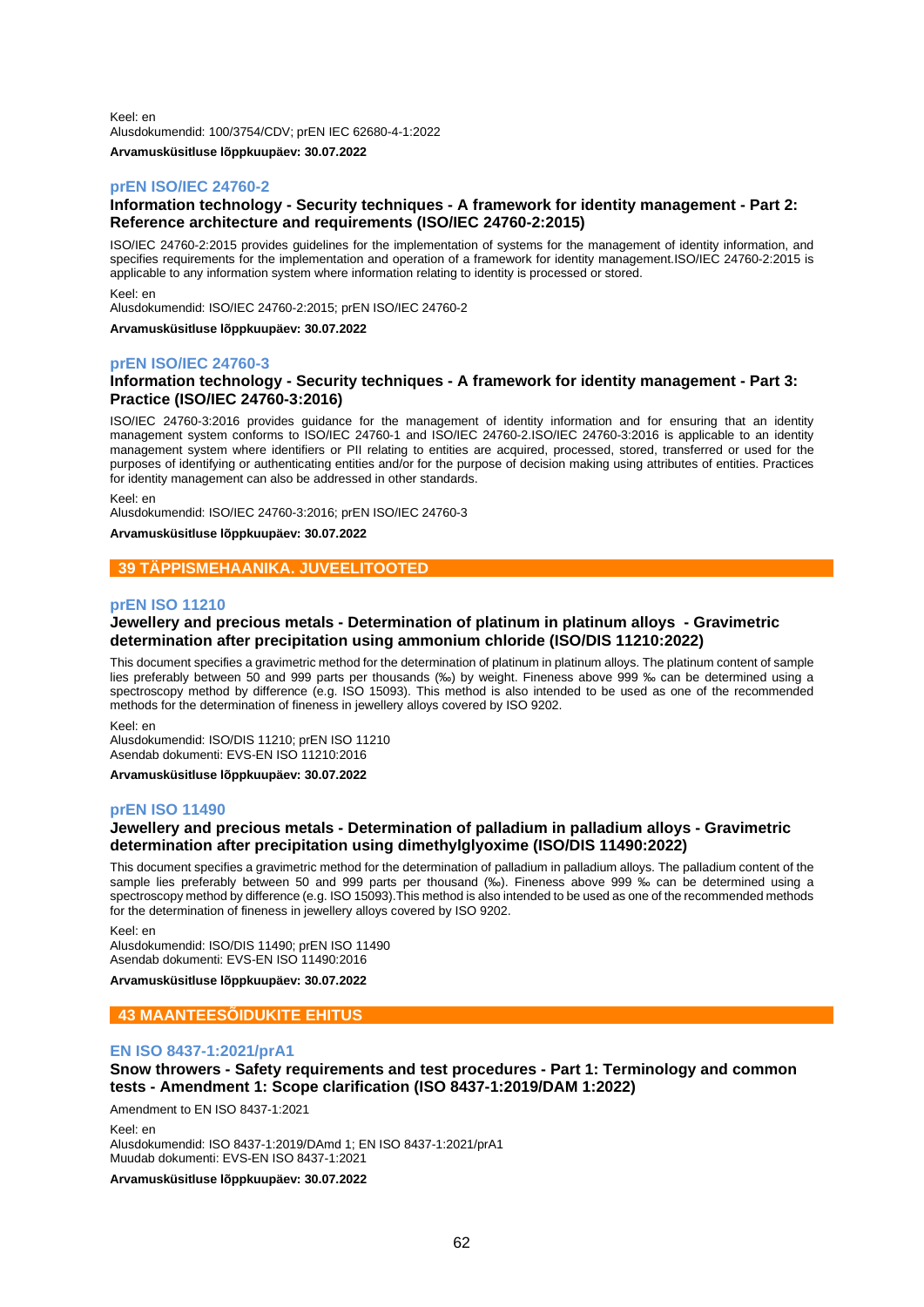Keel: en Alusdokumendid: 100/3754/CDV; prEN IEC 62680-4-1:2022 **Arvamusküsitluse lõppkuupäev: 30.07.2022**

## **prEN ISO/IEC 24760-2**

## **Information technology - Security techniques - A framework for identity management - Part 2: Reference architecture and requirements (ISO/IEC 24760-2:2015)**

ISO/IEC 24760-2:2015 provides guidelines for the implementation of systems for the management of identity information, and specifies requirements for the implementation and operation of a framework for identity management.ISO/IEC 24760-2:2015 is applicable to any information system where information relating to identity is processed or stored.

Keel: en

Alusdokumendid: ISO/IEC 24760-2:2015; prEN ISO/IEC 24760-2

**Arvamusküsitluse lõppkuupäev: 30.07.2022**

### **prEN ISO/IEC 24760-3**

## **Information technology - Security techniques - A framework for identity management - Part 3: Practice (ISO/IEC 24760-3:2016)**

ISO/IEC 24760-3:2016 provides guidance for the management of identity information and for ensuring that an identity management system conforms to ISO/IEC 24760-1 and ISO/IEC 24760-2.ISO/IEC 24760-3:2016 is applicable to an identity management system where identifiers or PII relating to entities are acquired, processed, stored, transferred or used for the purposes of identifying or authenticating entities and/or for the purpose of decision making using attributes of entities. Practices for identity management can also be addressed in other standards.

Keel: en

Alusdokumendid: ISO/IEC 24760-3:2016; prEN ISO/IEC 24760-3

**Arvamusküsitluse lõppkuupäev: 30.07.2022**

## **39 TÄPPISMEHAANIKA. JUVEELITOOTED**

#### **prEN ISO 11210**

### **Jewellery and precious metals - Determination of platinum in platinum alloys - Gravimetric determination after precipitation using ammonium chloride (ISO/DIS 11210:2022)**

This document specifies a gravimetric method for the determination of platinum in platinum alloys. The platinum content of sample lies preferably between 50 and 999 parts per thousands (‰) by weight. Fineness above 999 ‰ can be determined using a spectroscopy method by difference (e.g. ISO 15093). This method is also intended to be used as one of the recommended methods for the determination of fineness in jewellery alloys covered by ISO 9202.

Keel: en

Alusdokumendid: ISO/DIS 11210; prEN ISO 11210 Asendab dokumenti: EVS-EN ISO 11210:2016

**Arvamusküsitluse lõppkuupäev: 30.07.2022**

## **prEN ISO 11490**

## **Jewellery and precious metals - Determination of palladium in palladium alloys - Gravimetric determination after precipitation using dimethylglyoxime (ISO/DIS 11490:2022)**

This document specifies a gravimetric method for the determination of palladium in palladium alloys. The palladium content of the sample lies preferably between 50 and 999 parts per thousand (‰). Fineness above 999 ‰ can be determined using a spectroscopy method by difference (e.g. ISO 15093).This method is also intended to be used as one of the recommended methods for the determination of fineness in jewellery alloys covered by ISO 9202.

Keel: en

Alusdokumendid: ISO/DIS 11490; prEN ISO 11490 Asendab dokumenti: EVS-EN ISO 11490:2016

#### **Arvamusküsitluse lõppkuupäev: 30.07.2022**

## **43 MAANTEESÕIDUKITE EHITUS**

#### **EN ISO 8437-1:2021/prA1**

## **Snow throwers - Safety requirements and test procedures - Part 1: Terminology and common tests - Amendment 1: Scope clarification (ISO 8437-1:2019/DAM 1:2022)**

Amendment to EN ISO 8437-1:2021

Keel: en Alusdokumendid: ISO 8437-1:2019/DAmd 1; EN ISO 8437-1:2021/prA1 Muudab dokumenti: EVS-EN ISO 8437-1:2021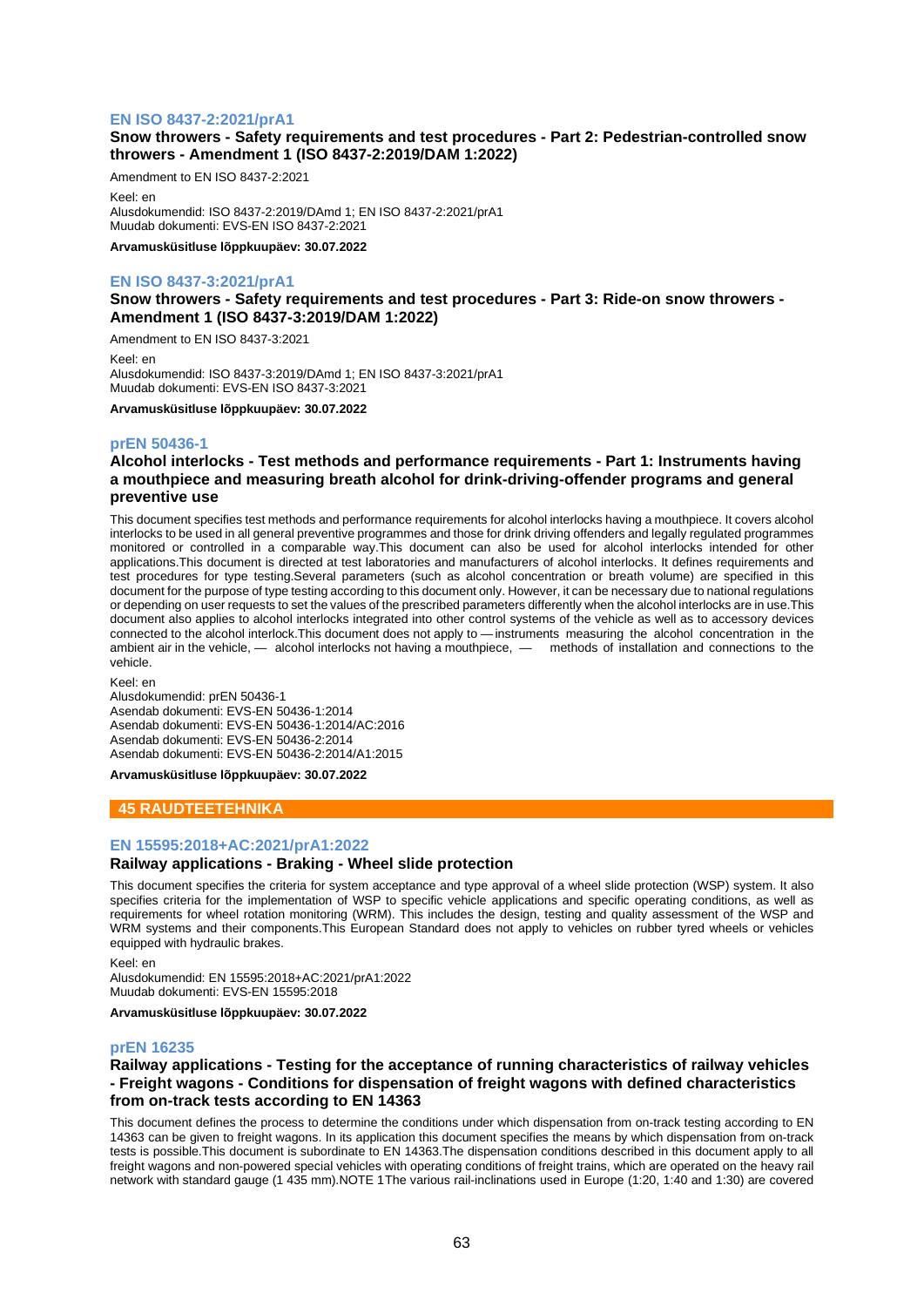## **EN ISO 8437-2:2021/prA1**

## **Snow throwers - Safety requirements and test procedures - Part 2: Pedestrian-controlled snow throwers - Amendment 1 (ISO 8437-2:2019/DAM 1:2022)**

Amendment to EN ISO 8437-2:2021

Keel: en Alusdokumendid: ISO 8437-2:2019/DAmd 1; EN ISO 8437-2:2021/prA1 Muudab dokumenti: EVS-EN ISO 8437-2:2021

**Arvamusküsitluse lõppkuupäev: 30.07.2022**

## **EN ISO 8437-3:2021/prA1**

**Snow throwers - Safety requirements and test procedures - Part 3: Ride-on snow throwers - Amendment 1 (ISO 8437-3:2019/DAM 1:2022)**

Amendment to EN ISO 8437-3:2021

Keel: en Alusdokumendid: ISO 8437-3:2019/DAmd 1; EN ISO 8437-3:2021/prA1 Muudab dokumenti: EVS-EN ISO 8437-3:2021

**Arvamusküsitluse lõppkuupäev: 30.07.2022**

## **prEN 50436-1**

## **Alcohol interlocks - Test methods and performance requirements - Part 1: Instruments having a mouthpiece and measuring breath alcohol for drink-driving-offender programs and general preventive use**

This document specifies test methods and performance requirements for alcohol interlocks having a mouthpiece. It covers alcohol interlocks to be used in all general preventive programmes and those for drink driving offenders and legally regulated programmes monitored or controlled in a comparable way.This document can also be used for alcohol interlocks intended for other applications.This document is directed at test laboratories and manufacturers of alcohol interlocks. It defines requirements and test procedures for type testing.Several parameters (such as alcohol concentration or breath volume) are specified in this document for the purpose of type testing according to this document only. However, it can be necessary due to national regulations or depending on user requests to set the values of the prescribed parameters differently when the alcohol interlocks are in use.This document also applies to alcohol interlocks integrated into other control systems of the vehicle as well as to accessory devices connected to the alcohol interlock.This document does not apply to —instruments measuring the alcohol concentration in the ambient air in the vehicle, — alcohol interlocks not having a mouthpiece, — methods of installation and connections to the vehicle.

Keel: en

Alusdokumendid: prEN 50436-1 Asendab dokumenti: EVS-EN 50436-1:2014 Asendab dokumenti: EVS-EN 50436-1:2014/AC:2016 Asendab dokumenti: EVS-EN 50436-2:2014 Asendab dokumenti: EVS-EN 50436-2:2014/A1:2015

**Arvamusküsitluse lõppkuupäev: 30.07.2022**

## **45 RAUDTEETEHNIKA**

## **EN 15595:2018+AC:2021/prA1:2022**

## **Railway applications - Braking - Wheel slide protection**

This document specifies the criteria for system acceptance and type approval of a wheel slide protection (WSP) system. It also specifies criteria for the implementation of WSP to specific vehicle applications and specific operating conditions, as well as requirements for wheel rotation monitoring (WRM). This includes the design, testing and quality assessment of the WSP and WRM systems and their components.This European Standard does not apply to vehicles on rubber tyred wheels or vehicles equipped with hydraulic brakes.

Keel: en Alusdokumendid: EN 15595:2018+AC:2021/prA1:2022 Muudab dokumenti: EVS-EN 15595:2018

**Arvamusküsitluse lõppkuupäev: 30.07.2022**

#### **prEN 16235**

## **Railway applications - Testing for the acceptance of running characteristics of railway vehicles - Freight wagons - Conditions for dispensation of freight wagons with defined characteristics from on-track tests according to EN 14363**

This document defines the process to determine the conditions under which dispensation from on-track testing according to EN 14363 can be given to freight wagons. In its application this document specifies the means by which dispensation from on-track tests is possible.This document is subordinate to EN 14363.The dispensation conditions described in this document apply to all freight wagons and non-powered special vehicles with operating conditions of freight trains, which are operated on the heavy rail network with standard gauge (1 435 mm).NOTE 1The various rail-inclinations used in Europe (1:20, 1:40 and 1:30) are covered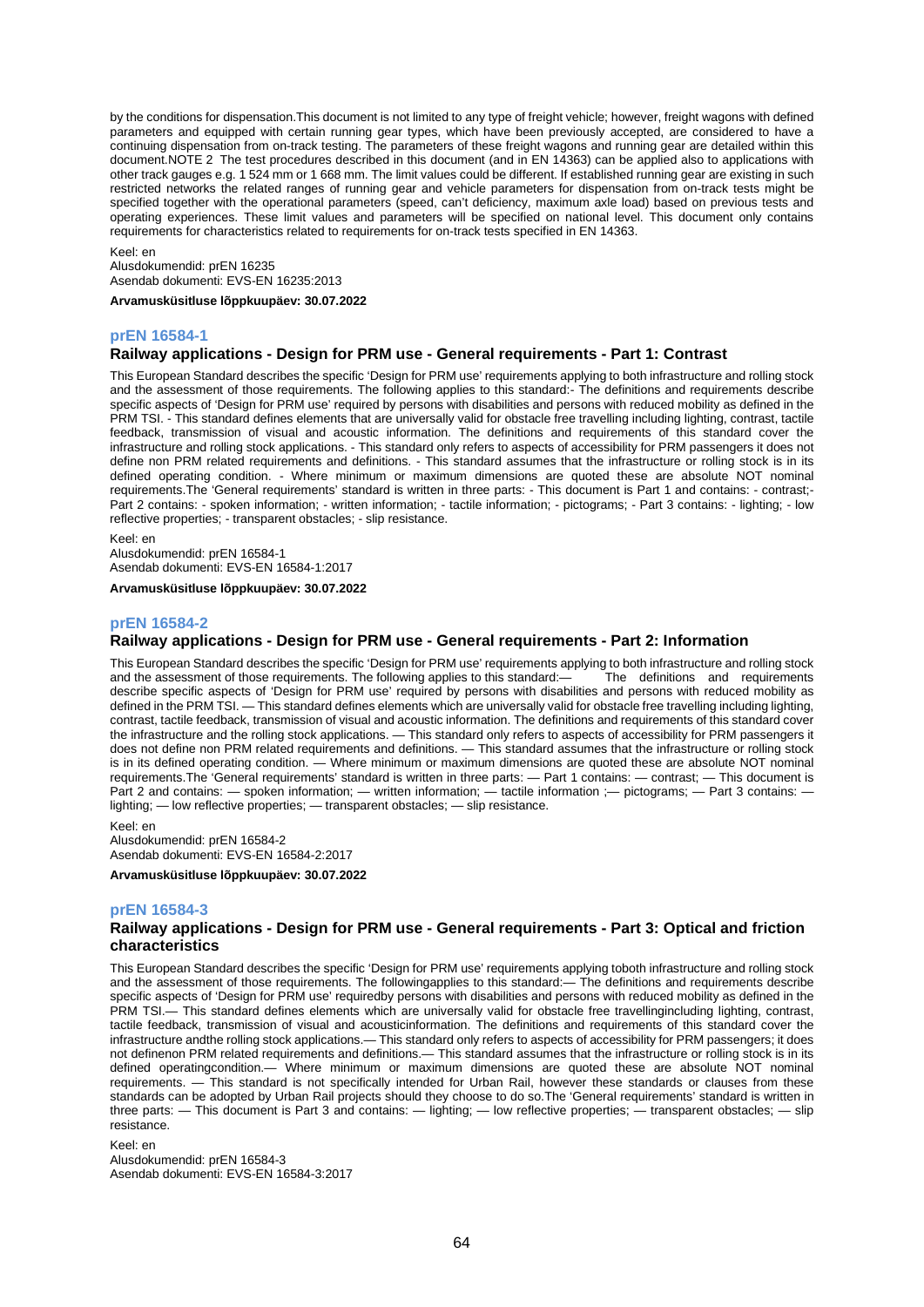by the conditions for dispensation.This document is not limited to any type of freight vehicle; however, freight wagons with defined parameters and equipped with certain running gear types, which have been previously accepted, are considered to have a continuing dispensation from on-track testing. The parameters of these freight wagons and running gear are detailed within this document.NOTE 2 The test procedures described in this document (and in EN 14363) can be applied also to applications with other track gauges e.g. 1 524 mm or 1 668 mm. The limit values could be different. If established running gear are existing in such restricted networks the related ranges of running gear and vehicle parameters for dispensation from on-track tests might be specified together with the operational parameters (speed, can't deficiency, maximum axle load) based on previous tests and operating experiences. These limit values and parameters will be specified on national level. This document only contains requirements for characteristics related to requirements for on-track tests specified in EN 14363.

Keel: en Alusdokumendid: prEN 16235 Asendab dokumenti: EVS-EN 16235:2013

**Arvamusküsitluse lõppkuupäev: 30.07.2022**

## **prEN 16584-1**

## **Railway applications - Design for PRM use - General requirements - Part 1: Contrast**

This European Standard describes the specific 'Design for PRM use' requirements applying to both infrastructure and rolling stock and the assessment of those requirements. The following applies to this standard:- The definitions and requirements describe specific aspects of 'Design for PRM use' required by persons with disabilities and persons with reduced mobility as defined in the PRM TSI. - This standard defines elements that are universally valid for obstacle free travelling including lighting, contrast, tactile feedback, transmission of visual and acoustic information. The definitions and requirements of this standard cover the infrastructure and rolling stock applications. - This standard only refers to aspects of accessibility for PRM passengers it does not define non PRM related requirements and definitions. - This standard assumes that the infrastructure or rolling stock is in its defined operating condition. - Where minimum or maximum dimensions are quoted these are absolute NOT nominal requirements.The 'General requirements' standard is written in three parts: - This document is Part 1 and contains: - contrast;- Part 2 contains: - spoken information; - written information; - tactile information; - pictograms; - Part 3 contains: - lighting; - low reflective properties; - transparent obstacles; - slip resistance.

Keel: en

Alusdokumendid: prEN 16584-1 Asendab dokumenti: EVS-EN 16584-1:2017

**Arvamusküsitluse lõppkuupäev: 30.07.2022**

#### **prEN 16584-2**

### **Railway applications - Design for PRM use - General requirements - Part 2: Information**

This European Standard describes the specific 'Design for PRM use' requirements applying to both infrastructure and rolling stock<br>and the assessment of those requirements. The following applies to this standard:— The defin and the assessment of those requirements. The following applies to this standard:describe specific aspects of 'Design for PRM use' required by persons with disabilities and persons with reduced mobility as defined in the PRM TSI. — This standard defines elements which are universally valid for obstacle free travelling including lighting, contrast, tactile feedback, transmission of visual and acoustic information. The definitions and requirements of this standard cover the infrastructure and the rolling stock applications. — This standard only refers to aspects of accessibility for PRM passengers it does not define non PRM related requirements and definitions. — This standard assumes that the infrastructure or rolling stock is in its defined operating condition. — Where minimum or maximum dimensions are quoted these are absolute NOT nominal requirements.The 'General requirements' standard is written in three parts: — Part 1 contains: — contrast; — This document is Part 2 and contains: — spoken information; — written information; — tactile information ;— pictograms; — Part 3 contains: lighting; — low reflective properties; — transparent obstacles; — slip resistance.

Keel: en Alusdokumendid: prEN 16584-2 Asendab dokumenti: EVS-EN 16584-2:2017

**Arvamusküsitluse lõppkuupäev: 30.07.2022**

#### **prEN 16584-3**

## **Railway applications - Design for PRM use - General requirements - Part 3: Optical and friction characteristics**

This European Standard describes the specific 'Design for PRM use' requirements applying toboth infrastructure and rolling stock and the assessment of those requirements. The followingapplies to this standard:— The definitions and requirements describe specific aspects of 'Design for PRM use' requiredby persons with disabilities and persons with reduced mobility as defined in the PRM TSI.— This standard defines elements which are universally valid for obstacle free travellingincluding lighting, contrast, tactile feedback, transmission of visual and acousticinformation. The definitions and requirements of this standard cover the infrastructure andthe rolling stock applications.— This standard only refers to aspects of accessibility for PRM passengers; it does not definenon PRM related requirements and definitions.— This standard assumes that the infrastructure or rolling stock is in its defined operatingcondition.— Where minimum or maximum dimensions are quoted these are absolute NOT nominal requirements. — This standard is not specifically intended for Urban Rail, however these standards or clauses from these standards can be adopted by Urban Rail projects should they choose to do so.The 'General requirements' standard is written in three parts: — This document is Part 3 and contains: — lighting; — low reflective properties; — transparent obstacles; — slip resistance.

Keel: en Alusdokumendid: prEN 16584-3 Asendab dokumenti: EVS-EN 16584-3:2017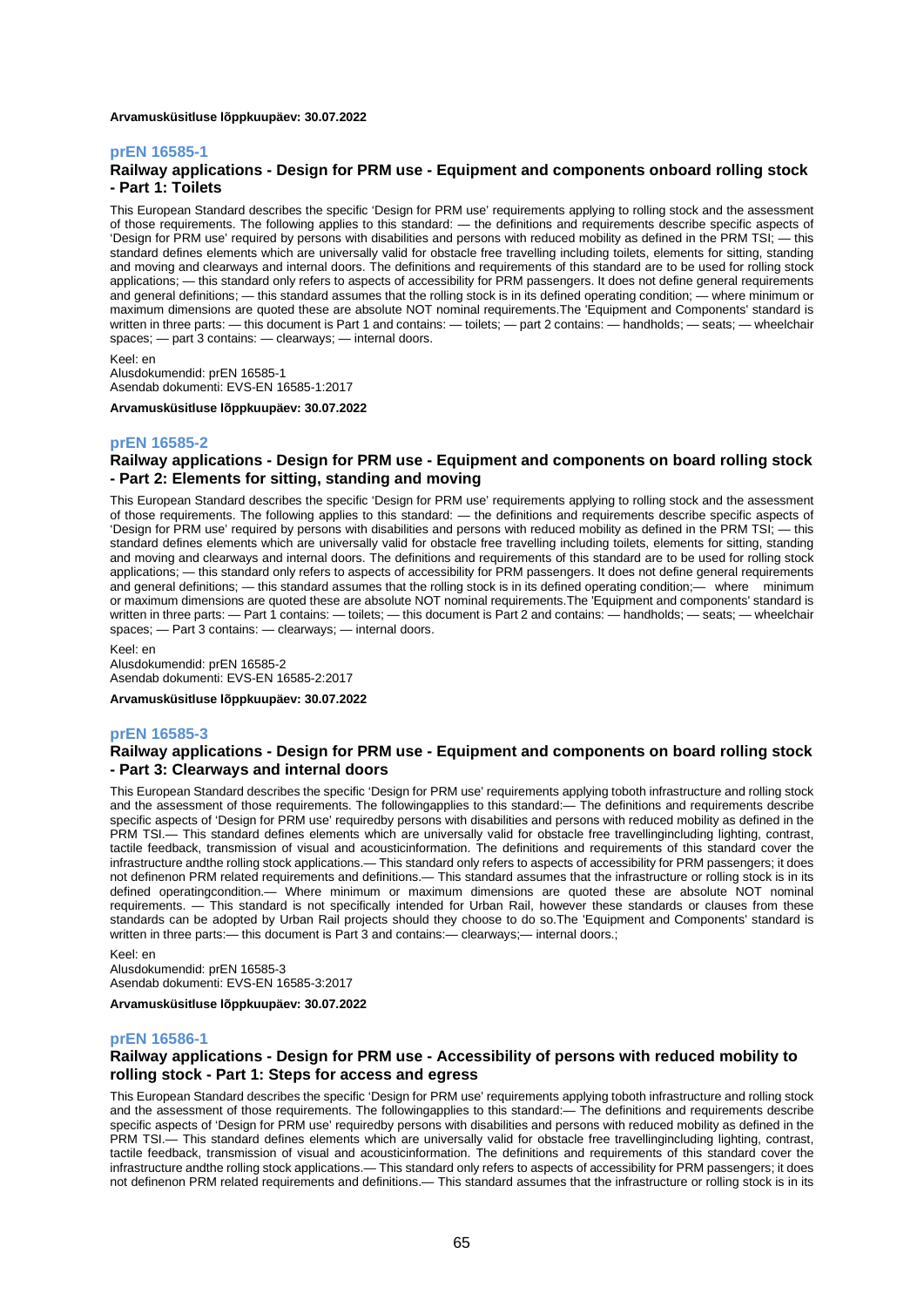#### **Arvamusküsitluse lõppkuupäev: 30.07.2022**

#### **prEN 16585-1**

## **Railway applications - Design for PRM use - Equipment and components onboard rolling stock - Part 1: Toilets**

This European Standard describes the specific 'Design for PRM use' requirements applying to rolling stock and the assessment of those requirements. The following applies to this standard: — the definitions and requirements describe specific aspects of 'Design for PRM use' required by persons with disabilities and persons with reduced mobility as defined in the PRM TSI; — this standard defines elements which are universally valid for obstacle free travelling including toilets, elements for sitting, standing and moving and clearways and internal doors. The definitions and requirements of this standard are to be used for rolling stock applications; — this standard only refers to aspects of accessibility for PRM passengers. It does not define general requirements and general definitions; — this standard assumes that the rolling stock is in its defined operating condition; — where minimum or maximum dimensions are quoted these are absolute NOT nominal requirements.The 'Equipment and Components' standard is written in three parts: — this document is Part 1 and contains: — toilets; — part 2 contains: — handholds; — seats; — wheelchair spaces; — part 3 contains: — clearways; — internal doors.

Keel: en Alusdokumendid: prEN 16585-1

Asendab dokumenti: EVS-EN 16585-1:2017

**Arvamusküsitluse lõppkuupäev: 30.07.2022**

### **prEN 16585-2**

## **Railway applications - Design for PRM use - Equipment and components on board rolling stock - Part 2: Elements for sitting, standing and moving**

This European Standard describes the specific 'Design for PRM use' requirements applying to rolling stock and the assessment of those requirements. The following applies to this standard: — the definitions and requirements describe specific aspects of 'Design for PRM use' required by persons with disabilities and persons with reduced mobility as defined in the PRM TSI; — this standard defines elements which are universally valid for obstacle free travelling including toilets, elements for sitting, standing and moving and clearways and internal doors. The definitions and requirements of this standard are to be used for rolling stock applications; — this standard only refers to aspects of accessibility for PRM passengers. It does not define general requirements and general definitions; — this standard assumes that the rolling stock is in its defined operating condition;— where minimum or maximum dimensions are quoted these are absolute NOT nominal requirements.The 'Equipment and components' standard is written in three parts: — Part 1 contains: — toilets; — this document is Part 2 and contains: — handholds; — seats; — wheelchair spaces; — Part 3 contains: — clearways; — internal doors.

Keel: en

Alusdokumendid: prEN 16585-2 Asendab dokumenti: EVS-EN 16585-2:2017

**Arvamusküsitluse lõppkuupäev: 30.07.2022**

### **prEN 16585-3**

## **Railway applications - Design for PRM use - Equipment and components on board rolling stock - Part 3: Clearways and internal doors**

This European Standard describes the specific 'Design for PRM use' requirements applying toboth infrastructure and rolling stock and the assessment of those requirements. The followingapplies to this standard:— The definitions and requirements describe specific aspects of 'Design for PRM use' requiredby persons with disabilities and persons with reduced mobility as defined in the PRM TSI.— This standard defines elements which are universally valid for obstacle free travellingincluding lighting, contrast, tactile feedback, transmission of visual and acousticinformation. The definitions and requirements of this standard cover the infrastructure andthe rolling stock applications.— This standard only refers to aspects of accessibility for PRM passengers; it does not definenon PRM related requirements and definitions.— This standard assumes that the infrastructure or rolling stock is in its defined operatingcondition.— Where minimum or maximum dimensions are quoted these are absolute NOT nominal requirements. — This standard is not specifically intended for Urban Rail, however these standards or clauses from these standards can be adopted by Urban Rail projects should they choose to do so.The 'Equipment and Components' standard is written in three parts:— this document is Part 3 and contains:— clearways;— internal doors.;

Keel: en Alusdokumendid: prEN 16585-3 Asendab dokumenti: EVS-EN 16585-3:2017

**Arvamusküsitluse lõppkuupäev: 30.07.2022**

#### **prEN 16586-1**

## **Railway applications - Design for PRM use - Accessibility of persons with reduced mobility to rolling stock - Part 1: Steps for access and egress**

This European Standard describes the specific 'Design for PRM use' requirements applying toboth infrastructure and rolling stock and the assessment of those requirements. The followingapplies to this standard:— The definitions and requirements describe specific aspects of 'Design for PRM use' requiredby persons with disabilities and persons with reduced mobility as defined in the PRM TSI.— This standard defines elements which are universally valid for obstacle free travellingincluding lighting, contrast, tactile feedback, transmission of visual and acousticinformation. The definitions and requirements of this standard cover the infrastructure andthe rolling stock applications.— This standard only refers to aspects of accessibility for PRM passengers; it does not definenon PRM related requirements and definitions.— This standard assumes that the infrastructure or rolling stock is in its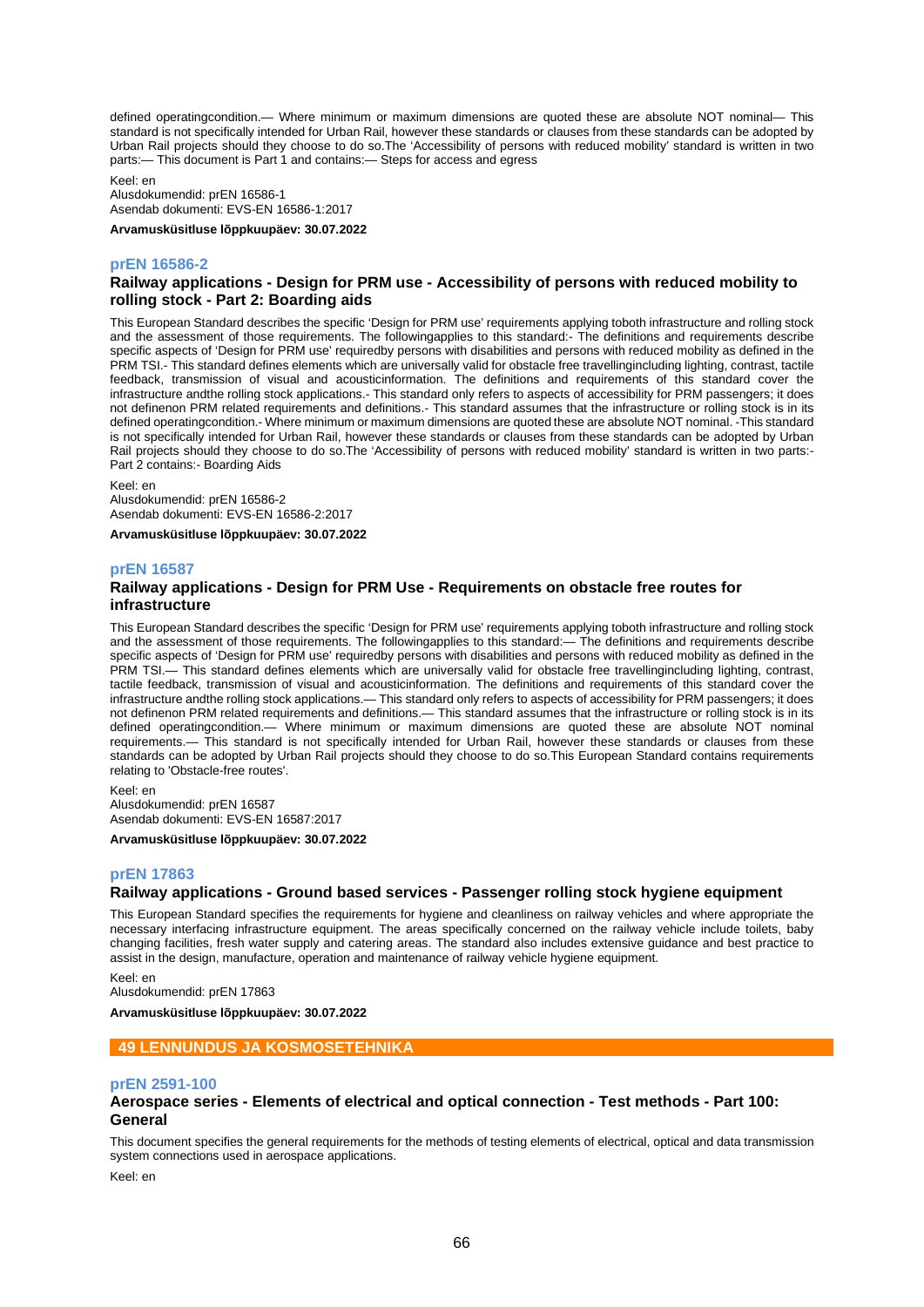defined operatingcondition.— Where minimum or maximum dimensions are quoted these are absolute NOT nominal— This standard is not specifically intended for Urban Rail, however these standards or clauses from these standards can be adopted by Urban Rail projects should they choose to do so.The 'Accessibility of persons with reduced mobility' standard is written in two parts:— This document is Part 1 and contains:— Steps for access and egress

Keel: en

Alusdokumendid: prEN 16586-1 Asendab dokumenti: EVS-EN 16586-1:2017

**Arvamusküsitluse lõppkuupäev: 30.07.2022**

### **prEN 16586-2**

## **Railway applications - Design for PRM use - Accessibility of persons with reduced mobility to rolling stock - Part 2: Boarding aids**

This European Standard describes the specific 'Design for PRM use' requirements applying toboth infrastructure and rolling stock and the assessment of those requirements. The followingapplies to this standard:- The definitions and requirements describe specific aspects of 'Design for PRM use' requiredby persons with disabilities and persons with reduced mobility as defined in the PRM TSI.- This standard defines elements which are universally valid for obstacle free travellingincluding lighting, contrast, tactile feedback, transmission of visual and acousticinformation. The definitions and requirements of this standard cover the infrastructure andthe rolling stock applications.- This standard only refers to aspects of accessibility for PRM passengers; it does not definenon PRM related requirements and definitions.- This standard assumes that the infrastructure or rolling stock is in its defined operatingcondition.- Where minimum or maximum dimensions are quoted these are absolute NOT nominal. -This standard is not specifically intended for Urban Rail, however these standards or clauses from these standards can be adopted by Urban Rail projects should they choose to do so.The 'Accessibility of persons with reduced mobility' standard is written in two parts:- Part 2 contains:- Boarding Aids

Keel: en

Alusdokumendid: prEN 16586-2 Asendab dokumenti: EVS-EN 16586-2:2017

**Arvamusküsitluse lõppkuupäev: 30.07.2022**

### **prEN 16587**

## **Railway applications - Design for PRM Use - Requirements on obstacle free routes for infrastructure**

This European Standard describes the specific 'Design for PRM use' requirements applying toboth infrastructure and rolling stock and the assessment of those requirements. The followingapplies to this standard:— The definitions and requirements describe specific aspects of 'Design for PRM use' requiredby persons with disabilities and persons with reduced mobility as defined in the PRM TSI.— This standard defines elements which are universally valid for obstacle free travellingincluding lighting, contrast, tactile feedback, transmission of visual and acousticinformation. The definitions and requirements of this standard cover the infrastructure andthe rolling stock applications.— This standard only refers to aspects of accessibility for PRM passengers; it does not definenon PRM related requirements and definitions.— This standard assumes that the infrastructure or rolling stock is in its defined operatingcondition.— Where minimum or maximum dimensions are quoted these are absolute NOT nominal requirements.— This standard is not specifically intended for Urban Rail, however these standards or clauses from these standards can be adopted by Urban Rail projects should they choose to do so.This European Standard contains requirements relating to 'Obstacle-free routes'.

Keel: en Alusdokumendid: prEN 16587 Asendab dokumenti: EVS-EN 16587:2017

**Arvamusküsitluse lõppkuupäev: 30.07.2022**

### **prEN 17863**

### **Railway applications - Ground based services - Passenger rolling stock hygiene equipment**

This European Standard specifies the requirements for hygiene and cleanliness on railway vehicles and where appropriate the necessary interfacing infrastructure equipment. The areas specifically concerned on the railway vehicle include toilets, baby changing facilities, fresh water supply and catering areas. The standard also includes extensive guidance and best practice to assist in the design, manufacture, operation and maintenance of railway vehicle hygiene equipment.

Keel: en

Alusdokumendid: prEN 17863

**Arvamusküsitluse lõppkuupäev: 30.07.2022**

#### **49 LENNUNDUS JA KOSMOSETEHNIKA**

### **prEN 2591-100**

### **Aerospace series - Elements of electrical and optical connection - Test methods - Part 100: General**

This document specifies the general requirements for the methods of testing elements of electrical, optical and data transmission system connections used in aerospace applications.

Keel: en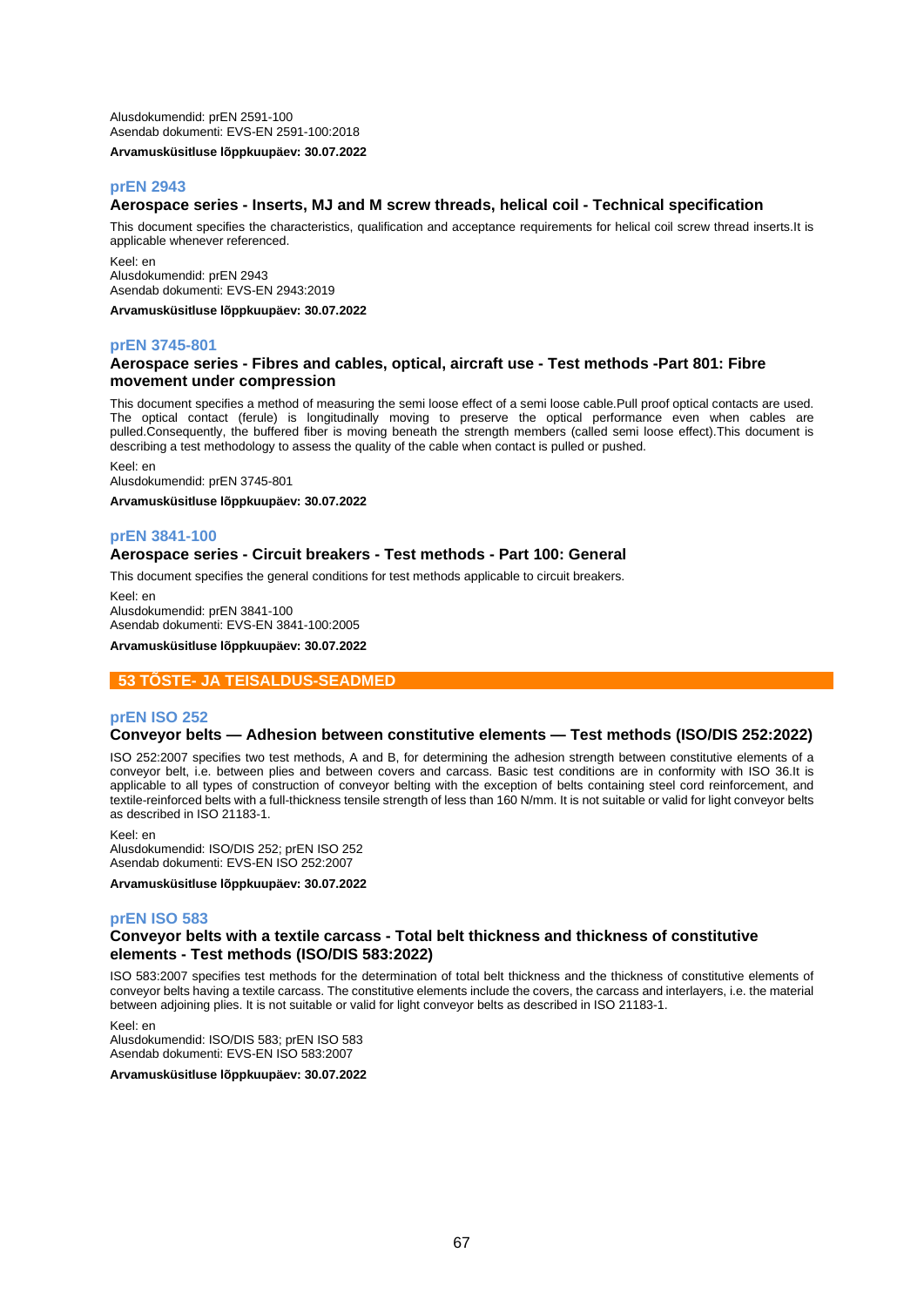Alusdokumendid: prEN 2591-100 Asendab dokumenti: EVS-EN 2591-100:2018 **Arvamusküsitluse lõppkuupäev: 30.07.2022**

## **prEN 2943**

### **Aerospace series - Inserts, MJ and M screw threads, helical coil - Technical specification**

This document specifies the characteristics, qualification and acceptance requirements for helical coil screw thread inserts.It is applicable whenever referenced.

Keel: en Alusdokumendid: prEN 2943 Asendab dokumenti: EVS-EN 2943:2019

**Arvamusküsitluse lõppkuupäev: 30.07.2022**

#### **prEN 3745-801**

## **Aerospace series - Fibres and cables, optical, aircraft use - Test methods -Part 801: Fibre movement under compression**

This document specifies a method of measuring the semi loose effect of a semi loose cable.Pull proof optical contacts are used. The optical contact (ferule) is longitudinally moving to preserve the optical performance even when cables are pulled.Consequently, the buffered fiber is moving beneath the strength members (called semi loose effect).This document is describing a test methodology to assess the quality of the cable when contact is pulled or pushed.

Keel: en Alusdokumendid: prEN 3745-801

**Arvamusküsitluse lõppkuupäev: 30.07.2022**

### **prEN 3841-100**

## **Aerospace series - Circuit breakers - Test methods - Part 100: General**

This document specifies the general conditions for test methods applicable to circuit breakers.

Keel: en Alusdokumendid: prEN 3841-100 Asendab dokumenti: EVS-EN 3841-100:2005

**Arvamusküsitluse lõppkuupäev: 30.07.2022**

### **53 TÕSTE- JA TEISALDUS-SEADMED**

#### **prEN ISO 252**

#### **Conveyor belts — Adhesion between constitutive elements — Test methods (ISO/DIS 252:2022)**

ISO 252:2007 specifies two test methods, A and B, for determining the adhesion strength between constitutive elements of a conveyor belt, i.e. between plies and between covers and carcass. Basic test conditions are in conformity with ISO 36.It is applicable to all types of construction of conveyor belting with the exception of belts containing steel cord reinforcement, and textile-reinforced belts with a full-thickness tensile strength of less than 160 N/mm. It is not suitable or valid for light conveyor belts as described in ISO 21183-1.

#### Keel: en

Alusdokumendid: ISO/DIS 252; prEN ISO 252 Asendab dokumenti: EVS-EN ISO 252:2007

**Arvamusküsitluse lõppkuupäev: 30.07.2022**

#### **prEN ISO 583**

## **Conveyor belts with a textile carcass - Total belt thickness and thickness of constitutive elements - Test methods (ISO/DIS 583:2022)**

ISO 583:2007 specifies test methods for the determination of total belt thickness and the thickness of constitutive elements of conveyor belts having a textile carcass. The constitutive elements include the covers, the carcass and interlayers, i.e. the material between adjoining plies. It is not suitable or valid for light conveyor belts as described in ISO 21183-1.

Keel: en

Alusdokumendid: ISO/DIS 583; prEN ISO 583 Asendab dokumenti: EVS-EN ISO 583:2007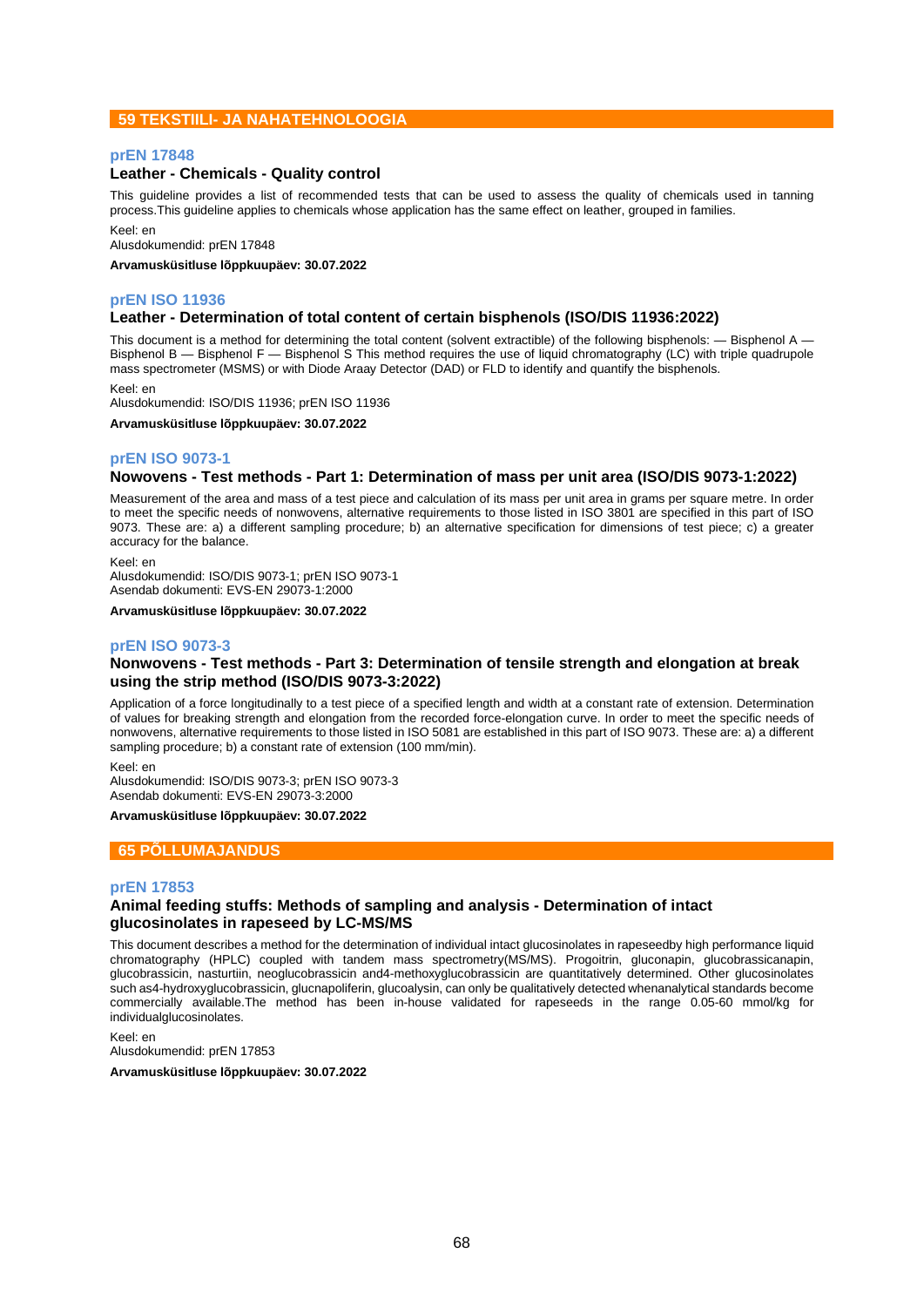## **59 TEKSTIILI- JA NAHATEHNOLOOGIA**

### **prEN 17848**

### **Leather - Chemicals - Quality control**

This guideline provides a list of recommended tests that can be used to assess the quality of chemicals used in tanning process.This guideline applies to chemicals whose application has the same effect on leather, grouped in families.

Keel: en

Alusdokumendid: prEN 17848

**Arvamusküsitluse lõppkuupäev: 30.07.2022**

### **prEN ISO 11936**

### **Leather - Determination of total content of certain bisphenols (ISO/DIS 11936:2022)**

This document is a method for determining the total content (solvent extractible) of the following bisphenols: — Bisphenol A -Bisphenol B — Bisphenol F — Bisphenol S This method requires the use of liquid chromatography (LC) with triple quadrupole mass spectrometer (MSMS) or with Diode Araay Detector (DAD) or FLD to identify and quantify the bisphenols.

Keel: en

Alusdokumendid: ISO/DIS 11936; prEN ISO 11936

**Arvamusküsitluse lõppkuupäev: 30.07.2022**

### **prEN ISO 9073-1**

### **Nowovens - Test methods - Part 1: Determination of mass per unit area (ISO/DIS 9073-1:2022)**

Measurement of the area and mass of a test piece and calculation of its mass per unit area in grams per square metre. In order to meet the specific needs of nonwovens, alternative requirements to those listed in ISO 3801 are specified in this part of ISO 9073. These are: a) a different sampling procedure; b) an alternative specification for dimensions of test piece; c) a greater accuracy for the balance.

Keel: en

Alusdokumendid: ISO/DIS 9073-1; prEN ISO 9073-1 Asendab dokumenti: EVS-EN 29073-1:2000

**Arvamusküsitluse lõppkuupäev: 30.07.2022**

### **prEN ISO 9073-3**

## **Nonwovens - Test methods - Part 3: Determination of tensile strength and elongation at break using the strip method (ISO/DIS 9073-3:2022)**

Application of a force longitudinally to a test piece of a specified length and width at a constant rate of extension. Determination of values for breaking strength and elongation from the recorded force-elongation curve. In order to meet the specific needs of nonwovens, alternative requirements to those listed in ISO 5081 are established in this part of ISO 9073. These are: a) a different sampling procedure; b) a constant rate of extension (100 mm/min).

Keel: en

Alusdokumendid: ISO/DIS 9073-3; prEN ISO 9073-3 Asendab dokumenti: EVS-EN 29073-3:2000

**Arvamusküsitluse lõppkuupäev: 30.07.2022**

## **65 PÕLLUMAJANDUS**

#### **prEN 17853**

### **Animal feeding stuffs: Methods of sampling and analysis - Determination of intact glucosinolates in rapeseed by LC-MS/MS**

This document describes a method for the determination of individual intact glucosinolates in rapeseedby high performance liquid chromatography (HPLC) coupled with tandem mass spectrometry(MS/MS). Progoitrin, gluconapin, glucobrassicanapin, glucobrassicin, nasturtiin, neoglucobrassicin and4-methoxyglucobrassicin are quantitatively determined. Other glucosinolates such as4-hydroxyglucobrassicin, glucnapoliferin, glucoalysin, can only be qualitatively detected whenanalytical standards become commercially available.The method has been in-house validated for rapeseeds in the range 0.05-60 mmol/kg for individualglucosinolates.

Keel: en Alusdokumendid: prEN 17853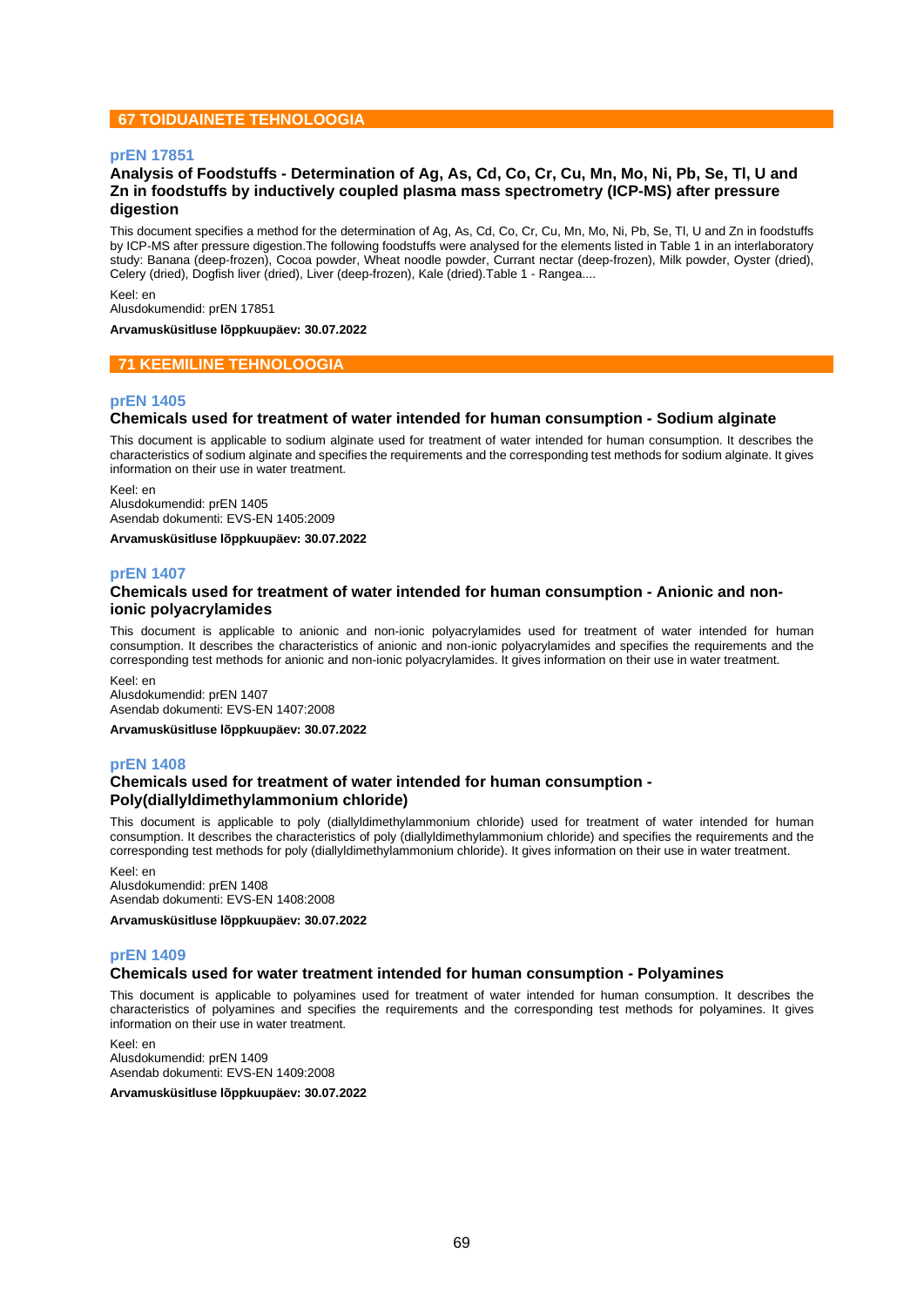## **67 TOIDUAINETE TEHNOLOOGIA**

### **prEN 17851**

## **Analysis of Foodstuffs - Determination of Ag, As, Cd, Co, Cr, Cu, Mn, Mo, Ni, Pb, Se, Tl, U and Zn in foodstuffs by inductively coupled plasma mass spectrometry (ICP-MS) after pressure digestion**

This document specifies a method for the determination of Ag, As, Cd, Co, Cr, Cu, Mn, Mo, Ni, Pb, Se, Tl, U and Zn in foodstuffs by ICP-MS after pressure digestion.The following foodstuffs were analysed for the elements listed in Table 1 in an interlaboratory study: Banana (deep-frozen), Cocoa powder, Wheat noodle powder, Currant nectar (deep-frozen), Milk powder, Oyster (dried), Celery (dried), Dogfish liver (dried), Liver (deep-frozen), Kale (dried).Table 1 - Rangea....

Keel: en Alusdokumendid: prEN 17851

**Arvamusküsitluse lõppkuupäev: 30.07.2022**

## **71 KEEMILINE TEHNOLOOGIA**

### **prEN 1405**

## **Chemicals used for treatment of water intended for human consumption - Sodium alginate**

This document is applicable to sodium alginate used for treatment of water intended for human consumption. It describes the characteristics of sodium alginate and specifies the requirements and the corresponding test methods for sodium alginate. It gives information on their use in water treatment.

Keel: en Alusdokumendid: prEN 1405 Asendab dokumenti: EVS-EN 1405:2009

**Arvamusküsitluse lõppkuupäev: 30.07.2022**

### **prEN 1407**

### **Chemicals used for treatment of water intended for human consumption - Anionic and nonionic polyacrylamides**

This document is applicable to anionic and non-ionic polyacrylamides used for treatment of water intended for human consumption. It describes the characteristics of anionic and non-ionic polyacrylamides and specifies the requirements and the corresponding test methods for anionic and non-ionic polyacrylamides. It gives information on their use in water treatment.

Keel: en Alusdokumendid: prEN 1407 Asendab dokumenti: EVS-EN 1407:2008

**Arvamusküsitluse lõppkuupäev: 30.07.2022**

### **prEN 1408**

### **Chemicals used for treatment of water intended for human consumption - Poly(diallyldimethylammonium chloride)**

This document is applicable to poly (diallyldimethylammonium chloride) used for treatment of water intended for human consumption. It describes the characteristics of poly (diallyldimethylammonium chloride) and specifies the requirements and the corresponding test methods for poly (diallyldimethylammonium chloride). It gives information on their use in water treatment.

Keel: en Alusdokumendid: prEN 1408 Asendab dokumenti: EVS-EN 1408:2008

**Arvamusküsitluse lõppkuupäev: 30.07.2022**

#### **prEN 1409**

## **Chemicals used for water treatment intended for human consumption - Polyamines**

This document is applicable to polyamines used for treatment of water intended for human consumption. It describes the characteristics of polyamines and specifies the requirements and the corresponding test methods for polyamines. It gives information on their use in water treatment.

Keel: en Alusdokumendid: prEN 1409 Asendab dokumenti: EVS-EN 1409:2008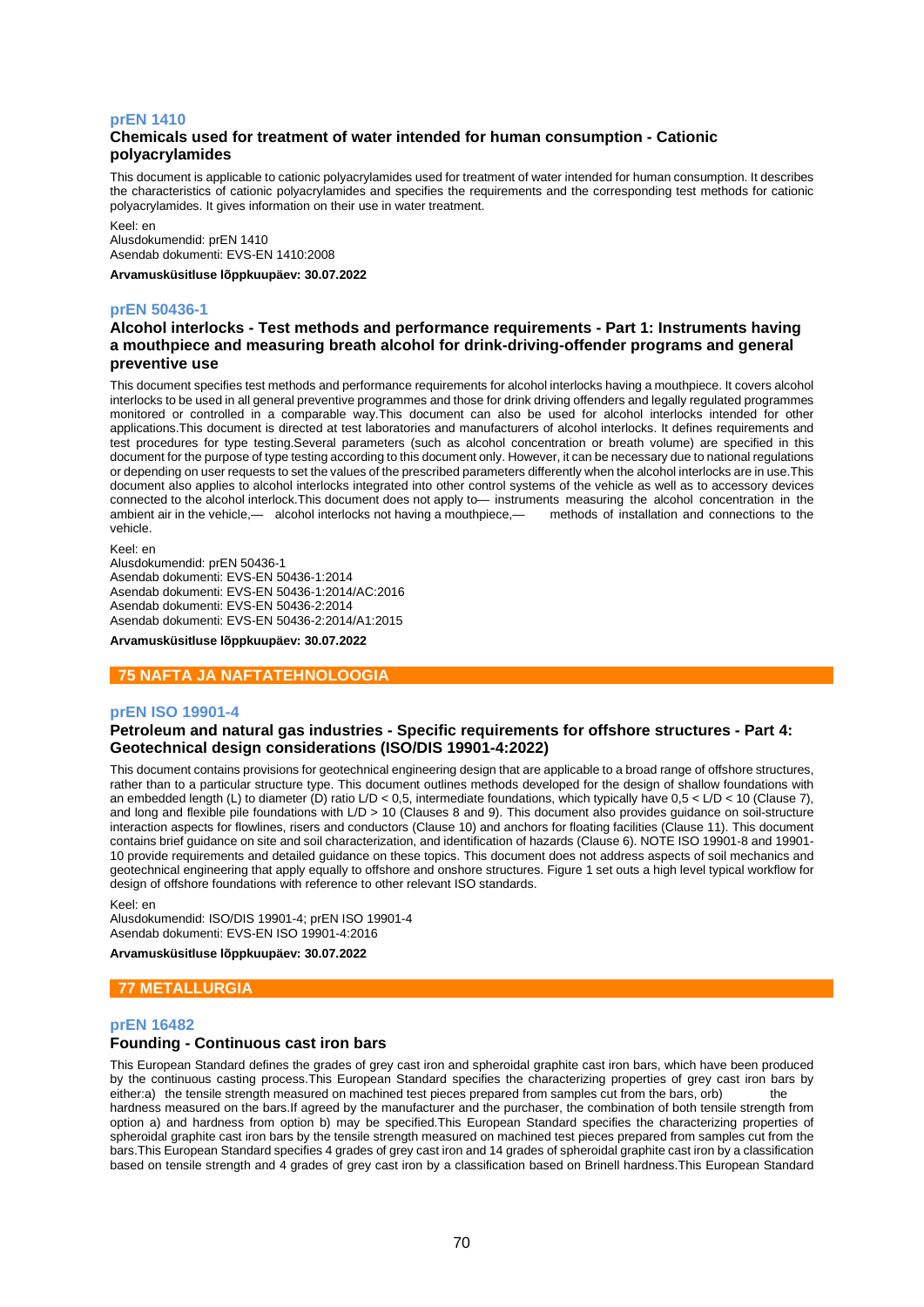### **prEN 1410**

## **Chemicals used for treatment of water intended for human consumption - Cationic polyacrylamides**

This document is applicable to cationic polyacrylamides used for treatment of water intended for human consumption. It describes the characteristics of cationic polyacrylamides and specifies the requirements and the corresponding test methods for cationic polyacrylamides. It gives information on their use in water treatment.

Keel: en Alusdokumendid: prEN 1410 Asendab dokumenti: EVS-EN 1410:2008

**Arvamusküsitluse lõppkuupäev: 30.07.2022**

#### **prEN 50436-1**

## **Alcohol interlocks - Test methods and performance requirements - Part 1: Instruments having a mouthpiece and measuring breath alcohol for drink-driving-offender programs and general preventive use**

This document specifies test methods and performance requirements for alcohol interlocks having a mouthpiece. It covers alcohol interlocks to be used in all general preventive programmes and those for drink driving offenders and legally regulated programmes monitored or controlled in a comparable way.This document can also be used for alcohol interlocks intended for other applications.This document is directed at test laboratories and manufacturers of alcohol interlocks. It defines requirements and test procedures for type testing.Several parameters (such as alcohol concentration or breath volume) are specified in this document for the purpose of type testing according to this document only. However, it can be necessary due to national regulations or depending on user requests to set the values of the prescribed parameters differently when the alcohol interlocks are in use.This document also applies to alcohol interlocks integrated into other control systems of the vehicle as well as to accessory devices connected to the alcohol interlock. This document does not apply to— instruments measuring the alcohol concentration in the ambient air in the vehicle,— alcohol interlocks not having a mouthpiece,— methods of installation ambient air in the vehicle,— alcohol interlocks not having a mouthpiece, vehicle.

Keel: en

Alusdokumendid: prEN 50436-1 Asendab dokumenti: EVS-EN 50436-1:2014 Asendab dokumenti: EVS-EN 50436-1:2014/AC:2016 Asendab dokumenti: EVS-EN 50436-2:2014 Asendab dokumenti: EVS-EN 50436-2:2014/A1:2015

**Arvamusküsitluse lõppkuupäev: 30.07.2022**

### **75 NAFTA JA NAFTATEHNOLOOGIA**

#### **prEN ISO 19901-4**

## **Petroleum and natural gas industries - Specific requirements for offshore structures - Part 4: Geotechnical design considerations (ISO/DIS 19901-4:2022)**

This document contains provisions for geotechnical engineering design that are applicable to a broad range of offshore structures, rather than to a particular structure type. This document outlines methods developed for the design of shallow foundations with an embedded length (L) to diameter (D) ratio L/D < 0,5, intermediate foundations, which typically have 0,5 < L/D < 10 (Clause 7), and long and flexible pile foundations with L/D > 10 (Clauses 8 and 9). This document also provides guidance on soil-structure interaction aspects for flowlines, risers and conductors (Clause 10) and anchors for floating facilities (Clause 11). This document contains brief guidance on site and soil characterization, and identification of hazards (Clause 6). NOTE ISO 19901-8 and 19901- 10 provide requirements and detailed guidance on these topics. This document does not address aspects of soil mechanics and geotechnical engineering that apply equally to offshore and onshore structures. Figure 1 set outs a high level typical workflow for design of offshore foundations with reference to other relevant ISO standards.

Keel: en

Alusdokumendid: ISO/DIS 19901-4; prEN ISO 19901-4 Asendab dokumenti: EVS-EN ISO 19901-4:2016

**Arvamusküsitluse lõppkuupäev: 30.07.2022**

## **77 METALLURGIA**

#### **prEN 16482**

## **Founding - Continuous cast iron bars**

This European Standard defines the grades of grey cast iron and spheroidal graphite cast iron bars, which have been produced by the continuous casting process.This European Standard specifies the characterizing properties of grey cast iron bars by either:a) the tensile strength measured on machined test pieces prepared from samples cut from the bars, orb) the hardness measured on the bars.If agreed by the manufacturer and the purchaser, the combination of both tensile strength from option a) and hardness from option b) may be specified.This European Standard specifies the characterizing properties of spheroidal graphite cast iron bars by the tensile strength measured on machined test pieces prepared from samples cut from the bars.This European Standard specifies 4 grades of grey cast iron and 14 grades of spheroidal graphite cast iron by a classification based on tensile strength and 4 grades of grey cast iron by a classification based on Brinell hardness.This European Standard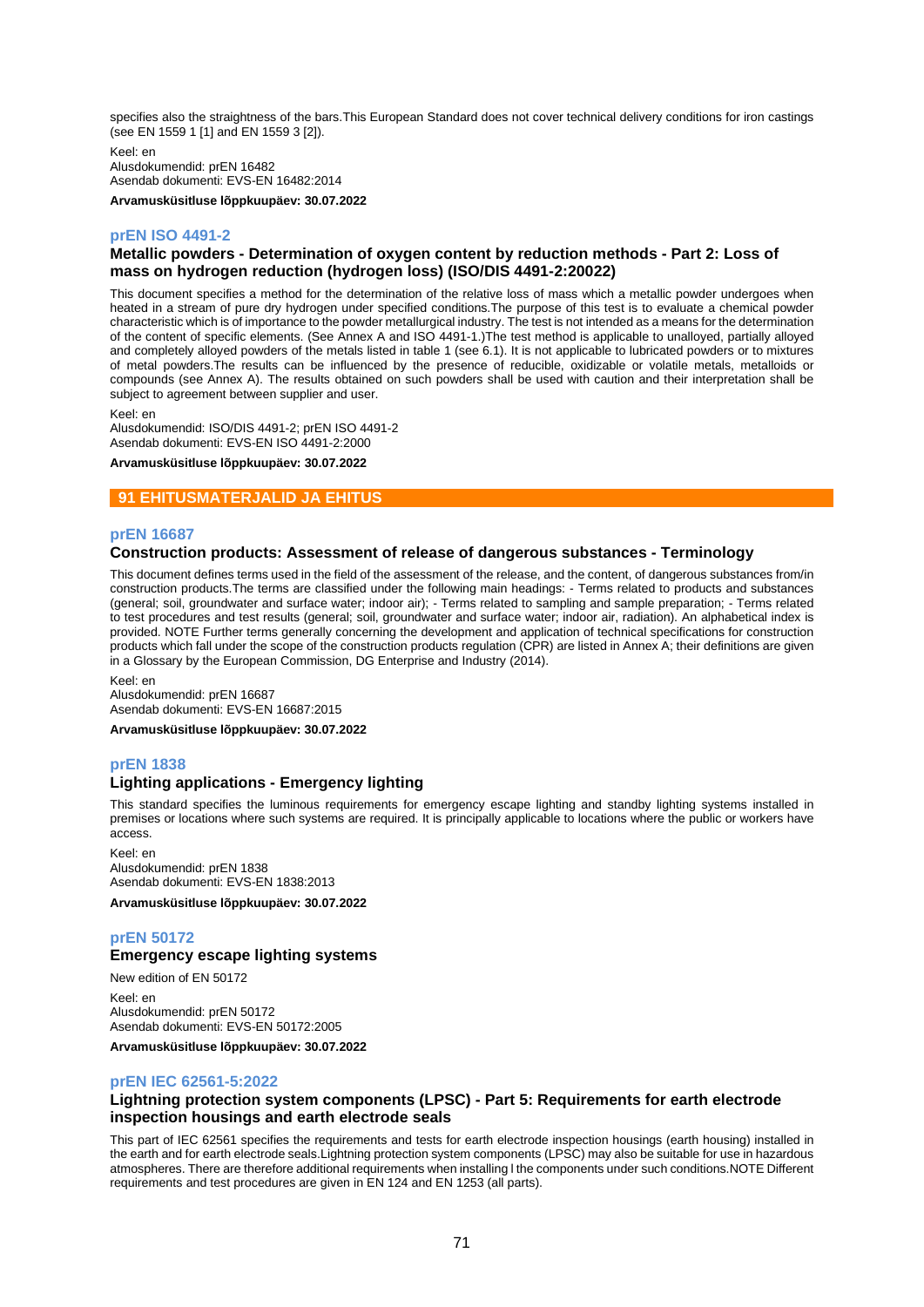specifies also the straightness of the bars.This European Standard does not cover technical delivery conditions for iron castings (see EN 1559 1 [1] and EN 1559 3 [2]).

Keel: en Alusdokumendid: prEN 16482 Asendab dokumenti: EVS-EN 16482:2014

**Arvamusküsitluse lõppkuupäev: 30.07.2022**

## **prEN ISO 4491-2**

## **Metallic powders - Determination of oxygen content by reduction methods - Part 2: Loss of mass on hydrogen reduction (hydrogen loss) (ISO/DIS 4491-2:20022)**

This document specifies a method for the determination of the relative loss of mass which a metallic powder undergoes when heated in a stream of pure dry hydrogen under specified conditions.The purpose of this test is to evaluate a chemical powder characteristic which is of importance to the powder metallurgical industry. The test is not intended as a means for the determination of the content of specific elements. (See Annex A and ISO 4491-1.)The test method is applicable to unalloyed, partially alloyed and completely alloyed powders of the metals listed in table 1 (see 6.1). It is not applicable to lubricated powders or to mixtures of metal powders.The results can be influenced by the presence of reducible, oxidizable or volatile metals, metalloids or compounds (see Annex A). The results obtained on such powders shall be used with caution and their interpretation shall be subject to agreement between supplier and user.

Keel: en

Alusdokumendid: ISO/DIS 4491-2; prEN ISO 4491-2 Asendab dokumenti: EVS-EN ISO 4491-2:2000

#### **Arvamusküsitluse lõppkuupäev: 30.07.2022**

### **91 EHITUSMATERJALID JA EHITUS**

### **prEN 16687**

## **Construction products: Assessment of release of dangerous substances - Terminology**

This document defines terms used in the field of the assessment of the release, and the content, of dangerous substances from/in construction products.The terms are classified under the following main headings: - Terms related to products and substances (general; soil, groundwater and surface water; indoor air); - Terms related to sampling and sample preparation; - Terms related to test procedures and test results (general; soil, groundwater and surface water; indoor air, radiation). An alphabetical index is provided. NOTE Further terms generally concerning the development and application of technical specifications for construction products which fall under the scope of the construction products regulation (CPR) are listed in Annex A; their definitions are given in a Glossary by the European Commission, DG Enterprise and Industry (2014).

Keel: en Alusdokumendid: prEN 16687 Asendab dokumenti: EVS-EN 16687:2015

**Arvamusküsitluse lõppkuupäev: 30.07.2022**

## **prEN 1838**

### **Lighting applications - Emergency lighting**

This standard specifies the luminous requirements for emergency escape lighting and standby lighting systems installed in premises or locations where such systems are required. It is principally applicable to locations where the public or workers have access.

Keel: en Alusdokumendid: prEN 1838 Asendab dokumenti: EVS-EN 1838:2013

**Arvamusküsitluse lõppkuupäev: 30.07.2022**

## **prEN 50172**

## **Emergency escape lighting systems**

New edition of EN 50172 Keel: en Alusdokumendid: prEN 50172 Asendab dokumenti: EVS-EN 50172:2005

**Arvamusküsitluse lõppkuupäev: 30.07.2022**

## **prEN IEC 62561-5:2022**

## **Lightning protection system components (LPSC) - Part 5: Requirements for earth electrode inspection housings and earth electrode seals**

This part of IEC 62561 specifies the requirements and tests for earth electrode inspection housings (earth housing) installed in the earth and for earth electrode seals.Lightning protection system components (LPSC) may also be suitable for use in hazardous atmospheres. There are therefore additional requirements when installing l the components under such conditions.NOTE Different requirements and test procedures are given in EN 124 and EN 1253 (all parts).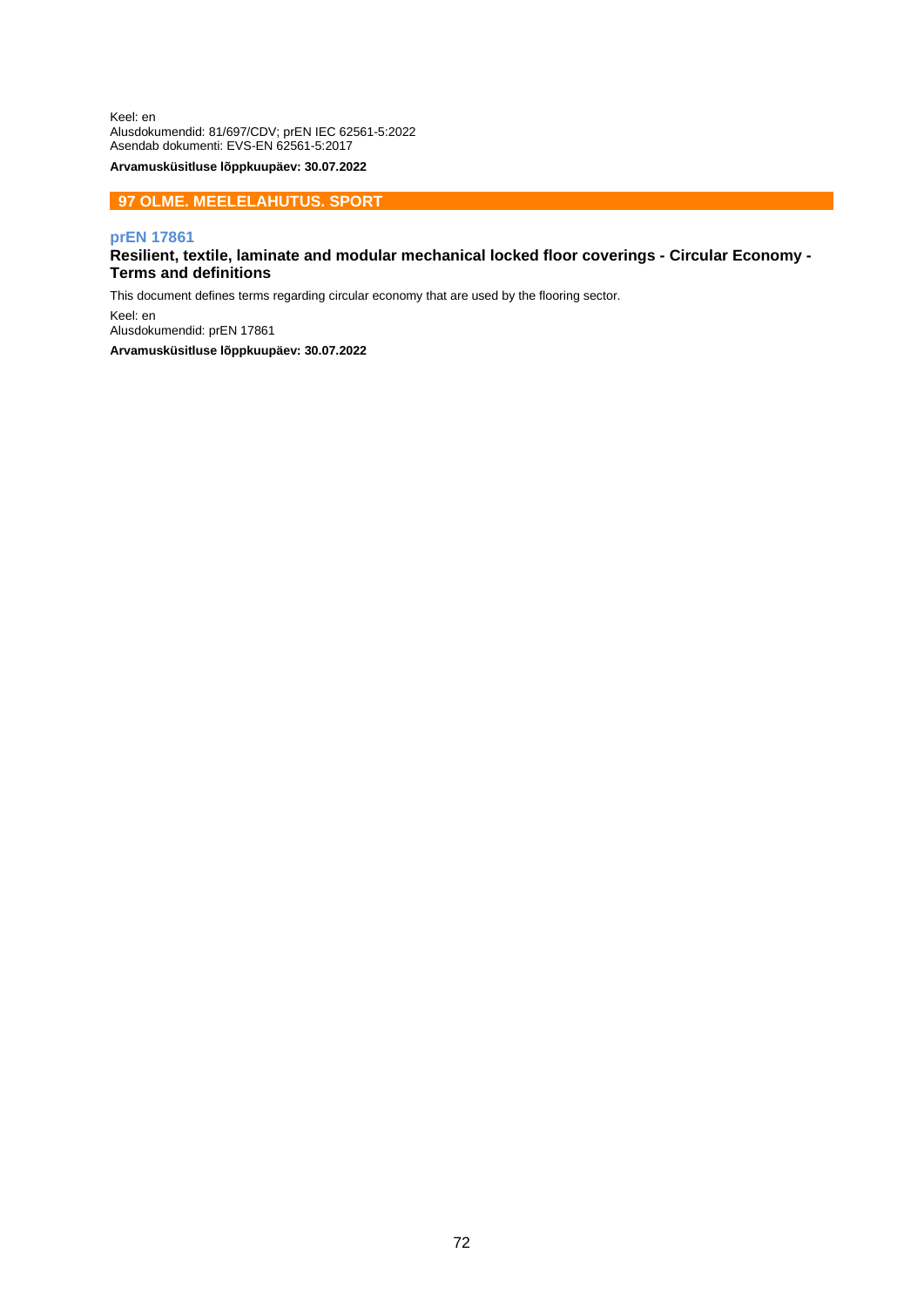Keel: en Alusdokumendid: 81/697/CDV; prEN IEC 62561-5:2022 Asendab dokumenti: EVS-EN 62561-5:2017

**Arvamusküsitluse lõppkuupäev: 30.07.2022**

## **97 OLME. MEELELAHUTUS. SPORT**

### **prEN 17861**

## **Resilient, textile, laminate and modular mechanical locked floor coverings - Circular Economy - Terms and definitions**

This document defines terms regarding circular economy that are used by the flooring sector.

Keel: en Alusdokumendid: prEN 17861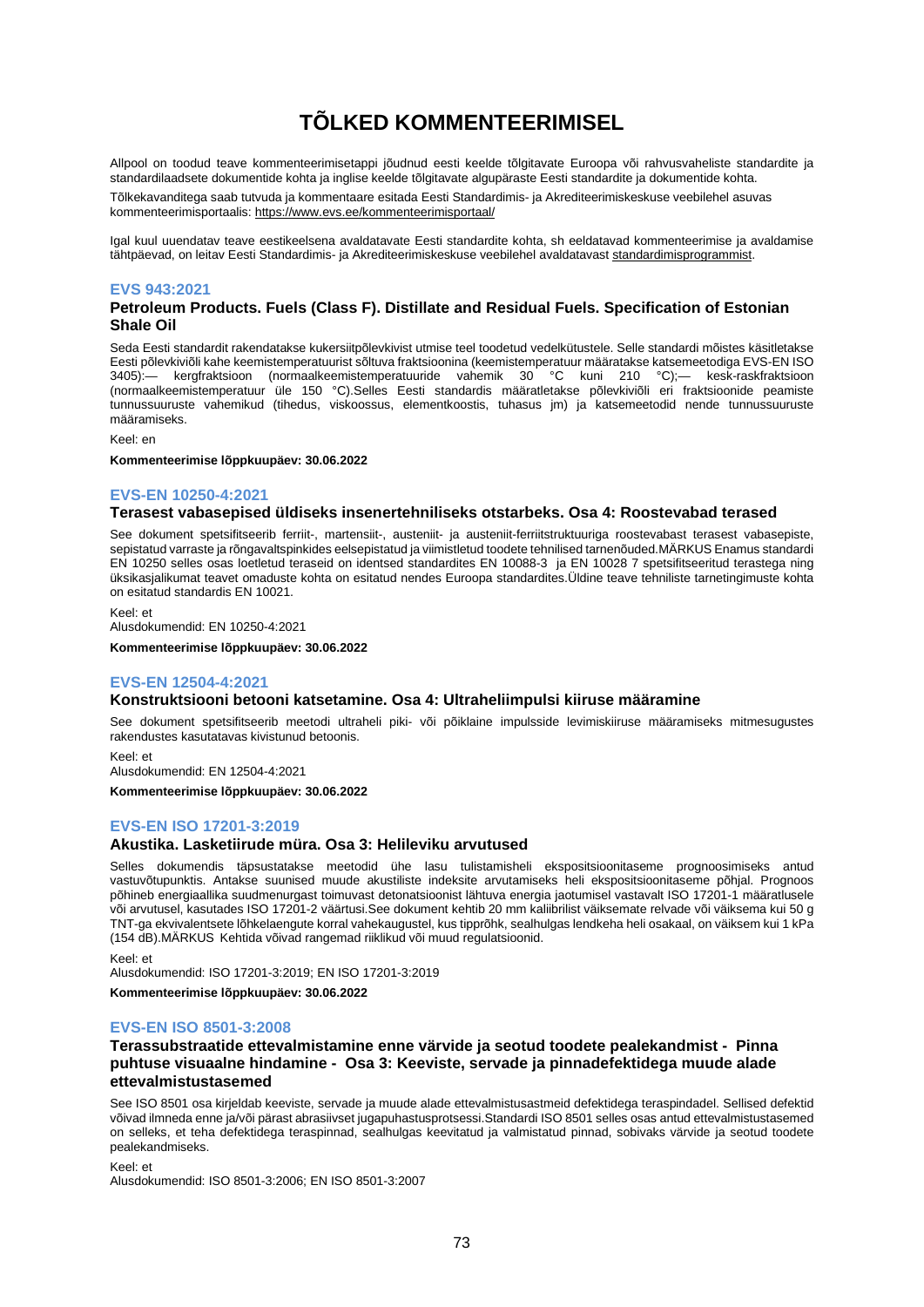# **TÕLKED KOMMENTEERIMISEL**

Allpool on toodud teave kommenteerimisetappi jõudnud eesti keelde tõlgitavate Euroopa või rahvusvaheliste standardite ja standardilaadsete dokumentide kohta ja inglise keelde tõlgitavate algupäraste Eesti standardite ja dokumentide kohta.

Tõlkekavanditega saab tutvuda ja kommentaare esitada Eesti Standardimis- ja Akrediteerimiskeskuse veebilehel asuvas kommenteerimisportaalis[: https://www.evs.ee/kommenteerimisportaal/](https://www.evs.ee/kommenteerimisportaal/)

Igal kuul uuendatav teave eestikeelsena avaldatavate Eesti standardite kohta, sh eeldatavad kommenteerimise ja avaldamise tähtpäevad, on leitav Eesti Standardimis- ja Akrediteerimiskeskuse veebilehel avaldatavas[t standardimisprogrammist.](https://www.evs.ee/et/standardimisprogramm)

#### **EVS 943:2021**

#### **Petroleum Products. Fuels (Class F). Distillate and Residual Fuels. Specification of Estonian Shale Oil**

Seda Eesti standardit rakendatakse kukersiitpõlevkivist utmise teel toodetud vedelkütustele. Selle standardi mõistes käsitletakse Eesti põlevkiviõli kahe keemistemperatuurist sõltuva fraktsioonina (keemistemperatuur määratakse katsemeetodiga EVS-EN ISO<br>3405):— kergfraktsioon (normaalkeemistemperatuuride vahemik 30 °C kuni 210 °C);— kesk-raskfraktsioo 3405):— kergfraktsioon (normaalkeemistemperatuuride vahemik 30 °C kuni 210 °C);— kesk-raskfraktsioon (normaalkeemistemperatuur üle 150 °C).Selles Eesti standardis määratletakse põlevkiviõli eri fraktsioonide peamiste tunnussuuruste vahemikud (tihedus, viskoossus, elementkoostis, tuhasus jm) ja katsemeetodid nende tunnussuuruste määramiseks.

Keel: en

**Kommenteerimise lõppkuupäev: 30.06.2022**

#### **EVS-EN 10250-4:2021**

#### **Terasest vabasepised üldiseks insenertehniliseks otstarbeks. Osa 4: Roostevabad terased**

See dokument spetsifitseerib ferriit-, martensiit-, austeniit- ja austeniit-ferriitstruktuuriga roostevabast terasest vabasepiste, sepistatud varraste ja rõngavaltspinkides eelsepistatud ja viimistletud toodete tehnilised tarnenõuded.MÄRKUS Enamus standardi EN 10250 selles osas loetletud teraseid on identsed standardites EN 10088-3 ja EN 10028 7 spetsifitseeritud terastega ning üksikasjalikumat teavet omaduste kohta on esitatud nendes Euroopa standardites.Üldine teave tehniliste tarnetingimuste kohta on esitatud standardis EN 10021.

Keel: et Alusdokumendid: EN 10250-4:2021

**Kommenteerimise lõppkuupäev: 30.06.2022**

### **EVS-EN 12504-4:2021**

#### **Konstruktsiooni betooni katsetamine. Osa 4: Ultraheliimpulsi kiiruse määramine**

See dokument spetsifitseerib meetodi ultraheli piki- või põiklaine impulsside levimiskiiruse määramiseks mitmesugustes rakendustes kasutatavas kivistunud betoonis.

Keel: et Alusdokumendid: EN 12504-4:2021

**Kommenteerimise lõppkuupäev: 30.06.2022**

#### **EVS-EN ISO 17201-3:2019**

#### **Akustika. Lasketiirude müra. Osa 3: Helileviku arvutused**

Selles dokumendis täpsustatakse meetodid ühe lasu tulistamisheli ekspositsioonitaseme prognoosimiseks antud vastuvõtupunktis. Antakse suunised muude akustiliste indeksite arvutamiseks heli ekspositsioonitaseme põhjal. Prognoos põhineb energiaallika suudmenurgast toimuvast detonatsioonist lähtuva energia jaotumisel vastavalt ISO 17201-1 määratlusele või arvutusel, kasutades ISO 17201-2 väärtusi.See dokument kehtib 20 mm kaliibrilist väiksemate relvade või väiksema kui 50 g TNT-ga ekvivalentsete lõhkelaengute korral vahekaugustel, kus tipprõhk, sealhulgas lendkeha heli osakaal, on väiksem kui 1 kPa (154 dB).MÄRKUS Kehtida võivad rangemad riiklikud või muud regulatsioonid.

Keel: et

Alusdokumendid: ISO 17201-3:2019; EN ISO 17201-3:2019

**Kommenteerimise lõppkuupäev: 30.06.2022**

#### **EVS-EN ISO 8501-3:2008**

#### **Terassubstraatide ettevalmistamine enne värvide ja seotud toodete pealekandmist - Pinna puhtuse visuaalne hindamine - Osa 3: Keeviste, servade ja pinnadefektidega muude alade ettevalmistustasemed**

See ISO 8501 osa kirjeldab keeviste, servade ja muude alade ettevalmistusastmeid defektidega teraspindadel. Sellised defektid võivad ilmneda enne ja/või pärast abrasiivset jugapuhastusprotsessi.Standardi ISO 8501 selles osas antud ettevalmistustasemed on selleks, et teha defektidega teraspinnad, sealhulgas keevitatud ja valmistatud pinnad, sobivaks värvide ja seotud toodete pealekandmiseks.

Keel: et Alusdokumendid: ISO 8501-3:2006; EN ISO 8501-3:2007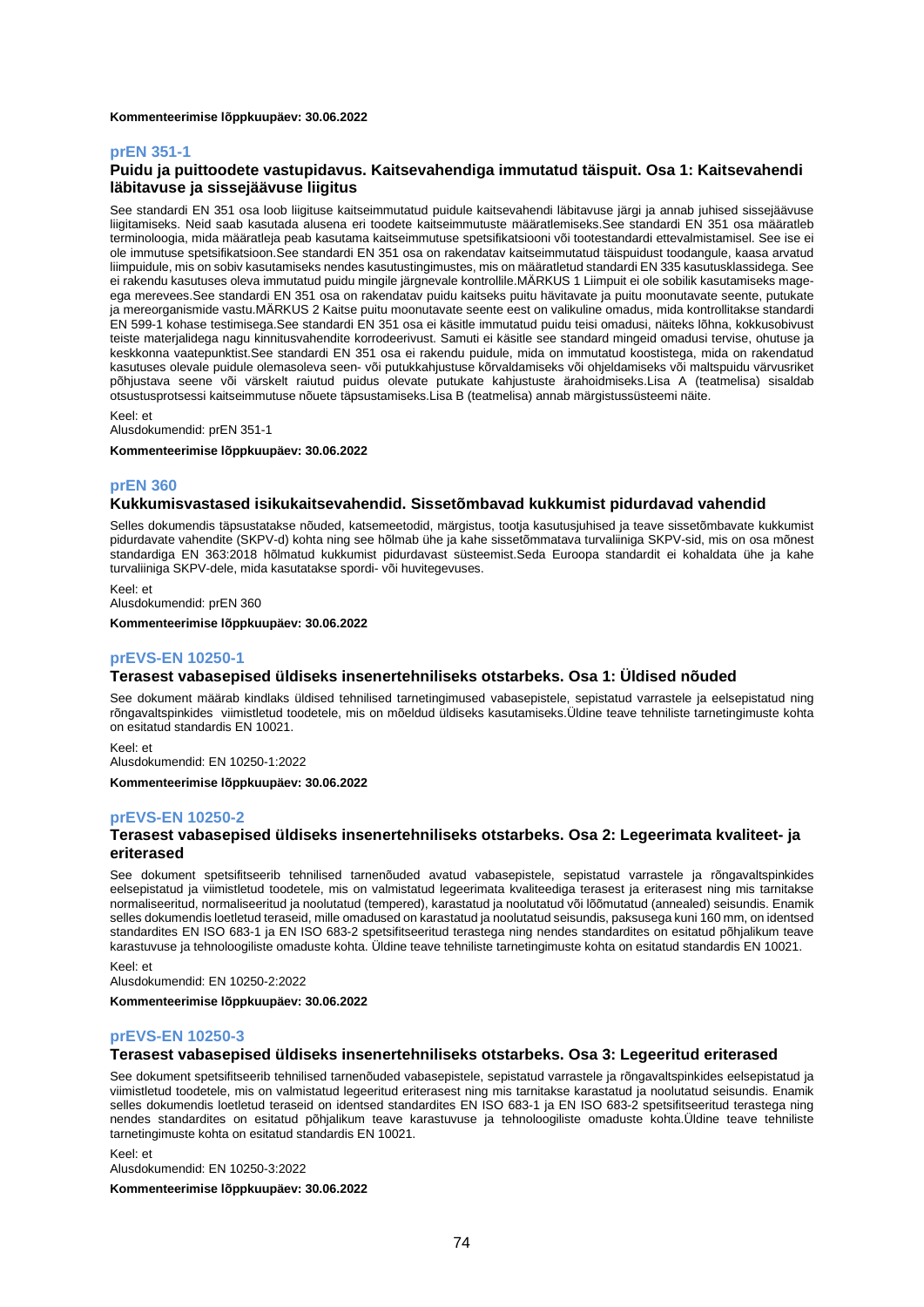#### **Kommenteerimise lõppkuupäev: 30.06.2022**

#### **prEN 351-1**

#### **Puidu ja puittoodete vastupidavus. Kaitsevahendiga immutatud täispuit. Osa 1: Kaitsevahendi läbitavuse ja sissejäävuse liigitus**

See standardi EN 351 osa loob liigituse kaitseimmutatud puidule kaitsevahendi läbitavuse järgi ja annab juhised sissejäävuse liigitamiseks. Neid saab kasutada alusena eri toodete kaitseimmutuste määratlemiseks.See standardi EN 351 osa määratleb terminoloogia, mida määratleja peab kasutama kaitseimmutuse spetsifikatsiooni või tootestandardi ettevalmistamisel. See ise ei ole immutuse spetsifikatsioon.See standardi EN 351 osa on rakendatav kaitseimmutatud täispuidust toodangule, kaasa arvatud liimpuidule, mis on sobiv kasutamiseks nendes kasutustingimustes, mis on määratletud standardi EN 335 kasutusklassidega. See ei rakendu kasutuses oleva immutatud puidu mingile järgnevale kontrollile.MÄRKUS 1 Liimpuit ei ole sobilik kasutamiseks mageega merevees.See standardi EN 351 osa on rakendatav puidu kaitseks puitu hävitavate ja puitu moonutavate seente, putukate ja mereorganismide vastu.MÄRKUS 2 Kaitse puitu moonutavate seente eest on valikuline omadus, mida kontrollitakse standardi EN 599-1 kohase testimisega.See standardi EN 351 osa ei käsitle immutatud puidu teisi omadusi, näiteks lõhna, kokkusobivust teiste materjalidega nagu kinnitusvahendite korrodeerivust. Samuti ei käsitle see standard mingeid omadusi tervise, ohutuse ja keskkonna vaatepunktist.See standardi EN 351 osa ei rakendu puidule, mida on immutatud koostistega, mida on rakendatud kasutuses olevale puidule olemasoleva seen- või putukkahjustuse kõrvaldamiseks või ohjeldamiseks või maltspuidu värvusriket põhjustava seene või värskelt raiutud puidus olevate putukate kahjustuste ärahoidmiseks.Lisa A (teatmelisa) sisaldab otsustusprotsessi kaitseimmutuse nõuete täpsustamiseks.Lisa B (teatmelisa) annab märgistussüsteemi näite.

Keel: et

Alusdokumendid: prEN 351-1

**Kommenteerimise lõppkuupäev: 30.06.2022**

#### **prEN 360**

#### **Kukkumisvastased isikukaitsevahendid. Sissetõmbavad kukkumist pidurdavad vahendid**

Selles dokumendis täpsustatakse nõuded, katsemeetodid, märgistus, tootja kasutusjuhised ja teave sissetõmbavate kukkumist pidurdavate vahendite (SKPV-d) kohta ning see hõlmab ühe ja kahe sissetõmmatava turvaliiniga SKPV-sid, mis on osa mõnest standardiga EN 363:2018 hõlmatud kukkumist pidurdavast süsteemist.Seda Euroopa standardit ei kohaldata ühe ja kahe turvaliiniga SKPV-dele, mida kasutatakse spordi- või huvitegevuses.

Keel: et

Alusdokumendid: prEN 360

**Kommenteerimise lõppkuupäev: 30.06.2022**

#### **prEVS-EN 10250-1**

#### **Terasest vabasepised üldiseks insenertehniliseks otstarbeks. Osa 1: Üldised nõuded**

See dokument määrab kindlaks üldised tehnilised tarnetingimused vabasepistele, sepistatud varrastele ja eelsepistatud ning rõngavaltspinkides viimistletud toodetele, mis on mõeldud üldiseks kasutamiseks.Üldine teave tehniliste tarnetingimuste kohta on esitatud standardis EN 10021.

Keel: et Alusdokumendid: EN 10250-1:2022

**Kommenteerimise lõppkuupäev: 30.06.2022**

#### **prEVS-EN 10250-2**

#### **Terasest vabasepised üldiseks insenertehniliseks otstarbeks. Osa 2: Legeerimata kvaliteet- ja eriterased**

See dokument spetsifitseerib tehnilised tarnenõuded avatud vabasepistele, sepistatud varrastele ja rõngavaltspinkides eelsepistatud ja viimistletud toodetele, mis on valmistatud legeerimata kvaliteediga terasest ja eriterasest ning mis tarnitakse normaliseeritud, normaliseeritud ja noolutatud (tempered), karastatud ja noolutatud või lõõmutatud (annealed) seisundis. Enamik selles dokumendis loetletud teraseid, mille omadused on karastatud ja noolutatud seisundis, paksusega kuni 160 mm, on identsed standardites EN ISO 683-1 ja EN ISO 683-2 spetsifitseeritud terastega ning nendes standardites on esitatud põhjalikum teave karastuvuse ja tehnoloogiliste omaduste kohta. Üldine teave tehniliste tarnetingimuste kohta on esitatud standardis EN 10021.

Keel: et

Alusdokumendid: EN 10250-2:2022

**Kommenteerimise lõppkuupäev: 30.06.2022**

#### **prEVS-EN 10250-3**

#### **Terasest vabasepised üldiseks insenertehniliseks otstarbeks. Osa 3: Legeeritud eriterased**

See dokument spetsifitseerib tehnilised tarnenõuded vabasepistele, sepistatud varrastele ja rõngavaltspinkides eelsepistatud ja viimistletud toodetele, mis on valmistatud legeeritud eriterasest ning mis tarnitakse karastatud ja noolutatud seisundis. Enamik selles dokumendis loetletud teraseid on identsed standardites EN ISO 683-1 ja EN ISO 683-2 spetsifitseeritud terastega ning nendes standardites on esitatud põhjalikum teave karastuvuse ja tehnoloogiliste omaduste kohta.Üldine teave tehniliste tarnetingimuste kohta on esitatud standardis EN 10021.

Keel: et Alusdokumendid: EN 10250-3:2022

**Kommenteerimise lõppkuupäev: 30.06.2022**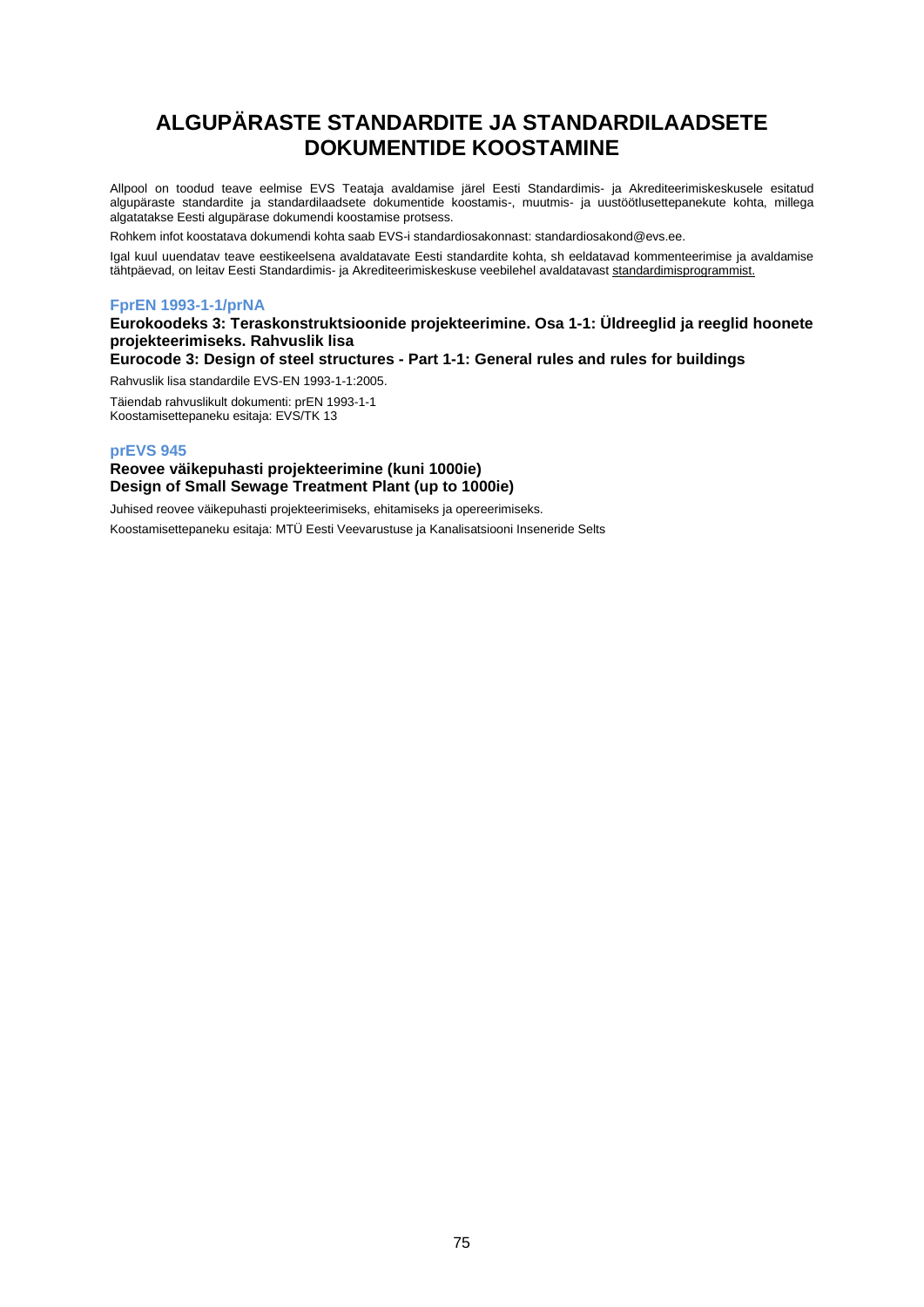# **ALGUPÄRASTE STANDARDITE JA STANDARDILAADSETE DOKUMENTIDE KOOSTAMINE**

Allpool on toodud teave eelmise EVS Teataja avaldamise järel Eesti Standardimis- ja Akrediteerimiskeskusele esitatud algupäraste standardite ja standardilaadsete dokumentide koostamis-, muutmis- ja uustöötlusettepanekute kohta, millega algatatakse Eesti algupärase dokumendi koostamise protsess.

Rohkem infot koostatava dokumendi kohta saab EVS-i standardiosakonnast: [standardiosakond@evs.ee.](mailto:standardiosakond@evs.ee)

Igal kuul uuendatav teave eestikeelsena avaldatavate Eesti standardite kohta, sh eeldatavad kommenteerimise ja avaldamise tähtpäevad, on leitav Eesti Standardimis- ja Akrediteerimiskeskuse veebilehel avaldatavas[t standardimisprogrammist.](https://www.evs.ee/et/standardimisprogramm)

## **FprEN 1993-1-1/prNA**

## **Eurokoodeks 3: Teraskonstruktsioonide projekteerimine. Osa 1-1: Üldreeglid ja reeglid hoonete projekteerimiseks. Rahvuslik lisa**

**Eurocode 3: Design of steel structures - Part 1-1: General rules and rules for buildings**

Rahvuslik lisa standardile EVS-EN 1993-1-1:2005.

Täiendab rahvuslikult dokumenti: prEN 1993-1-1 Koostamisettepaneku esitaja: EVS/TK 13

#### **prEVS 945**

## **Reovee väikepuhasti projekteerimine (kuni 1000ie) Design of Small Sewage Treatment Plant (up to 1000ie)**

Juhised reovee väikepuhasti projekteerimiseks, ehitamiseks ja opereerimiseks.

Koostamisettepaneku esitaja: MTÜ Eesti Veevarustuse ja Kanalisatsiooni Inseneride Selts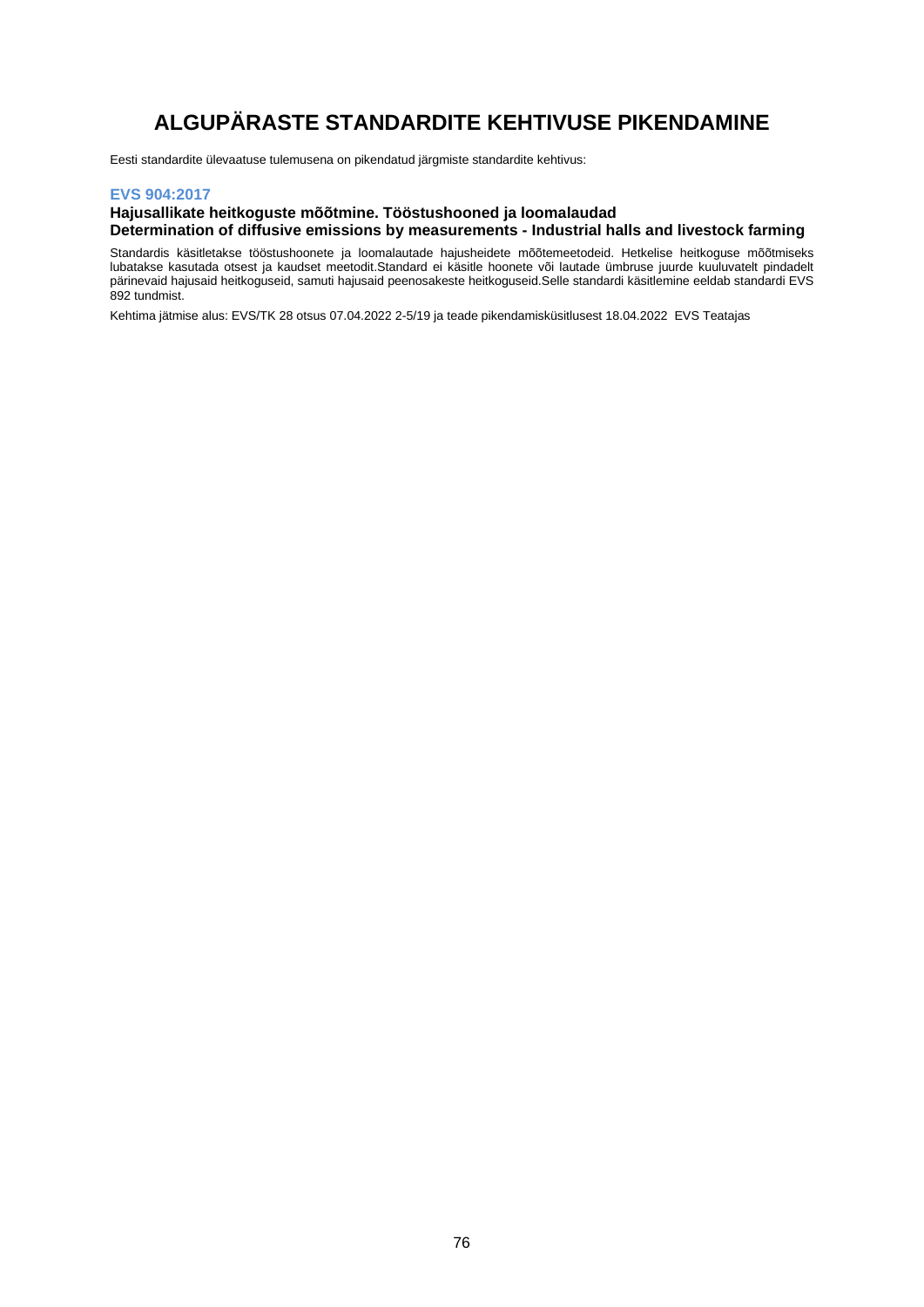# **ALGUPÄRASTE STANDARDITE KEHTIVUSE PIKENDAMINE**

Eesti standardite ülevaatuse tulemusena on pikendatud järgmiste standardite kehtivus:

### **EVS 904:2017**

#### **Hajusallikate heitkoguste mõõtmine. Tööstushooned ja loomalaudad Determination of diffusive emissions by measurements - Industrial halls and livestock farming**

Standardis käsitletakse tööstushoonete ja loomalautade hajusheidete mõõtemeetodeid. Hetkelise heitkoguse mõõtmiseks lubatakse kasutada otsest ja kaudset meetodit.Standard ei käsitle hoonete või lautade ümbruse juurde kuuluvatelt pindadelt pärinevaid hajusaid heitkoguseid, samuti hajusaid peenosakeste heitkoguseid.Selle standardi käsitlemine eeldab standardi EVS 892 tundmist.

Kehtima jätmise alus: EVS/TK 28 otsus 07.04.2022 2-5/19 ja teade pikendamisküsitlusest 18.04.2022 EVS Teatajas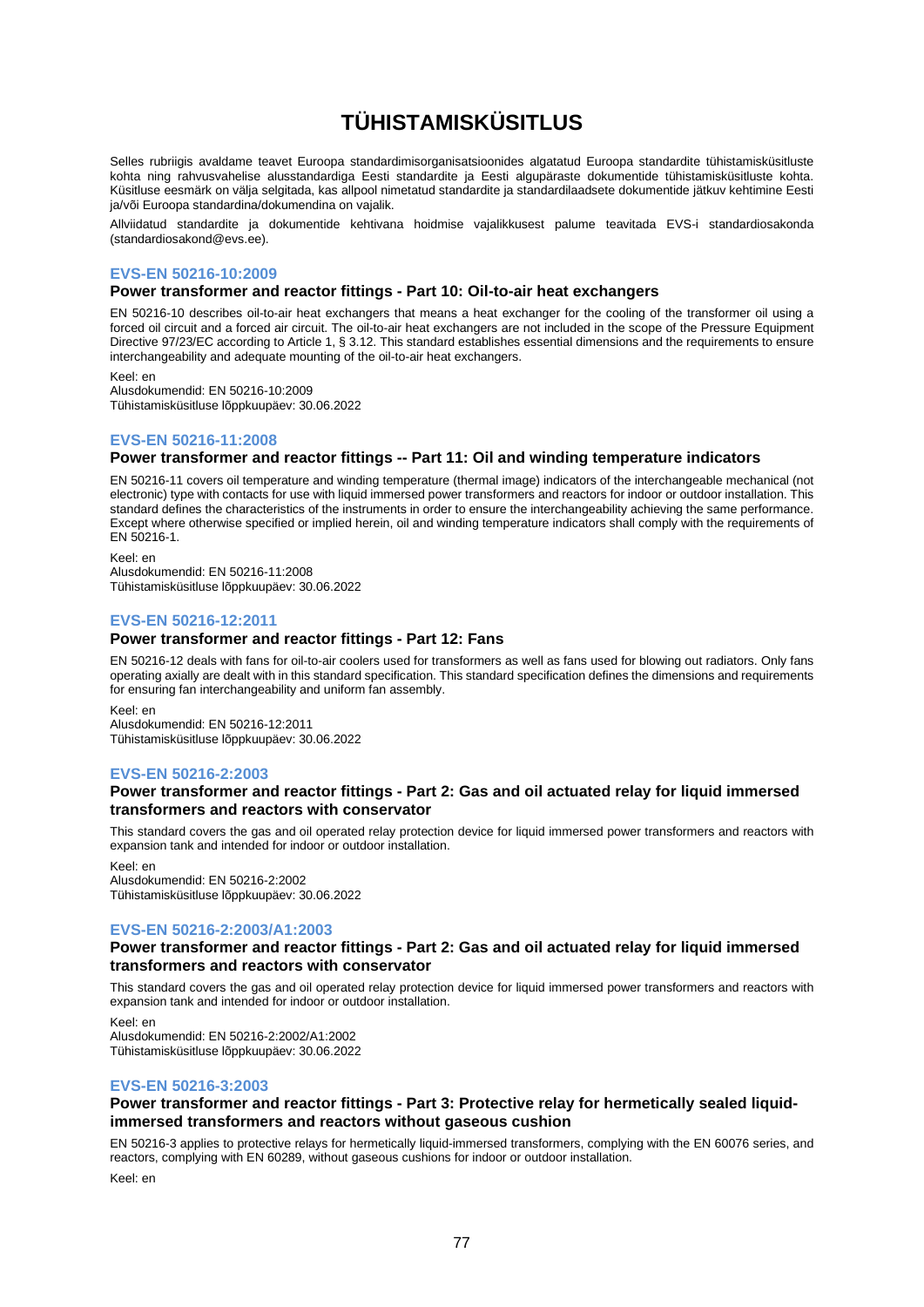# **TÜHISTAMISKÜSITLUS**

Selles rubriigis avaldame teavet Euroopa standardimisorganisatsioonides algatatud Euroopa standardite tühistamisküsitluste kohta ning rahvusvahelise alusstandardiga Eesti standardite ja Eesti algupäraste dokumentide tühistamisküsitluste kohta. Küsitluse eesmärk on välja selgitada, kas allpool nimetatud standardite ja standardilaadsete dokumentide jätkuv kehtimine Eesti ja/või Euroopa standardina/dokumendina on vajalik.

Allviidatud standardite ja dokumentide kehtivana hoidmise vajalikkusest palume teavitada EVS-i standardiosakonda (standardiosakond@evs.ee).

#### **EVS-EN 50216-10:2009**

**Power transformer and reactor fittings - Part 10: Oil-to-air heat exchangers**

EN 50216-10 describes oil-to-air heat exchangers that means a heat exchanger for the cooling of the transformer oil using a forced oil circuit and a forced air circuit. The oil-to-air heat exchangers are not included in the scope of the Pressure Equipment Directive 97/23/EC according to Article 1, § 3.12. This standard establishes essential dimensions and the requirements to ensure interchangeability and adequate mounting of the oil-to-air heat exchangers.

Keel: en

Alusdokumendid: EN 50216-10:2009 Tühistamisküsitluse lõppkuupäev: 30.06.2022

### **EVS-EN 50216-11:2008**

#### **Power transformer and reactor fittings -- Part 11: Oil and winding temperature indicators**

EN 50216-11 covers oil temperature and winding temperature (thermal image) indicators of the interchangeable mechanical (not electronic) type with contacts for use with liquid immersed power transformers and reactors for indoor or outdoor installation. This standard defines the characteristics of the instruments in order to ensure the interchangeability achieving the same performance. Except where otherwise specified or implied herein, oil and winding temperature indicators shall comply with the requirements of EN 50216-1.

Keel: en Alusdokumendid: EN 50216-11:2008 Tühistamisküsitluse lõppkuupäev: 30.06.2022

### **EVS-EN 50216-12:2011**

#### **Power transformer and reactor fittings - Part 12: Fans**

EN 50216-12 deals with fans for oil-to-air coolers used for transformers as well as fans used for blowing out radiators. Only fans operating axially are dealt with in this standard specification. This standard specification defines the dimensions and requirements for ensuring fan interchangeability and uniform fan assembly.

Keel: en Alusdokumendid: EN 50216-12:2011 Tühistamisküsitluse lõppkuupäev: 30.06.2022

#### **EVS-EN 50216-2:2003**

#### **Power transformer and reactor fittings - Part 2: Gas and oil actuated relay for liquid immersed transformers and reactors with conservator**

This standard covers the gas and oil operated relay protection device for liquid immersed power transformers and reactors with expansion tank and intended for indoor or outdoor installation.

Keel: en Alusdokumendid: EN 50216-2:2002 Tühistamisküsitluse lõppkuupäev: 30.06.2022

#### **EVS-EN 50216-2:2003/A1:2003**

#### **Power transformer and reactor fittings - Part 2: Gas and oil actuated relay for liquid immersed transformers and reactors with conservator**

This standard covers the gas and oil operated relay protection device for liquid immersed power transformers and reactors with expansion tank and intended for indoor or outdoor installation.

Keel: en

Alusdokumendid: EN 50216-2:2002/A1:2002 Tühistamisküsitluse lõppkuupäev: 30.06.2022

#### **EVS-EN 50216-3:2003**

### **Power transformer and reactor fittings - Part 3: Protective relay for hermetically sealed liquidimmersed transformers and reactors without gaseous cushion**

EN 50216-3 applies to protective relays for hermetically liquid-immersed transformers, complying with the EN 60076 series, and reactors, complying with EN 60289, without gaseous cushions for indoor or outdoor installation.

Keel: en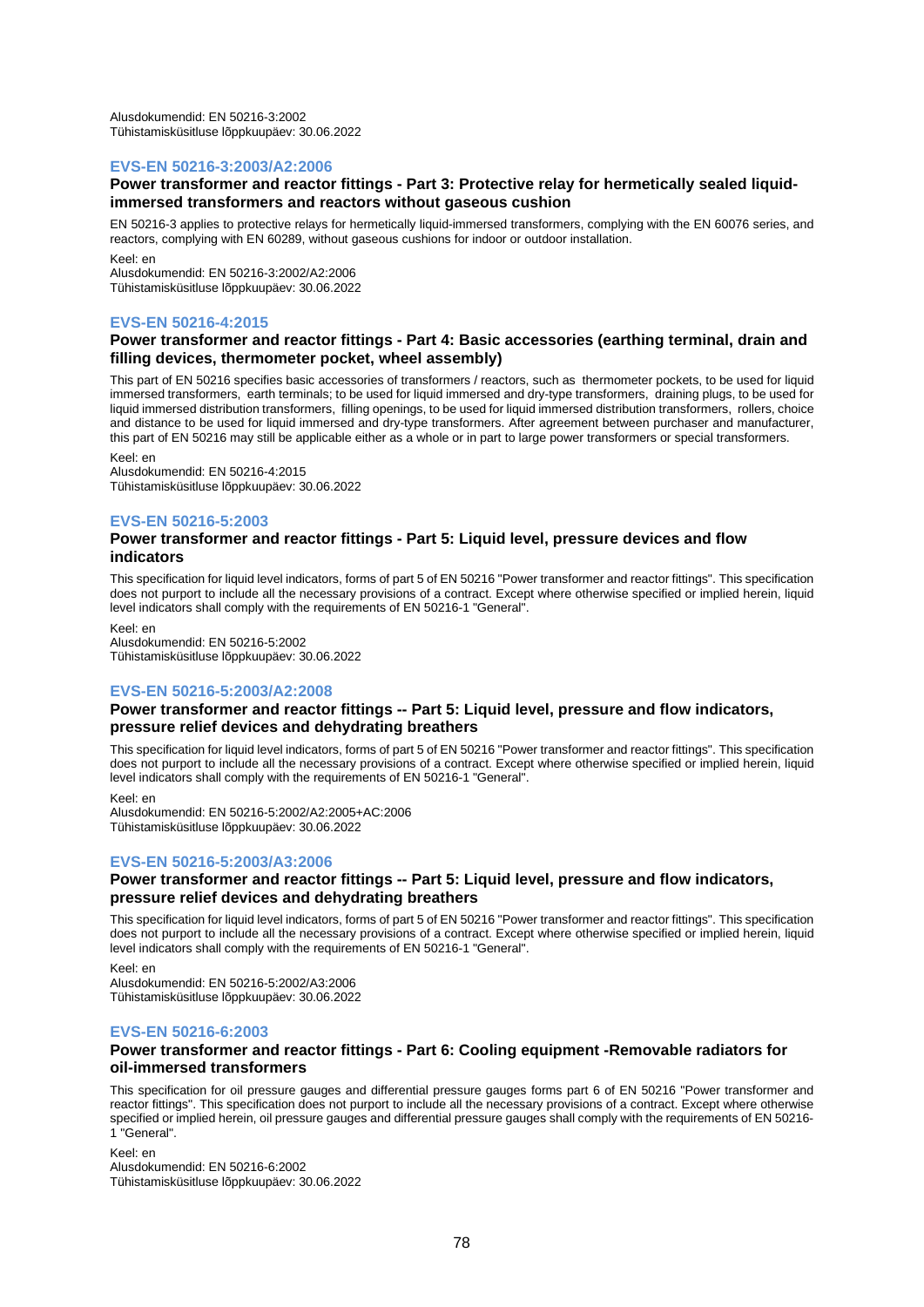Alusdokumendid: EN 50216-3:2002 Tühistamisküsitluse lõppkuupäev: 30.06.2022

#### **EVS-EN 50216-3:2003/A2:2006**

#### **Power transformer and reactor fittings - Part 3: Protective relay for hermetically sealed liquidimmersed transformers and reactors without gaseous cushion**

EN 50216-3 applies to protective relays for hermetically liquid-immersed transformers, complying with the EN 60076 series, and reactors, complying with EN 60289, without gaseous cushions for indoor or outdoor installation.

Keel: en Alusdokumendid: EN 50216-3:2002/A2:2006 Tühistamisküsitluse lõppkuupäev: 30.06.2022

#### **EVS-EN 50216-4:2015**

#### **Power transformer and reactor fittings - Part 4: Basic accessories (earthing terminal, drain and filling devices, thermometer pocket, wheel assembly)**

This part of EN 50216 specifies basic accessories of transformers / reactors, such as thermometer pockets, to be used for liquid immersed transformers, earth terminals; to be used for liquid immersed and dry-type transformers, draining plugs, to be used for liquid immersed distribution transformers, filling openings, to be used for liquid immersed distribution transformers, rollers, choice and distance to be used for liquid immersed and dry-type transformers. After agreement between purchaser and manufacturer, this part of EN 50216 may still be applicable either as a whole or in part to large power transformers or special transformers.

Keel: en

Alusdokumendid: EN 50216-4:2015 Tühistamisküsitluse lõppkuupäev: 30.06.2022

#### **EVS-EN 50216-5:2003**

#### **Power transformer and reactor fittings - Part 5: Liquid level, pressure devices and flow indicators**

This specification for liquid level indicators, forms of part 5 of EN 50216 "Power transformer and reactor fittings". This specification does not purport to include all the necessary provisions of a contract. Except where otherwise specified or implied herein, liquid level indicators shall comply with the requirements of EN 50216-1 "General".

Keel: en

Alusdokumendid: EN 50216-5:2002 Tühistamisküsitluse lõppkuupäev: 30.06.2022

### **EVS-EN 50216-5:2003/A2:2008**

#### **Power transformer and reactor fittings -- Part 5: Liquid level, pressure and flow indicators, pressure relief devices and dehydrating breathers**

This specification for liquid level indicators, forms of part 5 of EN 50216 "Power transformer and reactor fittings". This specification does not purport to include all the necessary provisions of a contract. Except where otherwise specified or implied herein, liquid level indicators shall comply with the requirements of EN 50216-1 "General".

Keel: en

Alusdokumendid: EN 50216-5:2002/A2:2005+AC:2006 Tühistamisküsitluse lõppkuupäev: 30.06.2022

### **EVS-EN 50216-5:2003/A3:2006**

#### **Power transformer and reactor fittings -- Part 5: Liquid level, pressure and flow indicators, pressure relief devices and dehydrating breathers**

This specification for liquid level indicators, forms of part 5 of EN 50216 "Power transformer and reactor fittings". This specification does not purport to include all the necessary provisions of a contract. Except where otherwise specified or implied herein, liquid level indicators shall comply with the requirements of EN 50216-1 "General".

Keel: en Alusdokumendid: EN 50216-5:2002/A3:2006 Tühistamisküsitluse lõppkuupäev: 30.06.2022

### **EVS-EN 50216-6:2003**

#### **Power transformer and reactor fittings - Part 6: Cooling equipment -Removable radiators for oil-immersed transformers**

This specification for oil pressure gauges and differential pressure gauges forms part 6 of EN 50216 "Power transformer and reactor fittings". This specification does not purport to include all the necessary provisions of a contract. Except where otherwise specified or implied herein, oil pressure gauges and differential pressure gauges shall comply with the requirements of EN 50216- 1 "General".

Keel: en Alusdokumendid: EN 50216-6:2002 Tühistamisküsitluse lõppkuupäev: 30.06.2022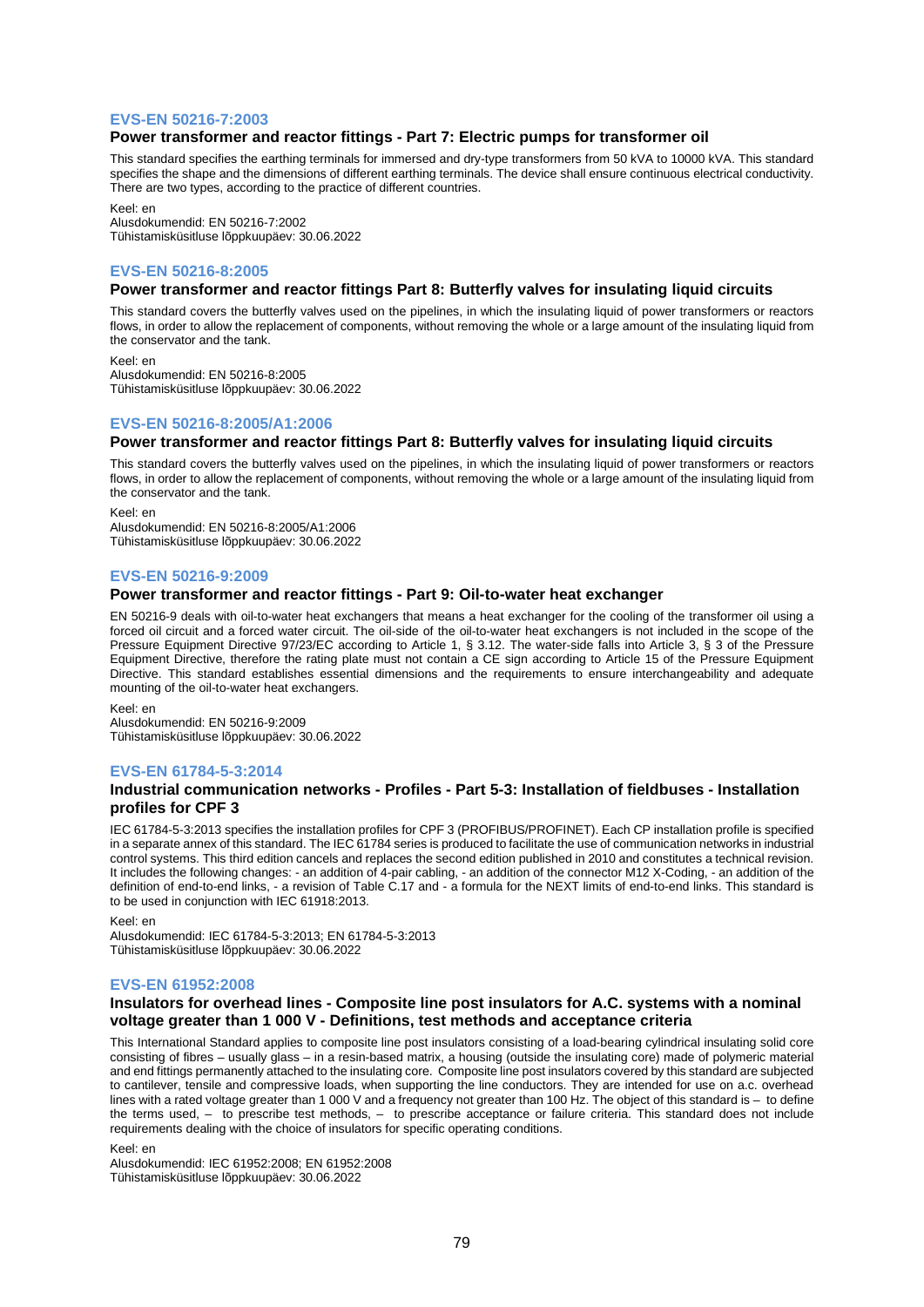#### **EVS-EN 50216-7:2003**

#### **Power transformer and reactor fittings - Part 7: Electric pumps for transformer oil**

This standard specifies the earthing terminals for immersed and dry-type transformers from 50 kVA to 10000 kVA. This standard specifies the shape and the dimensions of different earthing terminals. The device shall ensure continuous electrical conductivity. There are two types, according to the practice of different countries.

Keel: en

Alusdokumendid: EN 50216-7:2002 Tühistamisküsitluse lõppkuupäev: 30.06.2022

#### **EVS-EN 50216-8:2005**

#### **Power transformer and reactor fittings Part 8: Butterfly valves for insulating liquid circuits**

This standard covers the butterfly valves used on the pipelines, in which the insulating liquid of power transformers or reactors flows, in order to allow the replacement of components, without removing the whole or a large amount of the insulating liquid from the conservator and the tank.

Keel: en Alusdokumendid: EN 50216-8:2005 Tühistamisküsitluse lõppkuupäev: 30.06.2022

#### **EVS-EN 50216-8:2005/A1:2006**

#### **Power transformer and reactor fittings Part 8: Butterfly valves for insulating liquid circuits**

This standard covers the butterfly valves used on the pipelines, in which the insulating liquid of power transformers or reactors flows, in order to allow the replacement of components, without removing the whole or a large amount of the insulating liquid from the conservator and the tank.

Keel: en Alusdokumendid: EN 50216-8:2005/A1:2006 Tühistamisküsitluse lõppkuupäev: 30.06.2022

#### **EVS-EN 50216-9:2009**

## **Power transformer and reactor fittings - Part 9: Oil-to-water heat exchanger**

EN 50216-9 deals with oil-to-water heat exchangers that means a heat exchanger for the cooling of the transformer oil using a forced oil circuit and a forced water circuit. The oil-side of the oil-to-water heat exchangers is not included in the scope of the Pressure Equipment Directive 97/23/EC according to Article 1, § 3.12. The water-side falls into Article 3, § 3 of the Pressure Equipment Directive, therefore the rating plate must not contain a CE sign according to Article 15 of the Pressure Equipment Directive. This standard establishes essential dimensions and the requirements to ensure interchangeability and adequate mounting of the oil-to-water heat exchangers.

Keel: en Alusdokumendid: EN 50216-9:2009 Tühistamisküsitluse lõppkuupäev: 30.06.2022

#### **EVS-EN 61784-5-3:2014**

#### **Industrial communication networks - Profiles - Part 5-3: Installation of fieldbuses - Installation profiles for CPF 3**

IEC 61784-5-3:2013 specifies the installation profiles for CPF 3 (PROFIBUS/PROFINET). Each CP installation profile is specified in a separate annex of this standard. The IEC 61784 series is produced to facilitate the use of communication networks in industrial control systems. This third edition cancels and replaces the second edition published in 2010 and constitutes a technical revision. It includes the following changes: - an addition of 4-pair cabling, - an addition of the connector M12 X-Coding, - an addition of the definition of end-to-end links, - a revision of Table C.17 and - a formula for the NEXT limits of end-to-end links. This standard is to be used in conjunction with IEC 61918:2013.

Keel: en

Alusdokumendid: IEC 61784-5-3:2013; EN 61784-5-3:2013 Tühistamisküsitluse lõppkuupäev: 30.06.2022

#### **EVS-EN 61952:2008**

#### **Insulators for overhead lines - Composite line post insulators for A.C. systems with a nominal voltage greater than 1 000 V - Definitions, test methods and acceptance criteria**

This International Standard applies to composite line post insulators consisting of a load-bearing cylindrical insulating solid core consisting of fibres – usually glass – in a resin-based matrix, a housing (outside the insulating core) made of polymeric material and end fittings permanently attached to the insulating core. Composite line post insulators covered by this standard are subjected to cantilever, tensile and compressive loads, when supporting the line conductors. They are intended for use on a.c. overhead lines with a rated voltage greater than 1 000 V and a frequency not greater than 100 Hz. The object of this standard is – to define the terms used, – to prescribe test methods, – to prescribe acceptance or failure criteria. This standard does not include requirements dealing with the choice of insulators for specific operating conditions.

Keel: en

Alusdokumendid: IEC 61952:2008; EN 61952:2008 Tühistamisküsitluse lõppkuupäev: 30.06.2022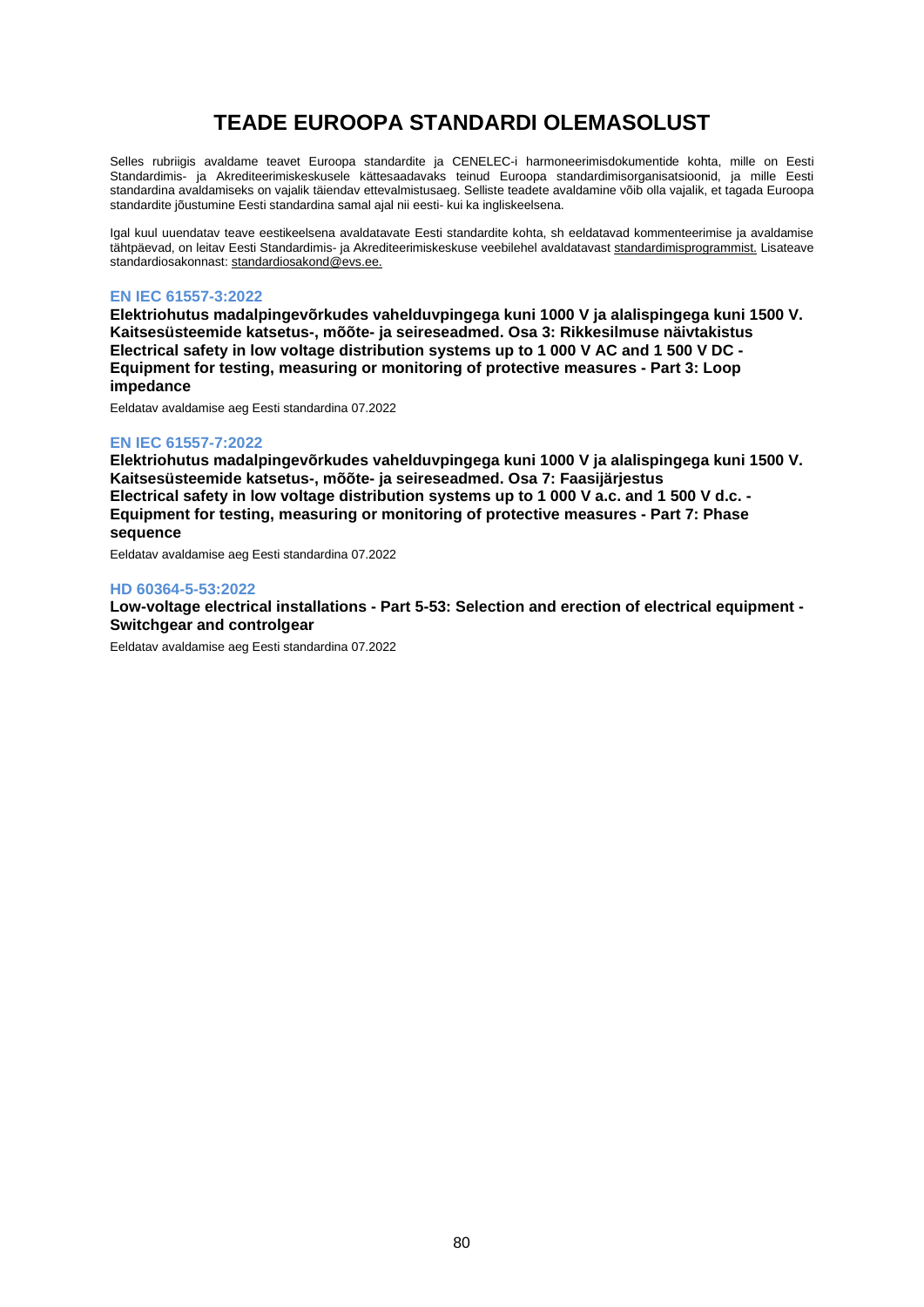# **TEADE EUROOPA STANDARDI OLEMASOLUST**

Selles rubriigis avaldame teavet Euroopa standardite ja CENELEC-i harmoneerimisdokumentide kohta, mille on Eesti Standardimis- ja Akrediteerimiskeskusele kättesaadavaks teinud Euroopa standardimisorganisatsioonid, ja mille Eesti standardina avaldamiseks on vajalik täiendav ettevalmistusaeg. Selliste teadete avaldamine võib olla vajalik, et tagada Euroopa standardite jõustumine Eesti standardina samal ajal nii eesti- kui ka ingliskeelsena.

Igal kuul uuendatav teave eestikeelsena avaldatavate Eesti standardite kohta, sh eeldatavad kommenteerimise ja avaldamise tähtpäevad, on leitav Eesti Standardimis- ja Akrediteerimiskeskuse veebilehel avaldatavast [standardimisprogrammist.](https://www.evs.ee/et/standardimisprogramm) Lisateave standardiosakonnast[: standardiosakond@evs.ee.](mailto:standardiosakond@evs.ee)

### **EN IEC 61557-3:2022**

**Elektriohutus madalpingevõrkudes vahelduvpingega kuni 1000 V ja alalispingega kuni 1500 V. Kaitsesüsteemide katsetus-, mõõte- ja seireseadmed. Osa 3: Rikkesilmuse näivtakistus Electrical safety in low voltage distribution systems up to 1 000 V AC and 1 500 V DC - Equipment for testing, measuring or monitoring of protective measures - Part 3: Loop impedance**

Eeldatav avaldamise aeg Eesti standardina 07.2022

#### **EN IEC 61557-7:2022**

**Elektriohutus madalpingevõrkudes vahelduvpingega kuni 1000 V ja alalispingega kuni 1500 V. Kaitsesüsteemide katsetus-, mõõte- ja seireseadmed. Osa 7: Faasijärjestus Electrical safety in low voltage distribution systems up to 1 000 V a.c. and 1 500 V d.c. - Equipment for testing, measuring or monitoring of protective measures - Part 7: Phase sequence**

Eeldatav avaldamise aeg Eesti standardina 07.2022

#### **HD 60364-5-53:2022**

**Low-voltage electrical installations - Part 5-53: Selection and erection of electrical equipment - Switchgear and controlgear**

Eeldatav avaldamise aeg Eesti standardina 07.2022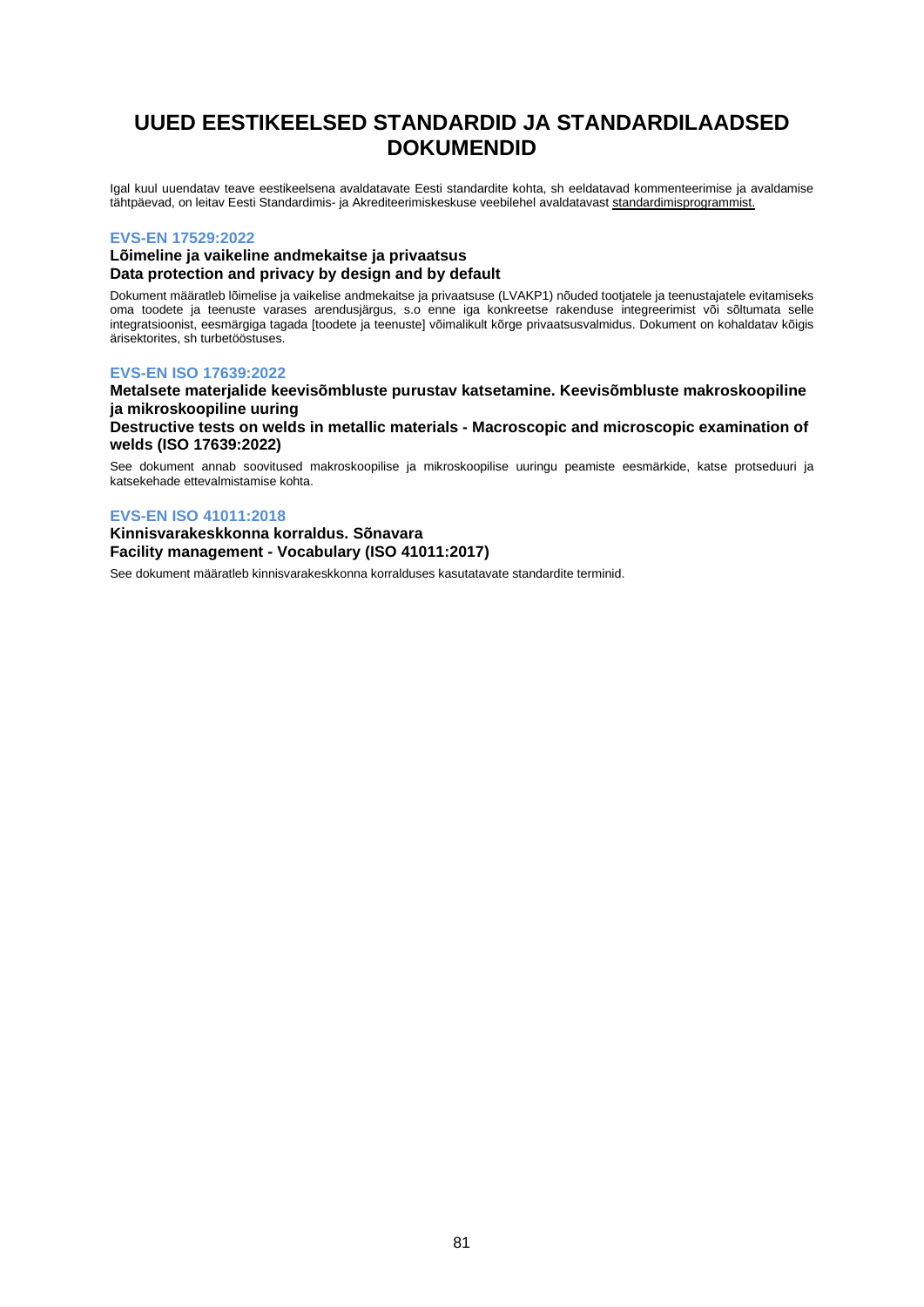# **UUED EESTIKEELSED STANDARDID JA STANDARDILAADSED DOKUMENDID**

Igal kuul uuendatav teave eestikeelsena avaldatavate Eesti standardite kohta, sh eeldatavad kommenteerimise ja avaldamise tähtpäevad, on leitav Eesti Standardimis- ja Akrediteerimiskeskuse veebilehel avaldatavas[t standardimisprogrammist.](https://www.evs.ee/et/standardimisprogramm)

#### **EVS-EN 17529:2022**

### **Lõimeline ja vaikeline andmekaitse ja privaatsus Data protection and privacy by design and by default**

Dokument määratleb lõimelise ja vaikelise andmekaitse ja privaatsuse (LVAKP1) nõuded tootjatele ja teenustajatele evitamiseks oma toodete ja teenuste varases arendusjärgus, s.o enne iga konkreetse rakenduse integreerimist või sõltumata selle integratsioonist, eesmärgiga tagada [toodete ja teenuste] võimalikult kõrge privaatsusvalmidus. Dokument on kohaldatav kõigis ärisektorites, sh turbetööstuses.

#### **EVS-EN ISO 17639:2022**

**Metalsete materjalide keevisõmbluste purustav katsetamine. Keevisõmbluste makroskoopiline ja mikroskoopiline uuring Destructive tests on welds in metallic materials - Macroscopic and microscopic examination of** 

**welds (ISO 17639:2022)**

See dokument annab soovitused makroskoopilise ja mikroskoopilise uuringu peamiste eesmärkide, katse protseduuri ja katsekehade ettevalmistamise kohta.

### **EVS-EN ISO 41011:2018**

**Kinnisvarakeskkonna korraldus. Sõnavara Facility management - Vocabulary (ISO 41011:2017)**

See dokument määratleb kinnisvarakeskkonna korralduses kasutatavate standardite terminid.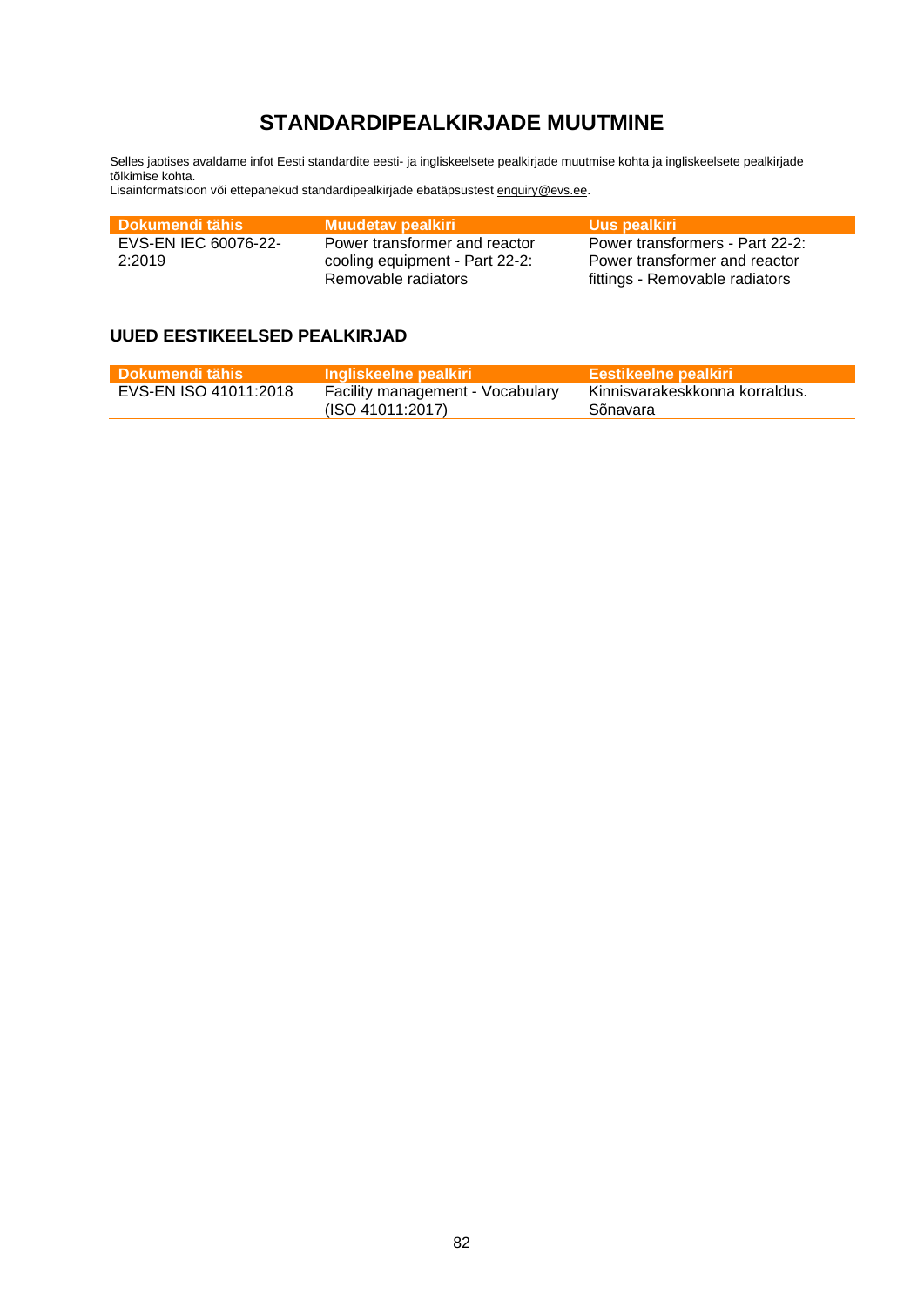# **STANDARDIPEALKIRJADE MUUTMINE**

Selles jaotises avaldame infot Eesti standardite eesti- ja ingliskeelsete pealkirjade muutmise kohta ja ingliskeelsete pealkirjade tõlkimise kohta.

Lisainformatsioon või ettepanekud standardipealkirjade ebatäpsustes[t enquiry@evs.ee.](mailto:enquiry@evs.ee)

| <b>Dokumendi tähis</b> | Muudetav pealkiri              | Uus pealkiri                    |
|------------------------|--------------------------------|---------------------------------|
| EVS-EN IEC 60076-22-   | Power transformer and reactor  | Power transformers - Part 22-2: |
| 2:2019                 | cooling equipment - Part 22-2: | Power transformer and reactor   |
|                        | Removable radiators            | fittings - Removable radiators  |

# **UUED EESTIKEELSED PEALKIRJAD**

| l Dokumendi tähis     | <b>Ingliskeelne pealkiri</b>                         | <b>Eestikeelne pealkiri</b>                |
|-----------------------|------------------------------------------------------|--------------------------------------------|
| EVS-EN ISO 41011:2018 | Facility management - Vocabulary<br>(ISO 41011:2017) | Kinnisvarakeskkonna korraldus.<br>Sõnavara |